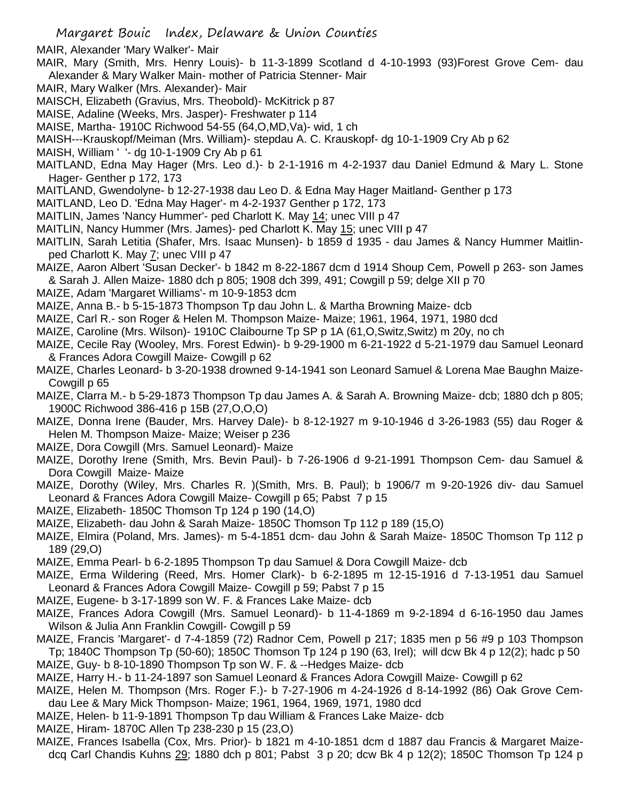MAIR, Alexander 'Mary Walker'- Mair

- MAIR, Mary (Smith, Mrs. Henry Louis)- b 11-3-1899 Scotland d 4-10-1993 (93)Forest Grove Cem- dau Alexander & Mary Walker Main- mother of Patricia Stenner- Mair
- MAIR, Mary Walker (Mrs. Alexander)- Mair
- MAISCH, Elizabeth (Gravius, Mrs. Theobold)- McKitrick p 87
- MAISE, Adaline (Weeks, Mrs. Jasper)- Freshwater p 114
- MAISE, Martha- 1910C Richwood 54-55 (64,O,MD,Va)- wid, 1 ch
- MAISH---Krauskopf/Meiman (Mrs. William)- stepdau A. C. Krauskopf- dg 10-1-1909 Cry Ab p 62
- MAISH, William ' '- dg 10-1-1909 Cry Ab p 61
- MAITLAND, Edna May Hager (Mrs. Leo d.)- b 2-1-1916 m 4-2-1937 dau Daniel Edmund & Mary L. Stone Hager- Genther p 172, 173
- MAITLAND, Gwendolyne- b 12-27-1938 dau Leo D. & Edna May Hager Maitland- Genther p 173
- MAITLAND, Leo D. 'Edna May Hager'- m 4-2-1937 Genther p 172, 173
- MAITLIN, James 'Nancy Hummer'- ped Charlott K. May 14; unec VIII p 47
- MAITLIN, Nancy Hummer (Mrs. James)- ped Charlott K. May 15; unec VIII p 47
- MAITLIN, Sarah Letitia (Shafer, Mrs. Isaac Munsen)- b 1859 d 1935 dau James & Nancy Hummer Maitlinped Charlott K. May 7; unec VIII p 47
- MAIZE, Aaron Albert 'Susan Decker'- b 1842 m 8-22-1867 dcm d 1914 Shoup Cem, Powell p 263- son James & Sarah J. Allen Maize- 1880 dch p 805; 1908 dch 399, 491; Cowgill p 59; delge XII p 70
- MAIZE, Adam 'Margaret Williams'- m 10-9-1853 dcm
- MAIZE, Anna B.- b 5-15-1873 Thompson Tp dau John L. & Martha Browning Maize- dcb
- MAIZE, Carl R.- son Roger & Helen M. Thompson Maize- Maize; 1961, 1964, 1971, 1980 dcd
- MAIZE, Caroline (Mrs. Wilson)- 1910C Claibourne Tp SP p 1A (61,O,Switz,Switz) m 20y, no ch
- MAIZE, Cecile Ray (Wooley, Mrs. Forest Edwin)- b 9-29-1900 m 6-21-1922 d 5-21-1979 dau Samuel Leonard & Frances Adora Cowgill Maize- Cowgill p 62
- MAIZE, Charles Leonard- b 3-20-1938 drowned 9-14-1941 son Leonard Samuel & Lorena Mae Baughn Maize-Cowgill p 65
- MAIZE, Clarra M.- b 5-29-1873 Thompson Tp dau James A. & Sarah A. Browning Maize- dcb; 1880 dch p 805; 1900C Richwood 386-416 p 15B (27,O,O,O)
- MAIZE, Donna Irene (Bauder, Mrs. Harvey Dale)- b 8-12-1927 m 9-10-1946 d 3-26-1983 (55) dau Roger & Helen M. Thompson Maize- Maize; Weiser p 236
- MAIZE, Dora Cowgill (Mrs. Samuel Leonard)- Maize
- MAIZE, Dorothy Irene (Smith, Mrs. Bevin Paul)- b 7-26-1906 d 9-21-1991 Thompson Cem- dau Samuel & Dora Cowgill Maize- Maize
- MAIZE, Dorothy (Wiley, Mrs. Charles R. )(Smith, Mrs. B. Paul); b 1906/7 m 9-20-1926 div- dau Samuel Leonard & Frances Adora Cowgill Maize- Cowgill p 65; Pabst 7 p 15
- MAIZE, Elizabeth- 1850C Thomson Tp 124 p 190 (14,O)
- MAIZE, Elizabeth- dau John & Sarah Maize- 1850C Thomson Tp 112 p 189 (15,O)
- MAIZE, Elmira (Poland, Mrs. James)- m 5-4-1851 dcm- dau John & Sarah Maize- 1850C Thomson Tp 112 p 189 (29,O)
- MAIZE, Emma Pearl- b 6-2-1895 Thompson Tp dau Samuel & Dora Cowgill Maize- dcb
- MAIZE, Erma Wildering (Reed, Mrs. Homer Clark)- b 6-2-1895 m 12-15-1916 d 7-13-1951 dau Samuel Leonard & Frances Adora Cowgill Maize- Cowgill p 59; Pabst 7 p 15
- MAIZE, Eugene- b 3-17-1899 son W. F. & Frances Lake Maize- dcb
- MAIZE, Frances Adora Cowgill (Mrs. Samuel Leonard)- b 11-4-1869 m 9-2-1894 d 6-16-1950 dau James Wilson & Julia Ann Franklin Cowgill- Cowgill p 59
- MAIZE, Francis 'Margaret'- d 7-4-1859 (72) Radnor Cem, Powell p 217; 1835 men p 56 #9 p 103 Thompson Tp; 1840C Thompson Tp (50-60); 1850C Thomson Tp 124 p 190 (63, Irel); will dcw Bk 4 p 12(2); hadc p 50
- MAIZE, Guy- b 8-10-1890 Thompson Tp son W. F. & --Hedges Maize- dcb MAIZE, Harry H.- b 11-24-1897 son Samuel Leonard & Frances Adora Cowgill Maize- Cowgill p 62
- MAIZE, Helen M. Thompson (Mrs. Roger F.)- b 7-27-1906 m 4-24-1926 d 8-14-1992 (86) Oak Grove Cemdau Lee & Mary Mick Thompson- Maize; 1961, 1964, 1969, 1971, 1980 dcd
- MAIZE, Helen- b 11-9-1891 Thompson Tp dau William & Frances Lake Maize- dcb
- MAIZE, Hiram- 1870C Allen Tp 238-230 p 15 (23,O)
- MAIZE, Frances Isabella (Cox, Mrs. Prior)- b 1821 m 4-10-1851 dcm d 1887 dau Francis & Margaret Maizedcq Carl Chandis Kuhns 29; 1880 dch p 801; Pabst 3 p 20; dcw Bk 4 p 12(2); 1850C Thomson Tp 124 p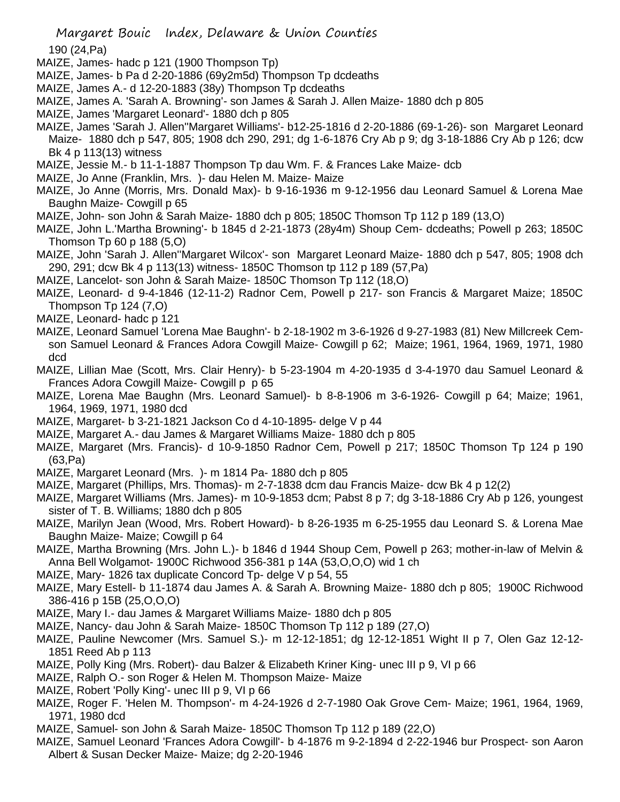190 (24,Pa)

- MAIZE, James- hadc p 121 (1900 Thompson Tp)
- MAIZE, James- b Pa d 2-20-1886 (69y2m5d) Thompson Tp dcdeaths
- MAIZE, James A.- d 12-20-1883 (38y) Thompson Tp dcdeaths
- MAIZE, James A. 'Sarah A. Browning'- son James & Sarah J. Allen Maize- 1880 dch p 805
- MAIZE, James 'Margaret Leonard'- 1880 dch p 805
- MAIZE, James 'Sarah J. Allen''Margaret Williams'- b12-25-1816 d 2-20-1886 (69-1-26)- son Margaret Leonard Maize- 1880 dch p 547, 805; 1908 dch 290, 291; dg 1-6-1876 Cry Ab p 9; dg 3-18-1886 Cry Ab p 126; dcw Bk 4 p 113(13) witness
- MAIZE, Jessie M.- b 11-1-1887 Thompson Tp dau Wm. F. & Frances Lake Maize- dcb
- MAIZE, Jo Anne (Franklin, Mrs. )- dau Helen M. Maize- Maize
- MAIZE, Jo Anne (Morris, Mrs. Donald Max)- b 9-16-1936 m 9-12-1956 dau Leonard Samuel & Lorena Mae Baughn Maize- Cowgill p 65
- MAIZE, John- son John & Sarah Maize- 1880 dch p 805; 1850C Thomson Tp 112 p 189 (13,O)
- MAIZE, John L.'Martha Browning'- b 1845 d 2-21-1873 (28y4m) Shoup Cem- dcdeaths; Powell p 263; 1850C Thomson Tp 60 p 188 (5,O)
- MAIZE, John 'Sarah J. Allen''Margaret Wilcox'- son Margaret Leonard Maize- 1880 dch p 547, 805; 1908 dch 290, 291; dcw Bk 4 p 113(13) witness- 1850C Thomson tp 112 p 189 (57,Pa)
- MAIZE, Lancelot- son John & Sarah Maize- 1850C Thomson Tp 112 (18,O)
- MAIZE, Leonard- d 9-4-1846 (12-11-2) Radnor Cem, Powell p 217- son Francis & Margaret Maize; 1850C Thompson Tp 124 (7,O)
- MAIZE, Leonard- hadc p 121
- MAIZE, Leonard Samuel 'Lorena Mae Baughn'- b 2-18-1902 m 3-6-1926 d 9-27-1983 (81) New Millcreek Cemson Samuel Leonard & Frances Adora Cowgill Maize- Cowgill p 62; Maize; 1961, 1964, 1969, 1971, 1980 dcd
- MAIZE, Lillian Mae (Scott, Mrs. Clair Henry)- b 5-23-1904 m 4-20-1935 d 3-4-1970 dau Samuel Leonard & Frances Adora Cowgill Maize- Cowgill p p 65
- MAIZE, Lorena Mae Baughn (Mrs. Leonard Samuel)- b 8-8-1906 m 3-6-1926- Cowgill p 64; Maize; 1961, 1964, 1969, 1971, 1980 dcd
- MAIZE, Margaret- b 3-21-1821 Jackson Co d 4-10-1895- delge V p 44
- MAIZE, Margaret A.- dau James & Margaret Williams Maize- 1880 dch p 805
- MAIZE, Margaret (Mrs. Francis)- d 10-9-1850 Radnor Cem, Powell p 217; 1850C Thomson Tp 124 p 190 (63,Pa)
- MAIZE, Margaret Leonard (Mrs. )- m 1814 Pa- 1880 dch p 805
- MAIZE, Margaret (Phillips, Mrs. Thomas)- m 2-7-1838 dcm dau Francis Maize- dcw Bk 4 p 12(2)
- MAIZE, Margaret Williams (Mrs. James)- m 10-9-1853 dcm; Pabst 8 p 7; dg 3-18-1886 Cry Ab p 126, youngest sister of T. B. Williams; 1880 dch p 805
- MAIZE, Marilyn Jean (Wood, Mrs. Robert Howard)- b 8-26-1935 m 6-25-1955 dau Leonard S. & Lorena Mae Baughn Maize- Maize; Cowgill p 64
- MAIZE, Martha Browning (Mrs. John L.)- b 1846 d 1944 Shoup Cem, Powell p 263; mother-in-law of Melvin & Anna Bell Wolgamot- 1900C Richwood 356-381 p 14A (53,O,O,O) wid 1 ch
- MAIZE, Mary- 1826 tax duplicate Concord Tp- delge V p 54, 55
- MAIZE, Mary Estell- b 11-1874 dau James A. & Sarah A. Browning Maize- 1880 dch p 805; 1900C Richwood 386-416 p 15B (25,O,O,O)
- MAIZE, Mary I.- dau James & Margaret Williams Maize- 1880 dch p 805
- MAIZE, Nancy- dau John & Sarah Maize- 1850C Thomson Tp 112 p 189 (27,O)
- MAIZE, Pauline Newcomer (Mrs. Samuel S.)- m 12-12-1851; dg 12-12-1851 Wight II p 7, Olen Gaz 12-12- 1851 Reed Ab p 113
- MAIZE, Polly King (Mrs. Robert)- dau Balzer & Elizabeth Kriner King- unec III p 9, VI p 66
- MAIZE, Ralph O.- son Roger & Helen M. Thompson Maize- Maize
- MAIZE, Robert 'Polly King'- unec III p 9, VI p 66
- MAIZE, Roger F. 'Helen M. Thompson'- m 4-24-1926 d 2-7-1980 Oak Grove Cem- Maize; 1961, 1964, 1969, 1971, 1980 dcd
- MAIZE, Samuel- son John & Sarah Maize- 1850C Thomson Tp 112 p 189 (22,O)
- MAIZE, Samuel Leonard 'Frances Adora Cowgill'- b 4-1876 m 9-2-1894 d 2-22-1946 bur Prospect- son Aaron Albert & Susan Decker Maize- Maize; dg 2-20-1946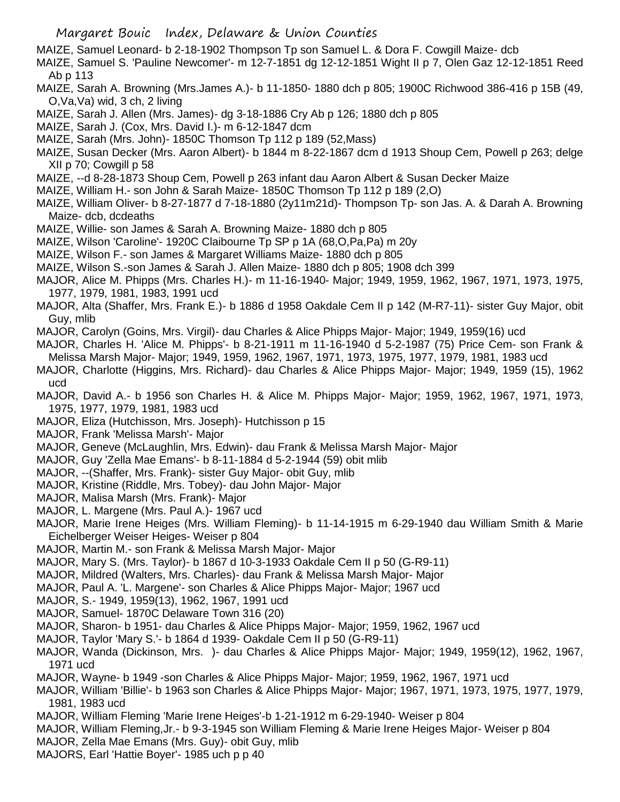- MAIZE, Samuel Leonard- b 2-18-1902 Thompson Tp son Samuel L. & Dora F. Cowgill Maize- dcb
- MAIZE, Samuel S. 'Pauline Newcomer'- m 12-7-1851 dg 12-12-1851 Wight II p 7, Olen Gaz 12-12-1851 Reed Ab p 113
- MAIZE, Sarah A. Browning (Mrs.James A.)- b 11-1850- 1880 dch p 805; 1900C Richwood 386-416 p 15B (49, O,Va,Va) wid, 3 ch, 2 living
- MAIZE, Sarah J. Allen (Mrs. James)- dg 3-18-1886 Cry Ab p 126; 1880 dch p 805
- MAIZE, Sarah J. (Cox, Mrs. David I.)- m 6-12-1847 dcm
- MAIZE, Sarah (Mrs. John)- 1850C Thomson Tp 112 p 189 (52,Mass)
- MAIZE, Susan Decker (Mrs. Aaron Albert)- b 1844 m 8-22-1867 dcm d 1913 Shoup Cem, Powell p 263; delge XII p 70; Cowgill p 58
- MAIZE, --d 8-28-1873 Shoup Cem, Powell p 263 infant dau Aaron Albert & Susan Decker Maize
- MAIZE, William H.- son John & Sarah Maize- 1850C Thomson Tp 112 p 189 (2,O)
- MAIZE, William Oliver- b 8-27-1877 d 7-18-1880 (2y11m21d)- Thompson Tp- son Jas. A. & Darah A. Browning Maize- dcb, dcdeaths
- MAIZE, Willie- son James & Sarah A. Browning Maize- 1880 dch p 805
- MAIZE, Wilson 'Caroline'- 1920C Claibourne Tp SP p 1A (68,O,Pa,Pa) m 20y
- MAIZE, Wilson F.- son James & Margaret Williams Maize- 1880 dch p 805
- MAIZE, Wilson S.-son James & Sarah J. Allen Maize- 1880 dch p 805; 1908 dch 399
- MAJOR, Alice M. Phipps (Mrs. Charles H.)- m 11-16-1940- Major; 1949, 1959, 1962, 1967, 1971, 1973, 1975, 1977, 1979, 1981, 1983, 1991 ucd
- MAJOR, Alta (Shaffer, Mrs. Frank E.)- b 1886 d 1958 Oakdale Cem II p 142 (M-R7-11)- sister Guy Major, obit Guy, mlib
- MAJOR, Carolyn (Goins, Mrs. Virgil)- dau Charles & Alice Phipps Major- Major; 1949, 1959(16) ucd
- MAJOR, Charles H. 'Alice M. Phipps'- b 8-21-1911 m 11-16-1940 d 5-2-1987 (75) Price Cem- son Frank & Melissa Marsh Major- Major; 1949, 1959, 1962, 1967, 1971, 1973, 1975, 1977, 1979, 1981, 1983 ucd
- MAJOR, Charlotte (Higgins, Mrs. Richard)- dau Charles & Alice Phipps Major- Major; 1949, 1959 (15), 1962 ucd
- MAJOR, David A.- b 1956 son Charles H. & Alice M. Phipps Major- Major; 1959, 1962, 1967, 1971, 1973, 1975, 1977, 1979, 1981, 1983 ucd
- MAJOR, Eliza (Hutchisson, Mrs. Joseph)- Hutchisson p 15
- MAJOR, Frank 'Melissa Marsh'- Major
- MAJOR, Geneve (McLaughlin, Mrs. Edwin)- dau Frank & Melissa Marsh Major- Major
- MAJOR, Guy 'Zella Mae Emans'- b 8-11-1884 d 5-2-1944 (59) obit mlib
- MAJOR, --(Shaffer, Mrs. Frank)- sister Guy Major- obit Guy, mlib
- MAJOR, Kristine (Riddle, Mrs. Tobey)- dau John Major- Major
- MAJOR, Malisa Marsh (Mrs. Frank)- Major
- MAJOR, L. Margene (Mrs. Paul A.)- 1967 ucd
- MAJOR, Marie Irene Heiges (Mrs. William Fleming)- b 11-14-1915 m 6-29-1940 dau William Smith & Marie Eichelberger Weiser Heiges- Weiser p 804
- MAJOR, Martin M.- son Frank & Melissa Marsh Major- Major
- MAJOR, Mary S. (Mrs. Taylor)- b 1867 d 10-3-1933 Oakdale Cem II p 50 (G-R9-11)
- MAJOR, Mildred (Walters, Mrs. Charles)- dau Frank & Melissa Marsh Major- Major
- MAJOR, Paul A. 'L. Margene'- son Charles & Alice Phipps Major- Major; 1967 ucd
- MAJOR, S.- 1949, 1959(13), 1962, 1967, 1991 ucd
- MAJOR, Samuel- 1870C Delaware Town 316 (20)
- MAJOR, Sharon- b 1951- dau Charles & Alice Phipps Major- Major; 1959, 1962, 1967 ucd
- MAJOR, Taylor 'Mary S.'- b 1864 d 1939- Oakdale Cem II p 50 (G-R9-11)
- MAJOR, Wanda (Dickinson, Mrs. )- dau Charles & Alice Phipps Major- Major; 1949, 1959(12), 1962, 1967, 1971 ucd
- MAJOR, Wayne- b 1949 -son Charles & Alice Phipps Major- Major; 1959, 1962, 1967, 1971 ucd
- MAJOR, William 'Billie'- b 1963 son Charles & Alice Phipps Major- Major; 1967, 1971, 1973, 1975, 1977, 1979, 1981, 1983 ucd
- MAJOR, William Fleming 'Marie Irene Heiges'-b 1-21-1912 m 6-29-1940- Weiser p 804
- MAJOR, William Fleming,Jr.- b 9-3-1945 son William Fleming & Marie Irene Heiges Major- Weiser p 804
- MAJOR, Zella Mae Emans (Mrs. Guy)- obit Guy, mlib
- MAJORS, Earl 'Hattie Boyer'- 1985 uch p p 40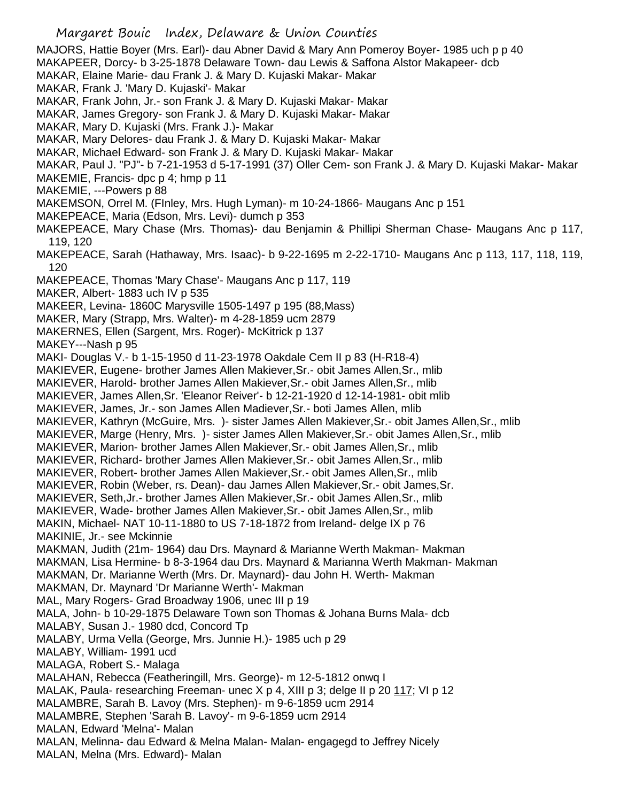- Margaret Bouic Index, Delaware & Union Counties MAJORS, Hattie Boyer (Mrs. Earl)- dau Abner David & Mary Ann Pomeroy Boyer- 1985 uch p p 40 MAKAPEER, Dorcy- b 3-25-1878 Delaware Town- dau Lewis & Saffona Alstor Makapeer- dcb MAKAR, Elaine Marie- dau Frank J. & Mary D. Kujaski Makar- Makar MAKAR, Frank J. 'Mary D. Kujaski'- Makar MAKAR, Frank John, Jr.- son Frank J. & Mary D. Kujaski Makar- Makar MAKAR, James Gregory- son Frank J. & Mary D. Kujaski Makar- Makar MAKAR, Mary D. Kujaski (Mrs. Frank J.)- Makar MAKAR, Mary Delores- dau Frank J. & Mary D. Kujaski Makar- Makar MAKAR, Michael Edward- son Frank J. & Mary D. Kujaski Makar- Makar MAKAR, Paul J. "PJ"- b 7-21-1953 d 5-17-1991 (37) Oller Cem- son Frank J. & Mary D. Kujaski Makar- Makar MAKEMIE, Francis- dpc p 4; hmp p 11 MAKEMIE, ---Powers p 88 MAKEMSON, Orrel M. (FInley, Mrs. Hugh Lyman)- m 10-24-1866- Maugans Anc p 151 MAKEPEACE, Maria (Edson, Mrs. Levi)- dumch p 353 MAKEPEACE, Mary Chase (Mrs. Thomas)- dau Benjamin & Phillipi Sherman Chase- Maugans Anc p 117, 119, 120 MAKEPEACE, Sarah (Hathaway, Mrs. Isaac)- b 9-22-1695 m 2-22-1710- Maugans Anc p 113, 117, 118, 119, 120 MAKEPEACE, Thomas 'Mary Chase'- Maugans Anc p 117, 119 MAKER, Albert- 1883 uch IV p 535 MAKEER, Levina- 1860C Marysville 1505-1497 p 195 (88,Mass) MAKER, Mary (Strapp, Mrs. Walter)- m 4-28-1859 ucm 2879 MAKERNES, Ellen (Sargent, Mrs. Roger)- McKitrick p 137 MAKEY---Nash p 95 MAKI- Douglas V.- b 1-15-1950 d 11-23-1978 Oakdale Cem II p 83 (H-R18-4) MAKIEVER, Eugene- brother James Allen Makiever,Sr.- obit James Allen,Sr., mlib MAKIEVER, Harold- brother James Allen Makiever,Sr.- obit James Allen,Sr., mlib MAKIEVER, James Allen,Sr. 'Eleanor Reiver'- b 12-21-1920 d 12-14-1981- obit mlib MAKIEVER, James, Jr.- son James Allen Madiever,Sr.- boti James Allen, mlib MAKIEVER, Kathryn (McGuire, Mrs. )- sister James Allen Makiever,Sr.- obit James Allen,Sr., mlib MAKIEVER, Marge (Henry, Mrs. )- sister James Allen Makiever,Sr.- obit James Allen,Sr., mlib MAKIEVER, Marion- brother James Allen Makiever,Sr.- obit James Allen,Sr., mlib MAKIEVER, Richard- brother James Allen Makiever,Sr.- obit James Allen,Sr., mlib MAKIEVER, Robert- brother James Allen Makiever,Sr.- obit James Allen,Sr., mlib MAKIEVER, Robin (Weber, rs. Dean)- dau James Allen Makiever,Sr.- obit James,Sr. MAKIEVER, Seth,Jr.- brother James Allen Makiever,Sr.- obit James Allen,Sr., mlib MAKIEVER, Wade- brother James Allen Makiever,Sr.- obit James Allen,Sr., mlib MAKIN, Michael- NAT 10-11-1880 to US 7-18-1872 from Ireland- delge IX p 76 MAKINIE, Jr.- see Mckinnie MAKMAN, Judith (21m- 1964) dau Drs. Maynard & Marianne Werth Makman- Makman MAKMAN, Lisa Hermine- b 8-3-1964 dau Drs. Maynard & Marianna Werth Makman- Makman MAKMAN, Dr. Marianne Werth (Mrs. Dr. Maynard)- dau John H. Werth- Makman MAKMAN, Dr. Maynard 'Dr Marianne Werth'- Makman MAL, Mary Rogers- Grad Broadway 1906, unec III p 19 MALA, John- b 10-29-1875 Delaware Town son Thomas & Johana Burns Mala- dcb MALABY, Susan J.- 1980 dcd, Concord Tp MALABY, Urma Vella (George, Mrs. Junnie H.)- 1985 uch p 29 MALABY, William- 1991 ucd
- MALAGA, Robert S.- Malaga
- MALAHAN, Rebecca (Featheringill, Mrs. George)- m 12-5-1812 onwq I
- MALAK, Paula- researching Freeman- unec X p 4, XIII p 3; delge II p 20 117; VI p 12
- MALAMBRE, Sarah B. Lavoy (Mrs. Stephen)- m 9-6-1859 ucm 2914
- MALAMBRE, Stephen 'Sarah B. Lavoy'- m 9-6-1859 ucm 2914
- MALAN, Edward 'Melna'- Malan
- MALAN, Melinna- dau Edward & Melna Malan- Malan- engagegd to Jeffrey Nicely
- MALAN, Melna (Mrs. Edward)- Malan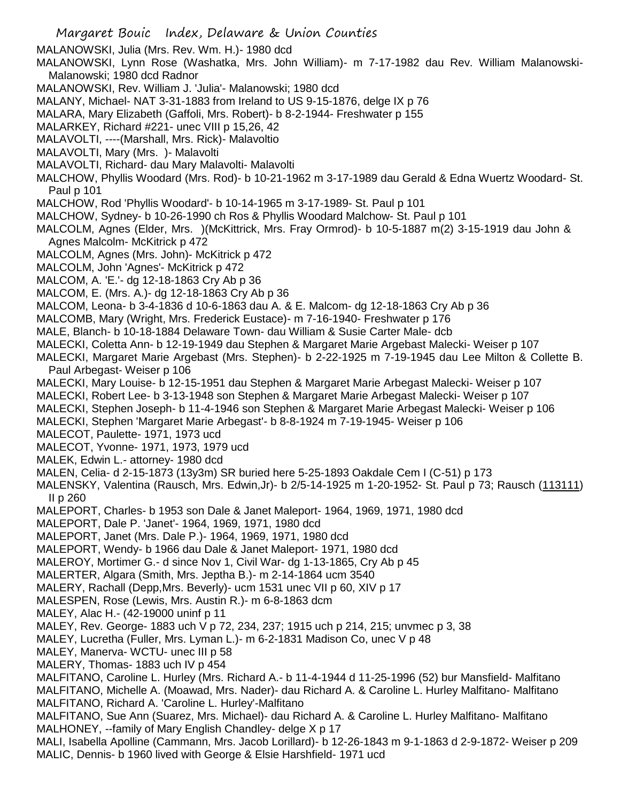MALANOWSKI, Julia (Mrs. Rev. Wm. H.)- 1980 dcd

MALANOWSKI, Lynn Rose (Washatka, Mrs. John William)- m 7-17-1982 dau Rev. William Malanowski-Malanowski; 1980 dcd Radnor

MALANOWSKI, Rev. William J. 'Julia'- Malanowski; 1980 dcd

MALANY, Michael- NAT 3-31-1883 from Ireland to US 9-15-1876, delge IX p 76

MALARA, Mary Elizabeth (Gaffoli, Mrs. Robert)- b 8-2-1944- Freshwater p 155

MALARKEY, Richard #221- unec VIII p 15,26, 42

MALAVOLTI, ----(Marshall, Mrs. Rick)- Malavoltio

MALAVOLTI, Mary (Mrs. )- Malavolti

MALAVOLTI, Richard- dau Mary Malavolti- Malavolti

MALCHOW, Phyllis Woodard (Mrs. Rod)- b 10-21-1962 m 3-17-1989 dau Gerald & Edna Wuertz Woodard- St. Paul p 101

MALCHOW, Rod 'Phyllis Woodard'- b 10-14-1965 m 3-17-1989- St. Paul p 101

MALCHOW, Sydney- b 10-26-1990 ch Ros & Phyllis Woodard Malchow- St. Paul p 101

MALCOLM, Agnes (Elder, Mrs. )(McKittrick, Mrs. Fray Ormrod)- b 10-5-1887 m(2) 3-15-1919 dau John & Agnes Malcolm- McKitrick p 472

MALCOLM, Agnes (Mrs. John)- McKitrick p 472

MALCOLM, John 'Agnes'- McKitrick p 472

MALCOM, A. 'E.'- dg 12-18-1863 Cry Ab p 36

MALCOM, E. (Mrs. A.)- dg 12-18-1863 Cry Ab p 36

MALCOM, Leona- b 3-4-1836 d 10-6-1863 dau A. & E. Malcom- dg 12-18-1863 Cry Ab p 36

MALCOMB, Mary (Wright, Mrs. Frederick Eustace)- m 7-16-1940- Freshwater p 176

MALE, Blanch- b 10-18-1884 Delaware Town- dau William & Susie Carter Male- dcb

MALECKI, Coletta Ann- b 12-19-1949 dau Stephen & Margaret Marie Argebast Malecki- Weiser p 107

MALECKI, Margaret Marie Argebast (Mrs. Stephen)- b 2-22-1925 m 7-19-1945 dau Lee Milton & Collette B. Paul Arbegast- Weiser p 106

MALECKI, Mary Louise- b 12-15-1951 dau Stephen & Margaret Marie Arbegast Malecki- Weiser p 107

MALECKI, Robert Lee- b 3-13-1948 son Stephen & Margaret Marie Arbegast Malecki- Weiser p 107

MALECKI, Stephen Joseph- b 11-4-1946 son Stephen & Margaret Marie Arbegast Malecki- Weiser p 106

MALECKI, Stephen 'Margaret Marie Arbegast'- b 8-8-1924 m 7-19-1945- Weiser p 106

MALECOT, Paulette- 1971, 1973 ucd

MALECOT, Yvonne- 1971, 1973, 1979 ucd

MALEK, Edwin L.- attorney- 1980 dcd

MALEN, Celia- d 2-15-1873 (13y3m) SR buried here 5-25-1893 Oakdale Cem I (C-51) p 173

MALENSKY, Valentina (Rausch, Mrs. Edwin,Jr)- b 2/5-14-1925 m 1-20-1952- St. Paul p 73; Rausch (113111) II p 260

MALEPORT, Charles- b 1953 son Dale & Janet Maleport- 1964, 1969, 1971, 1980 dcd

MALEPORT, Dale P. 'Janet'- 1964, 1969, 1971, 1980 dcd

MALEPORT, Janet (Mrs. Dale P.)- 1964, 1969, 1971, 1980 dcd

MALEPORT, Wendy- b 1966 dau Dale & Janet Maleport- 1971, 1980 dcd

MALEROY, Mortimer G.- d since Nov 1, Civil War- dg 1-13-1865, Cry Ab p 45

MALERTER, Algara (Smith, Mrs. Jeptha B.)- m 2-14-1864 ucm 3540

MALERY, Rachall (Depp,Mrs. Beverly)- ucm 1531 unec VII p 60, XIV p 17

MALESPEN, Rose (Lewis, Mrs. Austin R.)- m 6-8-1863 dcm

MALEY, Alac H.- (42-19000 uninf p 11

MALEY, Rev. George- 1883 uch V p 72, 234, 237; 1915 uch p 214, 215; unvmec p 3, 38

MALEY, Lucretha (Fuller, Mrs. Lyman L.)- m 6-2-1831 Madison Co, unec V p 48

MALEY, Manerva- WCTU- unec III p 58

MALERY, Thomas- 1883 uch IV p 454

MALFITANO, Caroline L. Hurley (Mrs. Richard A.- b 11-4-1944 d 11-25-1996 (52) bur Mansfield- Malfitano MALFITANO, Michelle A. (Moawad, Mrs. Nader)- dau Richard A. & Caroline L. Hurley Malfitano- Malfitano MALFITANO, Richard A. 'Caroline L. Hurley'-Malfitano

MALFITANO, Sue Ann (Suarez, Mrs. Michael)- dau Richard A. & Caroline L. Hurley Malfitano- Malfitano MALHONEY, --family of Mary English Chandley- delge X p 17

MALI, Isabella Apolline (Cammann, Mrs. Jacob Lorillard)- b 12-26-1843 m 9-1-1863 d 2-9-1872- Weiser p 209 MALIC, Dennis- b 1960 lived with George & Elsie Harshfield- 1971 ucd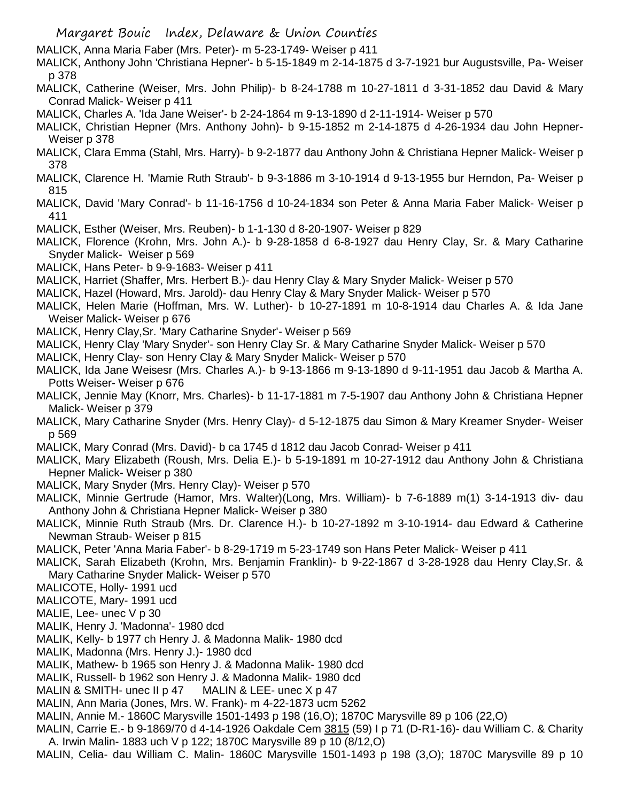- MALICK, Anna Maria Faber (Mrs. Peter)- m 5-23-1749- Weiser p 411
- MALICK, Anthony John 'Christiana Hepner'- b 5-15-1849 m 2-14-1875 d 3-7-1921 bur Augustsville, Pa- Weiser p 378
- MALICK, Catherine (Weiser, Mrs. John Philip)- b 8-24-1788 m 10-27-1811 d 3-31-1852 dau David & Mary Conrad Malick- Weiser p 411
- MALICK, Charles A. 'Ida Jane Weiser'- b 2-24-1864 m 9-13-1890 d 2-11-1914- Weiser p 570
- MALICK, Christian Hepner (Mrs. Anthony John)- b 9-15-1852 m 2-14-1875 d 4-26-1934 dau John Hepner-Weiser p 378
- MALICK, Clara Emma (Stahl, Mrs. Harry)- b 9-2-1877 dau Anthony John & Christiana Hepner Malick- Weiser p 378
- MALICK, Clarence H. 'Mamie Ruth Straub'- b 9-3-1886 m 3-10-1914 d 9-13-1955 bur Herndon, Pa- Weiser p 815
- MALICK, David 'Mary Conrad'- b 11-16-1756 d 10-24-1834 son Peter & Anna Maria Faber Malick- Weiser p 411
- MALICK, Esther (Weiser, Mrs. Reuben)- b 1-1-130 d 8-20-1907- Weiser p 829
- MALICK, Florence (Krohn, Mrs. John A.)- b 9-28-1858 d 6-8-1927 dau Henry Clay, Sr. & Mary Catharine Snyder Malick- Weiser p 569
- MALICK, Hans Peter- b 9-9-1683- Weiser p 411
- MALICK, Harriet (Shaffer, Mrs. Herbert B.)- dau Henry Clay & Mary Snyder Malick- Weiser p 570
- MALICK, Hazel (Howard, Mrs. Jarold)- dau Henry Clay & Mary Snyder Malick- Weiser p 570
- MALICK, Helen Marie (Hoffman, Mrs. W. Luther)- b 10-27-1891 m 10-8-1914 dau Charles A. & Ida Jane Weiser Malick- Weiser p 676
- MALICK, Henry Clay,Sr. 'Mary Catharine Snyder'- Weiser p 569
- MALICK, Henry Clay 'Mary Snyder'- son Henry Clay Sr. & Mary Catharine Snyder Malick- Weiser p 570
- MALICK, Henry Clay- son Henry Clay & Mary Snyder Malick- Weiser p 570
- MALICK, Ida Jane Weisesr (Mrs. Charles A.)- b 9-13-1866 m 9-13-1890 d 9-11-1951 dau Jacob & Martha A. Potts Weiser- Weiser p 676
- MALICK, Jennie May (Knorr, Mrs. Charles)- b 11-17-1881 m 7-5-1907 dau Anthony John & Christiana Hepner Malick- Weiser p 379
- MALICK, Mary Catharine Snyder (Mrs. Henry Clay)- d 5-12-1875 dau Simon & Mary Kreamer Snyder- Weiser p 569
- MALICK, Mary Conrad (Mrs. David)- b ca 1745 d 1812 dau Jacob Conrad- Weiser p 411
- MALICK, Mary Elizabeth (Roush, Mrs. Delia E.)- b 5-19-1891 m 10-27-1912 dau Anthony John & Christiana Hepner Malick- Weiser p 380
- MALICK, Mary Snyder (Mrs. Henry Clay)- Weiser p 570
- MALICK, Minnie Gertrude (Hamor, Mrs. Walter)(Long, Mrs. William)- b 7-6-1889 m(1) 3-14-1913 div- dau Anthony John & Christiana Hepner Malick- Weiser p 380
- MALICK, Minnie Ruth Straub (Mrs. Dr. Clarence H.)- b 10-27-1892 m 3-10-1914- dau Edward & Catherine Newman Straub- Weiser p 815
- MALICK, Peter 'Anna Maria Faber'- b 8-29-1719 m 5-23-1749 son Hans Peter Malick- Weiser p 411
- MALICK, Sarah Elizabeth (Krohn, Mrs. Benjamin Franklin)- b 9-22-1867 d 3-28-1928 dau Henry Clay,Sr. & Mary Catharine Snyder Malick- Weiser p 570
- MALICOTE, Holly- 1991 ucd
- MALICOTE, Mary- 1991 ucd
- MALIE, Lee- unec V p 30
- MALIK, Henry J. 'Madonna'- 1980 dcd
- MALIK, Kelly- b 1977 ch Henry J. & Madonna Malik- 1980 dcd
- MALIK, Madonna (Mrs. Henry J.)- 1980 dcd
- MALIK, Mathew- b 1965 son Henry J. & Madonna Malik- 1980 dcd
- MALIK, Russell- b 1962 son Henry J. & Madonna Malik- 1980 dcd
- MALIN & SMITH- unec II p 47 MALIN & LEE- unec X p 47
- MALIN, Ann Maria (Jones, Mrs. W. Frank)- m 4-22-1873 ucm 5262
- MALIN, Annie M.- 1860C Marysville 1501-1493 p 198 (16,O); 1870C Marysville 89 p 106 (22,O)
- MALIN, Carrie E.- b 9-1869/70 d 4-14-1926 Oakdale Cem 3815 (59) I p 71 (D-R1-16)- dau William C. & Charity A. Irwin Malin- 1883 uch V p 122; 1870C Marysville 89 p 10 (8/12,O)
- MALIN, Celia- dau William C. Malin- 1860C Marysville 1501-1493 p 198 (3,O); 1870C Marysville 89 p 10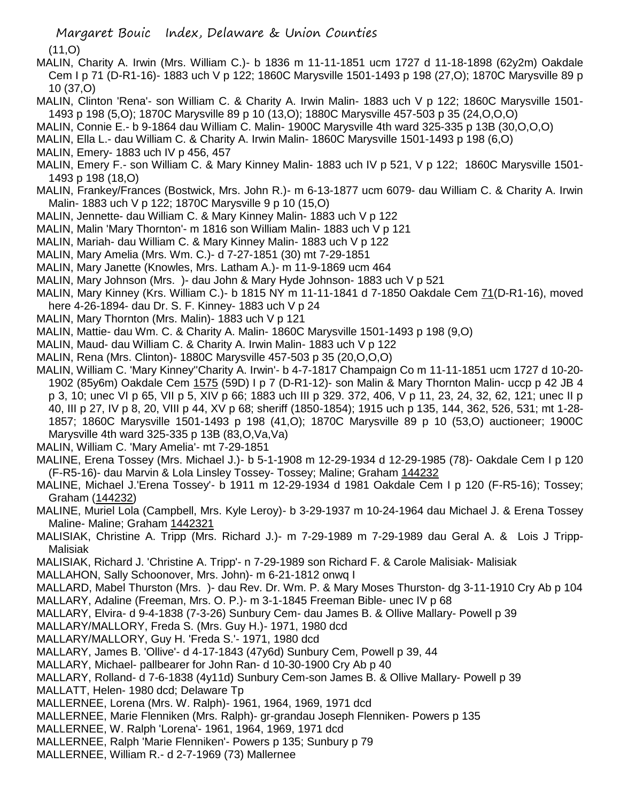$(11, 0)$ 

- MALIN, Charity A. Irwin (Mrs. William C.)- b 1836 m 11-11-1851 ucm 1727 d 11-18-1898 (62y2m) Oakdale Cem I p 71 (D-R1-16)- 1883 uch V p 122; 1860C Marysville 1501-1493 p 198 (27,O); 1870C Marysville 89 p 10 (37,O)
- MALIN, Clinton 'Rena'- son William C. & Charity A. Irwin Malin- 1883 uch V p 122; 1860C Marysville 1501- 1493 p 198 (5,O); 1870C Marysville 89 p 10 (13,O); 1880C Marysville 457-503 p 35 (24,O,O,O)
- MALIN, Connie E.- b 9-1864 dau William C. Malin- 1900C Marysville 4th ward 325-335 p 13B (30,O,O,O)
- MALIN, Ella L.- dau William C. & Charity A. Irwin Malin- 1860C Marysville 1501-1493 p 198 (6,O)
- MALIN, Emery- 1883 uch IV p 456, 457
- MALIN, Emery F.- son William C. & Mary Kinney Malin- 1883 uch IV p 521, V p 122; 1860C Marysville 1501- 1493 p 198 (18,O)
- MALIN, Frankey/Frances (Bostwick, Mrs. John R.)- m 6-13-1877 ucm 6079- dau William C. & Charity A. Irwin Malin- 1883 uch V p 122; 1870C Marysville 9 p 10 (15,O)
- MALIN, Jennette- dau William C. & Mary Kinney Malin- 1883 uch V p 122
- MALIN, Malin 'Mary Thornton'- m 1816 son William Malin- 1883 uch V p 121
- MALIN, Mariah- dau William C. & Mary Kinney Malin- 1883 uch V p 122
- MALIN, Mary Amelia (Mrs. Wm. C.)- d 7-27-1851 (30) mt 7-29-1851
- MALIN, Mary Janette (Knowles, Mrs. Latham A.)- m 11-9-1869 ucm 464
- MALIN, Mary Johnson (Mrs. )- dau John & Mary Hyde Johnson- 1883 uch V p 521
- MALIN, Mary Kinney (Krs. William C.)- b 1815 NY m 11-11-1841 d 7-1850 Oakdale Cem 71(D-R1-16), moved here 4-26-1894- dau Dr. S. F. Kinney- 1883 uch V p 24
- MALIN, Mary Thornton (Mrs. Malin)- 1883 uch V p 121
- MALIN, Mattie- dau Wm. C. & Charity A. Malin- 1860C Marysville 1501-1493 p 198 (9,O)
- MALIN, Maud- dau William C. & Charity A. Irwin Malin- 1883 uch V p 122
- MALIN, Rena (Mrs. Clinton)- 1880C Marysville 457-503 p 35 (20,O,O,O)
- MALIN, William C. 'Mary Kinney''Charity A. Irwin'- b 4-7-1817 Champaign Co m 11-11-1851 ucm 1727 d 10-20- 1902 (85y6m) Oakdale Cem 1575 (59D) I p 7 (D-R1-12)- son Malin & Mary Thornton Malin- uccp p 42 JB 4 p 3, 10; unec VI p 65, VII p 5, XIV p 66; 1883 uch III p 329. 372, 406, V p 11, 23, 24, 32, 62, 121; unec II p 40, III p 27, IV p 8, 20, VIII p 44, XV p 68; sheriff (1850-1854); 1915 uch p 135, 144, 362, 526, 531; mt 1-28- 1857; 1860C Marysville 1501-1493 p 198 (41,O); 1870C Marysville 89 p 10 (53,O) auctioneer; 1900C Marysville 4th ward 325-335 p 13B (83,O,Va,Va)
- MALIN, William C. 'Mary Amelia'- mt 7-29-1851
- MALINE, Erena Tossey (Mrs. Michael J.)- b 5-1-1908 m 12-29-1934 d 12-29-1985 (78)- Oakdale Cem I p 120 (F-R5-16)- dau Marvin & Lola Linsley Tossey- Tossey; Maline; Graham 144232
- MALINE, Michael J.'Erena Tossey'- b 1911 m 12-29-1934 d 1981 Oakdale Cem I p 120 (F-R5-16); Tossey; Graham (144232)
- MALINE, Muriel Lola (Campbell, Mrs. Kyle Leroy)- b 3-29-1937 m 10-24-1964 dau Michael J. & Erena Tossey Maline- Maline; Graham 1442321
- MALISIAK, Christine A. Tripp (Mrs. Richard J.)- m 7-29-1989 m 7-29-1989 dau Geral A. & Lois J Tripp-Malisiak
- MALISIAK, Richard J. 'Christine A. Tripp'- n 7-29-1989 son Richard F. & Carole Malisiak- Malisiak
- MALLAHON, Sally Schoonover, Mrs. John)- m 6-21-1812 onwq I
- MALLARD, Mabel Thurston (Mrs. )- dau Rev. Dr. Wm. P. & Mary Moses Thurston- dg 3-11-1910 Cry Ab p 104 MALLARY, Adaline (Freeman, Mrs. O. P.)- m 3-1-1845 Freeman Bible- unec IV p 68
- MALLARY, Elvira- d 9-4-1838 (7-3-26) Sunbury Cem- dau James B. & Ollive Mallary- Powell p 39
- MALLARY/MALLORY, Freda S. (Mrs. Guy H.)- 1971, 1980 dcd
- MALLARY/MALLORY, Guy H. 'Freda S.'- 1971, 1980 dcd
- MALLARY, James B. 'Ollive'- d 4-17-1843 (47y6d) Sunbury Cem, Powell p 39, 44
- MALLARY, Michael- pallbearer for John Ran- d 10-30-1900 Cry Ab p 40
- MALLARY, Rolland- d 7-6-1838 (4y11d) Sunbury Cem-son James B. & Ollive Mallary- Powell p 39
- MALLATT, Helen- 1980 dcd; Delaware Tp
- MALLERNEE, Lorena (Mrs. W. Ralph)- 1961, 1964, 1969, 1971 dcd
- MALLERNEE, Marie Flenniken (Mrs. Ralph)- gr-grandau Joseph Flenniken- Powers p 135
- MALLERNEE, W. Ralph 'Lorena'- 1961, 1964, 1969, 1971 dcd
- MALLERNEE, Ralph 'Marie Flenniken'- Powers p 135; Sunbury p 79
- MALLERNEE, William R.- d 2-7-1969 (73) Mallernee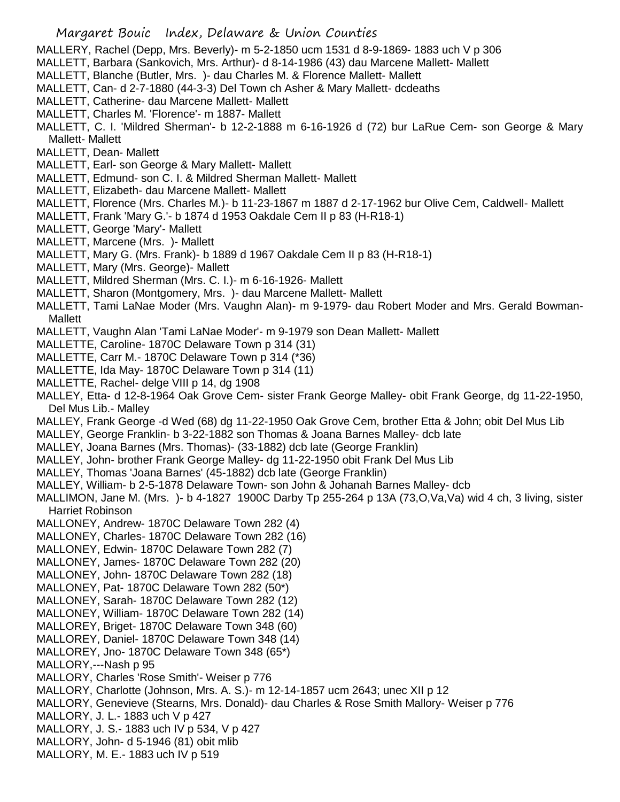MALLERY, Rachel (Depp, Mrs. Beverly)- m 5-2-1850 ucm 1531 d 8-9-1869- 1883 uch V p 306

- MALLETT, Barbara (Sankovich, Mrs. Arthur)- d 8-14-1986 (43) dau Marcene Mallett- Mallett
- MALLETT, Blanche (Butler, Mrs. )- dau Charles M. & Florence Mallett- Mallett
- MALLETT, Can- d 2-7-1880 (44-3-3) Del Town ch Asher & Mary Mallett- dcdeaths
- MALLETT, Catherine- dau Marcene Mallett- Mallett
- MALLETT, Charles M. 'Florence'- m 1887- Mallett
- MALLETT, C. I. 'Mildred Sherman'- b 12-2-1888 m 6-16-1926 d (72) bur LaRue Cem- son George & Mary Mallett- Mallett
- MALLETT, Dean- Mallett
- MALLETT, Earl- son George & Mary Mallett- Mallett
- MALLETT, Edmund- son C. I. & Mildred Sherman Mallett- Mallett
- MALLETT, Elizabeth- dau Marcene Mallett- Mallett
- MALLETT, Florence (Mrs. Charles M.)- b 11-23-1867 m 1887 d 2-17-1962 bur Olive Cem, Caldwell- Mallett
- MALLETT, Frank 'Mary G.'- b 1874 d 1953 Oakdale Cem II p 83 (H-R18-1)
- MALLETT, George 'Mary'- Mallett
- MALLETT, Marcene (Mrs. )- Mallett
- MALLETT, Mary G. (Mrs. Frank)- b 1889 d 1967 Oakdale Cem II p 83 (H-R18-1)
- MALLETT, Mary (Mrs. George)- Mallett
- MALLETT, Mildred Sherman (Mrs. C. I.)- m 6-16-1926- Mallett
- MALLETT, Sharon (Montgomery, Mrs. )- dau Marcene Mallett- Mallett
- MALLETT, Tami LaNae Moder (Mrs. Vaughn Alan)- m 9-1979- dau Robert Moder and Mrs. Gerald Bowman-Mallett
- MALLETT, Vaughn Alan 'Tami LaNae Moder'- m 9-1979 son Dean Mallett- Mallett
- MALLETTE, Caroline- 1870C Delaware Town p 314 (31)
- MALLETTE, Carr M.- 1870C Delaware Town p 314 (\*36)
- MALLETTE, Ida May- 1870C Delaware Town p 314 (11)
- MALLETTE, Rachel- delge VIII p 14, dg 1908
- MALLEY, Etta- d 12-8-1964 Oak Grove Cem- sister Frank George Malley- obit Frank George, dg 11-22-1950, Del Mus Lib.- Malley
- MALLEY, Frank George -d Wed (68) dg 11-22-1950 Oak Grove Cem, brother Etta & John; obit Del Mus Lib
- MALLEY, George Franklin- b 3-22-1882 son Thomas & Joana Barnes Malley- dcb late
- MALLEY, Joana Barnes (Mrs. Thomas)- (33-1882) dcb late (George Franklin)
- MALLEY, John- brother Frank George Malley- dg 11-22-1950 obit Frank Del Mus Lib
- MALLEY, Thomas 'Joana Barnes' (45-1882) dcb late (George Franklin)
- MALLEY, William- b 2-5-1878 Delaware Town- son John & Johanah Barnes Malley- dcb
- MALLIMON, Jane M. (Mrs. )- b 4-1827 1900C Darby Tp 255-264 p 13A (73,O,Va,Va) wid 4 ch, 3 living, sister Harriet Robinson
- MALLONEY, Andrew- 1870C Delaware Town 282 (4)
- MALLONEY, Charles- 1870C Delaware Town 282 (16)
- MALLONEY, Edwin- 1870C Delaware Town 282 (7)
- MALLONEY, James- 1870C Delaware Town 282 (20)
- MALLONEY, John- 1870C Delaware Town 282 (18)
- MALLONEY, Pat- 1870C Delaware Town 282 (50\*)
- MALLONEY, Sarah- 1870C Delaware Town 282 (12)
- MALLONEY, William- 1870C Delaware Town 282 (14)
- MALLOREY, Briget- 1870C Delaware Town 348 (60)
- MALLOREY, Daniel- 1870C Delaware Town 348 (14)
- MALLOREY, Jno- 1870C Delaware Town 348 (65\*)
- MALLORY,---Nash p 95
- MALLORY, Charles 'Rose Smith'- Weiser p 776
- MALLORY, Charlotte (Johnson, Mrs. A. S.)- m 12-14-1857 ucm 2643; unec XII p 12
- MALLORY, Genevieve (Stearns, Mrs. Donald)- dau Charles & Rose Smith Mallory- Weiser p 776
- MALLORY, J. L.- 1883 uch V p 427
- MALLORY, J. S.- 1883 uch IV p 534, V p 427
- MALLORY, John- d 5-1946 (81) obit mlib
- MALLORY, M. E.- 1883 uch IV p 519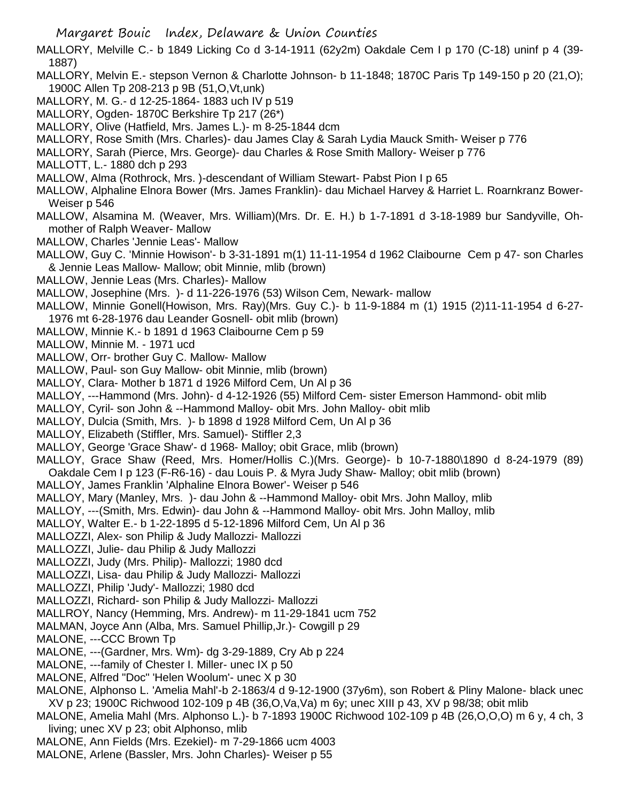Margaret Bouic Index, Delaware & Union Counties MALLORY, Melville C.- b 1849 Licking Co d 3-14-1911 (62y2m) Oakdale Cem I p 170 (C-18) uninf p 4 (39- 1887) MALLORY, Melvin E.- stepson Vernon & Charlotte Johnson- b 11-1848; 1870C Paris Tp 149-150 p 20 (21,O); 1900C Allen Tp 208-213 p 9B (51,O,Vt,unk) MALLORY, M. G.- d 12-25-1864- 1883 uch IV p 519 MALLORY, Ogden- 1870C Berkshire Tp 217 (26\*) MALLORY, Olive (Hatfield, Mrs. James L.)- m 8-25-1844 dcm MALLORY, Rose Smith (Mrs. Charles)- dau James Clay & Sarah Lydia Mauck Smith- Weiser p 776 MALLORY, Sarah (Pierce, Mrs. George)- dau Charles & Rose Smith Mallory- Weiser p 776 MALLOTT, L.- 1880 dch p 293 MALLOW, Alma (Rothrock, Mrs. )-descendant of William Stewart- Pabst Pion I p 65 MALLOW, Alphaline Elnora Bower (Mrs. James Franklin)- dau Michael Harvey & Harriet L. Roarnkranz Bower-Weiser p 546 MALLOW, Alsamina M. (Weaver, Mrs. William)(Mrs. Dr. E. H.) b 1-7-1891 d 3-18-1989 bur Sandyville, Ohmother of Ralph Weaver- Mallow MALLOW, Charles 'Jennie Leas'- Mallow MALLOW, Guy C. 'Minnie Howison'- b 3-31-1891 m(1) 11-11-1954 d 1962 Claibourne Cem p 47- son Charles & Jennie Leas Mallow- Mallow; obit Minnie, mlib (brown) MALLOW, Jennie Leas (Mrs. Charles)- Mallow MALLOW, Josephine (Mrs. )- d 11-226-1976 (53) Wilson Cem, Newark- mallow MALLOW, Minnie Gonell(Howison, Mrs. Ray)(Mrs. Guy C.)- b 11-9-1884 m (1) 1915 (2)11-11-1954 d 6-27- 1976 mt 6-28-1976 dau Leander Gosnell- obit mlib (brown) MALLOW, Minnie K.- b 1891 d 1963 Claibourne Cem p 59 MALLOW, Minnie M. - 1971 ucd MALLOW, Orr- brother Guy C. Mallow- Mallow MALLOW, Paul- son Guy Mallow- obit Minnie, mlib (brown) MALLOY, Clara- Mother b 1871 d 1926 Milford Cem, Un Al p 36 MALLOY, ---Hammond (Mrs. John)- d 4-12-1926 (55) Milford Cem- sister Emerson Hammond- obit mlib MALLOY, Cyril- son John & --Hammond Malloy- obit Mrs. John Malloy- obit mlib MALLOY, Dulcia (Smith, Mrs. )- b 1898 d 1928 Milford Cem, Un Al p 36 MALLOY, Elizabeth (Stiffler, Mrs. Samuel)- Stiffler 2,3 MALLOY, George 'Grace Shaw'- d 1968- Malloy; obit Grace, mlib (brown) MALLOY, Grace Shaw (Reed, Mrs. Homer/Hollis C.)(Mrs. George)- b 10-7-1880\1890 d 8-24-1979 (89) Oakdale Cem I p 123 (F-R6-16) - dau Louis P. & Myra Judy Shaw- Malloy; obit mlib (brown) MALLOY, James Franklin 'Alphaline Elnora Bower'- Weiser p 546 MALLOY, Mary (Manley, Mrs. )- dau John & --Hammond Malloy- obit Mrs. John Malloy, mlib MALLOY, ---(Smith, Mrs. Edwin)- dau John & --Hammond Malloy- obit Mrs. John Malloy, mlib MALLOY, Walter E.- b 1-22-1895 d 5-12-1896 Milford Cem, Un Al p 36 MALLOZZI, Alex- son Philip & Judy Mallozzi- Mallozzi MALLOZZI, Julie- dau Philip & Judy Mallozzi MALLOZZI, Judy (Mrs. Philip)- Mallozzi; 1980 dcd MALLOZZI, Lisa- dau Philip & Judy Mallozzi- Mallozzi MALLOZZI, Philip 'Judy'- Mallozzi; 1980 dcd MALLOZZI, Richard- son Philip & Judy Mallozzi- Mallozzi MALLROY, Nancy (Hemming, Mrs. Andrew)- m 11-29-1841 ucm 752

- 
- MALMAN, Joyce Ann (Alba, Mrs. Samuel Phillip,Jr.)- Cowgill p 29
- MALONE, ---CCC Brown Tp
- MALONE, ---(Gardner, Mrs. Wm)- dg 3-29-1889, Cry Ab p 224
- MALONE, ---family of Chester I. Miller- unec IX p 50
- MALONE, Alfred "Doc" 'Helen Woolum'- unec X p 30
- MALONE, Alphonso L. 'Amelia Mahl'-b 2-1863/4 d 9-12-1900 (37y6m), son Robert & Pliny Malone- black unec XV p 23; 1900C Richwood 102-109 p 4B (36,O,Va,Va) m 6y; unec XIII p 43, XV p 98/38; obit mlib
- MALONE, Amelia Mahl (Mrs. Alphonso L.)- b 7-1893 1900C Richwood 102-109 p 4B (26,O,O,O) m 6 y, 4 ch, 3 living; unec XV p 23; obit Alphonso, mlib
- MALONE, Ann Fields (Mrs. Ezekiel)- m 7-29-1866 ucm 4003
- MALONE, Arlene (Bassler, Mrs. John Charles)- Weiser p 55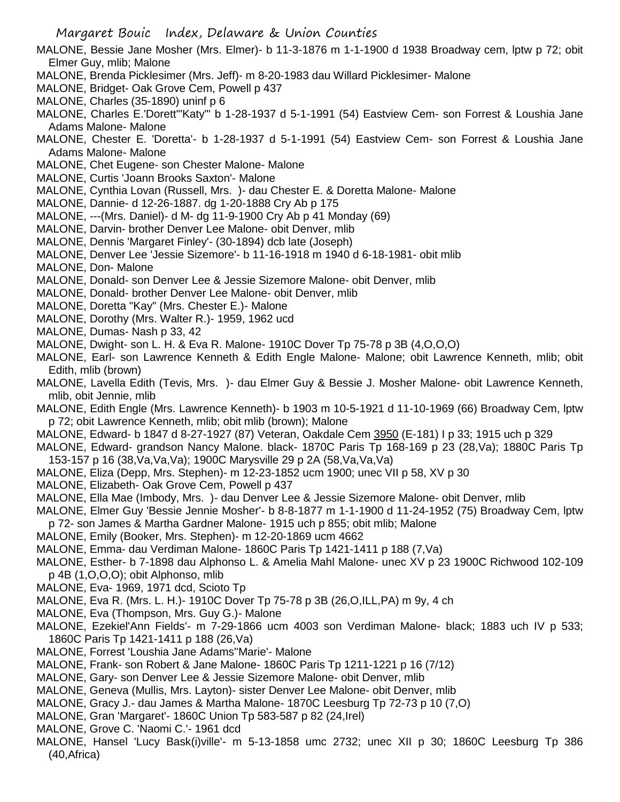- MALONE, Bessie Jane Mosher (Mrs. Elmer)- b 11-3-1876 m 1-1-1900 d 1938 Broadway cem, lptw p 72; obit Elmer Guy, mlib; Malone
- MALONE, Brenda Picklesimer (Mrs. Jeff)- m 8-20-1983 dau Willard Picklesimer- Malone
- MALONE, Bridget- Oak Grove Cem, Powell p 437
- MALONE, Charles (35-1890) uninf p 6
- MALONE, Charles E.'Dorett'"Katy"' b 1-28-1937 d 5-1-1991 (54) Eastview Cem- son Forrest & Loushia Jane Adams Malone- Malone
- MALONE, Chester E. 'Doretta'- b 1-28-1937 d 5-1-1991 (54) Eastview Cem- son Forrest & Loushia Jane Adams Malone- Malone
- MALONE, Chet Eugene- son Chester Malone- Malone
- MALONE, Curtis 'Joann Brooks Saxton'- Malone
- MALONE, Cynthia Lovan (Russell, Mrs. )- dau Chester E. & Doretta Malone- Malone
- MALONE, Dannie- d 12-26-1887. dg 1-20-1888 Cry Ab p 175
- MALONE, ---(Mrs. Daniel)- d M- dg 11-9-1900 Cry Ab p 41 Monday (69)
- MALONE, Darvin- brother Denver Lee Malone- obit Denver, mlib
- MALONE, Dennis 'Margaret Finley'- (30-1894) dcb late (Joseph)
- MALONE, Denver Lee 'Jessie Sizemore'- b 11-16-1918 m 1940 d 6-18-1981- obit mlib
- MALONE, Don- Malone
- MALONE, Donald- son Denver Lee & Jessie Sizemore Malone- obit Denver, mlib
- MALONE, Donald- brother Denver Lee Malone- obit Denver, mlib
- MALONE, Doretta "Kay" (Mrs. Chester E.)- Malone
- MALONE, Dorothy (Mrs. Walter R.)- 1959, 1962 ucd
- MALONE, Dumas- Nash p 33, 42
- MALONE, Dwight- son L. H. & Eva R. Malone- 1910C Dover Tp 75-78 p 3B (4,O,O,O)
- MALONE, Earl- son Lawrence Kenneth & Edith Engle Malone- Malone; obit Lawrence Kenneth, mlib; obit Edith, mlib (brown)
- MALONE, Lavella Edith (Tevis, Mrs. )- dau Elmer Guy & Bessie J. Mosher Malone- obit Lawrence Kenneth, mlib, obit Jennie, mlib
- MALONE, Edith Engle (Mrs. Lawrence Kenneth)- b 1903 m 10-5-1921 d 11-10-1969 (66) Broadway Cem, lptw p 72; obit Lawrence Kenneth, mlib; obit mlib (brown); Malone
- MALONE, Edward- b 1847 d 8-27-1927 (87) Veteran, Oakdale Cem 3950 (E-181) I p 33; 1915 uch p 329
- MALONE, Edward- grandson Nancy Malone. black- 1870C Paris Tp 168-169 p 23 (28,Va); 1880C Paris Tp 153-157 p 16 (38,Va,Va,Va); 1900C Marysville 29 p 2A (58,Va,Va,Va)
- MALONE, Eliza (Depp, Mrs. Stephen)- m 12-23-1852 ucm 1900; unec VII p 58, XV p 30
- MALONE, Elizabeth- Oak Grove Cem, Powell p 437
- MALONE, Ella Mae (Imbody, Mrs. )- dau Denver Lee & Jessie Sizemore Malone- obit Denver, mlib
- MALONE, Elmer Guy 'Bessie Jennie Mosher'- b 8-8-1877 m 1-1-1900 d 11-24-1952 (75) Broadway Cem, lptw p 72- son James & Martha Gardner Malone- 1915 uch p 855; obit mlib; Malone
- MALONE, Emily (Booker, Mrs. Stephen)- m 12-20-1869 ucm 4662
- MALONE, Emma- dau Verdiman Malone- 1860C Paris Tp 1421-1411 p 188 (7,Va)
- MALONE, Esther- b 7-1898 dau Alphonso L. & Amelia Mahl Malone- unec XV p 23 1900C Richwood 102-109 p 4B (1,O,O,O); obit Alphonso, mlib
- MALONE, Eva- 1969, 1971 dcd, Scioto Tp
- MALONE, Eva R. (Mrs. L. H.)- 1910C Dover Tp 75-78 p 3B (26,O,ILL,PA) m 9y, 4 ch
- MALONE, Eva (Thompson, Mrs. Guy G.)- Malone
- MALONE, Ezekiel'Ann Fields'- m 7-29-1866 ucm 4003 son Verdiman Malone- black; 1883 uch IV p 533; 1860C Paris Tp 1421-1411 p 188 (26,Va)
- MALONE, Forrest 'Loushia Jane Adams''Marie'- Malone
- MALONE, Frank- son Robert & Jane Malone- 1860C Paris Tp 1211-1221 p 16 (7/12)
- MALONE, Gary- son Denver Lee & Jessie Sizemore Malone- obit Denver, mlib
- MALONE, Geneva (Mullis, Mrs. Layton)- sister Denver Lee Malone- obit Denver, mlib
- MALONE, Gracy J.- dau James & Martha Malone- 1870C Leesburg Tp 72-73 p 10 (7,O)
- MALONE, Gran 'Margaret'- 1860C Union Tp 583-587 p 82 (24,Irel)
- MALONE, Grove C. 'Naomi C.'- 1961 dcd
- MALONE, Hansel 'Lucy Bask(i)ville'- m 5-13-1858 umc 2732; unec XII p 30; 1860C Leesburg Tp 386 (40,Africa)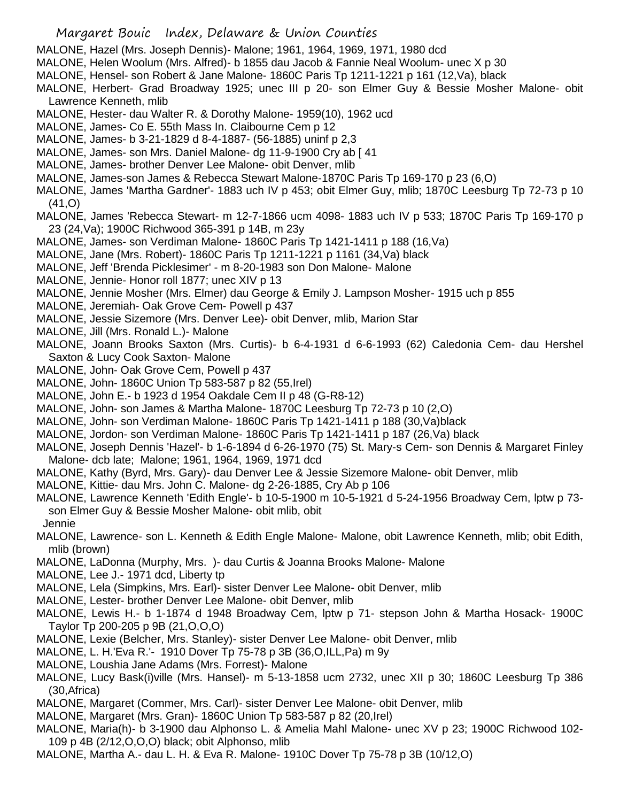- Margaret Bouic Index, Delaware & Union Counties
- MALONE, Hazel (Mrs. Joseph Dennis)- Malone; 1961, 1964, 1969, 1971, 1980 dcd
- MALONE, Helen Woolum (Mrs. Alfred)- b 1855 dau Jacob & Fannie Neal Woolum- unec X p 30
- MALONE, Hensel- son Robert & Jane Malone- 1860C Paris Tp 1211-1221 p 161 (12,Va), black
- MALONE, Herbert- Grad Broadway 1925; unec III p 20- son Elmer Guy & Bessie Mosher Malone- obit Lawrence Kenneth, mlib
- MALONE, Hester- dau Walter R. & Dorothy Malone- 1959(10), 1962 ucd
- MALONE, James- Co E. 55th Mass In. Claibourne Cem p 12
- MALONE, James- b 3-21-1829 d 8-4-1887- (56-1885) uninf p 2,3
- MALONE, James- son Mrs. Daniel Malone- dg 11-9-1900 Cry ab [ 41
- MALONE, James- brother Denver Lee Malone- obit Denver, mlib
- MALONE, James-son James & Rebecca Stewart Malone-1870C Paris Tp 169-170 p 23 (6,O)
- MALONE, James 'Martha Gardner'- 1883 uch IV p 453; obit Elmer Guy, mlib; 1870C Leesburg Tp 72-73 p 10 (41,O)
- MALONE, James 'Rebecca Stewart- m 12-7-1866 ucm 4098- 1883 uch IV p 533; 1870C Paris Tp 169-170 p 23 (24,Va); 1900C Richwood 365-391 p 14B, m 23y
- MALONE, James- son Verdiman Malone- 1860C Paris Tp 1421-1411 p 188 (16,Va)
- MALONE, Jane (Mrs. Robert)- 1860C Paris Tp 1211-1221 p 1161 (34,Va) black
- MALONE, Jeff 'Brenda Picklesimer' m 8-20-1983 son Don Malone- Malone
- MALONE, Jennie- Honor roll 1877; unec XIV p 13
- MALONE, Jennie Mosher (Mrs. Elmer) dau George & Emily J. Lampson Mosher- 1915 uch p 855
- MALONE, Jeremiah- Oak Grove Cem- Powell p 437
- MALONE, Jessie Sizemore (Mrs. Denver Lee)- obit Denver, mlib, Marion Star
- MALONE, Jill (Mrs. Ronald L.)- Malone
- MALONE, Joann Brooks Saxton (Mrs. Curtis)- b 6-4-1931 d 6-6-1993 (62) Caledonia Cem- dau Hershel Saxton & Lucy Cook Saxton- Malone
- MALONE, John- Oak Grove Cem, Powell p 437
- MALONE, John- 1860C Union Tp 583-587 p 82 (55,Irel)
- MALONE, John E.- b 1923 d 1954 Oakdale Cem II p 48 (G-R8-12)
- MALONE, John- son James & Martha Malone- 1870C Leesburg Tp 72-73 p 10 (2,O)
- MALONE, John- son Verdiman Malone- 1860C Paris Tp 1421-1411 p 188 (30,Va)black
- MALONE, Jordon- son Verdiman Malone- 1860C Paris Tp 1421-1411 p 187 (26,Va) black
- MALONE, Joseph Dennis 'Hazel'- b 1-6-1894 d 6-26-1970 (75) St. Mary-s Cem- son Dennis & Margaret Finley Malone- dcb late; Malone; 1961, 1964, 1969, 1971 dcd
- MALONE, Kathy (Byrd, Mrs. Gary)- dau Denver Lee & Jessie Sizemore Malone- obit Denver, mlib
- MALONE, Kittie- dau Mrs. John C. Malone- dg 2-26-1885, Cry Ab p 106
- MALONE, Lawrence Kenneth 'Edith Engle'- b 10-5-1900 m 10-5-1921 d 5-24-1956 Broadway Cem, lptw p 73 son Elmer Guy & Bessie Mosher Malone- obit mlib, obit Jennie
- MALONE, Lawrence- son L. Kenneth & Edith Engle Malone- Malone, obit Lawrence Kenneth, mlib; obit Edith, mlib (brown)
- MALONE, LaDonna (Murphy, Mrs. )- dau Curtis & Joanna Brooks Malone- Malone
- MALONE, Lee J.- 1971 dcd, Liberty tp
- MALONE, Lela (Simpkins, Mrs. Earl)- sister Denver Lee Malone- obit Denver, mlib
- MALONE, Lester- brother Denver Lee Malone- obit Denver, mlib
- MALONE, Lewis H.- b 1-1874 d 1948 Broadway Cem, lptw p 71- stepson John & Martha Hosack- 1900C Taylor Tp 200-205 p 9B (21,O,O,O)
- MALONE, Lexie (Belcher, Mrs. Stanley)- sister Denver Lee Malone- obit Denver, mlib
- MALONE, L. H.'Eva R.'- 1910 Dover Tp 75-78 p 3B (36,O,ILL,Pa) m 9y
- MALONE, Loushia Jane Adams (Mrs. Forrest)- Malone
- MALONE, Lucy Bask(i)ville (Mrs. Hansel)- m 5-13-1858 ucm 2732, unec XII p 30; 1860C Leesburg Tp 386 (30,Africa)
- MALONE, Margaret (Commer, Mrs. Carl)- sister Denver Lee Malone- obit Denver, mlib
- MALONE, Margaret (Mrs. Gran)- 1860C Union Tp 583-587 p 82 (20,Irel)
- MALONE, Maria(h)- b 3-1900 dau Alphonso L. & Amelia Mahl Malone- unec XV p 23; 1900C Richwood 102- 109 p 4B (2/12,O,O,O) black; obit Alphonso, mlib
- MALONE, Martha A.- dau L. H. & Eva R. Malone- 1910C Dover Tp 75-78 p 3B (10/12,O)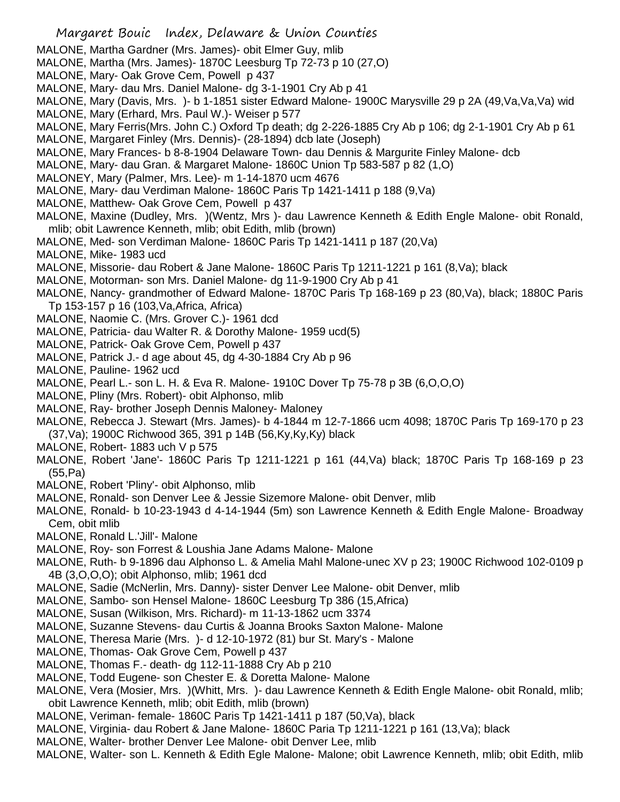- MALONE, Martha Gardner (Mrs. James)- obit Elmer Guy, mlib
- MALONE, Martha (Mrs. James)- 1870C Leesburg Tp 72-73 p 10 (27,O)
- MALONE, Mary- Oak Grove Cem, Powell p 437
- MALONE, Mary- dau Mrs. Daniel Malone- dg 3-1-1901 Cry Ab p 41
- MALONE, Mary (Davis, Mrs. )- b 1-1851 sister Edward Malone- 1900C Marysville 29 p 2A (49,Va,Va,Va) wid MALONE, Mary (Erhard, Mrs. Paul W.)- Weiser p 577
- MALONE, Mary Ferris(Mrs. John C.) Oxford Tp death; dg 2-226-1885 Cry Ab p 106; dg 2-1-1901 Cry Ab p 61
- MALONE, Margaret Finley (Mrs. Dennis)- (28-1894) dcb late (Joseph)
- MALONE, Mary Frances- b 8-8-1904 Delaware Town- dau Dennis & Margurite Finley Malone- dcb
- MALONE, Mary- dau Gran. & Margaret Malone- 1860C Union Tp 583-587 p 82 (1,O)
- MALONEY, Mary (Palmer, Mrs. Lee)- m 1-14-1870 ucm 4676
- MALONE, Mary- dau Verdiman Malone- 1860C Paris Tp 1421-1411 p 188 (9,Va)
- MALONE, Matthew- Oak Grove Cem, Powell p 437
- MALONE, Maxine (Dudley, Mrs. )(Wentz, Mrs )- dau Lawrence Kenneth & Edith Engle Malone- obit Ronald, mlib; obit Lawrence Kenneth, mlib; obit Edith, mlib (brown)
- MALONE, Med- son Verdiman Malone- 1860C Paris Tp 1421-1411 p 187 (20,Va)
- MALONE, Mike- 1983 ucd
- MALONE, Missorie- dau Robert & Jane Malone- 1860C Paris Tp 1211-1221 p 161 (8,Va); black
- MALONE, Motorman- son Mrs. Daniel Malone- dg 11-9-1900 Cry Ab p 41
- MALONE, Nancy- grandmother of Edward Malone- 1870C Paris Tp 168-169 p 23 (80,Va), black; 1880C Paris Tp 153-157 p 16 (103,Va,Africa, Africa)
- MALONE, Naomie C. (Mrs. Grover C.)- 1961 dcd
- MALONE, Patricia- dau Walter R. & Dorothy Malone- 1959 ucd(5)
- MALONE, Patrick- Oak Grove Cem, Powell p 437
- MALONE, Patrick J.- d age about 45, dg 4-30-1884 Cry Ab p 96
- MALONE, Pauline- 1962 ucd
- MALONE, Pearl L.- son L. H. & Eva R. Malone- 1910C Dover Tp 75-78 p 3B (6,O,O,O)
- MALONE, Pliny (Mrs. Robert)- obit Alphonso, mlib
- MALONE, Ray- brother Joseph Dennis Maloney- Maloney
- MALONE, Rebecca J. Stewart (Mrs. James)- b 4-1844 m 12-7-1866 ucm 4098; 1870C Paris Tp 169-170 p 23 (37,Va); 1900C Richwood 365, 391 p 14B (56,Ky,Ky,Ky) black
- MALONE, Robert- 1883 uch V p 575
- MALONE, Robert 'Jane'- 1860C Paris Tp 1211-1221 p 161 (44,Va) black; 1870C Paris Tp 168-169 p 23 (55,Pa)
- MALONE, Robert 'Pliny'- obit Alphonso, mlib
- MALONE, Ronald- son Denver Lee & Jessie Sizemore Malone- obit Denver, mlib
- MALONE, Ronald- b 10-23-1943 d 4-14-1944 (5m) son Lawrence Kenneth & Edith Engle Malone- Broadway Cem, obit mlib
- MALONE, Ronald L.'Jill'- Malone
- MALONE, Roy- son Forrest & Loushia Jane Adams Malone- Malone
- MALONE, Ruth- b 9-1896 dau Alphonso L. & Amelia Mahl Malone-unec XV p 23; 1900C Richwood 102-0109 p 4B (3,O,O,O); obit Alphonso, mlib; 1961 dcd
- MALONE, Sadie (McNerlin, Mrs. Danny)- sister Denver Lee Malone- obit Denver, mlib
- MALONE, Sambo- son Hensel Malone- 1860C Leesburg Tp 386 (15,Africa)
- MALONE, Susan (Wilkison, Mrs. Richard)- m 11-13-1862 ucm 3374
- MALONE, Suzanne Stevens- dau Curtis & Joanna Brooks Saxton Malone- Malone
- MALONE, Theresa Marie (Mrs. )- d 12-10-1972 (81) bur St. Mary's Malone
- MALONE, Thomas- Oak Grove Cem, Powell p 437
- MALONE, Thomas F.- death- dg 112-11-1888 Cry Ab p 210
- MALONE, Todd Eugene- son Chester E. & Doretta Malone- Malone
- MALONE, Vera (Mosier, Mrs. )(Whitt, Mrs. )- dau Lawrence Kenneth & Edith Engle Malone- obit Ronald, mlib; obit Lawrence Kenneth, mlib; obit Edith, mlib (brown)
- MALONE, Veriman- female- 1860C Paris Tp 1421-1411 p 187 (50,Va), black
- MALONE, Virginia- dau Robert & Jane Malone- 1860C Paria Tp 1211-1221 p 161 (13,Va); black
- MALONE, Walter- brother Denver Lee Malone- obit Denver Lee, mlib
- MALONE, Walter- son L. Kenneth & Edith Egle Malone- Malone; obit Lawrence Kenneth, mlib; obit Edith, mlib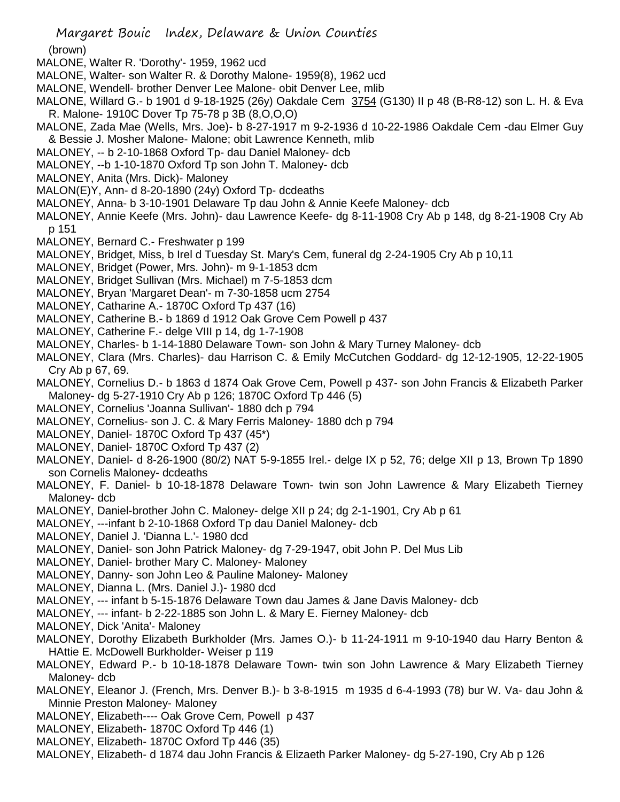(brown)

- MALONE, Walter R. 'Dorothy'- 1959, 1962 ucd
- MALONE, Walter- son Walter R. & Dorothy Malone- 1959(8), 1962 ucd
- MALONE, Wendell- brother Denver Lee Malone- obit Denver Lee, mlib
- MALONE, Willard G.- b 1901 d 9-18-1925 (26y) Oakdale Cem 3754 (G130) II p 48 (B-R8-12) son L. H. & Eva R. Malone- 1910C Dover Tp 75-78 p 3B (8,O,O,O)
- MALONE, Zada Mae (Wells, Mrs. Joe)- b 8-27-1917 m 9-2-1936 d 10-22-1986 Oakdale Cem -dau Elmer Guy & Bessie J. Mosher Malone- Malone; obit Lawrence Kenneth, mlib
- MALONEY, -- b 2-10-1868 Oxford Tp- dau Daniel Maloney- dcb
- MALONEY, --b 1-10-1870 Oxford Tp son John T. Maloney- dcb
- MALONEY, Anita (Mrs. Dick)- Maloney
- MALON(E)Y, Ann- d 8-20-1890 (24y) Oxford Tp- dcdeaths
- MALONEY, Anna- b 3-10-1901 Delaware Tp dau John & Annie Keefe Maloney- dcb
- MALONEY, Annie Keefe (Mrs. John)- dau Lawrence Keefe- dg 8-11-1908 Cry Ab p 148, dg 8-21-1908 Cry Ab p 151
- MALONEY, Bernard C.- Freshwater p 199
- MALONEY, Bridget, Miss, b Irel d Tuesday St. Mary's Cem, funeral dg 2-24-1905 Cry Ab p 10,11
- MALONEY, Bridget (Power, Mrs. John)- m 9-1-1853 dcm
- MALONEY, Bridget Sullivan (Mrs. Michael) m 7-5-1853 dcm
- MALONEY, Bryan 'Margaret Dean'- m 7-30-1858 ucm 2754
- MALONEY, Catharine A.- 1870C Oxford Tp 437 (16)
- MALONEY, Catherine B.- b 1869 d 1912 Oak Grove Cem Powell p 437
- MALONEY, Catherine F.- delge VIII p 14, dg 1-7-1908
- MALONEY, Charles- b 1-14-1880 Delaware Town- son John & Mary Turney Maloney- dcb
- MALONEY, Clara (Mrs. Charles)- dau Harrison C. & Emily McCutchen Goddard- dg 12-12-1905, 12-22-1905 Cry Ab p 67, 69.
- MALONEY, Cornelius D.- b 1863 d 1874 Oak Grove Cem, Powell p 437- son John Francis & Elizabeth Parker Maloney- dg 5-27-1910 Cry Ab p 126; 1870C Oxford Tp 446 (5)
- MALONEY, Cornelius 'Joanna Sullivan'- 1880 dch p 794
- MALONEY, Cornelius- son J. C. & Mary Ferris Maloney- 1880 dch p 794
- MALONEY, Daniel- 1870C Oxford Tp 437 (45\*)
- MALONEY, Daniel- 1870C Oxford Tp 437 (2)
- MALONEY, Daniel- d 8-26-1900 (80/2) NAT 5-9-1855 Irel.- delge IX p 52, 76; delge XII p 13, Brown Tp 1890 son Cornelis Maloney- dcdeaths
- MALONEY, F. Daniel- b 10-18-1878 Delaware Town- twin son John Lawrence & Mary Elizabeth Tierney Maloney- dcb
- MALONEY, Daniel-brother John C. Maloney- delge XII p 24; dg 2-1-1901, Cry Ab p 61
- MALONEY, ---infant b 2-10-1868 Oxford Tp dau Daniel Maloney- dcb
- MALONEY, Daniel J. 'Dianna L.'- 1980 dcd
- MALONEY, Daniel- son John Patrick Maloney- dg 7-29-1947, obit John P. Del Mus Lib
- MALONEY, Daniel- brother Mary C. Maloney- Maloney
- MALONEY, Danny- son John Leo & Pauline Maloney- Maloney
- MALONEY, Dianna L. (Mrs. Daniel J.)- 1980 dcd
- MALONEY, --- infant b 5-15-1876 Delaware Town dau James & Jane Davis Maloney- dcb
- MALONEY, --- infant- b 2-22-1885 son John L. & Mary E. Fierney Maloney- dcb
- MALONEY, Dick 'Anita'- Maloney
- MALONEY, Dorothy Elizabeth Burkholder (Mrs. James O.)- b 11-24-1911 m 9-10-1940 dau Harry Benton & HAttie E. McDowell Burkholder- Weiser p 119
- MALONEY, Edward P.- b 10-18-1878 Delaware Town- twin son John Lawrence & Mary Elizabeth Tierney Maloney- dcb
- MALONEY, Eleanor J. (French, Mrs. Denver B.)- b 3-8-1915 m 1935 d 6-4-1993 (78) bur W. Va- dau John & Minnie Preston Maloney- Maloney
- MALONEY, Elizabeth---- Oak Grove Cem, Powell p 437
- MALONEY, Elizabeth- 1870C Oxford Tp 446 (1)
- MALONEY, Elizabeth- 1870C Oxford Tp 446 (35)
- MALONEY, Elizabeth- d 1874 dau John Francis & Elizaeth Parker Maloney- dg 5-27-190, Cry Ab p 126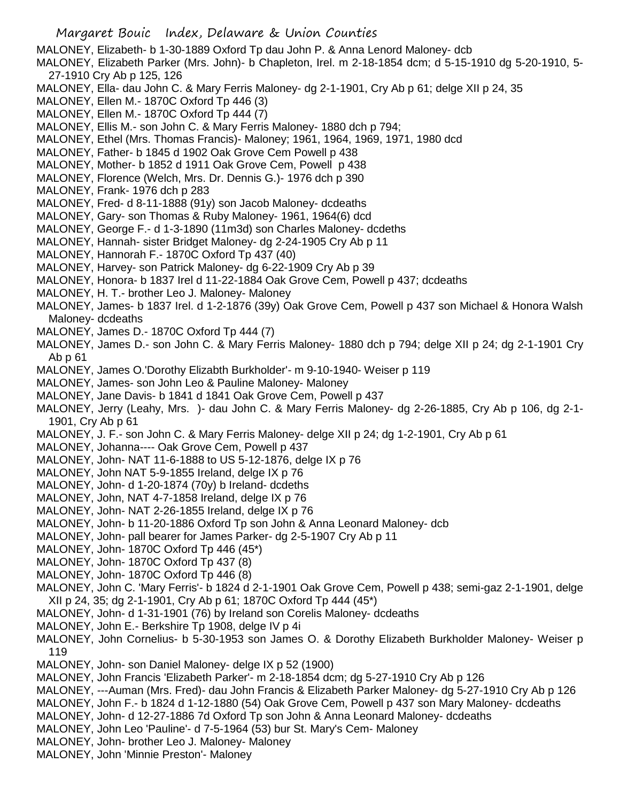Margaret Bouic Index, Delaware & Union Counties MALONEY, Elizabeth- b 1-30-1889 Oxford Tp dau John P. & Anna Lenord Maloney- dcb MALONEY, Elizabeth Parker (Mrs. John)- b Chapleton, Irel. m 2-18-1854 dcm; d 5-15-1910 dg 5-20-1910, 5- 27-1910 Cry Ab p 125, 126 MALONEY, Ella- dau John C. & Mary Ferris Maloney- dg 2-1-1901, Cry Ab p 61; delge XII p 24, 35 MALONEY, Ellen M.- 1870C Oxford Tp 446 (3) MALONEY, Ellen M.- 1870C Oxford Tp 444 (7) MALONEY, Ellis M.- son John C. & Mary Ferris Maloney- 1880 dch p 794; MALONEY, Ethel (Mrs. Thomas Francis)- Maloney; 1961, 1964, 1969, 1971, 1980 dcd MALONEY, Father- b 1845 d 1902 Oak Grove Cem Powell p 438 MALONEY, Mother- b 1852 d 1911 Oak Grove Cem, Powell p 438 MALONEY, Florence (Welch, Mrs. Dr. Dennis G.)- 1976 dch p 390 MALONEY, Frank- 1976 dch p 283 MALONEY, Fred- d 8-11-1888 (91y) son Jacob Maloney- dcdeaths MALONEY, Gary- son Thomas & Ruby Maloney- 1961, 1964(6) dcd MALONEY, George F.- d 1-3-1890 (11m3d) son Charles Maloney- dcdeths MALONEY, Hannah- sister Bridget Maloney- dg 2-24-1905 Cry Ab p 11 MALONEY, Hannorah F.- 1870C Oxford Tp 437 (40) MALONEY, Harvey- son Patrick Maloney- dg 6-22-1909 Cry Ab p 39 MALONEY, Honora- b 1837 Irel d 11-22-1884 Oak Grove Cem, Powell p 437; dcdeaths MALONEY, H. T.- brother Leo J. Maloney- Maloney MALONEY, James- b 1837 Irel. d 1-2-1876 (39y) Oak Grove Cem, Powell p 437 son Michael & Honora Walsh Maloney- dcdeaths MALONEY, James D.- 1870C Oxford Tp 444 (7) MALONEY, James D.- son John C. & Mary Ferris Maloney- 1880 dch p 794; delge XII p 24; dg 2-1-1901 Cry Ab p 61 MALONEY, James O.'Dorothy Elizabth Burkholder'- m 9-10-1940- Weiser p 119 MALONEY, James- son John Leo & Pauline Maloney- Maloney MALONEY, Jane Davis- b 1841 d 1841 Oak Grove Cem, Powell p 437 MALONEY, Jerry (Leahy, Mrs. )- dau John C. & Mary Ferris Maloney- dg 2-26-1885, Cry Ab p 106, dg 2-1- 1901, Cry Ab p 61 MALONEY, J. F.- son John C. & Mary Ferris Maloney- delge XII p 24; dg 1-2-1901, Cry Ab p 61 MALONEY, Johanna---- Oak Grove Cem, Powell p 437 MALONEY, John- NAT 11-6-1888 to US 5-12-1876, delge IX p 76 MALONEY, John NAT 5-9-1855 Ireland, delge IX p 76 MALONEY, John- d 1-20-1874 (70y) b Ireland- dcdeths MALONEY, John, NAT 4-7-1858 Ireland, delge IX p 76 MALONEY, John- NAT 2-26-1855 Ireland, delge IX p 76 MALONEY, John- b 11-20-1886 Oxford Tp son John & Anna Leonard Maloney- dcb MALONEY, John- pall bearer for James Parker- dg 2-5-1907 Cry Ab p 11 MALONEY, John- 1870C Oxford Tp 446 (45\*) MALONEY, John- 1870C Oxford Tp 437 (8) MALONEY, John- 1870C Oxford Tp 446 (8) MALONEY, John C. 'Mary Ferris'- b 1824 d 2-1-1901 Oak Grove Cem, Powell p 438; semi-gaz 2-1-1901, delge XII p 24, 35; dg 2-1-1901, Cry Ab p 61; 1870C Oxford Tp 444 (45\*) MALONEY, John- d 1-31-1901 (76) by Ireland son Corelis Maloney- dcdeaths MALONEY, John E.- Berkshire Tp 1908, delge IV p 4i MALONEY, John Cornelius- b 5-30-1953 son James O. & Dorothy Elizabeth Burkholder Maloney- Weiser p

- 119
- MALONEY, John- son Daniel Maloney- delge IX p 52 (1900)
- MALONEY, John Francis 'Elizabeth Parker'- m 2-18-1854 dcm; dg 5-27-1910 Cry Ab p 126
- MALONEY, ---Auman (Mrs. Fred)- dau John Francis & Elizabeth Parker Maloney- dg 5-27-1910 Cry Ab p 126
- MALONEY, John F.- b 1824 d 1-12-1880 (54) Oak Grove Cem, Powell p 437 son Mary Maloney- dcdeaths
- MALONEY, John- d 12-27-1886 7d Oxford Tp son John & Anna Leonard Maloney- dcdeaths
- MALONEY, John Leo 'Pauline'- d 7-5-1964 (53) bur St. Mary's Cem- Maloney
- MALONEY, John- brother Leo J. Maloney- Maloney
- MALONEY, John 'Minnie Preston'- Maloney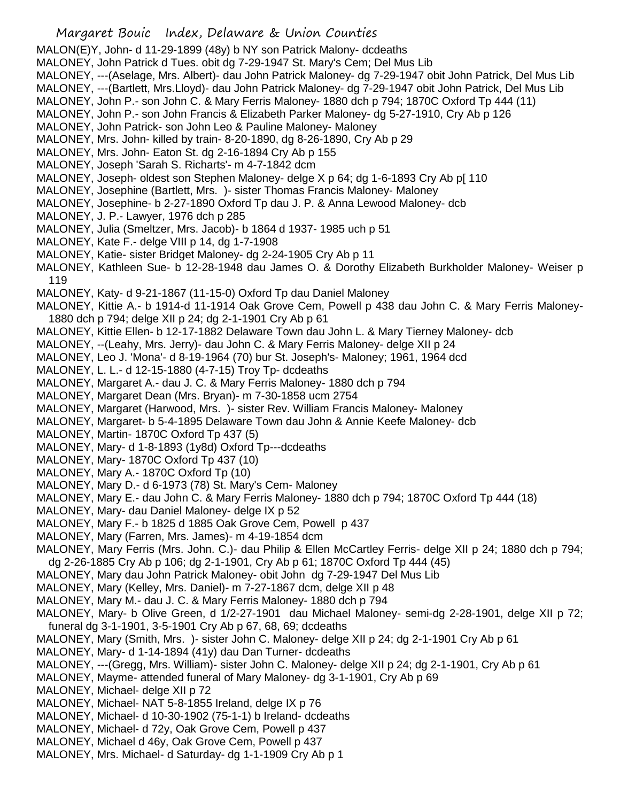MALON(E)Y, John- d 11-29-1899 (48y) b NY son Patrick Malony- dcdeaths

MALONEY, John Patrick d Tues. obit dg 7-29-1947 St. Mary's Cem; Del Mus Lib

- MALONEY, ---(Aselage, Mrs. Albert)- dau John Patrick Maloney- dg 7-29-1947 obit John Patrick, Del Mus Lib
- MALONEY, ---(Bartlett, Mrs.Lloyd)- dau John Patrick Maloney- dg 7-29-1947 obit John Patrick, Del Mus Lib
- MALONEY, John P.- son John C. & Mary Ferris Maloney- 1880 dch p 794; 1870C Oxford Tp 444 (11)
- MALONEY, John P.- son John Francis & Elizabeth Parker Maloney- dg 5-27-1910, Cry Ab p 126
- MALONEY, John Patrick- son John Leo & Pauline Maloney- Maloney
- MALONEY, Mrs. John- killed by train- 8-20-1890, dg 8-26-1890, Cry Ab p 29
- MALONEY, Mrs. John- Eaton St. dg 2-16-1894 Cry Ab p 155
- MALONEY, Joseph 'Sarah S. Richarts'- m 4-7-1842 dcm
- MALONEY, Joseph- oldest son Stephen Maloney- delge X p 64; dg 1-6-1893 Cry Ab p[ 110
- MALONEY, Josephine (Bartlett, Mrs. )- sister Thomas Francis Maloney- Maloney
- MALONEY, Josephine- b 2-27-1890 Oxford Tp dau J. P. & Anna Lewood Maloney- dcb
- MALONEY, J. P.- Lawyer, 1976 dch p 285
- MALONEY, Julia (Smeltzer, Mrs. Jacob)- b 1864 d 1937- 1985 uch p 51
- MALONEY, Kate F.- delge VIII p 14, dg 1-7-1908
- MALONEY, Katie- sister Bridget Maloney- dg 2-24-1905 Cry Ab p 11
- MALONEY, Kathleen Sue- b 12-28-1948 dau James O. & Dorothy Elizabeth Burkholder Maloney- Weiser p 119
- MALONEY, Katy- d 9-21-1867 (11-15-0) Oxford Tp dau Daniel Maloney
- MALONEY, Kittie A.- b 1914-d 11-1914 Oak Grove Cem, Powell p 438 dau John C. & Mary Ferris Maloney-1880 dch p 794; delge XII p 24; dg 2-1-1901 Cry Ab p 61
- MALONEY, Kittie Ellen- b 12-17-1882 Delaware Town dau John L. & Mary Tierney Maloney- dcb
- MALONEY, --(Leahy, Mrs. Jerry)- dau John C. & Mary Ferris Maloney- delge XII p 24
- MALONEY, Leo J. 'Mona'- d 8-19-1964 (70) bur St. Joseph's- Maloney; 1961, 1964 dcd
- MALONEY, L. L.- d 12-15-1880 (4-7-15) Troy Tp- dcdeaths
- MALONEY, Margaret A.- dau J. C. & Mary Ferris Maloney- 1880 dch p 794
- MALONEY, Margaret Dean (Mrs. Bryan)- m 7-30-1858 ucm 2754
- MALONEY, Margaret (Harwood, Mrs. )- sister Rev. William Francis Maloney- Maloney
- MALONEY, Margaret- b 5-4-1895 Delaware Town dau John & Annie Keefe Maloney- dcb
- MALONEY, Martin- 1870C Oxford Tp 437 (5)
- MALONEY, Mary- d 1-8-1893 (1y8d) Oxford Tp---dcdeaths
- MALONEY, Mary- 1870C Oxford Tp 437 (10)
- MALONEY, Mary A.- 1870C Oxford Tp (10)
- MALONEY, Mary D.- d 6-1973 (78) St. Mary's Cem- Maloney
- MALONEY, Mary E.- dau John C. & Mary Ferris Maloney- 1880 dch p 794; 1870C Oxford Tp 444 (18)
- MALONEY, Mary- dau Daniel Maloney- delge IX p 52
- MALONEY, Mary F.- b 1825 d 1885 Oak Grove Cem, Powell p 437
- MALONEY, Mary (Farren, Mrs. James)- m 4-19-1854 dcm
- MALONEY, Mary Ferris (Mrs. John. C.)- dau Philip & Ellen McCartley Ferris- delge XII p 24; 1880 dch p 794; dg 2-26-1885 Cry Ab p 106; dg 2-1-1901, Cry Ab p 61; 1870C Oxford Tp 444 (45)
- MALONEY, Mary dau John Patrick Maloney- obit John dg 7-29-1947 Del Mus Lib
- MALONEY, Mary (Kelley, Mrs. Daniel)- m 7-27-1867 dcm, delge XII p 48
- MALONEY, Mary M.- dau J. C. & Mary Ferris Maloney- 1880 dch p 794
- MALONEY, Mary- b Olive Green, d 1/2-27-1901 dau Michael Maloney- semi-dg 2-28-1901, delge XII p 72; funeral dg 3-1-1901, 3-5-1901 Cry Ab p 67, 68, 69; dcdeaths
- MALONEY, Mary (Smith, Mrs. )- sister John C. Maloney- delge XII p 24; dg 2-1-1901 Cry Ab p 61
- MALONEY, Mary- d 1-14-1894 (41y) dau Dan Turner- dcdeaths
- MALONEY, ---(Gregg, Mrs. William)- sister John C. Maloney- delge XII p 24; dg 2-1-1901, Cry Ab p 61
- MALONEY, Mayme- attended funeral of Mary Maloney- dg 3-1-1901, Cry Ab p 69
- MALONEY, Michael- delge XII p 72
- MALONEY, Michael- NAT 5-8-1855 Ireland, delge IX p 76
- MALONEY, Michael- d 10-30-1902 (75-1-1) b Ireland- dcdeaths
- MALONEY, Michael- d 72y, Oak Grove Cem, Powell p 437
- MALONEY, Michael d 46y, Oak Grove Cem, Powell p 437
- MALONEY, Mrs. Michael- d Saturday- dg 1-1-1909 Cry Ab p 1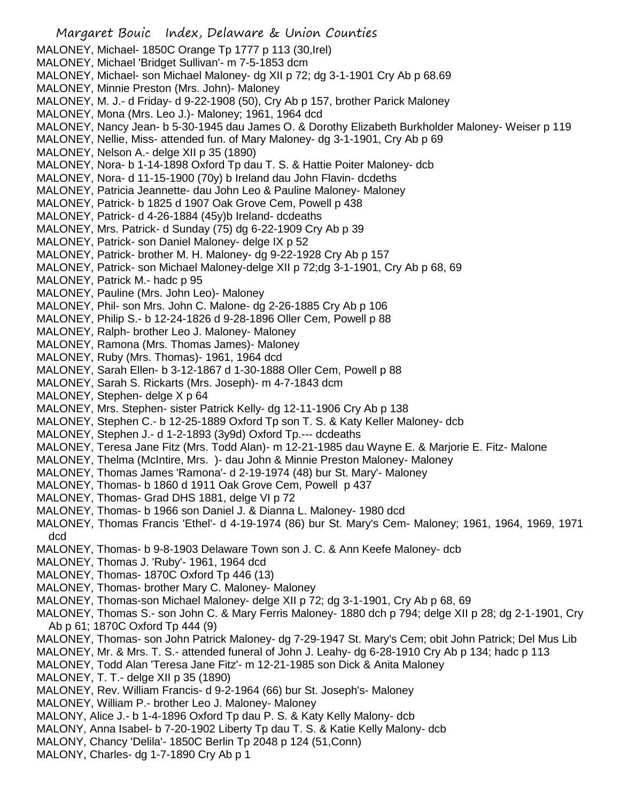Margaret Bouic Index, Delaware & Union Counties MALONEY, Michael- 1850C Orange Tp 1777 p 113 (30,Irel) MALONEY, Michael 'Bridget Sullivan'- m 7-5-1853 dcm MALONEY, Michael- son Michael Maloney- dg XII p 72; dg 3-1-1901 Cry Ab p 68.69 MALONEY, Minnie Preston (Mrs. John)- Maloney MALONEY, M. J.- d Friday- d 9-22-1908 (50), Cry Ab p 157, brother Parick Maloney MALONEY, Mona (Mrs. Leo J.)- Maloney; 1961, 1964 dcd MALONEY, Nancy Jean- b 5-30-1945 dau James O. & Dorothy Elizabeth Burkholder Maloney- Weiser p 119 MALONEY, Nellie, Miss- attended fun. of Mary Maloney- dg 3-1-1901, Cry Ab p 69 MALONEY, Nelson A.- delge XII p 35 (1890) MALONEY, Nora- b 1-14-1898 Oxford Tp dau T. S. & Hattie Poiter Maloney- dcb MALONEY, Nora- d 11-15-1900 (70y) b Ireland dau John Flavin- dcdeths MALONEY, Patricia Jeannette- dau John Leo & Pauline Maloney- Maloney MALONEY, Patrick- b 1825 d 1907 Oak Grove Cem, Powell p 438 MALONEY, Patrick- d 4-26-1884 (45y)b Ireland- dcdeaths MALONEY, Mrs. Patrick- d Sunday (75) dg 6-22-1909 Cry Ab p 39 MALONEY, Patrick- son Daniel Maloney- delge IX p 52 MALONEY, Patrick- brother M. H. Maloney- dg 9-22-1928 Cry Ab p 157 MALONEY, Patrick- son Michael Maloney-delge XII p 72;dg 3-1-1901, Cry Ab p 68, 69 MALONEY, Patrick M.- hadc p 95 MALONEY, Pauline (Mrs. John Leo)- Maloney MALONEY, Phil- son Mrs. John C. Malone- dg 2-26-1885 Cry Ab p 106 MALONEY, Philip S.- b 12-24-1826 d 9-28-1896 Oller Cem, Powell p 88 MALONEY, Ralph- brother Leo J. Maloney- Maloney MALONEY, Ramona (Mrs. Thomas James)- Maloney MALONEY, Ruby (Mrs. Thomas)- 1961, 1964 dcd MALONEY, Sarah Ellen- b 3-12-1867 d 1-30-1888 Oller Cem, Powell p 88 MALONEY, Sarah S. Rickarts (Mrs. Joseph)- m 4-7-1843 dcm MALONEY, Stephen- delge X p 64 MALONEY, Mrs. Stephen- sister Patrick Kelly- dg 12-11-1906 Cry Ab p 138 MALONEY, Stephen C.- b 12-25-1889 Oxford Tp son T. S. & Katy Keller Maloney- dcb MALONEY, Stephen J.- d 1-2-1893 (3y9d) Oxford Tp.--- dcdeaths MALONEY, Teresa Jane Fitz (Mrs. Todd Alan)- m 12-21-1985 dau Wayne E. & Marjorie E. Fitz- Malone MALONEY, Thelma (McIntire, Mrs. )- dau John & Minnie Preston Maloney- Maloney MALONEY, Thomas James 'Ramona'- d 2-19-1974 (48) bur St. Mary'- Maloney MALONEY, Thomas- b 1860 d 1911 Oak Grove Cem, Powell p 437 MALONEY, Thomas- Grad DHS 1881, delge VI p 72 MALONEY, Thomas- b 1966 son Daniel J. & Dianna L. Maloney- 1980 dcd MALONEY, Thomas Francis 'Ethel'- d 4-19-1974 (86) bur St. Mary's Cem- Maloney; 1961, 1964, 1969, 1971 dcd MALONEY, Thomas- b 9-8-1903 Delaware Town son J. C. & Ann Keefe Maloney- dcb MALONEY, Thomas J. 'Ruby'- 1961, 1964 dcd MALONEY, Thomas- 1870C Oxford Tp 446 (13) MALONEY, Thomas- brother Mary C. Maloney- Maloney MALONEY, Thomas-son Michael Maloney- delge XII p 72; dg 3-1-1901, Cry Ab p 68, 69 MALONEY, Thomas S.- son John C. & Mary Ferris Maloney- 1880 dch p 794; delge XII p 28; dg 2-1-1901, Cry Ab p 61; 1870C Oxford Tp 444 (9) MALONEY, Thomas- son John Patrick Maloney- dg 7-29-1947 St. Mary's Cem; obit John Patrick; Del Mus Lib MALONEY, Mr. & Mrs. T. S.- attended funeral of John J. Leahy- dg 6-28-1910 Cry Ab p 134; hadc p 113 MALONEY, Todd Alan 'Teresa Jane Fitz'- m 12-21-1985 son Dick & Anita Maloney MALONEY, T. T.- delge XII p 35 (1890) MALONEY, Rev. William Francis- d 9-2-1964 (66) bur St. Joseph's- Maloney MALONEY, William P.- brother Leo J. Maloney- Maloney MALONY, Alice J.- b 1-4-1896 Oxford Tp dau P. S. & Katy Kelly Malony- dcb MALONY, Anna Isabel- b 7-20-1902 Liberty Tp dau T. S. & Katie Kelly Malony- dcb MALONY, Chancy 'Delila'- 1850C Berlin Tp 2048 p 124 (51,Conn) MALONY, Charles- dg 1-7-1890 Cry Ab p 1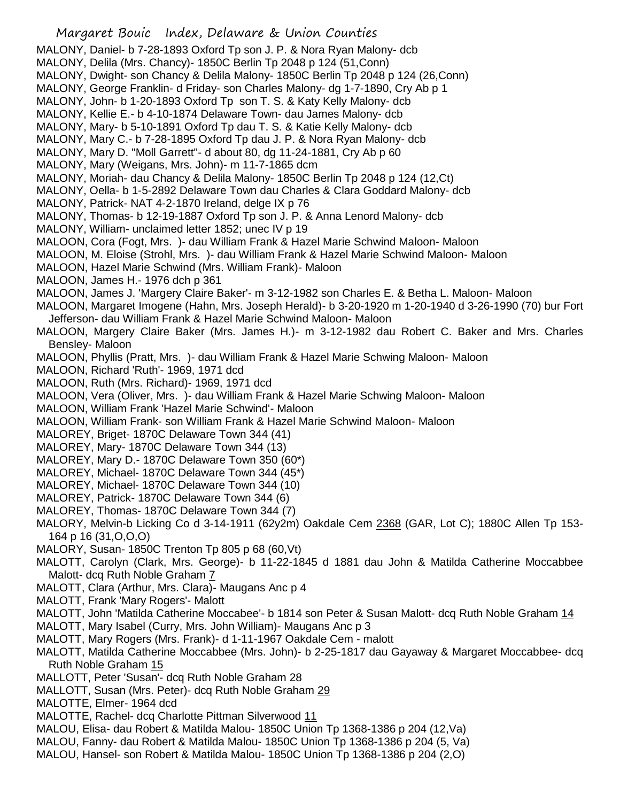MALONY, Daniel- b 7-28-1893 Oxford Tp son J. P. & Nora Ryan Malony- dcb

- MALONY, Delila (Mrs. Chancy)- 1850C Berlin Tp 2048 p 124 (51,Conn)
- MALONY, Dwight- son Chancy & Delila Malony- 1850C Berlin Tp 2048 p 124 (26,Conn)
- MALONY, George Franklin- d Friday- son Charles Malony- dg 1-7-1890, Cry Ab p 1
- MALONY, John- b 1-20-1893 Oxford Tp son T. S. & Katy Kelly Malony- dcb
- MALONY, Kellie E.- b 4-10-1874 Delaware Town- dau James Malony- dcb
- MALONY, Mary- b 5-10-1891 Oxford Tp dau T. S. & Katie Kelly Malony- dcb
- MALONY, Mary C.- b 7-28-1895 Oxford Tp dau J. P. & Nora Ryan Malony- dcb
- MALONY, Mary D. "Moll Garrett"- d about 80, dg 11-24-1881, Cry Ab p 60
- MALONY, Mary (Weigans, Mrs. John)- m 11-7-1865 dcm
- MALONY, Moriah- dau Chancy & Delila Malony- 1850C Berlin Tp 2048 p 124 (12,Ct)
- MALONY, Oella- b 1-5-2892 Delaware Town dau Charles & Clara Goddard Malony- dcb
- MALONY, Patrick- NAT 4-2-1870 Ireland, delge IX p 76
- MALONY, Thomas- b 12-19-1887 Oxford Tp son J. P. & Anna Lenord Malony- dcb
- MALONY, William- unclaimed letter 1852; unec IV p 19
- MALOON, Cora (Fogt, Mrs. )- dau William Frank & Hazel Marie Schwind Maloon- Maloon
- MALOON, M. Eloise (Strohl, Mrs. )- dau William Frank & Hazel Marie Schwind Maloon- Maloon
- MALOON, Hazel Marie Schwind (Mrs. William Frank)- Maloon
- MALOON, James H.- 1976 dch p 361
- MALOON, James J. 'Margery Claire Baker'- m 3-12-1982 son Charles E. & Betha L. Maloon- Maloon
- MALOON, Margaret Imogene (Hahn, Mrs. Joseph Herald)- b 3-20-1920 m 1-20-1940 d 3-26-1990 (70) bur Fort Jefferson- dau William Frank & Hazel Marie Schwind Maloon- Maloon
- MALOON, Margery Claire Baker (Mrs. James H.)- m 3-12-1982 dau Robert C. Baker and Mrs. Charles Bensley- Maloon
- MALOON, Phyllis (Pratt, Mrs. )- dau William Frank & Hazel Marie Schwing Maloon- Maloon
- MALOON, Richard 'Ruth'- 1969, 1971 dcd
- MALOON, Ruth (Mrs. Richard)- 1969, 1971 dcd
- MALOON, Vera (Oliver, Mrs. )- dau William Frank & Hazel Marie Schwing Maloon- Maloon
- MALOON, William Frank 'Hazel Marie Schwind'- Maloon
- MALOON, William Frank- son William Frank & Hazel Marie Schwind Maloon- Maloon
- MALOREY, Briget- 1870C Delaware Town 344 (41)
- MALOREY, Mary- 1870C Delaware Town 344 (13)
- MALOREY, Mary D.- 1870C Delaware Town 350 (60\*)
- MALOREY, Michael- 1870C Delaware Town 344 (45\*)
- MALOREY, Michael- 1870C Delaware Town 344 (10)
- MALOREY, Patrick- 1870C Delaware Town 344 (6)
- MALOREY, Thomas- 1870C Delaware Town 344 (7)
- MALORY, Melvin-b Licking Co d 3-14-1911 (62y2m) Oakdale Cem 2368 (GAR, Lot C); 1880C Allen Tp 153-164 p 16 (31,O,O,O)
- MALORY, Susan- 1850C Trenton Tp 805 p 68 (60,Vt)
- MALOTT, Carolyn (Clark, Mrs. George)- b 11-22-1845 d 1881 dau John & Matilda Catherine Moccabbee Malott- dcq Ruth Noble Graham 7
- MALOTT, Clara (Arthur, Mrs. Clara)- Maugans Anc p 4
- MALOTT, Frank 'Mary Rogers'- Malott
- MALOTT, John 'Matilda Catherine Moccabee'- b 1814 son Peter & Susan Malott- dcq Ruth Noble Graham 14
- MALOTT, Mary Isabel (Curry, Mrs. John William)- Maugans Anc p 3
- MALOTT, Mary Rogers (Mrs. Frank)- d 1-11-1967 Oakdale Cem malott
- MALOTT, Matilda Catherine Moccabbee (Mrs. John)- b 2-25-1817 dau Gayaway & Margaret Moccabbee- dcq Ruth Noble Graham 15
- MALLOTT, Peter 'Susan'- dcq Ruth Noble Graham 28
- MALLOTT, Susan (Mrs. Peter)- dcq Ruth Noble Graham 29
- MALOTTE, Elmer- 1964 dcd
- MALOTTE, Rachel- dcq Charlotte Pittman Silverwood 11
- MALOU, Elisa- dau Robert & Matilda Malou- 1850C Union Tp 1368-1386 p 204 (12,Va)
- MALOU, Fanny- dau Robert & Matilda Malou- 1850C Union Tp 1368-1386 p 204 (5, Va)
- MALOU, Hansel- son Robert & Matilda Malou- 1850C Union Tp 1368-1386 p 204 (2,O)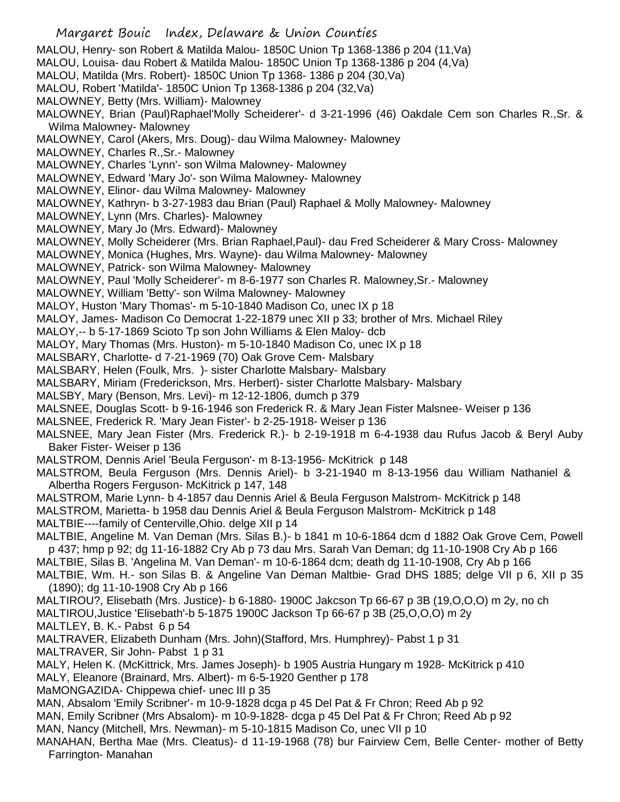Margaret Bouic Index, Delaware & Union Counties MALOU, Henry- son Robert & Matilda Malou- 1850C Union Tp 1368-1386 p 204 (11,Va) MALOU, Louisa- dau Robert & Matilda Malou- 1850C Union Tp 1368-1386 p 204 (4,Va) MALOU, Matilda (Mrs. Robert)- 1850C Union Tp 1368- 1386 p 204 (30,Va) MALOU, Robert 'Matilda'- 1850C Union Tp 1368-1386 p 204 (32,Va) MALOWNEY, Betty (Mrs. William)- Malowney MALOWNEY, Brian (Paul)Raphael'Molly Scheiderer'- d 3-21-1996 (46) Oakdale Cem son Charles R.,Sr. & Wilma Malowney- Malowney MALOWNEY, Carol (Akers, Mrs. Doug)- dau Wilma Malowney- Malowney MALOWNEY, Charles R.,Sr.- Malowney MALOWNEY, Charles 'Lynn'- son Wilma Malowney- Malowney MALOWNEY, Edward 'Mary Jo'- son Wilma Malowney- Malowney MALOWNEY, Elinor- dau Wilma Malowney- Malowney MALOWNEY, Kathryn- b 3-27-1983 dau Brian (Paul) Raphael & Molly Malowney- Malowney MALOWNEY, Lynn (Mrs. Charles)- Malowney MALOWNEY, Mary Jo (Mrs. Edward)- Malowney MALOWNEY, Molly Scheiderer (Mrs. Brian Raphael,Paul)- dau Fred Scheiderer & Mary Cross- Malowney MALOWNEY, Monica (Hughes, Mrs. Wayne)- dau Wilma Malowney- Malowney MALOWNEY, Patrick- son Wilma Malowney- Malowney MALOWNEY, Paul 'Molly Scheiderer'- m 8-6-1977 son Charles R. Malowney,Sr.- Malowney MALOWNEY, William 'Betty'- son Wilma Malowney- Malowney MALOY, Huston 'Mary Thomas'- m 5-10-1840 Madison Co, unec IX p 18 MALOY, James- Madison Co Democrat 1-22-1879 unec XII p 33; brother of Mrs. Michael Riley MALOY,-- b 5-17-1869 Scioto Tp son John Williams & Elen Maloy- dcb MALOY, Mary Thomas (Mrs. Huston)- m 5-10-1840 Madison Co, unec IX p 18 MALSBARY, Charlotte- d 7-21-1969 (70) Oak Grove Cem- Malsbary MALSBARY, Helen (Foulk, Mrs. )- sister Charlotte Malsbary- Malsbary MALSBARY, Miriam (Frederickson, Mrs. Herbert)- sister Charlotte Malsbary- Malsbary MALSBY, Mary (Benson, Mrs. Levi)- m 12-12-1806, dumch p 379 MALSNEE, Douglas Scott- b 9-16-1946 son Frederick R. & Mary Jean Fister Malsnee- Weiser p 136 MALSNEE, Frederick R. 'Mary Jean Fister'- b 2-25-1918- Weiser p 136 MALSNEE, Mary Jean Fister (Mrs. Frederick R.)- b 2-19-1918 m 6-4-1938 dau Rufus Jacob & Beryl Auby Baker Fister- Weiser p 136 MALSTROM, Dennis Ariel 'Beula Ferguson'- m 8-13-1956- McKitrick p 148 MALSTROM, Beula Ferguson (Mrs. Dennis Ariel)- b 3-21-1940 m 8-13-1956 dau William Nathaniel & Albertha Rogers Ferguson- McKitrick p 147, 148 MALSTROM, Marie Lynn- b 4-1857 dau Dennis Ariel & Beula Ferguson Malstrom- McKitrick p 148 MALSTROM, Marietta- b 1958 dau Dennis Ariel & Beula Ferguson Malstrom- McKitrick p 148 MALTBIE----family of Centerville,Ohio. delge XII p 14 MALTBIE, Angeline M. Van Deman (Mrs. Silas B.)- b 1841 m 10-6-1864 dcm d 1882 Oak Grove Cem, Powell p 437; hmp p 92; dg 11-16-1882 Cry Ab p 73 dau Mrs. Sarah Van Deman; dg 11-10-1908 Cry Ab p 166 MALTBIE, Silas B. 'Angelina M. Van Deman'- m 10-6-1864 dcm; death dg 11-10-1908, Cry Ab p 166 MALTBIE, Wm. H.- son Silas B. & Angeline Van Deman Maltbie- Grad DHS 1885; delge VII p 6, XII p 35 (1890); dg 11-10-1908 Cry Ab p 166 MALTIROU?, Elisebath (Mrs. Justice)- b 6-1880- 1900C Jakcson Tp 66-67 p 3B (19,O,O,O) m 2y, no ch MALTIROU,Justice 'Elisebath'-b 5-1875 1900C Jackson Tp 66-67 p 3B (25,O,O,O) m 2y MALTLEY, B. K.- Pabst 6 p 54 MALTRAVER, Elizabeth Dunham (Mrs. John)(Stafford, Mrs. Humphrey)- Pabst 1 p 31 MALTRAVER, Sir John- Pabst 1 p 31 MALY, Helen K. (McKittrick, Mrs. James Joseph)- b 1905 Austria Hungary m 1928- McKitrick p 410 MALY, Eleanore (Brainard, Mrs. Albert)- m 6-5-1920 Genther p 178 MaMONGAZIDA- Chippewa chief- unec III p 35 MAN, Absalom 'Emily Scribner'- m 10-9-1828 dcga p 45 Del Pat & Fr Chron; Reed Ab p 92 MAN, Emily Scribner (Mrs Absalom)- m 10-9-1828- dcga p 45 Del Pat & Fr Chron; Reed Ab p 92 MAN, Nancy (Mitchell, Mrs. Newman)- m 5-10-1815 Madison Co, unec VII p 10 MANAHAN, Bertha Mae (Mrs. Cleatus)- d 11-19-1968 (78) bur Fairview Cem, Belle Center- mother of Betty Farrington- Manahan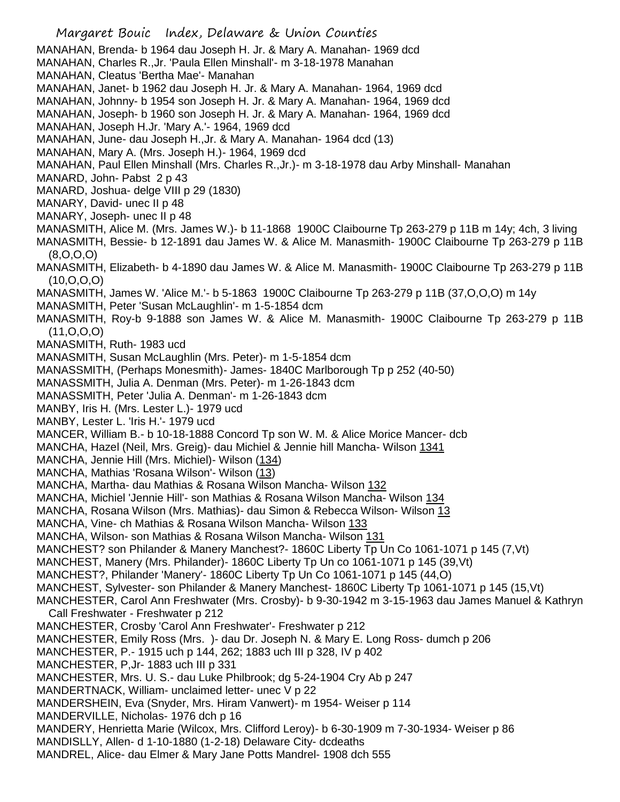Margaret Bouic Index, Delaware & Union Counties MANAHAN, Brenda- b 1964 dau Joseph H. Jr. & Mary A. Manahan- 1969 dcd MANAHAN, Charles R.,Jr. 'Paula Ellen Minshall'- m 3-18-1978 Manahan MANAHAN, Cleatus 'Bertha Mae'- Manahan MANAHAN, Janet- b 1962 dau Joseph H. Jr. & Mary A. Manahan- 1964, 1969 dcd MANAHAN, Johnny- b 1954 son Joseph H. Jr. & Mary A. Manahan- 1964, 1969 dcd MANAHAN, Joseph- b 1960 son Joseph H. Jr. & Mary A. Manahan- 1964, 1969 dcd MANAHAN, Joseph H.Jr. 'Mary A.'- 1964, 1969 dcd MANAHAN, June- dau Joseph H.,Jr. & Mary A. Manahan- 1964 dcd (13) MANAHAN, Mary A. (Mrs. Joseph H.)- 1964, 1969 dcd MANAHAN, Paul Ellen Minshall (Mrs. Charles R.,Jr.)- m 3-18-1978 dau Arby Minshall- Manahan MANARD, John- Pabst 2 p 43 MANARD, Joshua- delge VIII p 29 (1830) MANARY, David- unec II p 48 MANARY, Joseph- unec II p 48 MANASMITH, Alice M. (Mrs. James W.)- b 11-1868 1900C Claibourne Tp 263-279 p 11B m 14y; 4ch, 3 living MANASMITH, Bessie- b 12-1891 dau James W. & Alice M. Manasmith- 1900C Claibourne Tp 263-279 p 11B (8,O,O,O) MANASMITH, Elizabeth- b 4-1890 dau James W. & Alice M. Manasmith- 1900C Claibourne Tp 263-279 p 11B  $(10, 0, 0, 0)$ MANASMITH, James W. 'Alice M.'- b 5-1863 1900C Claibourne Tp 263-279 p 11B (37,O,O,O) m 14y MANASMITH, Peter 'Susan McLaughlin'- m 1-5-1854 dcm MANASMITH, Roy-b 9-1888 son James W. & Alice M. Manasmith- 1900C Claibourne Tp 263-279 p 11B (11,O,O,O) MANASMITH, Ruth- 1983 ucd MANASMITH, Susan McLaughlin (Mrs. Peter)- m 1-5-1854 dcm MANASSMITH, (Perhaps Monesmith)- James- 1840C Marlborough Tp p 252 (40-50) MANASSMITH, Julia A. Denman (Mrs. Peter)- m 1-26-1843 dcm MANASSMITH, Peter 'Julia A. Denman'- m 1-26-1843 dcm MANBY, Iris H. (Mrs. Lester L.)- 1979 ucd MANBY, Lester L. 'Iris H.'- 1979 ucd MANCER, William B.- b 10-18-1888 Concord Tp son W. M. & Alice Morice Mancer- dcb MANCHA, Hazel (Neil, Mrs. Greig)- dau Michiel & Jennie hill Mancha- Wilson 1341 MANCHA, Jennie Hill (Mrs. Michiel)- Wilson (134) MANCHA, Mathias 'Rosana Wilson'- Wilson (13) MANCHA, Martha- dau Mathias & Rosana Wilson Mancha- Wilson 132 MANCHA, Michiel 'Jennie Hill'- son Mathias & Rosana Wilson Mancha- Wilson 134 MANCHA, Rosana Wilson (Mrs. Mathias)- dau Simon & Rebecca Wilson- Wilson 13 MANCHA, Vine- ch Mathias & Rosana Wilson Mancha- Wilson 133 MANCHA, Wilson- son Mathias & Rosana Wilson Mancha- Wilson 131 MANCHEST? son Philander & Manery Manchest?- 1860C Liberty Tp Un Co 1061-1071 p 145 (7,Vt) MANCHEST, Manery (Mrs. Philander)- 1860C Liberty Tp Un co 1061-1071 p 145 (39,Vt) MANCHEST?, Philander 'Manery'- 1860C Liberty Tp Un Co 1061-1071 p 145 (44,O) MANCHEST, Sylvester- son Philander & Manery Manchest- 1860C Liberty Tp 1061-1071 p 145 (15,Vt) MANCHESTER, Carol Ann Freshwater (Mrs. Crosby)- b 9-30-1942 m 3-15-1963 dau James Manuel & Kathryn Call Freshwater - Freshwater p 212 MANCHESTER, Crosby 'Carol Ann Freshwater'- Freshwater p 212 MANCHESTER, Emily Ross (Mrs. )- dau Dr. Joseph N. & Mary E. Long Ross- dumch p 206 MANCHESTER, P.- 1915 uch p 144, 262; 1883 uch III p 328, IV p 402 MANCHESTER, P.Jr- 1883 uch III p 331 MANCHESTER, Mrs. U. S.- dau Luke Philbrook; dg 5-24-1904 Cry Ab p 247 MANDERTNACK, William- unclaimed letter- unec V p 22 MANDERSHEIN, Eva (Snyder, Mrs. Hiram Vanwert)- m 1954- Weiser p 114 MANDERVILLE, Nicholas- 1976 dch p 16 MANDERY, Henrietta Marie (Wilcox, Mrs. Clifford Leroy)- b 6-30-1909 m 7-30-1934- Weiser p 86 MANDISLLY, Allen- d 1-10-1880 (1-2-18) Delaware City- dcdeaths MANDREL, Alice- dau Elmer & Mary Jane Potts Mandrel- 1908 dch 555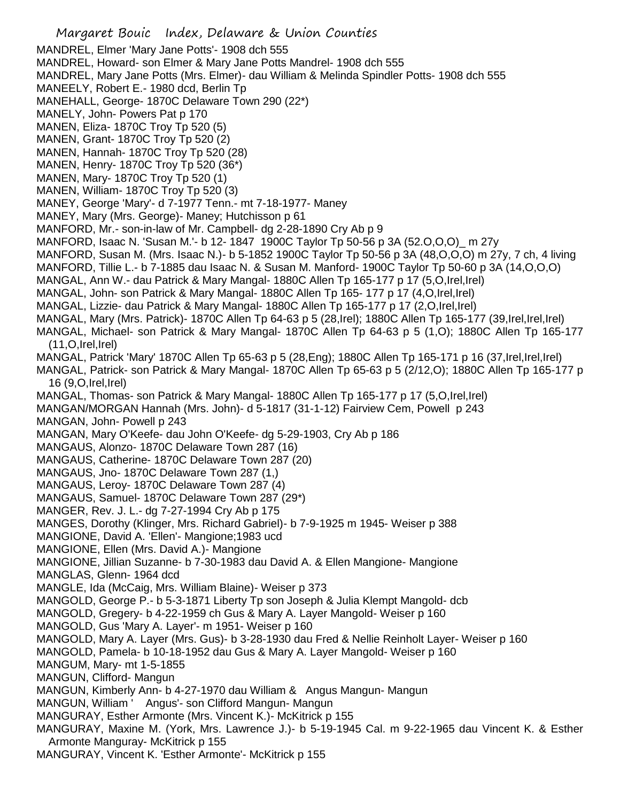Margaret Bouic Index, Delaware & Union Counties MANDREL, Elmer 'Mary Jane Potts'- 1908 dch 555 MANDREL, Howard- son Elmer & Mary Jane Potts Mandrel- 1908 dch 555 MANDREL, Mary Jane Potts (Mrs. Elmer)- dau William & Melinda Spindler Potts- 1908 dch 555 MANEELY, Robert E.- 1980 dcd, Berlin Tp MANEHALL, George- 1870C Delaware Town 290 (22\*) MANELY, John- Powers Pat p 170 MANEN, Eliza- 1870C Troy Tp 520 (5) MANEN, Grant- 1870C Troy Tp 520 (2) MANEN, Hannah- 1870C Troy Tp 520 (28) MANEN, Henry- 1870C Troy Tp 520 (36\*) MANEN, Mary- 1870C Troy Tp 520 (1) MANEN, William- 1870C Troy Tp 520 (3) MANEY, George 'Mary'- d 7-1977 Tenn.- mt 7-18-1977- Maney MANEY, Mary (Mrs. George)- Maney; Hutchisson p 61 MANFORD, Mr.- son-in-law of Mr. Campbell- dg 2-28-1890 Cry Ab p 9 MANFORD, Isaac N. 'Susan M.'- b 12- 1847 1900C Taylor Tp 50-56 p 3A (52.O,O,O)\_ m 27y MANFORD, Susan M. (Mrs. Isaac N.)- b 5-1852 1900C Taylor Tp 50-56 p 3A (48,O,O,O) m 27y, 7 ch, 4 living MANFORD, Tillie L.- b 7-1885 dau Isaac N. & Susan M. Manford- 1900C Taylor Tp 50-60 p 3A (14,O,O,O) MANGAL, Ann W.- dau Patrick & Mary Mangal- 1880C Allen Tp 165-177 p 17 (5,O,Irel,Irel) MANGAL, John- son Patrick & Mary Mangal- 1880C Allen Tp 165- 177 p 17 (4,O,Irel,Irel) MANGAL, Lizzie- dau Patrick & Mary Mangal- 1880C Allen Tp 165-177 p 17 (2,O,Irel,Irel) MANGAL, Mary (Mrs. Patrick)- 1870C Allen Tp 64-63 p 5 (28,Irel); 1880C Allen Tp 165-177 (39,Irel,Irel,Irel) MANGAL, Michael- son Patrick & Mary Mangal- 1870C Allen Tp 64-63 p 5 (1,O); 1880C Allen Tp 165-177  $(11, 0, Irel, Irel)$ MANGAL, Patrick 'Mary' 1870C Allen Tp 65-63 p 5 (28,Eng); 1880C Allen Tp 165-171 p 16 (37,Irel,Irel,Irel) MANGAL, Patrick- son Patrick & Mary Mangal- 1870C Allen Tp 65-63 p 5 (2/12,O); 1880C Allen Tp 165-177 p 16 (9,O,Irel,Irel) MANGAL, Thomas- son Patrick & Mary Mangal- 1880C Allen Tp 165-177 p 17 (5,O,Irel,Irel) MANGAN/MORGAN Hannah (Mrs. John)- d 5-1817 (31-1-12) Fairview Cem, Powell p 243 MANGAN, John- Powell p 243 MANGAN, Mary O'Keefe- dau John O'Keefe- dg 5-29-1903, Cry Ab p 186 MANGAUS, Alonzo- 1870C Delaware Town 287 (16) MANGAUS, Catherine- 1870C Delaware Town 287 (20) MANGAUS, Jno- 1870C Delaware Town 287 (1,) MANGAUS, Leroy- 1870C Delaware Town 287 (4) MANGAUS, Samuel- 1870C Delaware Town 287 (29\*) MANGER, Rev. J. L.- dg 7-27-1994 Cry Ab p 175 MANGES, Dorothy (Klinger, Mrs. Richard Gabriel)- b 7-9-1925 m 1945- Weiser p 388 MANGIONE, David A. 'Ellen'- Mangione;1983 ucd MANGIONE, Ellen (Mrs. David A.)- Mangione MANGIONE, Jillian Suzanne- b 7-30-1983 dau David A. & Ellen Mangione- Mangione MANGLAS, Glenn- 1964 dcd MANGLE, Ida (McCaig, Mrs. William Blaine)- Weiser p 373 MANGOLD, George P.- b 5-3-1871 Liberty Tp son Joseph & Julia Klempt Mangold- dcb MANGOLD, Gregery- b 4-22-1959 ch Gus & Mary A. Layer Mangold- Weiser p 160 MANGOLD, Gus 'Mary A. Layer'- m 1951- Weiser p 160 MANGOLD, Mary A. Layer (Mrs. Gus)- b 3-28-1930 dau Fred & Nellie Reinholt Layer- Weiser p 160 MANGOLD, Pamela- b 10-18-1952 dau Gus & Mary A. Layer Mangold- Weiser p 160 MANGUM, Mary- mt 1-5-1855 MANGUN, Clifford- Mangun MANGUN, Kimberly Ann- b 4-27-1970 dau William & Angus Mangun- Mangun MANGUN, William ' Angus'- son Clifford Mangun- Mangun MANGURAY, Esther Armonte (Mrs. Vincent K.)- McKitrick p 155 MANGURAY, Maxine M. (York, Mrs. Lawrence J.)- b 5-19-1945 Cal. m 9-22-1965 dau Vincent K. & Esther Armonte Manguray- McKitrick p 155 MANGURAY, Vincent K. 'Esther Armonte'- McKitrick p 155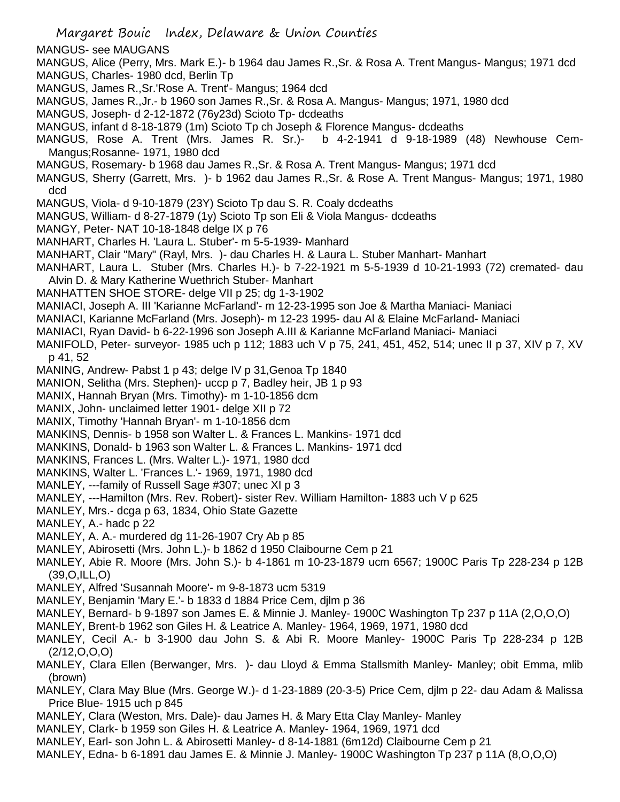Margaret Bouic Index, Delaware & Union Counties MANGUS- see MAUGANS MANGUS, Alice (Perry, Mrs. Mark E.)- b 1964 dau James R.,Sr. & Rosa A. Trent Mangus- Mangus; 1971 dcd MANGUS, Charles- 1980 dcd, Berlin Tp MANGUS, James R.,Sr.'Rose A. Trent'- Mangus; 1964 dcd MANGUS, James R.,Jr.- b 1960 son James R.,Sr. & Rosa A. Mangus- Mangus; 1971, 1980 dcd MANGUS, Joseph- d 2-12-1872 (76y23d) Scioto Tp- dcdeaths MANGUS, infant d 8-18-1879 (1m) Scioto Tp ch Joseph & Florence Mangus- dcdeaths MANGUS, Rose A. Trent (Mrs. James R. Sr.)- b 4-2-1941 d 9-18-1989 (48) Newhouse Cem-Mangus;Rosanne- 1971, 1980 dcd MANGUS, Rosemary- b 1968 dau James R.,Sr. & Rosa A. Trent Mangus- Mangus; 1971 dcd MANGUS, Sherry (Garrett, Mrs. )- b 1962 dau James R.,Sr. & Rose A. Trent Mangus- Mangus; 1971, 1980 dcd MANGUS, Viola- d 9-10-1879 (23Y) Scioto Tp dau S. R. Coaly dcdeaths MANGUS, William- d 8-27-1879 (1y) Scioto Tp son Eli & Viola Mangus- dcdeaths MANGY, Peter- NAT 10-18-1848 delge IX p 76 MANHART, Charles H. 'Laura L. Stuber'- m 5-5-1939- Manhard MANHART, Clair "Mary" (Rayl, Mrs. )- dau Charles H. & Laura L. Stuber Manhart- Manhart MANHART, Laura L. Stuber (Mrs. Charles H.)- b 7-22-1921 m 5-5-1939 d 10-21-1993 (72) cremated- dau Alvin D. & Mary Katherine Wuethrich Stuber- Manhart MANHATTEN SHOE STORE- delge VII p 25; dg 1-3-1902 MANIACI, Joseph A. III 'Karianne McFarland'- m 12-23-1995 son Joe & Martha Maniaci- Maniaci MANIACI, Karianne McFarland (Mrs. Joseph)- m 12-23 1995- dau Al & Elaine McFarland- Maniaci MANIACI, Ryan David- b 6-22-1996 son Joseph A.III & Karianne McFarland Maniaci- Maniaci MANIFOLD, Peter- surveyor- 1985 uch p 112; 1883 uch V p 75, 241, 451, 452, 514; unec II p 37, XIV p 7, XV p 41, 52 MANING, Andrew- Pabst 1 p 43; delge IV p 31,Genoa Tp 1840 MANION, Selitha (Mrs. Stephen)- uccp p 7, Badley heir, JB 1 p 93 MANIX, Hannah Bryan (Mrs. Timothy)- m 1-10-1856 dcm MANIX, John- unclaimed letter 1901- delge XII p 72 MANIX, Timothy 'Hannah Bryan'- m 1-10-1856 dcm MANKINS, Dennis- b 1958 son Walter L. & Frances L. Mankins- 1971 dcd MANKINS, Donald- b 1963 son Walter L. & Frances L. Mankins- 1971 dcd MANKINS, Frances L. (Mrs. Walter L.)- 1971, 1980 dcd MANKINS, Walter L. 'Frances L.'- 1969, 1971, 1980 dcd MANLEY, ---family of Russell Sage #307; unec XI p 3 MANLEY, ---Hamilton (Mrs. Rev. Robert)- sister Rev. William Hamilton- 1883 uch V p 625 MANLEY, Mrs.- dcga p 63, 1834, Ohio State Gazette MANLEY, A.- hadc p 22 MANLEY, A. A.- murdered dg 11-26-1907 Cry Ab p 85 MANLEY, Abirosetti (Mrs. John L.)- b 1862 d 1950 Claibourne Cem p 21 MANLEY, Abie R. Moore (Mrs. John S.)- b 4-1861 m 10-23-1879 ucm 6567; 1900C Paris Tp 228-234 p 12B (39,O,ILL,O) MANLEY, Alfred 'Susannah Moore'- m 9-8-1873 ucm 5319 MANLEY, Benjamin 'Mary E.'- b 1833 d 1884 Price Cem, djlm p 36 MANLEY, Bernard- b 9-1897 son James E. & Minnie J. Manley- 1900C Washington Tp 237 p 11A (2,O,O,O) MANLEY, Brent-b 1962 son Giles H. & Leatrice A. Manley- 1964, 1969, 1971, 1980 dcd MANLEY, Cecil A.- b 3-1900 dau John S. & Abi R. Moore Manley- 1900C Paris Tp 228-234 p 12B  $(2/12, 0, 0, 0)$ MANLEY, Clara Ellen (Berwanger, Mrs. )- dau Lloyd & Emma Stallsmith Manley- Manley; obit Emma, mlib (brown)

- MANLEY, Clara May Blue (Mrs. George W.)- d 1-23-1889 (20-3-5) Price Cem, djlm p 22- dau Adam & Malissa Price Blue- 1915 uch p 845
- MANLEY, Clara (Weston, Mrs. Dale)- dau James H. & Mary Etta Clay Manley- Manley
- MANLEY, Clark- b 1959 son Giles H. & Leatrice A. Manley- 1964, 1969, 1971 dcd
- MANLEY, Earl- son John L. & Abirosetti Manley- d 8-14-1881 (6m12d) Claibourne Cem p 21
- MANLEY, Edna- b 6-1891 dau James E. & Minnie J. Manley- 1900C Washington Tp 237 p 11A (8,O,O,O)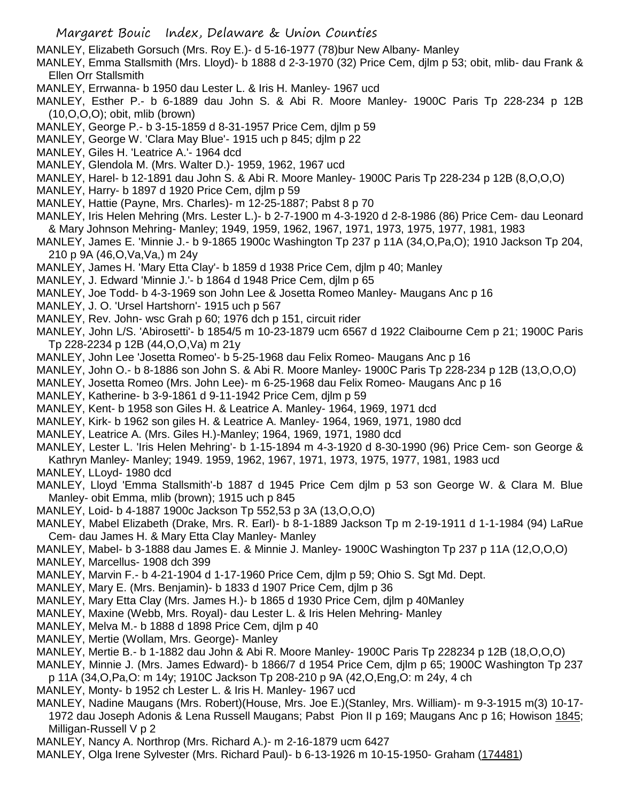MANLEY, Elizabeth Gorsuch (Mrs. Roy E.)- d 5-16-1977 (78)bur New Albany- Manley

MANLEY, Emma Stallsmith (Mrs. Lloyd)- b 1888 d 2-3-1970 (32) Price Cem, djlm p 53; obit, mlib- dau Frank & Ellen Orr Stallsmith

- MANLEY, Errwanna- b 1950 dau Lester L. & Iris H. Manley- 1967 ucd
- MANLEY, Esther P.- b 6-1889 dau John S. & Abi R. Moore Manley- 1900C Paris Tp 228-234 p 12B (10,O,O,O); obit, mlib (brown)
- MANLEY, George P.- b 3-15-1859 d 8-31-1957 Price Cem, djlm p 59
- MANLEY, George W. 'Clara May Blue'- 1915 uch p 845; djlm p 22
- MANLEY, Giles H. 'Leatrice A.'- 1964 dcd
- MANLEY, Glendola M. (Mrs. Walter D.)- 1959, 1962, 1967 ucd
- MANLEY, Harel- b 12-1891 dau John S. & Abi R. Moore Manley- 1900C Paris Tp 228-234 p 12B (8,O,O,O)
- MANLEY, Harry- b 1897 d 1920 Price Cem, djlm p 59
- MANLEY, Hattie (Payne, Mrs. Charles)- m 12-25-1887; Pabst 8 p 70
- MANLEY, Iris Helen Mehring (Mrs. Lester L.)- b 2-7-1900 m 4-3-1920 d 2-8-1986 (86) Price Cem- dau Leonard & Mary Johnson Mehring- Manley; 1949, 1959, 1962, 1967, 1971, 1973, 1975, 1977, 1981, 1983
- MANLEY, James E. 'Minnie J.- b 9-1865 1900c Washington Tp 237 p 11A (34,O,Pa,O); 1910 Jackson Tp 204, 210 p 9A (46,O,Va,Va,) m 24y
- MANLEY, James H. 'Mary Etta Clay'- b 1859 d 1938 Price Cem, djlm p 40; Manley
- MANLEY, J. Edward 'Minnie J.'- b 1864 d 1948 Price Cem, djlm p 65
- MANLEY, Joe Todd- b 4-3-1969 son John Lee & Josetta Romeo Manley- Maugans Anc p 16
- MANLEY, J. O. 'Ursel Hartshorn'- 1915 uch p 567
- MANLEY, Rev. John- wsc Grah p 60; 1976 dch p 151, circuit rider

MANLEY, John L/S. 'Abirosetti'- b 1854/5 m 10-23-1879 ucm 6567 d 1922 Claibourne Cem p 21; 1900C Paris Tp 228-2234 p 12B (44,O,O,Va) m 21y

- MANLEY, John Lee 'Josetta Romeo'- b 5-25-1968 dau Felix Romeo- Maugans Anc p 16
- MANLEY, John O.- b 8-1886 son John S. & Abi R. Moore Manley- 1900C Paris Tp 228-234 p 12B (13,O,O,O)
- MANLEY, Josetta Romeo (Mrs. John Lee)- m 6-25-1968 dau Felix Romeo- Maugans Anc p 16
- MANLEY, Katherine- b 3-9-1861 d 9-11-1942 Price Cem, djlm p 59
- MANLEY, Kent- b 1958 son Giles H. & Leatrice A. Manley- 1964, 1969, 1971 dcd
- MANLEY, Kirk- b 1962 son giles H. & Leatrice A. Manley- 1964, 1969, 1971, 1980 dcd
- MANLEY, Leatrice A. (Mrs. Giles H.)-Manley; 1964, 1969, 1971, 1980 dcd
- MANLEY, Lester L. 'Iris Helen Mehring'- b 1-15-1894 m 4-3-1920 d 8-30-1990 (96) Price Cem- son George &
- Kathryn Manley- Manley; 1949. 1959, 1962, 1967, 1971, 1973, 1975, 1977, 1981, 1983 ucd
- MANLEY, LLoyd- 1980 dcd
- MANLEY, Lloyd 'Emma Stallsmith'-b 1887 d 1945 Price Cem djlm p 53 son George W. & Clara M. Blue Manley- obit Emma, mlib (brown); 1915 uch p 845
- MANLEY, Loid- b 4-1887 1900c Jackson Tp 552,53 p 3A (13,O,O,O)
- MANLEY, Mabel Elizabeth (Drake, Mrs. R. Earl)- b 8-1-1889 Jackson Tp m 2-19-1911 d 1-1-1984 (94) LaRue Cem- dau James H. & Mary Etta Clay Manley- Manley
- MANLEY, Mabel- b 3-1888 dau James E. & Minnie J. Manley- 1900C Washington Tp 237 p 11A (12,O,O,O)
- MANLEY, Marcellus- 1908 dch 399
- MANLEY, Marvin F.- b 4-21-1904 d 1-17-1960 Price Cem, djlm p 59; Ohio S. Sgt Md. Dept.
- MANLEY, Mary E. (Mrs. Benjamin)- b 1833 d 1907 Price Cem, djlm p 36
- MANLEY, Mary Etta Clay (Mrs. James H.)- b 1865 d 1930 Price Cem, djlm p 40Manley
- MANLEY, Maxine (Webb, Mrs. Royal)- dau Lester L. & Iris Helen Mehring- Manley
- MANLEY, Melva M.- b 1888 d 1898 Price Cem, djlm p 40
- MANLEY, Mertie (Wollam, Mrs. George)- Manley
- MANLEY, Mertie B.- b 1-1882 dau John & Abi R. Moore Manley- 1900C Paris Tp 228234 p 12B (18,O,O,O)
- MANLEY, Minnie J. (Mrs. James Edward)- b 1866/7 d 1954 Price Cem, djlm p 65; 1900C Washington Tp 237
- p 11A (34,O,Pa,O: m 14y; 1910C Jackson Tp 208-210 p 9A (42,O,Eng,O: m 24y, 4 ch
- MANLEY, Monty- b 1952 ch Lester L. & Iris H. Manley- 1967 ucd
- MANLEY, Nadine Maugans (Mrs. Robert)(House, Mrs. Joe E.)(Stanley, Mrs. William)- m 9-3-1915 m(3) 10-17- 1972 dau Joseph Adonis & Lena Russell Maugans; Pabst Pion II p 169; Maugans Anc p 16; Howison 1845; Milligan-Russell V p 2
- MANLEY, Nancy A. Northrop (Mrs. Richard A.)- m 2-16-1879 ucm 6427
- MANLEY, Olga Irene Sylvester (Mrs. Richard Paul)- b 6-13-1926 m 10-15-1950- Graham (174481)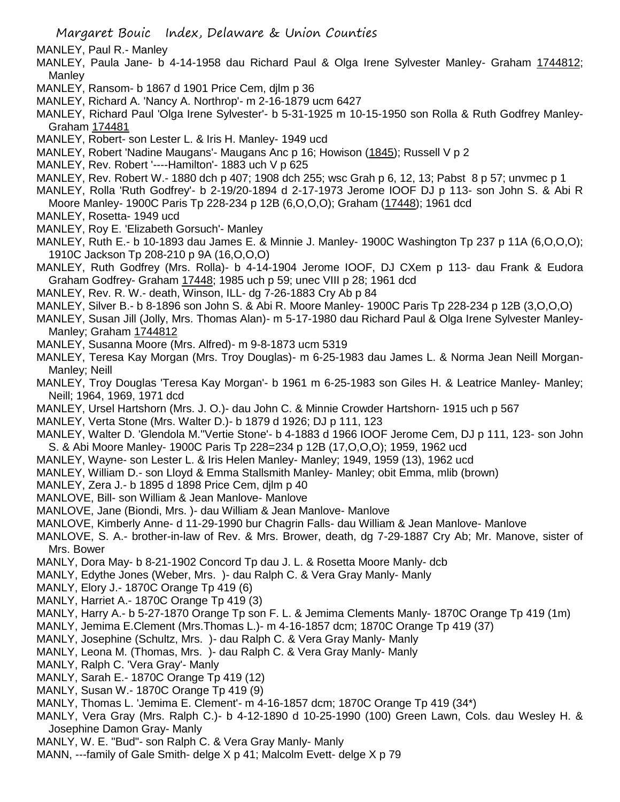MANLEY, Paul R.- Manley

- MANLEY, Paula Jane- b 4-14-1958 dau Richard Paul & Olga Irene Sylvester Manley- Graham 1744812; **Manley**
- MANLEY, Ransom- b 1867 d 1901 Price Cem, djlm p 36
- MANLEY, Richard A. 'Nancy A. Northrop'- m 2-16-1879 ucm 6427
- MANLEY, Richard Paul 'Olga Irene Sylvester'- b 5-31-1925 m 10-15-1950 son Rolla & Ruth Godfrey Manley-Graham 174481
- MANLEY, Robert- son Lester L. & Iris H. Manley- 1949 ucd
- MANLEY, Robert 'Nadine Maugans'- Maugans Anc p 16; Howison (1845); Russell V p 2
- MANLEY, Rev. Robert '----Hamilton'- 1883 uch V p 625
- MANLEY, Rev. Robert W.- 1880 dch p 407; 1908 dch 255; wsc Grah p 6, 12, 13; Pabst 8 p 57; unvmec p 1
- MANLEY, Rolla 'Ruth Godfrey'- b 2-19/20-1894 d 2-17-1973 Jerome IOOF DJ p 113- son John S. & Abi R Moore Manley- 1900C Paris Tp 228-234 p 12B (6,O,O,O); Graham (17448); 1961 dcd
- MANLEY, Rosetta- 1949 ucd
- MANLEY, Roy E. 'Elizabeth Gorsuch'- Manley
- MANLEY, Ruth E.- b 10-1893 dau James E. & Minnie J. Manley- 1900C Washington Tp 237 p 11A (6,O,O,O); 1910C Jackson Tp 208-210 p 9A (16,O,O,O)
- MANLEY, Ruth Godfrey (Mrs. Rolla)- b 4-14-1904 Jerome IOOF, DJ CXem p 113- dau Frank & Eudora Graham Godfrey- Graham 17448; 1985 uch p 59; unec VIII p 28; 1961 dcd
- MANLEY, Rev. R. W.- death, Winson, ILL- dg 7-26-1883 Cry Ab p 84
- MANLEY, Silver B.- b 8-1896 son John S. & Abi R. Moore Manley- 1900C Paris Tp 228-234 p 12B (3,O,O,O)
- MANLEY, Susan Jill (Jolly, Mrs. Thomas Alan)- m 5-17-1980 dau Richard Paul & Olga Irene Sylvester Manley-Manley; Graham 1744812
- MANLEY, Susanna Moore (Mrs. Alfred)- m 9-8-1873 ucm 5319
- MANLEY, Teresa Kay Morgan (Mrs. Troy Douglas)- m 6-25-1983 dau James L. & Norma Jean Neill Morgan-Manley; Neill
- MANLEY, Troy Douglas 'Teresa Kay Morgan'- b 1961 m 6-25-1983 son Giles H. & Leatrice Manley- Manley; Neill; 1964, 1969, 1971 dcd
- MANLEY, Ursel Hartshorn (Mrs. J. O.)- dau John C. & Minnie Crowder Hartshorn- 1915 uch p 567
- MANLEY, Verta Stone (Mrs. Walter D.)- b 1879 d 1926; DJ p 111, 123
- MANLEY, Walter D. 'Glendola M.''Vertie Stone'- b 4-1883 d 1966 IOOF Jerome Cem, DJ p 111, 123- son John S. & Abi Moore Manley- 1900C Paris Tp 228=234 p 12B (17,O,O,O); 1959, 1962 ucd
- MANLEY, Wayne- son Lester L. & Iris Helen Manley- Manley; 1949, 1959 (13), 1962 ucd
- MANLEY, William D.- son Lloyd & Emma Stallsmith Manley- Manley; obit Emma, mlib (brown)
- MANLEY, Zera J.- b 1895 d 1898 Price Cem, djlm p 40
- MANLOVE, Bill- son William & Jean Manlove- Manlove
- MANLOVE, Jane (Biondi, Mrs. )- dau William & Jean Manlove- Manlove
- MANLOVE, Kimberly Anne- d 11-29-1990 bur Chagrin Falls- dau William & Jean Manlove- Manlove
- MANLOVE, S. A.- brother-in-law of Rev. & Mrs. Brower, death, dg 7-29-1887 Cry Ab; Mr. Manove, sister of Mrs. Bower
- MANLY, Dora May- b 8-21-1902 Concord Tp dau J. L. & Rosetta Moore Manly- dcb
- MANLY, Edythe Jones (Weber, Mrs. )- dau Ralph C. & Vera Gray Manly- Manly
- MANLY, Elory J.- 1870C Orange Tp 419 (6)
- MANLY, Harriet A.- 1870C Orange Tp 419 (3)
- MANLY, Harry A.- b 5-27-1870 Orange Tp son F. L. & Jemima Clements Manly- 1870C Orange Tp 419 (1m)
- MANLY, Jemima E.Clement (Mrs.Thomas L.)- m 4-16-1857 dcm; 1870C Orange Tp 419 (37)
- MANLY, Josephine (Schultz, Mrs. )- dau Ralph C. & Vera Gray Manly- Manly
- MANLY, Leona M. (Thomas, Mrs. )- dau Ralph C. & Vera Gray Manly- Manly
- MANLY, Ralph C. 'Vera Gray'- Manly
- MANLY, Sarah E.- 1870C Orange Tp 419 (12)
- MANLY, Susan W.- 1870C Orange Tp 419 (9)
- MANLY, Thomas L. 'Jemima E. Clement'- m 4-16-1857 dcm; 1870C Orange Tp 419 (34\*)
- MANLY, Vera Gray (Mrs. Ralph C.)- b 4-12-1890 d 10-25-1990 (100) Green Lawn, Cols. dau Wesley H. & Josephine Damon Gray- Manly
- MANLY, W. E. "Bud"- son Ralph C. & Vera Gray Manly- Manly
- MANN, ---family of Gale Smith- delge X p 41; Malcolm Evett- delge X p 79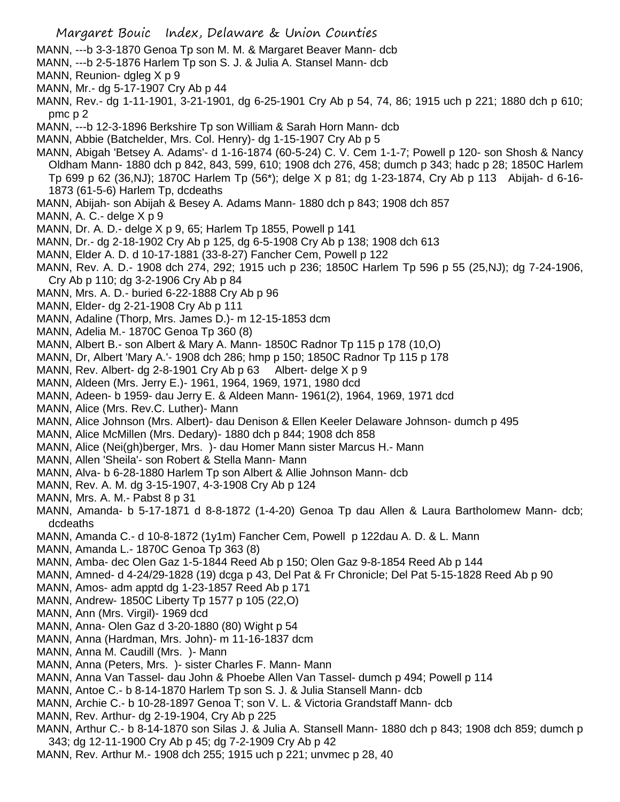- MANN, ---b 3-3-1870 Genoa Tp son M. M. & Margaret Beaver Mann- dcb
- MANN, ---b 2-5-1876 Harlem Tp son S. J. & Julia A. Stansel Mann- dcb
- MANN, Reunion- dgleg X p 9
- MANN, Mr.- dg 5-17-1907 Cry Ab p 44
- MANN, Rev.- dg 1-11-1901, 3-21-1901, dg 6-25-1901 Cry Ab p 54, 74, 86; 1915 uch p 221; 1880 dch p 610; pmc p 2
- MANN, ---b 12-3-1896 Berkshire Tp son William & Sarah Horn Mann- dcb
- MANN, Abbie (Batchelder, Mrs. Col. Henry)- dg 1-15-1907 Cry Ab p 5
- MANN, Abigah 'Betsey A. Adams'- d 1-16-1874 (60-5-24) C. V. Cem 1-1-7; Powell p 120- son Shosh & Nancy Oldham Mann- 1880 dch p 842, 843, 599, 610; 1908 dch 276, 458; dumch p 343; hadc p 28; 1850C Harlem Tp 699 p 62 (36,NJ); 1870C Harlem Tp (56\*); delge X p 81; dg 1-23-1874, Cry Ab p 113 Abijah- d 6-16- 1873 (61-5-6) Harlem Tp, dcdeaths
- MANN, Abijah- son Abijah & Besey A. Adams Mann- 1880 dch p 843; 1908 dch 857
- MANN, A. C.- delge X p 9
- MANN, Dr. A. D.- delge X p 9, 65; Harlem Tp 1855, Powell p 141
- MANN, Dr.- dg 2-18-1902 Cry Ab p 125, dg 6-5-1908 Cry Ab p 138; 1908 dch 613
- MANN, Elder A. D. d 10-17-1881 (33-8-27) Fancher Cem, Powell p 122
- MANN, Rev. A. D.- 1908 dch 274, 292; 1915 uch p 236; 1850C Harlem Tp 596 p 55 (25,NJ); dg 7-24-1906, Cry Ab p 110; dg 3-2-1906 Cry Ab p 84
- MANN, Mrs. A. D.- buried 6-22-1888 Cry Ab p 96
- MANN, Elder- dg 2-21-1908 Cry Ab p 111
- MANN, Adaline (Thorp, Mrs. James D.)- m 12-15-1853 dcm
- MANN, Adelia M.- 1870C Genoa Tp 360 (8)
- MANN, Albert B.- son Albert & Mary A. Mann- 1850C Radnor Tp 115 p 178 (10,O)
- MANN, Dr, Albert 'Mary A.'- 1908 dch 286; hmp p 150; 1850C Radnor Tp 115 p 178
- MANN, Rev. Albert- dg 2-8-1901 Cry Ab p 63 Albert- delge X p 9
- MANN, Aldeen (Mrs. Jerry E.)- 1961, 1964, 1969, 1971, 1980 dcd
- MANN, Adeen- b 1959- dau Jerry E. & Aldeen Mann- 1961(2), 1964, 1969, 1971 dcd
- MANN, Alice (Mrs. Rev.C. Luther)- Mann
- MANN, Alice Johnson (Mrs. Albert)- dau Denison & Ellen Keeler Delaware Johnson- dumch p 495
- MANN, Alice McMillen (Mrs. Dedary)- 1880 dch p 844; 1908 dch 858
- MANN, Alice (Nei(gh)berger, Mrs. )- dau Homer Mann sister Marcus H.- Mann
- MANN, Allen 'Sheila'- son Robert & Stella Mann- Mann
- MANN, Alva- b 6-28-1880 Harlem Tp son Albert & Allie Johnson Mann- dcb
- MANN, Rev. A. M. dg 3-15-1907, 4-3-1908 Cry Ab p 124
- MANN, Mrs. A. M.- Pabst 8 p 31
- MANN, Amanda- b 5-17-1871 d 8-8-1872 (1-4-20) Genoa Tp dau Allen & Laura Bartholomew Mann- dcb; dcdeaths
- MANN, Amanda C.- d 10-8-1872 (1y1m) Fancher Cem, Powell p 122dau A. D. & L. Mann
- MANN, Amanda L.- 1870C Genoa Tp 363 (8)
- MANN, Amba- dec Olen Gaz 1-5-1844 Reed Ab p 150; Olen Gaz 9-8-1854 Reed Ab p 144
- MANN, Amned- d 4-24/29-1828 (19) dcga p 43, Del Pat & Fr Chronicle; Del Pat 5-15-1828 Reed Ab p 90
- MANN, Amos- adm apptd dg 1-23-1857 Reed Ab p 171
- MANN, Andrew- 1850C Liberty Tp 1577 p 105 (22,O)
- MANN, Ann (Mrs. Virgil)- 1969 dcd
- MANN, Anna- Olen Gaz d 3-20-1880 (80) Wight p 54
- MANN, Anna (Hardman, Mrs. John)- m 11-16-1837 dcm
- MANN, Anna M. Caudill (Mrs. )- Mann
- MANN, Anna (Peters, Mrs. )- sister Charles F. Mann- Mann
- MANN, Anna Van Tassel- dau John & Phoebe Allen Van Tassel- dumch p 494; Powell p 114
- MANN, Antoe C.- b 8-14-1870 Harlem Tp son S. J. & Julia Stansell Mann- dcb
- MANN, Archie C.- b 10-28-1897 Genoa T; son V. L. & Victoria Grandstaff Mann- dcb
- MANN, Rev. Arthur- dg 2-19-1904, Cry Ab p 225
- MANN, Arthur C.- b 8-14-1870 son Silas J. & Julia A. Stansell Mann- 1880 dch p 843; 1908 dch 859; dumch p 343; dg 12-11-1900 Cry Ab p 45; dg 7-2-1909 Cry Ab p 42
- MANN, Rev. Arthur M.- 1908 dch 255; 1915 uch p 221; unvmec p 28, 40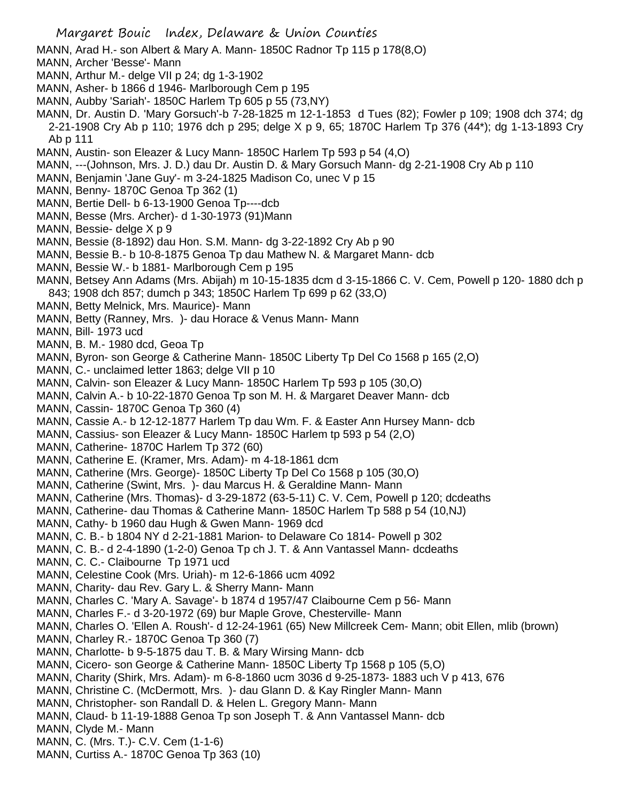Margaret Bouic Index, Delaware & Union Counties MANN, Arad H.- son Albert & Mary A. Mann- 1850C Radnor Tp 115 p 178(8,O) MANN, Archer 'Besse'- Mann MANN, Arthur M.- delge VII p 24; dg 1-3-1902 MANN, Asher- b 1866 d 1946- Marlborough Cem p 195 MANN, Aubby 'Sariah'- 1850C Harlem Tp 605 p 55 (73,NY) MANN, Dr. Austin D. 'Mary Gorsuch'-b 7-28-1825 m 12-1-1853 d Tues (82); Fowler p 109; 1908 dch 374; dg 2-21-1908 Cry Ab p 110; 1976 dch p 295; delge X p 9, 65; 1870C Harlem Tp 376 (44\*); dg 1-13-1893 Cry Ab p 111 MANN, Austin- son Eleazer & Lucy Mann- 1850C Harlem Tp 593 p 54 (4,O) MANN, ---(Johnson, Mrs. J. D.) dau Dr. Austin D. & Mary Gorsuch Mann- dg 2-21-1908 Cry Ab p 110 MANN, Benjamin 'Jane Guy'- m 3-24-1825 Madison Co, unec V p 15 MANN, Benny- 1870C Genoa Tp 362 (1) MANN, Bertie Dell- b 6-13-1900 Genoa Tp----dcb MANN, Besse (Mrs. Archer)- d 1-30-1973 (91)Mann MANN, Bessie- delge X p 9 MANN, Bessie (8-1892) dau Hon. S.M. Mann- dg 3-22-1892 Cry Ab p 90 MANN, Bessie B.- b 10-8-1875 Genoa Tp dau Mathew N. & Margaret Mann- dcb MANN, Bessie W.- b 1881- Marlborough Cem p 195 MANN, Betsey Ann Adams (Mrs. Abijah) m 10-15-1835 dcm d 3-15-1866 C. V. Cem, Powell p 120- 1880 dch p 843; 1908 dch 857; dumch p 343; 1850C Harlem Tp 699 p 62 (33,O) MANN, Betty Melnick, Mrs. Maurice)- Mann MANN, Betty (Ranney, Mrs. )- dau Horace & Venus Mann- Mann MANN, Bill- 1973 ucd MANN, B. M.- 1980 dcd, Geoa Tp MANN, Byron- son George & Catherine Mann- 1850C Liberty Tp Del Co 1568 p 165 (2,O) MANN, C.- unclaimed letter 1863; delge VII p 10 MANN, Calvin- son Eleazer & Lucy Mann- 1850C Harlem Tp 593 p 105 (30,O) MANN, Calvin A.- b 10-22-1870 Genoa Tp son M. H. & Margaret Deaver Mann- dcb MANN, Cassin- 1870C Genoa Tp 360 (4) MANN, Cassie A.- b 12-12-1877 Harlem Tp dau Wm. F. & Easter Ann Hursey Mann- dcb MANN, Cassius- son Eleazer & Lucy Mann- 1850C Harlem tp 593 p 54 (2,O) MANN, Catherine- 1870C Harlem Tp 372 (60) MANN, Catherine E. (Kramer, Mrs. Adam)- m 4-18-1861 dcm MANN, Catherine (Mrs. George)- 1850C Liberty Tp Del Co 1568 p 105 (30,O) MANN, Catherine (Swint, Mrs. )- dau Marcus H. & Geraldine Mann- Mann MANN, Catherine (Mrs. Thomas)- d 3-29-1872 (63-5-11) C. V. Cem, Powell p 120; dcdeaths MANN, Catherine- dau Thomas & Catherine Mann- 1850C Harlem Tp 588 p 54 (10,NJ) MANN, Cathy- b 1960 dau Hugh & Gwen Mann- 1969 dcd MANN, C. B.- b 1804 NY d 2-21-1881 Marion- to Delaware Co 1814- Powell p 302 MANN, C. B.- d 2-4-1890 (1-2-0) Genoa Tp ch J. T. & Ann Vantassel Mann- dcdeaths MANN, C. C.- Claibourne Tp 1971 ucd MANN, Celestine Cook (Mrs. Uriah)- m 12-6-1866 ucm 4092 MANN, Charity- dau Rev. Gary L. & Sherry Mann- Mann MANN, Charles C. 'Mary A. Savage'- b 1874 d 1957/47 Claibourne Cem p 56- Mann MANN, Charles F.- d 3-20-1972 (69) bur Maple Grove, Chesterville- Mann MANN, Charles O. 'Ellen A. Roush'- d 12-24-1961 (65) New Millcreek Cem- Mann; obit Ellen, mlib (brown) MANN, Charley R.- 1870C Genoa Tp 360 (7) MANN, Charlotte- b 9-5-1875 dau T. B. & Mary Wirsing Mann- dcb MANN, Cicero- son George & Catherine Mann- 1850C Liberty Tp 1568 p 105 (5,O) MANN, Charity (Shirk, Mrs. Adam)- m 6-8-1860 ucm 3036 d 9-25-1873- 1883 uch V p 413, 676 MANN, Christine C. (McDermott, Mrs. )- dau Glann D. & Kay Ringler Mann- Mann MANN, Christopher- son Randall D. & Helen L. Gregory Mann- Mann MANN, Claud- b 11-19-1888 Genoa Tp son Joseph T. & Ann Vantassel Mann- dcb MANN, Clyde M.- Mann MANN, C. (Mrs. T.)- C.V. Cem (1-1-6) MANN, Curtiss A.- 1870C Genoa Tp 363 (10)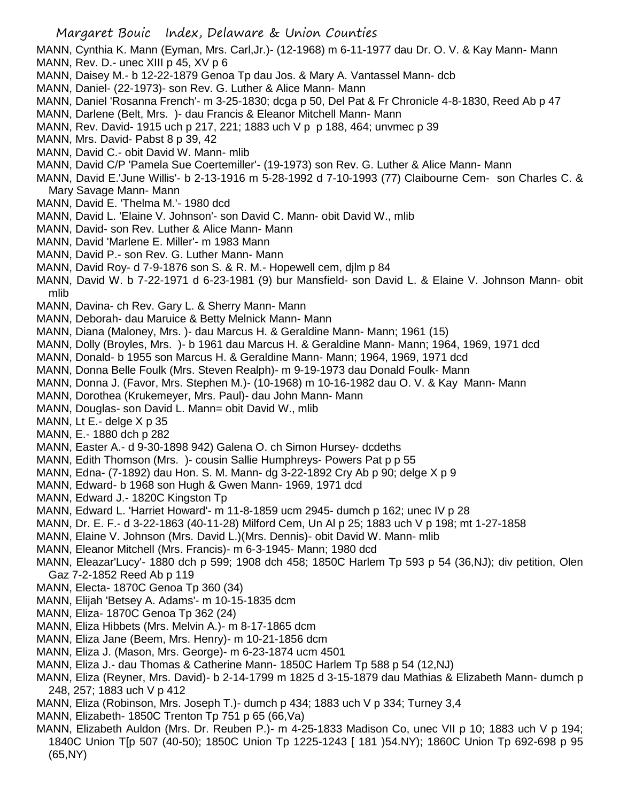MANN, Cynthia K. Mann (Eyman, Mrs. Carl,Jr.)- (12-1968) m 6-11-1977 dau Dr. O. V. & Kay Mann- Mann MANN, Rev. D.- unec XIII p 45, XV p 6

- MANN, Daisey M.- b 12-22-1879 Genoa Tp dau Jos. & Mary A. Vantassel Mann- dcb
- MANN, Daniel- (22-1973)- son Rev. G. Luther & Alice Mann- Mann
- MANN, Daniel 'Rosanna French'- m 3-25-1830; dcga p 50, Del Pat & Fr Chronicle 4-8-1830, Reed Ab p 47
- MANN, Darlene (Belt, Mrs. )- dau Francis & Eleanor Mitchell Mann- Mann
- MANN, Rev. David- 1915 uch p 217, 221; 1883 uch V p p 188, 464; unvmec p 39
- MANN, Mrs. David- Pabst 8 p 39, 42
- MANN, David C.- obit David W. Mann- mlib
- MANN, David C/P 'Pamela Sue Coertemiller'- (19-1973) son Rev. G. Luther & Alice Mann- Mann
- MANN, David E.'June Willis'- b 2-13-1916 m 5-28-1992 d 7-10-1993 (77) Claibourne Cem- son Charles C. & Mary Savage Mann- Mann
- MANN, David E. 'Thelma M.'- 1980 dcd
- MANN, David L. 'Elaine V. Johnson'- son David C. Mann- obit David W., mlib
- MANN, David- son Rev. Luther & Alice Mann- Mann
- MANN, David 'Marlene E. Miller'- m 1983 Mann
- MANN, David P.- son Rev. G. Luther Mann- Mann
- MANN, David Roy- d 7-9-1876 son S. & R. M.- Hopewell cem, djlm p 84
- MANN, David W. b 7-22-1971 d 6-23-1981 (9) bur Mansfield- son David L. & Elaine V. Johnson Mann- obit mlib
- MANN, Davina- ch Rev. Gary L. & Sherry Mann- Mann
- MANN, Deborah- dau Maruice & Betty Melnick Mann- Mann
- MANN, Diana (Maloney, Mrs. )- dau Marcus H. & Geraldine Mann- Mann; 1961 (15)
- MANN, Dolly (Broyles, Mrs. )- b 1961 dau Marcus H. & Geraldine Mann- Mann; 1964, 1969, 1971 dcd
- MANN, Donald- b 1955 son Marcus H. & Geraldine Mann- Mann; 1964, 1969, 1971 dcd
- MANN, Donna Belle Foulk (Mrs. Steven Realph)- m 9-19-1973 dau Donald Foulk- Mann
- MANN, Donna J. (Favor, Mrs. Stephen M.)- (10-1968) m 10-16-1982 dau O. V. & Kay Mann- Mann
- MANN, Dorothea (Krukemeyer, Mrs. Paul)- dau John Mann- Mann
- MANN, Douglas- son David L. Mann= obit David W., mlib
- MANN, Lt E.- delge X p 35
- MANN, E.- 1880 dch p 282
- MANN, Easter A.- d 9-30-1898 942) Galena O. ch Simon Hursey- dcdeths
- MANN, Edith Thomson (Mrs. )- cousin Sallie Humphreys- Powers Pat p p 55
- MANN, Edna- (7-1892) dau Hon. S. M. Mann- dg 3-22-1892 Cry Ab p 90; delge X p 9
- MANN, Edward- b 1968 son Hugh & Gwen Mann- 1969, 1971 dcd
- MANN, Edward J.- 1820C Kingston Tp
- MANN, Edward L. 'Harriet Howard'- m 11-8-1859 ucm 2945- dumch p 162; unec IV p 28
- MANN, Dr. E. F.- d 3-22-1863 (40-11-28) Milford Cem, Un Al p 25; 1883 uch V p 198; mt 1-27-1858
- MANN, Elaine V. Johnson (Mrs. David L.)(Mrs. Dennis)- obit David W. Mann- mlib
- MANN, Eleanor Mitchell (Mrs. Francis)- m 6-3-1945- Mann; 1980 dcd
- MANN, Eleazar'Lucy'- 1880 dch p 599; 1908 dch 458; 1850C Harlem Tp 593 p 54 (36,NJ); div petition, Olen Gaz 7-2-1852 Reed Ab p 119
- MANN, Electa- 1870C Genoa Tp 360 (34)
- MANN, Elijah 'Betsey A. Adams'- m 10-15-1835 dcm
- MANN, Eliza- 1870C Genoa Tp 362 (24)
- MANN, Eliza Hibbets (Mrs. Melvin A.)- m 8-17-1865 dcm
- MANN, Eliza Jane (Beem, Mrs. Henry)- m 10-21-1856 dcm
- MANN, Eliza J. (Mason, Mrs. George)- m 6-23-1874 ucm 4501
- MANN, Eliza J.- dau Thomas & Catherine Mann- 1850C Harlem Tp 588 p 54 (12,NJ)
- MANN, Eliza (Reyner, Mrs. David)- b 2-14-1799 m 1825 d 3-15-1879 dau Mathias & Elizabeth Mann- dumch p 248, 257; 1883 uch V p 412
- MANN, Eliza (Robinson, Mrs. Joseph T.)- dumch p 434; 1883 uch V p 334; Turney 3,4
- MANN, Elizabeth- 1850C Trenton Tp 751 p 65 (66,Va)
- MANN, Elizabeth Auldon (Mrs. Dr. Reuben P.)- m 4-25-1833 Madison Co, unec VII p 10; 1883 uch V p 194; 1840C Union T[p 507 (40-50); 1850C Union Tp 1225-1243 [ 181 )54.NY); 1860C Union Tp 692-698 p 95 (65,NY)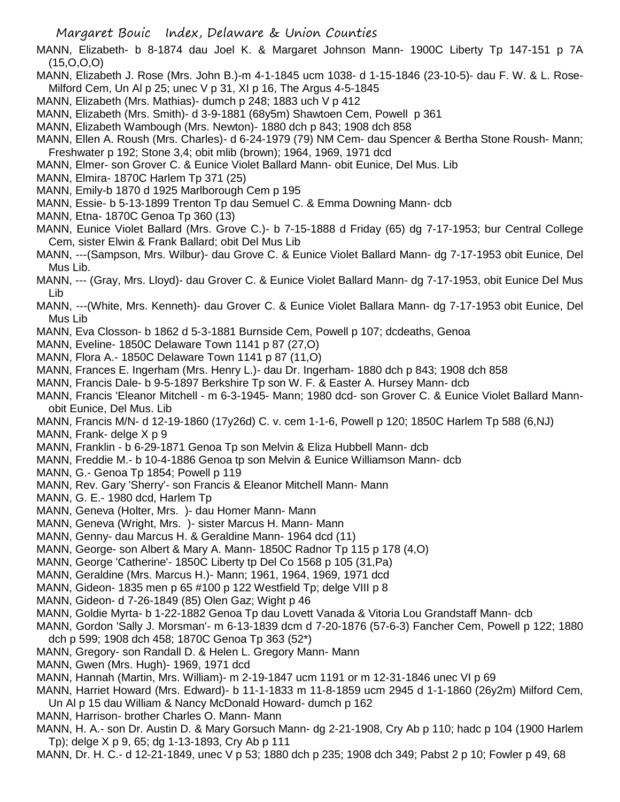MANN, Elizabeth- b 8-1874 dau Joel K. & Margaret Johnson Mann- 1900C Liberty Tp 147-151 p 7A (15,O,O,O)

MANN, Elizabeth J. Rose (Mrs. John B.)-m 4-1-1845 ucm 1038- d 1-15-1846 (23-10-5)- dau F. W. & L. Rose-Milford Cem, Un Al p 25; unec V p 31, XI p 16, The Argus 4-5-1845

- MANN, Elizabeth (Mrs. Mathias)- dumch p 248; 1883 uch V p 412
- MANN, Elizabeth (Mrs. Smith)- d 3-9-1881 (68y5m) Shawtoen Cem, Powell p 361
- MANN, Elizabeth Wambough (Mrs. Newton)- 1880 dch p 843; 1908 dch 858
- MANN, Ellen A. Roush (Mrs. Charles)- d 6-24-1979 (79) NM Cem- dau Spencer & Bertha Stone Roush- Mann; Freshwater p 192; Stone 3,4; obit mlib (brown); 1964, 1969, 1971 dcd
- MANN, Elmer- son Grover C. & Eunice Violet Ballard Mann- obit Eunice, Del Mus. Lib
- MANN, Elmira- 1870C Harlem Tp 371 (25)
- MANN, Emily-b 1870 d 1925 Marlborough Cem p 195
- MANN, Essie- b 5-13-1899 Trenton Tp dau Semuel C. & Emma Downing Mann- dcb
- MANN, Etna- 1870C Genoa Tp 360 (13)
- MANN, Eunice Violet Ballard (Mrs. Grove C.)- b 7-15-1888 d Friday (65) dg 7-17-1953; bur Central College Cem, sister Elwin & Frank Ballard; obit Del Mus Lib
- MANN, ---(Sampson, Mrs. Wilbur)- dau Grove C. & Eunice Violet Ballard Mann- dg 7-17-1953 obit Eunice, Del Mus Lib.
- MANN, --- (Gray, Mrs. Lloyd)- dau Grover C. & Eunice Violet Ballard Mann- dg 7-17-1953, obit Eunice Del Mus Lib
- MANN, ---(White, Mrs. Kenneth)- dau Grover C. & Eunice Violet Ballara Mann- dg 7-17-1953 obit Eunice, Del Mus Lib
- MANN, Eva Closson- b 1862 d 5-3-1881 Burnside Cem, Powell p 107; dcdeaths, Genoa
- MANN, Eveline- 1850C Delaware Town 1141 p 87 (27,O)
- MANN, Flora A.- 1850C Delaware Town 1141 p 87 (11,O)
- MANN, Frances E. Ingerham (Mrs. Henry L.)- dau Dr. Ingerham- 1880 dch p 843; 1908 dch 858
- MANN, Francis Dale- b 9-5-1897 Berkshire Tp son W. F. & Easter A. Hursey Mann- dcb
- MANN, Francis 'Eleanor Mitchell m 6-3-1945- Mann; 1980 dcd- son Grover C. & Eunice Violet Ballard Mannobit Eunice, Del Mus. Lib
- MANN, Francis M/N- d 12-19-1860 (17y26d) C. v. cem 1-1-6, Powell p 120; 1850C Harlem Tp 588 (6,NJ)
- MANN, Frank- delge X p 9
- MANN, Franklin b 6-29-1871 Genoa Tp son Melvin & Eliza Hubbell Mann- dcb
- MANN, Freddie M.- b 10-4-1886 Genoa tp son Melvin & Eunice Williamson Mann- dcb
- MANN, G.- Genoa Tp 1854; Powell p 119
- MANN, Rev. Gary 'Sherry'- son Francis & Eleanor Mitchell Mann- Mann
- MANN, G. E.- 1980 dcd, Harlem Tp
- MANN, Geneva (Holter, Mrs. )- dau Homer Mann- Mann
- MANN, Geneva (Wright, Mrs. )- sister Marcus H. Mann- Mann
- MANN, Genny- dau Marcus H. & Geraldine Mann- 1964 dcd (11)
- MANN, George- son Albert & Mary A. Mann- 1850C Radnor Tp 115 p 178 (4,O)
- MANN, George 'Catherine'- 1850C Liberty tp Del Co 1568 p 105 (31,Pa)
- MANN, Geraldine (Mrs. Marcus H.)- Mann; 1961, 1964, 1969, 1971 dcd
- MANN, Gideon- 1835 men p 65 #100 p 122 Westfield Tp; delge VIII p 8
- MANN, Gideon- d 7-26-1849 (85) Olen Gaz; Wight p 46
- MANN, Goldie Myrta- b 1-22-1882 Genoa Tp dau Lovett Vanada & Vitoria Lou Grandstaff Mann- dcb
- MANN, Gordon 'Sally J. Morsman'- m 6-13-1839 dcm d 7-20-1876 (57-6-3) Fancher Cem, Powell p 122; 1880 dch p 599; 1908 dch 458; 1870C Genoa Tp 363 (52\*)
- MANN, Gregory- son Randall D. & Helen L. Gregory Mann- Mann
- MANN, Gwen (Mrs. Hugh)- 1969, 1971 dcd
- MANN, Hannah (Martin, Mrs. William)- m 2-19-1847 ucm 1191 or m 12-31-1846 unec VI p 69
- MANN, Harriet Howard (Mrs. Edward)- b 11-1-1833 m 11-8-1859 ucm 2945 d 1-1-1860 (26y2m) Milford Cem, Un Al p 15 dau William & Nancy McDonald Howard- dumch p 162
- MANN, Harrison- brother Charles O. Mann- Mann
- MANN, H. A.- son Dr. Austin D. & Mary Gorsuch Mann- dg 2-21-1908, Cry Ab p 110; hadc p 104 (1900 Harlem Tp); delge X p 9, 65; dg 1-13-1893, Cry Ab p 111
- MANN, Dr. H. C.- d 12-21-1849, unec V p 53; 1880 dch p 235; 1908 dch 349; Pabst 2 p 10; Fowler p 49, 68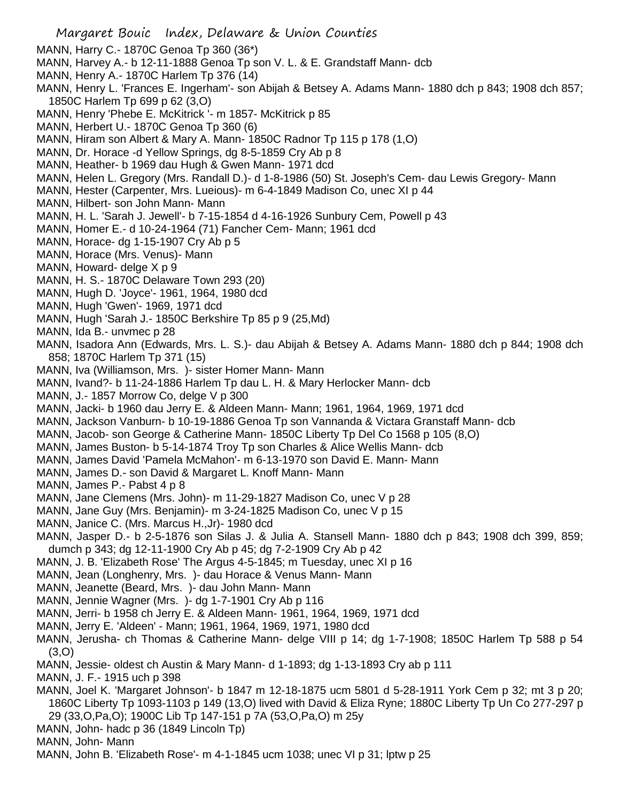- Margaret Bouic Index, Delaware & Union Counties MANN, Harry C.- 1870C Genoa Tp 360 (36\*) MANN, Harvey A.- b 12-11-1888 Genoa Tp son V. L. & E. Grandstaff Mann- dcb MANN, Henry A.- 1870C Harlem Tp 376 (14) MANN, Henry L. 'Frances E. Ingerham'- son Abijah & Betsey A. Adams Mann- 1880 dch p 843; 1908 dch 857; 1850C Harlem Tp 699 p 62 (3,O) MANN, Henry 'Phebe E. McKitrick '- m 1857- McKitrick p 85 MANN, Herbert U.- 1870C Genoa Tp 360 (6) MANN, Hiram son Albert & Mary A. Mann- 1850C Radnor Tp 115 p 178 (1,O) MANN, Dr. Horace -d Yellow Springs, dg 8-5-1859 Cry Ab p 8 MANN, Heather- b 1969 dau Hugh & Gwen Mann- 1971 dcd MANN, Helen L. Gregory (Mrs. Randall D.)- d 1-8-1986 (50) St. Joseph's Cem- dau Lewis Gregory- Mann MANN, Hester (Carpenter, Mrs. Lueious)- m 6-4-1849 Madison Co, unec XI p 44 MANN, Hilbert- son John Mann- Mann MANN, H. L. 'Sarah J. Jewell'- b 7-15-1854 d 4-16-1926 Sunbury Cem, Powell p 43 MANN, Homer E.- d 10-24-1964 (71) Fancher Cem- Mann; 1961 dcd MANN, Horace- dg 1-15-1907 Cry Ab p 5 MANN, Horace (Mrs. Venus)- Mann MANN, Howard- delge X p 9 MANN, H. S.- 1870C Delaware Town 293 (20) MANN, Hugh D. 'Joyce'- 1961, 1964, 1980 dcd MANN, Hugh 'Gwen'- 1969, 1971 dcd MANN, Hugh 'Sarah J.- 1850C Berkshire Tp 85 p 9 (25,Md) MANN, Ida B.- unvmec p 28 MANN, Isadora Ann (Edwards, Mrs. L. S.)- dau Abijah & Betsey A. Adams Mann- 1880 dch p 844; 1908 dch 858; 1870C Harlem Tp 371 (15) MANN, Iva (Williamson, Mrs. )- sister Homer Mann- Mann MANN, Ivand?- b 11-24-1886 Harlem Tp dau L. H. & Mary Herlocker Mann- dcb MANN, J.- 1857 Morrow Co, delge V p 300 MANN, Jacki- b 1960 dau Jerry E. & Aldeen Mann- Mann; 1961, 1964, 1969, 1971 dcd MANN, Jackson Vanburn- b 10-19-1886 Genoa Tp son Vannanda & Victara Granstaff Mann- dcb MANN, Jacob- son George & Catherine Mann- 1850C Liberty Tp Del Co 1568 p 105 (8,O) MANN, James Buston- b 5-14-1874 Troy Tp son Charles & Alice Wellis Mann- dcb MANN, James David 'Pamela McMahon'- m 6-13-1970 son David E. Mann- Mann MANN, James D.- son David & Margaret L. Knoff Mann- Mann MANN, James P.- Pabst 4 p 8 MANN, Jane Clemens (Mrs. John)- m 11-29-1827 Madison Co, unec V p 28 MANN, Jane Guy (Mrs. Benjamin)- m 3-24-1825 Madison Co, unec V p 15 MANN, Janice C. (Mrs. Marcus H.,Jr)- 1980 dcd MANN, Jasper D.- b 2-5-1876 son Silas J. & Julia A. Stansell Mann- 1880 dch p 843; 1908 dch 399, 859; dumch p 343; dg 12-11-1900 Cry Ab p 45; dg 7-2-1909 Cry Ab p 42 MANN, J. B. 'Elizabeth Rose' The Argus 4-5-1845; m Tuesday, unec XI p 16 MANN, Jean (Longhenry, Mrs. )- dau Horace & Venus Mann- Mann MANN, Jeanette (Beard, Mrs. )- dau John Mann- Mann MANN, Jennie Wagner (Mrs. )- dg 1-7-1901 Cry Ab p 116 MANN, Jerri- b 1958 ch Jerry E. & Aldeen Mann- 1961, 1964, 1969, 1971 dcd MANN, Jerry E. 'Aldeen' - Mann; 1961, 1964, 1969, 1971, 1980 dcd MANN, Jerusha- ch Thomas & Catherine Mann- delge VIII p 14; dg 1-7-1908; 1850C Harlem Tp 588 p 54 (3,O) MANN, Jessie- oldest ch Austin & Mary Mann- d 1-1893; dg 1-13-1893 Cry ab p 111 MANN, J. F.- 1915 uch p 398 MANN, Joel K. 'Margaret Johnson'- b 1847 m 12-18-1875 ucm 5801 d 5-28-1911 York Cem p 32; mt 3 p 20; 1860C Liberty Tp 1093-1103 p 149 (13,O) lived with David & Eliza Ryne; 1880C Liberty Tp Un Co 277-297 p 29 (33,O,Pa,O); 1900C Lib Tp 147-151 p 7A (53,O,Pa,O) m 25y MANN, John- hadc p 36 (1849 Lincoln Tp)
- MANN, John- Mann
- MANN, John B. 'Elizabeth Rose'- m 4-1-1845 ucm 1038; unec VI p 31; lptw p 25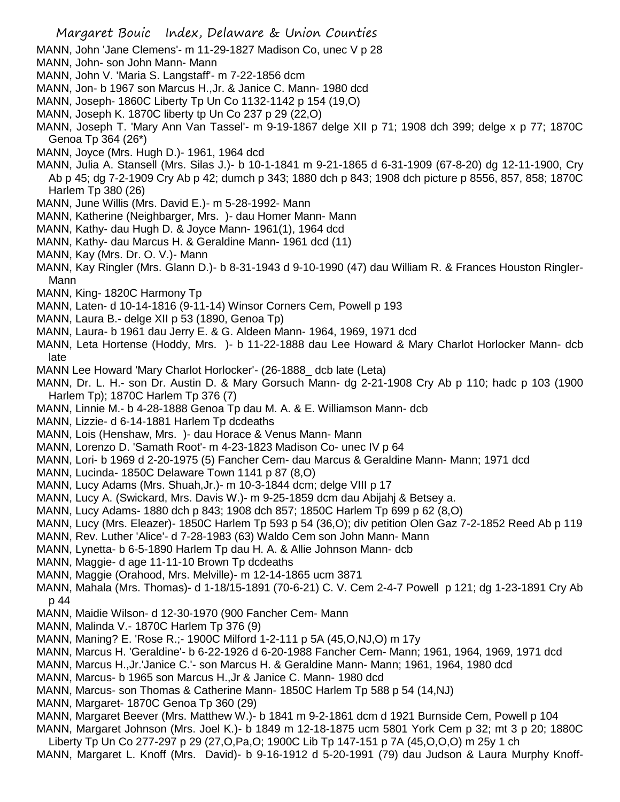- MANN, John 'Jane Clemens'- m 11-29-1827 Madison Co, unec V p 28
- MANN, John- son John Mann- Mann
- MANN, John V. 'Maria S. Langstaff'- m 7-22-1856 dcm
- MANN, Jon- b 1967 son Marcus H.,Jr. & Janice C. Mann- 1980 dcd
- MANN, Joseph- 1860C Liberty Tp Un Co 1132-1142 p 154 (19,O)
- MANN, Joseph K. 1870C liberty tp Un Co 237 p 29 (22,O)
- MANN, Joseph T. 'Mary Ann Van Tassel'- m 9-19-1867 delge XII p 71; 1908 dch 399; delge x p 77; 1870C Genoa Tp 364 (26\*)
- MANN, Joyce (Mrs. Hugh D.)- 1961, 1964 dcd
- MANN, Julia A. Stansell (Mrs. Silas J.)- b 10-1-1841 m 9-21-1865 d 6-31-1909 (67-8-20) dg 12-11-1900, Cry Ab p 45; dg 7-2-1909 Cry Ab p 42; dumch p 343; 1880 dch p 843; 1908 dch picture p 8556, 857, 858; 1870C Harlem Tp 380 (26)
- MANN, June Willis (Mrs. David E.)- m 5-28-1992- Mann
- MANN, Katherine (Neighbarger, Mrs. )- dau Homer Mann- Mann
- MANN, Kathy- dau Hugh D. & Joyce Mann- 1961(1), 1964 dcd
- MANN, Kathy- dau Marcus H. & Geraldine Mann- 1961 dcd (11)
- MANN, Kay (Mrs. Dr. O. V.)- Mann
- MANN, Kay Ringler (Mrs. Glann D.)- b 8-31-1943 d 9-10-1990 (47) dau William R. & Frances Houston Ringler-Mann
- MANN, King- 1820C Harmony Tp
- MANN, Laten- d 10-14-1816 (9-11-14) Winsor Corners Cem, Powell p 193
- MANN, Laura B.- delge XII p 53 (1890, Genoa Tp)
- MANN, Laura- b 1961 dau Jerry E. & G. Aldeen Mann- 1964, 1969, 1971 dcd
- MANN, Leta Hortense (Hoddy, Mrs. )- b 11-22-1888 dau Lee Howard & Mary Charlot Horlocker Mann- dcb late
- MANN Lee Howard 'Mary Charlot Horlocker'- (26-1888\_ dcb late (Leta)
- MANN, Dr. L. H.- son Dr. Austin D. & Mary Gorsuch Mann- dg 2-21-1908 Cry Ab p 110; hadc p 103 (1900 Harlem Tp); 1870C Harlem Tp 376 (7)
- MANN, Linnie M.- b 4-28-1888 Genoa Tp dau M. A. & E. Williamson Mann- dcb
- MANN, Lizzie- d 6-14-1881 Harlem Tp dcdeaths
- MANN, Lois (Henshaw, Mrs. )- dau Horace & Venus Mann- Mann
- MANN, Lorenzo D. 'Samath Root'- m 4-23-1823 Madison Co- unec IV p 64
- MANN, Lori- b 1969 d 2-20-1975 (5) Fancher Cem- dau Marcus & Geraldine Mann- Mann; 1971 dcd
- MANN, Lucinda- 1850C Delaware Town 1141 p 87 (8,O)
- MANN, Lucy Adams (Mrs. Shuah,Jr.)- m 10-3-1844 dcm; delge VIII p 17
- MANN, Lucy A. (Swickard, Mrs. Davis W.)- m 9-25-1859 dcm dau Abijahj & Betsey a.
- MANN, Lucy Adams- 1880 dch p 843; 1908 dch 857; 1850C Harlem Tp 699 p 62 (8,O)
- MANN, Lucy (Mrs. Eleazer)- 1850C Harlem Tp 593 p 54 (36,O); div petition Olen Gaz 7-2-1852 Reed Ab p 119
- MANN, Rev. Luther 'Alice'- d 7-28-1983 (63) Waldo Cem son John Mann- Mann
- MANN, Lynetta- b 6-5-1890 Harlem Tp dau H. A. & Allie Johnson Mann- dcb
- MANN, Maggie- d age 11-11-10 Brown Tp dcdeaths
- MANN, Maggie (Orahood, Mrs. Melville)- m 12-14-1865 ucm 3871
- MANN, Mahala (Mrs. Thomas)- d 1-18/15-1891 (70-6-21) C. V. Cem 2-4-7 Powell p 121; dg 1-23-1891 Cry Ab p 44
- MANN, Maidie Wilson- d 12-30-1970 (900 Fancher Cem- Mann
- MANN, Malinda V.- 1870C Harlem Tp 376 (9)
- MANN, Maning? E. 'Rose R.;- 1900C Milford 1-2-111 p 5A (45,O,NJ,O) m 17y
- MANN, Marcus H. 'Geraldine'- b 6-22-1926 d 6-20-1988 Fancher Cem- Mann; 1961, 1964, 1969, 1971 dcd
- MANN, Marcus H.,Jr.'Janice C.'- son Marcus H. & Geraldine Mann- Mann; 1961, 1964, 1980 dcd
- MANN, Marcus- b 1965 son Marcus H.,Jr & Janice C. Mann- 1980 dcd
- MANN, Marcus- son Thomas & Catherine Mann- 1850C Harlem Tp 588 p 54 (14,NJ)
- MANN, Margaret- 1870C Genoa Tp 360 (29)
- MANN, Margaret Beever (Mrs. Matthew W.)- b 1841 m 9-2-1861 dcm d 1921 Burnside Cem, Powell p 104
- MANN, Margaret Johnson (Mrs. Joel K.)- b 1849 m 12-18-1875 ucm 5801 York Cem p 32; mt 3 p 20; 1880C Liberty Tp Un Co 277-297 p 29 (27,O,Pa,O; 1900C Lib Tp 147-151 p 7A (45,O,O,O) m 25y 1 ch
- MANN, Margaret L. Knoff (Mrs. David)- b 9-16-1912 d 5-20-1991 (79) dau Judson & Laura Murphy Knoff-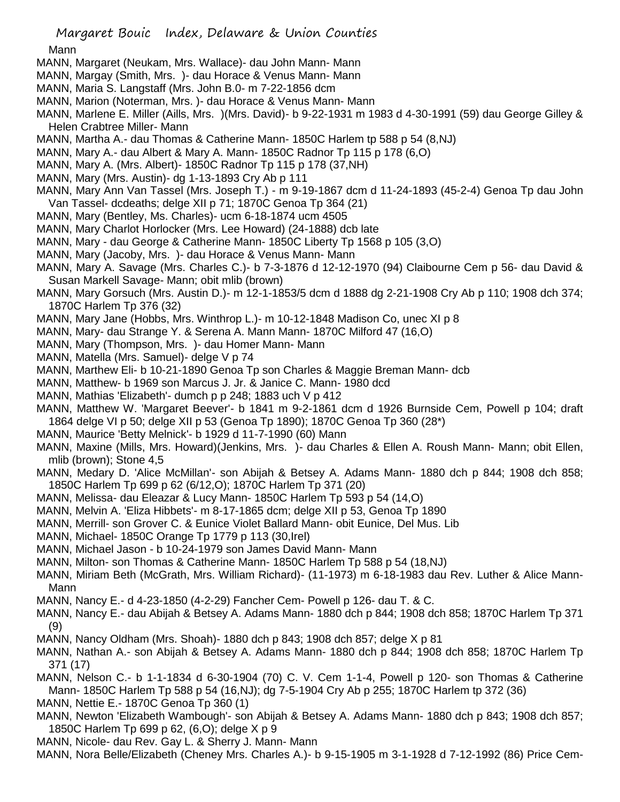## Mann

- MANN, Margaret (Neukam, Mrs. Wallace)- dau John Mann- Mann
- MANN, Margay (Smith, Mrs. )- dau Horace & Venus Mann- Mann
- MANN, Maria S. Langstaff (Mrs. John B.0- m 7-22-1856 dcm
- MANN, Marion (Noterman, Mrs. )- dau Horace & Venus Mann- Mann
- MANN, Marlene E. Miller (Aills, Mrs. )(Mrs. David)- b 9-22-1931 m 1983 d 4-30-1991 (59) dau George Gilley & Helen Crabtree Miller- Mann
- MANN, Martha A.- dau Thomas & Catherine Mann- 1850C Harlem tp 588 p 54 (8,NJ)
- MANN, Mary A.- dau Albert & Mary A. Mann- 1850C Radnor Tp 115 p 178 (6,O)
- MANN, Mary A. (Mrs. Albert)- 1850C Radnor Tp 115 p 178 (37,NH)
- MANN, Mary (Mrs. Austin)- dg 1-13-1893 Cry Ab p 111
- MANN, Mary Ann Van Tassel (Mrs. Joseph T.) m 9-19-1867 dcm d 11-24-1893 (45-2-4) Genoa Tp dau John Van Tassel- dcdeaths; delge XII p 71; 1870C Genoa Tp 364 (21)
- MANN, Mary (Bentley, Ms. Charles)- ucm 6-18-1874 ucm 4505
- MANN, Mary Charlot Horlocker (Mrs. Lee Howard) (24-1888) dcb late
- MANN, Mary dau George & Catherine Mann- 1850C Liberty Tp 1568 p 105 (3,O)
- MANN, Mary (Jacoby, Mrs. )- dau Horace & Venus Mann- Mann
- MANN, Mary A. Savage (Mrs. Charles C.)- b 7-3-1876 d 12-12-1970 (94) Claibourne Cem p 56- dau David & Susan Markell Savage- Mann; obit mlib (brown)
- MANN, Mary Gorsuch (Mrs. Austin D.)- m 12-1-1853/5 dcm d 1888 dg 2-21-1908 Cry Ab p 110; 1908 dch 374; 1870C Harlem Tp 376 (32)
- MANN, Mary Jane (Hobbs, Mrs. Winthrop L.)- m 10-12-1848 Madison Co, unec XI p 8
- MANN, Mary- dau Strange Y. & Serena A. Mann Mann- 1870C Milford 47 (16,O)
- MANN, Mary (Thompson, Mrs. )- dau Homer Mann- Mann
- MANN, Matella (Mrs. Samuel)- delge V p 74
- MANN, Marthew Eli- b 10-21-1890 Genoa Tp son Charles & Maggie Breman Mann- dcb
- MANN, Matthew- b 1969 son Marcus J. Jr. & Janice C. Mann- 1980 dcd
- MANN, Mathias 'Elizabeth'- dumch p p 248; 1883 uch V p 412
- MANN, Matthew W. 'Margaret Beever'- b 1841 m 9-2-1861 dcm d 1926 Burnside Cem, Powell p 104; draft 1864 delge VI p 50; delge XII p 53 (Genoa Tp 1890); 1870C Genoa Tp 360 (28\*)
- MANN, Maurice 'Betty Melnick'- b 1929 d 11-7-1990 (60) Mann
- MANN, Maxine (Mills, Mrs. Howard)(Jenkins, Mrs. )- dau Charles & Ellen A. Roush Mann- Mann; obit Ellen, mlib (brown); Stone 4,5
- MANN, Medary D. 'Alice McMillan'- son Abijah & Betsey A. Adams Mann- 1880 dch p 844; 1908 dch 858; 1850C Harlem Tp 699 p 62 (6/12,O); 1870C Harlem Tp 371 (20)
- MANN, Melissa- dau Eleazar & Lucy Mann- 1850C Harlem Tp 593 p 54 (14,O)
- MANN, Melvin A. 'Eliza Hibbets'- m 8-17-1865 dcm; delge XII p 53, Genoa Tp 1890
- MANN, Merrill- son Grover C. & Eunice Violet Ballard Mann- obit Eunice, Del Mus. Lib
- MANN, Michael- 1850C Orange Tp 1779 p 113 (30,Irel)
- MANN, Michael Jason b 10-24-1979 son James David Mann- Mann
- MANN, Milton- son Thomas & Catherine Mann- 1850C Harlem Tp 588 p 54 (18,NJ)
- MANN, Miriam Beth (McGrath, Mrs. William Richard)- (11-1973) m 6-18-1983 dau Rev. Luther & Alice Mann-Mann
- MANN, Nancy E.- d 4-23-1850 (4-2-29) Fancher Cem- Powell p 126- dau T. & C.
- MANN, Nancy E.- dau Abijah & Betsey A. Adams Mann- 1880 dch p 844; 1908 dch 858; 1870C Harlem Tp 371 (9)
- MANN, Nancy Oldham (Mrs. Shoah)- 1880 dch p 843; 1908 dch 857; delge X p 81
- MANN, Nathan A.- son Abijah & Betsey A. Adams Mann- 1880 dch p 844; 1908 dch 858; 1870C Harlem Tp 371 (17)
- MANN, Nelson C.- b 1-1-1834 d 6-30-1904 (70) C. V. Cem 1-1-4, Powell p 120- son Thomas & Catherine Mann- 1850C Harlem Tp 588 p 54 (16,NJ); dg 7-5-1904 Cry Ab p 255; 1870C Harlem tp 372 (36)
- MANN, Nettie E.- 1870C Genoa Tp 360 (1)
- MANN, Newton 'Elizabeth Wambough'- son Abijah & Betsey A. Adams Mann- 1880 dch p 843; 1908 dch 857; 1850C Harlem Tp 699 p 62, (6,O); delge X p 9
- MANN, Nicole- dau Rev. Gay L. & Sherry J. Mann- Mann
- MANN, Nora Belle/Elizabeth (Cheney Mrs. Charles A.)- b 9-15-1905 m 3-1-1928 d 7-12-1992 (86) Price Cem-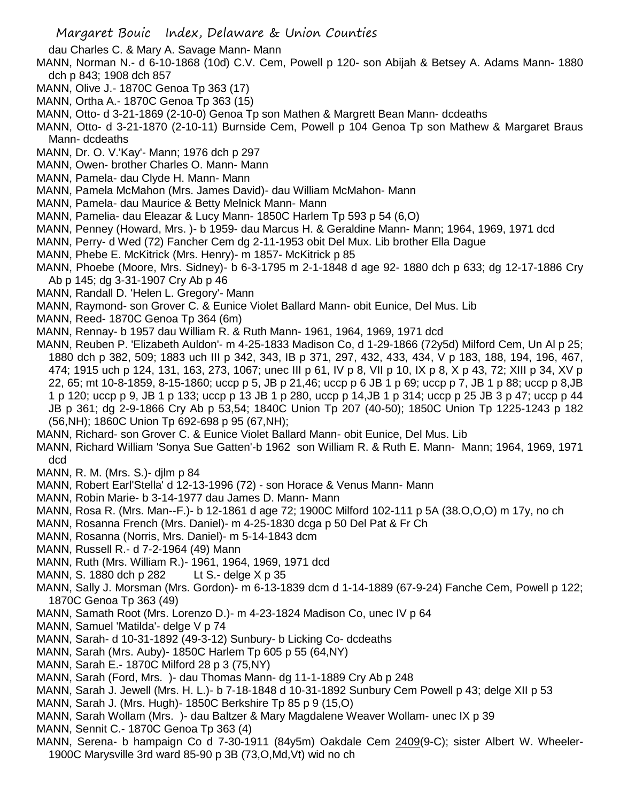dau Charles C. & Mary A. Savage Mann- Mann

- MANN, Norman N.- d 6-10-1868 (10d) C.V. Cem, Powell p 120- son Abijah & Betsey A. Adams Mann- 1880 dch p 843; 1908 dch 857
- MANN, Olive J.- 1870C Genoa Tp 363 (17)
- MANN, Ortha A.- 1870C Genoa Tp 363 (15)
- MANN, Otto- d 3-21-1869 (2-10-0) Genoa Tp son Mathen & Margrett Bean Mann- dcdeaths
- MANN, Otto- d 3-21-1870 (2-10-11) Burnside Cem, Powell p 104 Genoa Tp son Mathew & Margaret Braus Mann- dcdeaths
- MANN, Dr. O. V.'Kay'- Mann; 1976 dch p 297
- MANN, Owen- brother Charles O. Mann- Mann
- MANN, Pamela- dau Clyde H. Mann- Mann
- MANN, Pamela McMahon (Mrs. James David)- dau William McMahon- Mann
- MANN, Pamela- dau Maurice & Betty Melnick Mann- Mann
- MANN, Pamelia- dau Eleazar & Lucy Mann- 1850C Harlem Tp 593 p 54 (6,O)
- MANN, Penney (Howard, Mrs. )- b 1959- dau Marcus H. & Geraldine Mann- Mann; 1964, 1969, 1971 dcd
- MANN, Perry- d Wed (72) Fancher Cem dg 2-11-1953 obit Del Mux. Lib brother Ella Dague
- MANN, Phebe E. McKitrick (Mrs. Henry)- m 1857- McKitrick p 85
- MANN, Phoebe (Moore, Mrs. Sidney)- b 6-3-1795 m 2-1-1848 d age 92- 1880 dch p 633; dg 12-17-1886 Cry Ab p 145; dg 3-31-1907 Cry Ab p 46
- MANN, Randall D. 'Helen L. Gregory'- Mann
- MANN, Raymond- son Grover C. & Eunice Violet Ballard Mann- obit Eunice, Del Mus. Lib
- MANN, Reed- 1870C Genoa Tp 364 (6m)
- MANN, Rennay- b 1957 dau William R. & Ruth Mann- 1961, 1964, 1969, 1971 dcd
- MANN, Reuben P. 'Elizabeth Auldon'- m 4-25-1833 Madison Co, d 1-29-1866 (72y5d) Milford Cem, Un Al p 25; 1880 dch p 382, 509; 1883 uch III p 342, 343, IB p 371, 297, 432, 433, 434, V p 183, 188, 194, 196, 467, 474; 1915 uch p 124, 131, 163, 273, 1067; unec III p 61, IV p 8, VII p 10, IX p 8, X p 43, 72; XIII p 34, XV p 22, 65; mt 10-8-1859, 8-15-1860; uccp p 5, JB p 21,46; uccp p 6 JB 1 p 69; uccp p 7, JB 1 p 88; uccp p 8,JB 1 p 120; uccp p 9, JB 1 p 133; uccp p 13 JB 1 p 280, uccp p 14,JB 1 p 314; uccp p 25 JB 3 p 47; uccp p 44 JB p 361; dg 2-9-1866 Cry Ab p 53,54; 1840C Union Tp 207 (40-50); 1850C Union Tp 1225-1243 p 182 (56,NH); 1860C Union Tp 692-698 p 95 (67,NH);
- MANN, Richard- son Grover C. & Eunice Violet Ballard Mann- obit Eunice, Del Mus. Lib
- MANN, Richard William 'Sonya Sue Gatten'-b 1962 son William R. & Ruth E. Mann- Mann; 1964, 1969, 1971 dcd
- MANN, R. M. (Mrs. S.)- djlm p 84
- MANN, Robert Earl'Stella' d 12-13-1996 (72) son Horace & Venus Mann- Mann
- MANN, Robin Marie- b 3-14-1977 dau James D. Mann- Mann
- MANN, Rosa R. (Mrs. Man--F.)- b 12-1861 d age 72; 1900C Milford 102-111 p 5A (38.O,O,O) m 17y, no ch
- MANN, Rosanna French (Mrs. Daniel)- m 4-25-1830 dcga p 50 Del Pat & Fr Ch
- MANN, Rosanna (Norris, Mrs. Daniel)- m 5-14-1843 dcm
- MANN, Russell R.- d 7-2-1964 (49) Mann
- MANN, Ruth (Mrs. William R.)- 1961, 1964, 1969, 1971 dcd
- MANN, S. 1880 dch p 282 Lt S.- delge X p 35
- MANN, Sally J. Morsman (Mrs. Gordon)- m 6-13-1839 dcm d 1-14-1889 (67-9-24) Fanche Cem, Powell p 122; 1870C Genoa Tp 363 (49)
- MANN, Samath Root (Mrs. Lorenzo D.)- m 4-23-1824 Madison Co, unec IV p 64
- MANN, Samuel 'Matilda'- delge V p 74
- MANN, Sarah- d 10-31-1892 (49-3-12) Sunbury- b Licking Co- dcdeaths
- MANN, Sarah (Mrs. Auby)- 1850C Harlem Tp 605 p 55 (64,NY)
- MANN, Sarah E.- 1870C Milford 28 p 3 (75,NY)
- MANN, Sarah (Ford, Mrs. )- dau Thomas Mann- dg 11-1-1889 Cry Ab p 248
- MANN, Sarah J. Jewell (Mrs. H. L.)- b 7-18-1848 d 10-31-1892 Sunbury Cem Powell p 43; delge XII p 53
- MANN, Sarah J. (Mrs. Hugh)- 1850C Berkshire Tp 85 p 9 (15,O)
- MANN, Sarah Wollam (Mrs. )- dau Baltzer & Mary Magdalene Weaver Wollam- unec IX p 39
- MANN, Sennit C.- 1870C Genoa Tp 363 (4)
- MANN, Serena- b hampaign Co d 7-30-1911 (84y5m) Oakdale Cem 2409(9-C); sister Albert W. Wheeler-1900C Marysville 3rd ward 85-90 p 3B (73,O,Md,Vt) wid no ch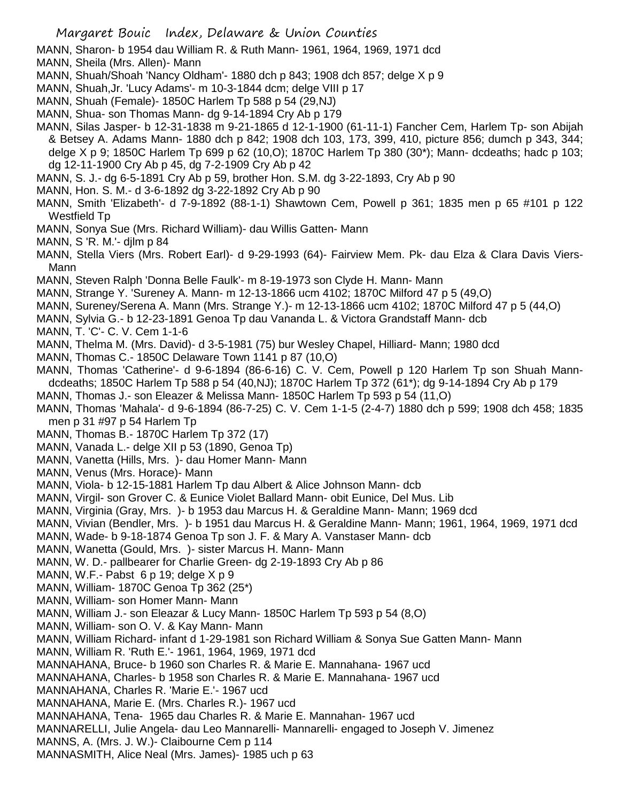MANN, Sharon- b 1954 dau William R. & Ruth Mann- 1961, 1964, 1969, 1971 dcd

MANN, Sheila (Mrs. Allen)- Mann

- MANN, Shuah/Shoah 'Nancy Oldham'- 1880 dch p 843; 1908 dch 857; delge X p 9
- MANN, Shuah,Jr. 'Lucy Adams'- m 10-3-1844 dcm; delge VIII p 17
- MANN, Shuah (Female)- 1850C Harlem Tp 588 p 54 (29,NJ)
- MANN, Shua- son Thomas Mann- dg 9-14-1894 Cry Ab p 179
- MANN, Silas Jasper- b 12-31-1838 m 9-21-1865 d 12-1-1900 (61-11-1) Fancher Cem, Harlem Tp- son Abijah & Betsey A. Adams Mann- 1880 dch p 842; 1908 dch 103, 173, 399, 410, picture 856; dumch p 343, 344; delge X p 9; 1850C Harlem Tp 699 p 62 (10,O); 1870C Harlem Tp 380 (30\*); Mann- dcdeaths; hadc p 103; dg 12-11-1900 Cry Ab p 45, dg 7-2-1909 Cry Ab p 42
- MANN, S. J.- dg 6-5-1891 Cry Ab p 59, brother Hon. S.M. dg 3-22-1893, Cry Ab p 90
- MANN, Hon. S. M.- d 3-6-1892 dg 3-22-1892 Cry Ab p 90
- MANN, Smith 'Elizabeth'- d 7-9-1892 (88-1-1) Shawtown Cem, Powell p 361; 1835 men p 65 #101 p 122 Westfield Tp
- MANN, Sonya Sue (Mrs. Richard William)- dau Willis Gatten- Mann
- MANN, S 'R. M.'- djlm p 84
- MANN, Stella Viers (Mrs. Robert Earl)- d 9-29-1993 (64)- Fairview Mem. Pk- dau Elza & Clara Davis Viers-Mann
- MANN, Steven Ralph 'Donna Belle Faulk'- m 8-19-1973 son Clyde H. Mann- Mann
- MANN, Strange Y. 'Sureney A. Mann- m 12-13-1866 ucm 4102; 1870C Milford 47 p 5 (49,O)
- MANN, Sureney/Serena A. Mann (Mrs. Strange Y.)- m 12-13-1866 ucm 4102; 1870C Milford 47 p 5 (44,O)
- MANN, Sylvia G.- b 12-23-1891 Genoa Tp dau Vananda L. & Victora Grandstaff Mann- dcb
- MANN, T. 'C'- C. V. Cem 1-1-6
- MANN, Thelma M. (Mrs. David)- d 3-5-1981 (75) bur Wesley Chapel, Hilliard- Mann; 1980 dcd
- MANN, Thomas C.- 1850C Delaware Town 1141 p 87 (10,O)
- MANN, Thomas 'Catherine'- d 9-6-1894 (86-6-16) C. V. Cem, Powell p 120 Harlem Tp son Shuah Manndcdeaths; 1850C Harlem Tp 588 p 54 (40,NJ); 1870C Harlem Tp 372 (61\*); dg 9-14-1894 Cry Ab p 179
- MANN, Thomas J.- son Eleazer & Melissa Mann- 1850C Harlem Tp 593 p 54 (11,O)
- MANN, Thomas 'Mahala'- d 9-6-1894 (86-7-25) C. V. Cem 1-1-5 (2-4-7) 1880 dch p 599; 1908 dch 458; 1835 men p 31 #97 p 54 Harlem Tp
- MANN, Thomas B.- 1870C Harlem Tp 372 (17)
- MANN, Vanada L.- delge XII p 53 (1890, Genoa Tp)
- MANN, Vanetta (Hills, Mrs. )- dau Homer Mann- Mann
- MANN, Venus (Mrs. Horace)- Mann
- MANN, Viola- b 12-15-1881 Harlem Tp dau Albert & Alice Johnson Mann- dcb
- MANN, Virgil- son Grover C. & Eunice Violet Ballard Mann- obit Eunice, Del Mus. Lib
- MANN, Virginia (Gray, Mrs. )- b 1953 dau Marcus H. & Geraldine Mann- Mann; 1969 dcd
- MANN, Vivian (Bendler, Mrs. )- b 1951 dau Marcus H. & Geraldine Mann- Mann; 1961, 1964, 1969, 1971 dcd
- MANN, Wade- b 9-18-1874 Genoa Tp son J. F. & Mary A. Vanstaser Mann- dcb
- MANN, Wanetta (Gould, Mrs. )- sister Marcus H. Mann- Mann
- MANN, W. D.- pallbearer for Charlie Green- dg 2-19-1893 Cry Ab p 86
- MANN, W.F.- Pabst 6 p 19; delge X p 9
- MANN, William- 1870C Genoa Tp 362 (25\*)
- MANN, William- son Homer Mann- Mann
- MANN, William J.- son Eleazar & Lucy Mann- 1850C Harlem Tp 593 p 54 (8,O)
- MANN, William- son O. V. & Kay Mann- Mann
- MANN, William Richard- infant d 1-29-1981 son Richard William & Sonya Sue Gatten Mann- Mann
- MANN, William R. 'Ruth E.'- 1961, 1964, 1969, 1971 dcd
- MANNAHANA, Bruce- b 1960 son Charles R. & Marie E. Mannahana- 1967 ucd
- MANNAHANA, Charles- b 1958 son Charles R. & Marie E. Mannahana- 1967 ucd
- MANNAHANA, Charles R. 'Marie E.'- 1967 ucd
- MANNAHANA, Marie E. (Mrs. Charles R.)- 1967 ucd
- MANNAHANA, Tena- 1965 dau Charles R. & Marie E. Mannahan- 1967 ucd
- MANNARELLI, Julie Angela- dau Leo Mannarelli- Mannarelli- engaged to Joseph V. Jimenez
- MANNS, A. (Mrs. J. W.)- Claibourne Cem p 114
- MANNASMITH, Alice Neal (Mrs. James)- 1985 uch p 63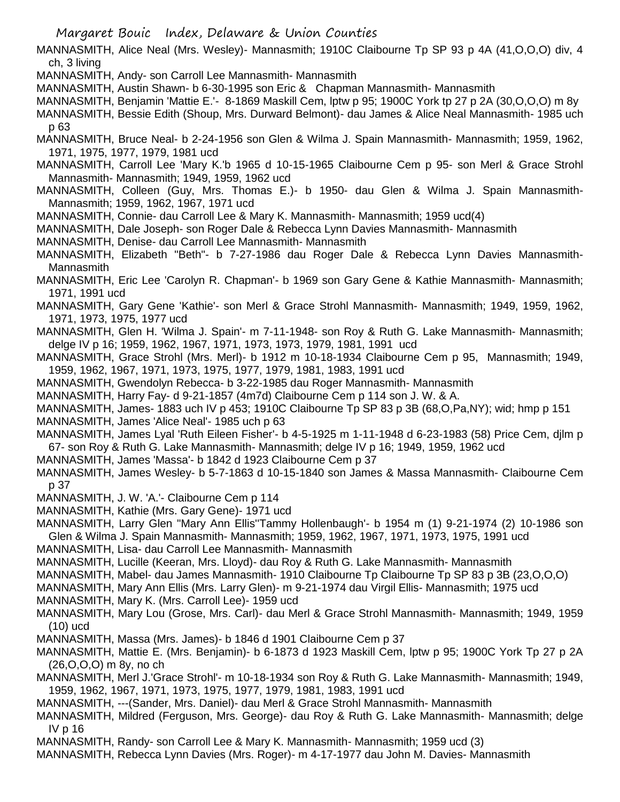MANNASMITH, Alice Neal (Mrs. Wesley)- Mannasmith; 1910C Claibourne Tp SP 93 p 4A (41,O,O,O) div, 4 ch, 3 living

MANNASMITH, Andy- son Carroll Lee Mannasmith- Mannasmith

MANNASMITH, Austin Shawn- b 6-30-1995 son Eric & Chapman Mannasmith- Mannasmith

MANNASMITH, Benjamin 'Mattie E.'- 8-1869 Maskill Cem, lptw p 95; 1900C York tp 27 p 2A (30,O,O,O) m 8y

MANNASMITH, Bessie Edith (Shoup, Mrs. Durward Belmont)- dau James & Alice Neal Mannasmith- 1985 uch p 63

MANNASMITH, Bruce Neal- b 2-24-1956 son Glen & Wilma J. Spain Mannasmith- Mannasmith; 1959, 1962, 1971, 1975, 1977, 1979, 1981 ucd

MANNASMITH, Carroll Lee 'Mary K.'b 1965 d 10-15-1965 Claibourne Cem p 95- son Merl & Grace Strohl Mannasmith- Mannasmith; 1949, 1959, 1962 ucd

MANNASMITH, Colleen (Guy, Mrs. Thomas E.)- b 1950- dau Glen & Wilma J. Spain Mannasmith-Mannasmith; 1959, 1962, 1967, 1971 ucd

MANNASMITH, Connie- dau Carroll Lee & Mary K. Mannasmith- Mannasmith; 1959 ucd(4)

MANNASMITH, Dale Joseph- son Roger Dale & Rebecca Lynn Davies Mannasmith- Mannasmith

MANNASMITH, Denise- dau Carroll Lee Mannasmith- Mannasmith

MANNASMITH, Elizabeth "Beth"- b 7-27-1986 dau Roger Dale & Rebecca Lynn Davies Mannasmith-Mannasmith

MANNASMITH, Eric Lee 'Carolyn R. Chapman'- b 1969 son Gary Gene & Kathie Mannasmith- Mannasmith; 1971, 1991 ucd

MANNASMITH, Gary Gene 'Kathie'- son Merl & Grace Strohl Mannasmith- Mannasmith; 1949, 1959, 1962, 1971, 1973, 1975, 1977 ucd

MANNASMITH, Glen H. 'Wilma J. Spain'- m 7-11-1948- son Roy & Ruth G. Lake Mannasmith- Mannasmith; delge IV p 16; 1959, 1962, 1967, 1971, 1973, 1973, 1979, 1981, 1991 ucd

MANNASMITH, Grace Strohl (Mrs. Merl)- b 1912 m 10-18-1934 Claibourne Cem p 95, Mannasmith; 1949, 1959, 1962, 1967, 1971, 1973, 1975, 1977, 1979, 1981, 1983, 1991 ucd

MANNASMITH, Gwendolyn Rebecca- b 3-22-1985 dau Roger Mannasmith- Mannasmith

MANNASMITH, Harry Fay- d 9-21-1857 (4m7d) Claibourne Cem p 114 son J. W. & A.

MANNASMITH, James- 1883 uch IV p 453; 1910C Claibourne Tp SP 83 p 3B (68,O,Pa,NY); wid; hmp p 151 MANNASMITH, James 'Alice Neal'- 1985 uch p 63

MANNASMITH, James Lyal 'Ruth Eileen Fisher'- b 4-5-1925 m 1-11-1948 d 6-23-1983 (58) Price Cem, djlm p 67- son Roy & Ruth G. Lake Mannasmith- Mannasmith; delge IV p 16; 1949, 1959, 1962 ucd

MANNASMITH, James 'Massa'- b 1842 d 1923 Claibourne Cem p 37

MANNASMITH, James Wesley- b 5-7-1863 d 10-15-1840 son James & Massa Mannasmith- Claibourne Cem p 37

MANNASMITH, J. W. 'A.'- Claibourne Cem p 114

MANNASMITH, Kathie (Mrs. Gary Gene)- 1971 ucd

MANNASMITH, Larry Glen "Mary Ann Ellis''Tammy Hollenbaugh'- b 1954 m (1) 9-21-1974 (2) 10-1986 son Glen & Wilma J. Spain Mannasmith- Mannasmith; 1959, 1962, 1967, 1971, 1973, 1975, 1991 ucd

MANNASMITH, Lisa- dau Carroll Lee Mannasmith- Mannasmith

MANNASMITH, Lucille (Keeran, Mrs. Lloyd)- dau Roy & Ruth G. Lake Mannasmith- Mannasmith

MANNASMITH, Mabel- dau James Mannasmith- 1910 Claibourne Tp Claibourne Tp SP 83 p 3B (23,O,O,O)

MANNASMITH, Mary Ann Ellis (Mrs. Larry Glen)- m 9-21-1974 dau Virgil Ellis- Mannasmith; 1975 ucd

MANNASMITH, Mary K. (Mrs. Carroll Lee)- 1959 ucd

MANNASMITH, Mary Lou (Grose, Mrs. Carl)- dau Merl & Grace Strohl Mannasmith- Mannasmith; 1949, 1959 (10) ucd

MANNASMITH, Massa (Mrs. James)- b 1846 d 1901 Claibourne Cem p 37

MANNASMITH, Mattie E. (Mrs. Benjamin)- b 6-1873 d 1923 Maskill Cem, lptw p 95; 1900C York Tp 27 p 2A (26,O,O,O) m 8y, no ch

MANNASMITH, Merl J.'Grace Strohl'- m 10-18-1934 son Roy & Ruth G. Lake Mannasmith- Mannasmith; 1949, 1959, 1962, 1967, 1971, 1973, 1975, 1977, 1979, 1981, 1983, 1991 ucd

MANNASMITH, ---(Sander, Mrs. Daniel)- dau Merl & Grace Strohl Mannasmith- Mannasmith

MANNASMITH, Mildred (Ferguson, Mrs. George)- dau Roy & Ruth G. Lake Mannasmith- Mannasmith; delge IV p 16

MANNASMITH, Randy- son Carroll Lee & Mary K. Mannasmith- Mannasmith; 1959 ucd (3)

MANNASMITH, Rebecca Lynn Davies (Mrs. Roger)- m 4-17-1977 dau John M. Davies- Mannasmith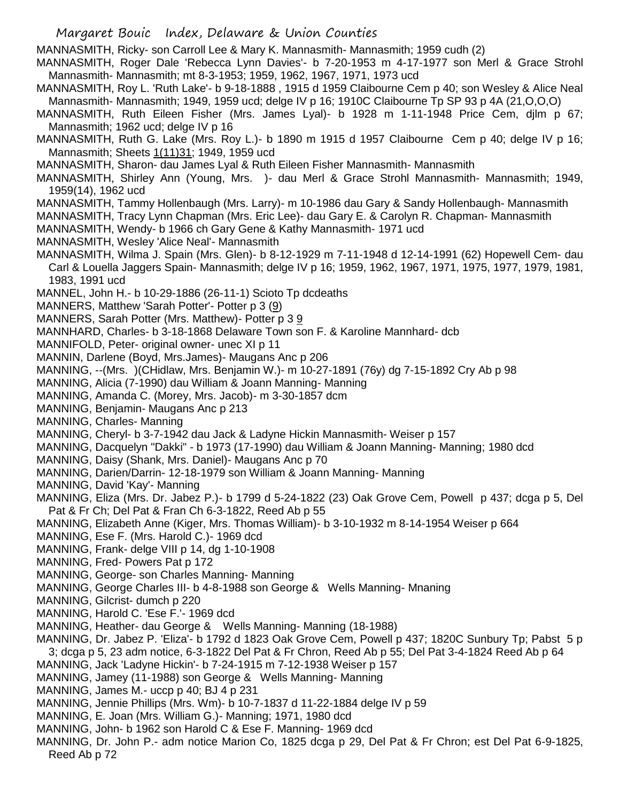MANNASMITH, Ricky- son Carroll Lee & Mary K. Mannasmith- Mannasmith; 1959 cudh (2)

MANNASMITH, Roger Dale 'Rebecca Lynn Davies'- b 7-20-1953 m 4-17-1977 son Merl & Grace Strohl Mannasmith- Mannasmith; mt 8-3-1953; 1959, 1962, 1967, 1971, 1973 ucd

MANNASMITH, Roy L. 'Ruth Lake'- b 9-18-1888 , 1915 d 1959 Claibourne Cem p 40; son Wesley & Alice Neal Mannasmith- Mannasmith; 1949, 1959 ucd; delge IV p 16; 1910C Claibourne Tp SP 93 p 4A (21,O,O,O)

MANNASMITH, Ruth Eileen Fisher (Mrs. James Lyal)- b 1928 m 1-11-1948 Price Cem, djlm p 67; Mannasmith; 1962 ucd; delge IV p 16

MANNASMITH, Ruth G. Lake (Mrs. Roy L.)- b 1890 m 1915 d 1957 Claibourne Cem p 40; delge IV p 16; Mannasmith; Sheets 1(11)31; 1949, 1959 ucd

MANNASMITH, Sharon- dau James Lyal & Ruth Eileen Fisher Mannasmith- Mannasmith

MANNASMITH, Shirley Ann (Young, Mrs. )- dau Merl & Grace Strohl Mannasmith- Mannasmith; 1949, 1959(14), 1962 ucd

- MANNASMITH, Tammy Hollenbaugh (Mrs. Larry)- m 10-1986 dau Gary & Sandy Hollenbaugh- Mannasmith
- MANNASMITH, Tracy Lynn Chapman (Mrs. Eric Lee)- dau Gary E. & Carolyn R. Chapman- Mannasmith
- MANNASMITH, Wendy- b 1966 ch Gary Gene & Kathy Mannasmith- 1971 ucd
- MANNASMITH, Wesley 'Alice Neal'- Mannasmith
- MANNASMITH, Wilma J. Spain (Mrs. Glen)- b 8-12-1929 m 7-11-1948 d 12-14-1991 (62) Hopewell Cem- dau Carl & Louella Jaggers Spain- Mannasmith; delge IV p 16; 1959, 1962, 1967, 1971, 1975, 1977, 1979, 1981, 1983, 1991 ucd
- MANNEL, John H.- b 10-29-1886 (26-11-1) Scioto Tp dcdeaths
- MANNERS, Matthew 'Sarah Potter'- Potter p 3 (9)
- MANNERS, Sarah Potter (Mrs. Matthew)- Potter p 3 9
- MANNHARD, Charles- b 3-18-1868 Delaware Town son F. & Karoline Mannhard- dcb
- MANNIFOLD, Peter- original owner- unec XI p 11
- MANNIN, Darlene (Boyd, Mrs.James)- Maugans Anc p 206
- MANNING, --(Mrs. )(CHidlaw, Mrs. Benjamin W.)- m 10-27-1891 (76y) dg 7-15-1892 Cry Ab p 98
- MANNING, Alicia (7-1990) dau William & Joann Manning- Manning
- MANNING, Amanda C. (Morey, Mrs. Jacob)- m 3-30-1857 dcm
- MANNING, Benjamin- Maugans Anc p 213
- MANNING, Charles- Manning
- MANNING, Cheryl- b 3-7-1942 dau Jack & Ladyne Hickin Mannasmith- Weiser p 157
- MANNING, Dacquelyn "Dakki" b 1973 (17-1990) dau William & Joann Manning- Manning; 1980 dcd
- MANNING, Daisy (Shank, Mrs. Daniel)- Maugans Anc p 70
- MANNING, Darien/Darrin- 12-18-1979 son William & Joann Manning- Manning
- MANNING, David 'Kay'- Manning
- MANNING, Eliza (Mrs. Dr. Jabez P.)- b 1799 d 5-24-1822 (23) Oak Grove Cem, Powell p 437; dcga p 5, Del Pat & Fr Ch; Del Pat & Fran Ch 6-3-1822, Reed Ab p 55
- MANNING, Elizabeth Anne (Kiger, Mrs. Thomas William)- b 3-10-1932 m 8-14-1954 Weiser p 664
- MANNING, Ese F. (Mrs. Harold C.)- 1969 dcd
- MANNING, Frank- delge VIII p 14, dg 1-10-1908
- MANNING, Fred- Powers Pat p 172
- MANNING, George- son Charles Manning- Manning
- MANNING, George Charles III- b 4-8-1988 son George & Wells Manning- Mnaning
- MANNING, Gilcrist- dumch p 220
- MANNING, Harold C. 'Ese F.'- 1969 dcd
- MANNING, Heather- dau George & Wells Manning- Manning (18-1988)
- MANNING, Dr. Jabez P. 'Eliza'- b 1792 d 1823 Oak Grove Cem, Powell p 437; 1820C Sunbury Tp; Pabst 5 p 3; dcga p 5, 23 adm notice, 6-3-1822 Del Pat & Fr Chron, Reed Ab p 55; Del Pat 3-4-1824 Reed Ab p 64
- MANNING, Jack 'Ladyne Hickin'- b 7-24-1915 m 7-12-1938 Weiser p 157
- MANNING, Jamey (11-1988) son George & Wells Manning- Manning
- MANNING, James M.- uccp p 40; BJ 4 p 231
- MANNING, Jennie Phillips (Mrs. Wm)- b 10-7-1837 d 11-22-1884 delge IV p 59
- MANNING, E. Joan (Mrs. William G.)- Manning; 1971, 1980 dcd
- MANNING, John- b 1962 son Harold C & Ese F. Manning- 1969 dcd
- MANNING, Dr. John P.- adm notice Marion Co, 1825 dcga p 29, Del Pat & Fr Chron; est Del Pat 6-9-1825, Reed Ab p 72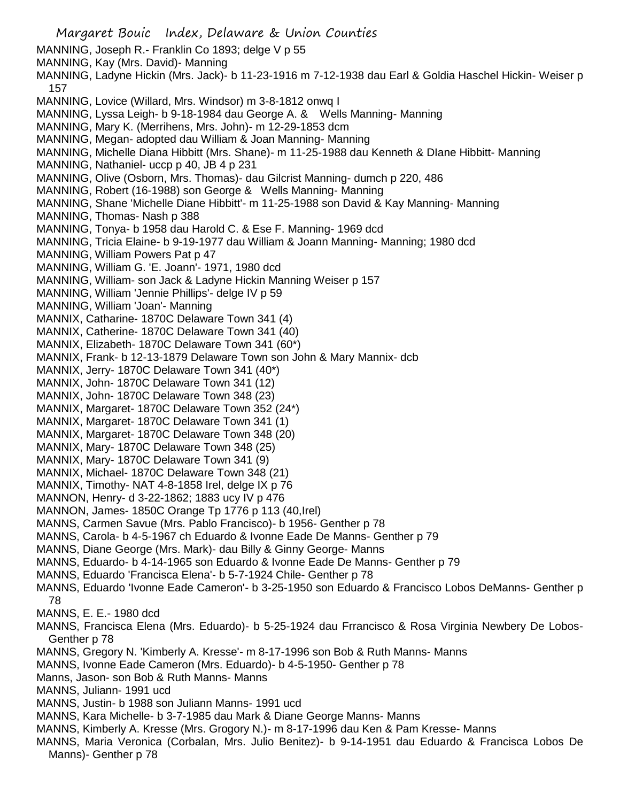Margaret Bouic Index, Delaware & Union Counties MANNING, Joseph R.- Franklin Co 1893; delge V p 55 MANNING, Kay (Mrs. David)- Manning MANNING, Ladyne Hickin (Mrs. Jack)- b 11-23-1916 m 7-12-1938 dau Earl & Goldia Haschel Hickin- Weiser p 157 MANNING, Lovice (Willard, Mrs. Windsor) m 3-8-1812 onwq I MANNING, Lyssa Leigh- b 9-18-1984 dau George A. & Wells Manning- Manning MANNING, Mary K. (Merrihens, Mrs. John)- m 12-29-1853 dcm MANNING, Megan- adopted dau William & Joan Manning- Manning MANNING, Michelle Diana Hibbitt (Mrs. Shane)- m 11-25-1988 dau Kenneth & DIane Hibbitt- Manning MANNING, Nathaniel- uccp p 40, JB 4 p 231 MANNING, Olive (Osborn, Mrs. Thomas)- dau Gilcrist Manning- dumch p 220, 486 MANNING, Robert (16-1988) son George & Wells Manning- Manning MANNING, Shane 'Michelle Diane Hibbitt'- m 11-25-1988 son David & Kay Manning- Manning MANNING, Thomas- Nash p 388 MANNING, Tonya- b 1958 dau Harold C. & Ese F. Manning- 1969 dcd MANNING, Tricia Elaine- b 9-19-1977 dau William & Joann Manning- Manning; 1980 dcd MANNING, William Powers Pat p 47 MANNING, William G. 'E. Joann'- 1971, 1980 dcd MANNING, William- son Jack & Ladyne Hickin Manning Weiser p 157 MANNING, William 'Jennie Phillips'- delge IV p 59 MANNING, William 'Joan'- Manning MANNIX, Catharine- 1870C Delaware Town 341 (4) MANNIX, Catherine- 1870C Delaware Town 341 (40) MANNIX, Elizabeth- 1870C Delaware Town 341 (60\*) MANNIX, Frank- b 12-13-1879 Delaware Town son John & Mary Mannix- dcb MANNIX, Jerry- 1870C Delaware Town 341 (40\*) MANNIX, John- 1870C Delaware Town 341 (12) MANNIX, John- 1870C Delaware Town 348 (23) MANNIX, Margaret- 1870C Delaware Town 352 (24\*) MANNIX, Margaret- 1870C Delaware Town 341 (1) MANNIX, Margaret- 1870C Delaware Town 348 (20) MANNIX, Mary- 1870C Delaware Town 348 (25) MANNIX, Mary- 1870C Delaware Town 341 (9) MANNIX, Michael- 1870C Delaware Town 348 (21) MANNIX, Timothy- NAT 4-8-1858 Irel, delge IX p 76 MANNON, Henry- d 3-22-1862; 1883 ucy IV p 476 MANNON, James- 1850C Orange Tp 1776 p 113 (40,Irel) MANNS, Carmen Savue (Mrs. Pablo Francisco)- b 1956- Genther p 78 MANNS, Carola- b 4-5-1967 ch Eduardo & Ivonne Eade De Manns- Genther p 79 MANNS, Diane George (Mrs. Mark)- dau Billy & Ginny George- Manns MANNS, Eduardo- b 4-14-1965 son Eduardo & Ivonne Eade De Manns- Genther p 79 MANNS, Eduardo 'Francisca Elena'- b 5-7-1924 Chile- Genther p 78 MANNS, Eduardo 'Ivonne Eade Cameron'- b 3-25-1950 son Eduardo & Francisco Lobos DeManns- Genther p 78 MANNS, E. E.- 1980 dcd MANNS, Francisca Elena (Mrs. Eduardo)- b 5-25-1924 dau Frrancisco & Rosa Virginia Newbery De Lobos-Genther p 78 MANNS, Gregory N. 'Kimberly A. Kresse'- m 8-17-1996 son Bob & Ruth Manns- Manns MANNS, Ivonne Eade Cameron (Mrs. Eduardo)- b 4-5-1950- Genther p 78 Manns, Jason- son Bob & Ruth Manns- Manns MANNS, Juliann- 1991 ucd MANNS, Justin- b 1988 son Juliann Manns- 1991 ucd MANNS, Kara Michelle- b 3-7-1985 dau Mark & Diane George Manns- Manns MANNS, Kimberly A. Kresse (Mrs. Grogory N.)- m 8-17-1996 dau Ken & Pam Kresse- Manns MANNS, Maria Veronica (Corbalan, Mrs. Julio Benitez)- b 9-14-1951 dau Eduardo & Francisca Lobos De Manns)- Genther p 78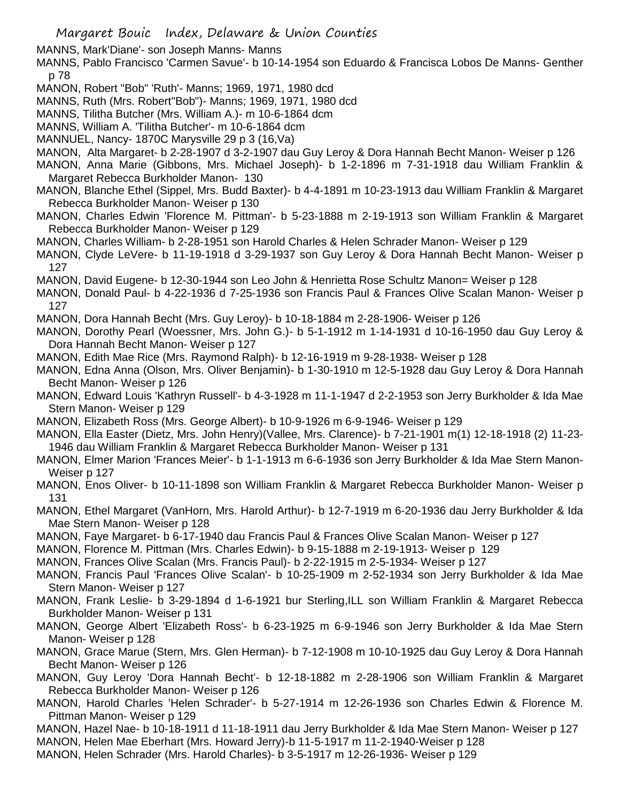MANNS, Mark'Diane'- son Joseph Manns- Manns

MANNS, Pablo Francisco 'Carmen Savue'- b 10-14-1954 son Eduardo & Francisca Lobos De Manns- Genther p 78

- MANON, Robert "Bob" 'Ruth'- Manns; 1969, 1971, 1980 dcd
- MANNS, Ruth (Mrs. Robert"Bob")- Manns; 1969, 1971, 1980 dcd
- MANNS, Tilitha Butcher (Mrs. William A.)- m 10-6-1864 dcm
- MANNS, William A. 'Tilitha Butcher'- m 10-6-1864 dcm
- MANNUEL, Nancy- 1870C Marysville 29 p 3 (16,Va)
- MANON, Alta Margaret- b 2-28-1907 d 3-2-1907 dau Guy Leroy & Dora Hannah Becht Manon- Weiser p 126
- MANON, Anna Marie (Gibbons, Mrs. Michael Joseph)- b 1-2-1896 m 7-31-1918 dau William Franklin & Margaret Rebecca Burkholder Manon- 130
- MANON, Blanche Ethel (Sippel, Mrs. Budd Baxter)- b 4-4-1891 m 10-23-1913 dau William Franklin & Margaret Rebecca Burkholder Manon- Weiser p 130
- MANON, Charles Edwin 'Florence M. Pittman'- b 5-23-1888 m 2-19-1913 son William Franklin & Margaret Rebecca Burkholder Manon- Weiser p 129
- MANON, Charles William- b 2-28-1951 son Harold Charles & Helen Schrader Manon- Weiser p 129
- MANON, Clyde LeVere- b 11-19-1918 d 3-29-1937 son Guy Leroy & Dora Hannah Becht Manon- Weiser p 127
- MANON, David Eugene- b 12-30-1944 son Leo John & Henrietta Rose Schultz Manon= Weiser p 128
- MANON, Donald Paul- b 4-22-1936 d 7-25-1936 son Francis Paul & Frances Olive Scalan Manon- Weiser p 127
- MANON, Dora Hannah Becht (Mrs. Guy Leroy)- b 10-18-1884 m 2-28-1906- Weiser p 126
- MANON, Dorothy Pearl (Woessner, Mrs. John G.)- b 5-1-1912 m 1-14-1931 d 10-16-1950 dau Guy Leroy & Dora Hannah Becht Manon- Weiser p 127
- MANON, Edith Mae Rice (Mrs. Raymond Ralph)- b 12-16-1919 m 9-28-1938- Weiser p 128
- MANON, Edna Anna (Olson, Mrs. Oliver Benjamin)- b 1-30-1910 m 12-5-1928 dau Guy Leroy & Dora Hannah Becht Manon- Weiser p 126
- MANON, Edward Louis 'Kathryn Russell'- b 4-3-1928 m 11-1-1947 d 2-2-1953 son Jerry Burkholder & Ida Mae Stern Manon- Weiser p 129
- MANON, Elizabeth Ross (Mrs. George Albert)- b 10-9-1926 m 6-9-1946- Weiser p 129
- MANON, Ella Easter (Dietz, Mrs. John Henry)(Vallee, Mrs. Clarence)- b 7-21-1901 m(1) 12-18-1918 (2) 11-23- 1946 dau William Franklin & Margaret Rebecca Burkholder Manon- Weiser p 131
- MANON, Elmer Marion 'Frances Meier'- b 1-1-1913 m 6-6-1936 son Jerry Burkholder & Ida Mae Stern Manon-Weiser p 127
- MANON, Enos Oliver- b 10-11-1898 son William Franklin & Margaret Rebecca Burkholder Manon- Weiser p 131
- MANON, Ethel Margaret (VanHorn, Mrs. Harold Arthur)- b 12-7-1919 m 6-20-1936 dau Jerry Burkholder & Ida Mae Stern Manon- Weiser p 128
- MANON, Faye Margaret- b 6-17-1940 dau Francis Paul & Frances Olive Scalan Manon- Weiser p 127
- MANON, Florence M. Pittman (Mrs. Charles Edwin)- b 9-15-1888 m 2-19-1913- Weiser p 129
- MANON, Frances Olive Scalan (Mrs. Francis Paul)- b 2-22-1915 m 2-5-1934- Weiser p 127
- MANON, Francis Paul 'Frances Olive Scalan'- b 10-25-1909 m 2-52-1934 son Jerry Burkholder & Ida Mae Stern Manon- Weiser p 127
- MANON, Frank Leslie- b 3-29-1894 d 1-6-1921 bur Sterling,ILL son William Franklin & Margaret Rebecca Burkholder Manon- Weiser p 131
- MANON, George Albert 'Elizabeth Ross'- b 6-23-1925 m 6-9-1946 son Jerry Burkholder & Ida Mae Stern Manon- Weiser p 128
- MANON, Grace Marue (Stern, Mrs. Glen Herman)- b 7-12-1908 m 10-10-1925 dau Guy Leroy & Dora Hannah Becht Manon- Weiser p 126
- MANON, Guy Leroy 'Dora Hannah Becht'- b 12-18-1882 m 2-28-1906 son William Franklin & Margaret Rebecca Burkholder Manon- Weiser p 126
- MANON, Harold Charles 'Helen Schrader'- b 5-27-1914 m 12-26-1936 son Charles Edwin & Florence M. Pittman Manon- Weiser p 129
- MANON, Hazel Nae- b 10-18-1911 d 11-18-1911 dau Jerry Burkholder & Ida Mae Stern Manon- Weiser p 127
- MANON, Helen Mae Eberhart (Mrs. Howard Jerry)-b 11-5-1917 m 11-2-1940-Weiser p 128
- MANON, Helen Schrader (Mrs. Harold Charles)- b 3-5-1917 m 12-26-1936- Weiser p 129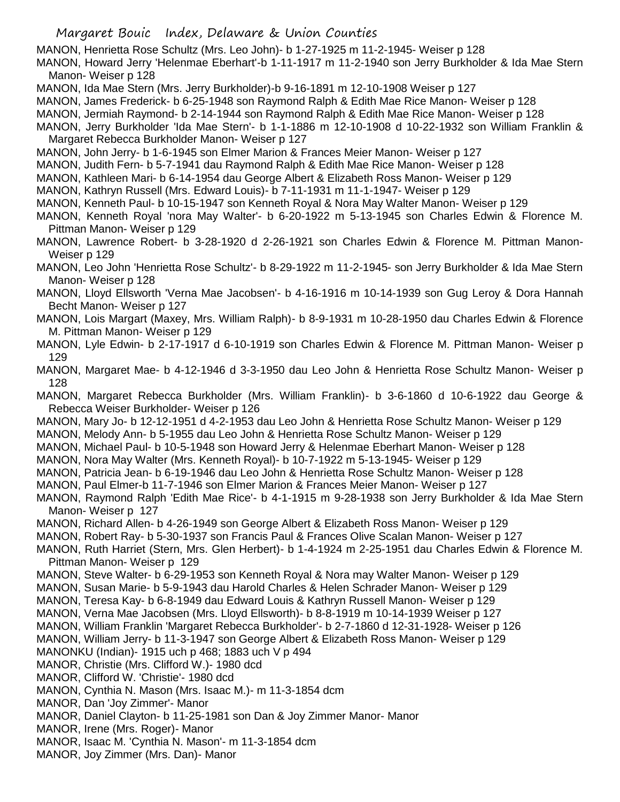MANON, Henrietta Rose Schultz (Mrs. Leo John)- b 1-27-1925 m 11-2-1945- Weiser p 128

MANON, Howard Jerry 'Helenmae Eberhart'-b 1-11-1917 m 11-2-1940 son Jerry Burkholder & Ida Mae Stern Manon- Weiser p 128

- MANON, Ida Mae Stern (Mrs. Jerry Burkholder)-b 9-16-1891 m 12-10-1908 Weiser p 127
- MANON, James Frederick- b 6-25-1948 son Raymond Ralph & Edith Mae Rice Manon- Weiser p 128
- MANON, Jermiah Raymond- b 2-14-1944 son Raymond Ralph & Edith Mae Rice Manon- Weiser p 128
- MANON, Jerry Burkholder 'Ida Mae Stern'- b 1-1-1886 m 12-10-1908 d 10-22-1932 son William Franklin & Margaret Rebecca Burkholder Manon- Weiser p 127
- MANON, John Jerry- b 1-6-1945 son Elmer Marion & Frances Meier Manon- Weiser p 127
- MANON, Judith Fern- b 5-7-1941 dau Raymond Ralph & Edith Mae Rice Manon- Weiser p 128
- MANON, Kathleen Mari- b 6-14-1954 dau George Albert & Elizabeth Ross Manon- Weiser p 129
- MANON, Kathryn Russell (Mrs. Edward Louis)- b 7-11-1931 m 11-1-1947- Weiser p 129
- MANON, Kenneth Paul- b 10-15-1947 son Kenneth Royal & Nora May Walter Manon- Weiser p 129
- MANON, Kenneth Royal 'nora May Walter'- b 6-20-1922 m 5-13-1945 son Charles Edwin & Florence M. Pittman Manon- Weiser p 129
- MANON, Lawrence Robert- b 3-28-1920 d 2-26-1921 son Charles Edwin & Florence M. Pittman Manon-Weiser p 129

MANON, Leo John 'Henrietta Rose Schultz'- b 8-29-1922 m 11-2-1945- son Jerry Burkholder & Ida Mae Stern Manon- Weiser p 128

- MANON, Lloyd Ellsworth 'Verna Mae Jacobsen'- b 4-16-1916 m 10-14-1939 son Gug Leroy & Dora Hannah Becht Manon- Weiser p 127
- MANON, Lois Margart (Maxey, Mrs. William Ralph)- b 8-9-1931 m 10-28-1950 dau Charles Edwin & Florence M. Pittman Manon- Weiser p 129
- MANON, Lyle Edwin- b 2-17-1917 d 6-10-1919 son Charles Edwin & Florence M. Pittman Manon- Weiser p 129
- MANON, Margaret Mae- b 4-12-1946 d 3-3-1950 dau Leo John & Henrietta Rose Schultz Manon- Weiser p 128
- MANON, Margaret Rebecca Burkholder (Mrs. William Franklin)- b 3-6-1860 d 10-6-1922 dau George & Rebecca Weiser Burkholder- Weiser p 126
- MANON, Mary Jo- b 12-12-1951 d 4-2-1953 dau Leo John & Henrietta Rose Schultz Manon- Weiser p 129
- MANON, Melody Ann- b 5-1955 dau Leo John & Henrietta Rose Schultz Manon- Weiser p 129
- MANON, Michael Paul- b 10-5-1948 son Howard Jerry & Helenmae Eberhart Manon- Weiser p 128
- MANON, Nora May Walter (Mrs. Kenneth Royal)- b 10-7-1922 m 5-13-1945- Weiser p 129
- MANON, Patricia Jean- b 6-19-1946 dau Leo John & Henrietta Rose Schultz Manon- Weiser p 128
- MANON, Paul Elmer-b 11-7-1946 son Elmer Marion & Frances Meier Manon- Weiser p 127
- MANON, Raymond Ralph 'Edith Mae Rice'- b 4-1-1915 m 9-28-1938 son Jerry Burkholder & Ida Mae Stern Manon- Weiser p 127
- MANON, Richard Allen- b 4-26-1949 son George Albert & Elizabeth Ross Manon- Weiser p 129
- MANON, Robert Ray- b 5-30-1937 son Francis Paul & Frances Olive Scalan Manon- Weiser p 127

MANON, Ruth Harriet (Stern, Mrs. Glen Herbert)- b 1-4-1924 m 2-25-1951 dau Charles Edwin & Florence M. Pittman Manon- Weiser p 129

- MANON, Steve Walter- b 6-29-1953 son Kenneth Royal & Nora may Walter Manon- Weiser p 129
- MANON, Susan Marie- b 5-9-1943 dau Harold Charles & Helen Schrader Manon- Weiser p 129
- MANON, Teresa Kay- b 6-8-1949 dau Edward Louis & Kathryn Russell Manon- Weiser p 129
- MANON, Verna Mae Jacobsen (Mrs. Lloyd Ellsworth)- b 8-8-1919 m 10-14-1939 Weiser p 127
- MANON, William Franklin 'Margaret Rebecca Burkholder'- b 2-7-1860 d 12-31-1928- Weiser p 126
- MANON, William Jerry- b 11-3-1947 son George Albert & Elizabeth Ross Manon- Weiser p 129
- MANONKU (Indian)- 1915 uch p 468; 1883 uch V p 494
- MANOR, Christie (Mrs. Clifford W.)- 1980 dcd
- MANOR, Clifford W. 'Christie'- 1980 dcd
- MANON, Cynthia N. Mason (Mrs. Isaac M.)- m 11-3-1854 dcm
- MANOR, Dan 'Joy Zimmer'- Manor
- MANOR, Daniel Clayton- b 11-25-1981 son Dan & Joy Zimmer Manor- Manor
- MANOR, Irene (Mrs. Roger)- Manor
- MANOR, Isaac M. 'Cynthia N. Mason'- m 11-3-1854 dcm
- MANOR, Joy Zimmer (Mrs. Dan)- Manor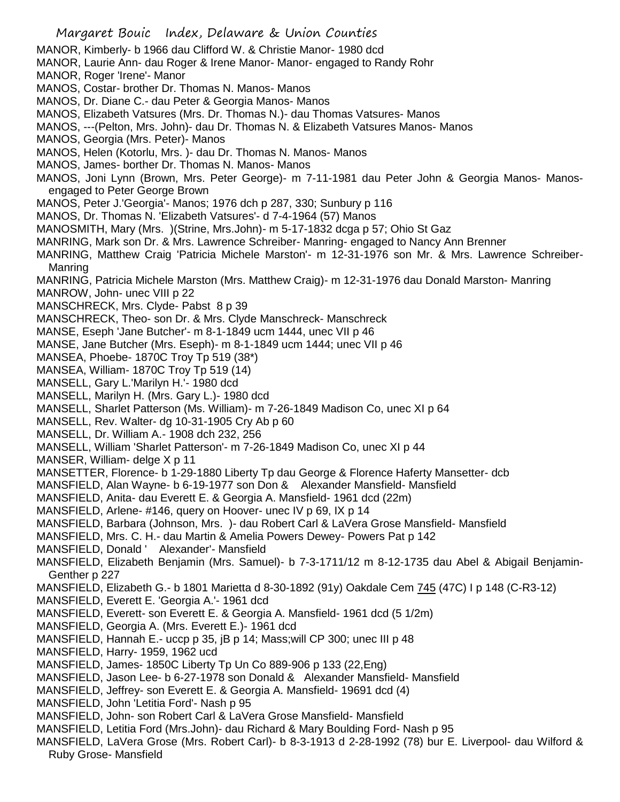MANOR, Kimberly- b 1966 dau Clifford W. & Christie Manor- 1980 dcd

MANOR, Laurie Ann- dau Roger & Irene Manor- Manor- engaged to Randy Rohr

- MANOR, Roger 'Irene'- Manor
- MANOS, Costar- brother Dr. Thomas N. Manos- Manos
- MANOS, Dr. Diane C.- dau Peter & Georgia Manos- Manos
- MANOS, Elizabeth Vatsures (Mrs. Dr. Thomas N.)- dau Thomas Vatsures- Manos
- MANOS, ---(Pelton, Mrs. John)- dau Dr. Thomas N. & Elizabeth Vatsures Manos- Manos
- MANOS, Georgia (Mrs. Peter)- Manos
- MANOS, Helen (Kotorlu, Mrs. )- dau Dr. Thomas N. Manos- Manos
- MANOS, James- borther Dr. Thomas N. Manos- Manos
- MANOS, Joni Lynn (Brown, Mrs. Peter George)- m 7-11-1981 dau Peter John & Georgia Manos- Manosengaged to Peter George Brown
- MANOS, Peter J.'Georgia'- Manos; 1976 dch p 287, 330; Sunbury p 116
- MANOS, Dr. Thomas N. 'Elizabeth Vatsures'- d 7-4-1964 (57) Manos
- MANOSMITH, Mary (Mrs. )(Strine, Mrs.John)- m 5-17-1832 dcga p 57; Ohio St Gaz
- MANRING, Mark son Dr. & Mrs. Lawrence Schreiber- Manring- engaged to Nancy Ann Brenner
- MANRING, Matthew Craig 'Patricia Michele Marston'- m 12-31-1976 son Mr. & Mrs. Lawrence Schreiber-Manring
- MANRING, Patricia Michele Marston (Mrs. Matthew Craig)- m 12-31-1976 dau Donald Marston- Manring
- MANROW, John- unec VIII p 22
- MANSCHRECK, Mrs. Clyde- Pabst 8 p 39
- MANSCHRECK, Theo- son Dr. & Mrs. Clyde Manschreck- Manschreck
- MANSE, Eseph 'Jane Butcher'- m 8-1-1849 ucm 1444, unec VII p 46
- MANSE, Jane Butcher (Mrs. Eseph)- m 8-1-1849 ucm 1444; unec VII p 46
- MANSEA, Phoebe- 1870C Troy Tp 519 (38\*)
- MANSEA, William- 1870C Troy Tp 519 (14)
- MANSELL, Gary L.'Marilyn H.'- 1980 dcd
- MANSELL, Marilyn H. (Mrs. Gary L.)- 1980 dcd
- MANSELL, Sharlet Patterson (Ms. William)- m 7-26-1849 Madison Co, unec XI p 64
- MANSELL, Rev. Walter- dg 10-31-1905 Cry Ab p 60
- MANSELL, Dr. William A.- 1908 dch 232, 256
- MANSELL, William 'Sharlet Patterson'- m 7-26-1849 Madison Co, unec XI p 44
- MANSER, William- delge X p 11
- MANSETTER, Florence- b 1-29-1880 Liberty Tp dau George & Florence Haferty Mansetter- dcb
- MANSFIELD, Alan Wayne- b 6-19-1977 son Don & Alexander Mansfield- Mansfield
- MANSFIELD, Anita- dau Everett E. & Georgia A. Mansfield- 1961 dcd (22m)
- MANSFIELD, Arlene- #146, query on Hoover- unec IV p 69, IX p 14
- MANSFIELD, Barbara (Johnson, Mrs. )- dau Robert Carl & LaVera Grose Mansfield- Mansfield
- MANSFIELD, Mrs. C. H.- dau Martin & Amelia Powers Dewey- Powers Pat p 142
- MANSFIELD, Donald ' Alexander'- Mansfield
- MANSFIELD, Elizabeth Benjamin (Mrs. Samuel)- b 7-3-1711/12 m 8-12-1735 dau Abel & Abigail Benjamin-Genther p 227
- MANSFIELD, Elizabeth G.- b 1801 Marietta d 8-30-1892 (91y) Oakdale Cem 745 (47C) I p 148 (C-R3-12)
- MANSFIELD, Everett E. 'Georgia A.'- 1961 dcd
- MANSFIELD, Everett- son Everett E. & Georgia A. Mansfield- 1961 dcd (5 1/2m)
- MANSFIELD, Georgia A. (Mrs. Everett E.)- 1961 dcd
- MANSFIELD, Hannah E.- uccp p 35, jB p 14; Mass;will CP 300; unec III p 48
- MANSFIELD, Harry- 1959, 1962 ucd
- MANSFIELD, James- 1850C Liberty Tp Un Co 889-906 p 133 (22,Eng)
- MANSFIELD, Jason Lee- b 6-27-1978 son Donald & Alexander Mansfield- Mansfield
- MANSFIELD, Jeffrey- son Everett E. & Georgia A. Mansfield- 19691 dcd (4)
- MANSFIELD, John 'Letitia Ford'- Nash p 95
- MANSFIELD, John- son Robert Carl & LaVera Grose Mansfield- Mansfield
- MANSFIELD, Letitia Ford (Mrs.John)- dau Richard & Mary Boulding Ford- Nash p 95
- MANSFIELD, LaVera Grose (Mrs. Robert Carl)- b 8-3-1913 d 2-28-1992 (78) bur E. Liverpool- dau Wilford & Ruby Grose- Mansfield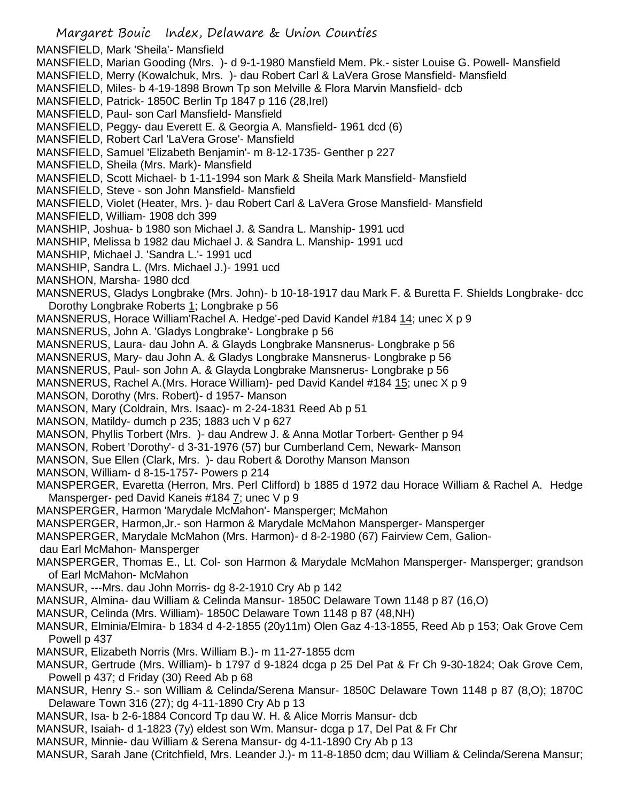Margaret Bouic Index, Delaware & Union Counties MANSFIELD, Mark 'Sheila'- Mansfield MANSFIELD, Marian Gooding (Mrs. )- d 9-1-1980 Mansfield Mem. Pk.- sister Louise G. Powell- Mansfield MANSFIELD, Merry (Kowalchuk, Mrs. )- dau Robert Carl & LaVera Grose Mansfield- Mansfield MANSFIELD, Miles- b 4-19-1898 Brown Tp son Melville & Flora Marvin Mansfield- dcb MANSFIELD, Patrick- 1850C Berlin Tp 1847 p 116 (28,Irel) MANSFIELD, Paul- son Carl Mansfield- Mansfield MANSFIELD, Peggy- dau Everett E. & Georgia A. Mansfield- 1961 dcd (6) MANSFIELD, Robert Carl 'LaVera Grose'- Mansfield MANSFIELD, Samuel 'Elizabeth Benjamin'- m 8-12-1735- Genther p 227 MANSFIELD, Sheila (Mrs. Mark)- Mansfield MANSFIELD, Scott Michael- b 1-11-1994 son Mark & Sheila Mark Mansfield- Mansfield MANSFIELD, Steve - son John Mansfield- Mansfield MANSFIELD, Violet (Heater, Mrs. )- dau Robert Carl & LaVera Grose Mansfield- Mansfield MANSFIELD, William- 1908 dch 399 MANSHIP, Joshua- b 1980 son Michael J. & Sandra L. Manship- 1991 ucd MANSHIP, Melissa b 1982 dau Michael J. & Sandra L. Manship- 1991 ucd MANSHIP, Michael J. 'Sandra L.'- 1991 ucd MANSHIP, Sandra L. (Mrs. Michael J.)- 1991 ucd MANSHON, Marsha- 1980 dcd MANSNERUS, Gladys Longbrake (Mrs. John)- b 10-18-1917 dau Mark F. & Buretta F. Shields Longbrake- dcc Dorothy Longbrake Roberts 1; Longbrake p 56 MANSNERUS, Horace William'Rachel A. Hedge'-ped David Kandel #184 14; unec X p 9 MANSNERUS, John A. 'Gladys Longbrake'- Longbrake p 56 MANSNERUS, Laura- dau John A. & Glayds Longbrake Mansnerus- Longbrake p 56 MANSNERUS, Mary- dau John A. & Gladys Longbrake Mansnerus- Longbrake p 56 MANSNERUS, Paul- son John A. & Glayda Longbrake Mansnerus- Longbrake p 56 MANSNERUS, Rachel A. (Mrs. Horace William)- ped David Kandel #184 15; unec X p 9 MANSON, Dorothy (Mrs. Robert)- d 1957- Manson MANSON, Mary (Coldrain, Mrs. Isaac)- m 2-24-1831 Reed Ab p 51 MANSON, Matildy- dumch p 235; 1883 uch V p 627 MANSON, Phyllis Torbert (Mrs. )- dau Andrew J. & Anna Motlar Torbert- Genther p 94 MANSON, Robert 'Dorothy'- d 3-31-1976 (57) bur Cumberland Cem, Newark- Manson MANSON, Sue Ellen (Clark, Mrs. )- dau Robert & Dorothy Manson Manson MANSON, William- d 8-15-1757- Powers p 214 MANSPERGER, Evaretta (Herron, Mrs. Perl Clifford) b 1885 d 1972 dau Horace William & Rachel A. Hedge Mansperger- ped David Kaneis #184 7; unec V p 9 MANSPERGER, Harmon 'Marydale McMahon'- Mansperger; McMahon MANSPERGER, Harmon,Jr.- son Harmon & Marydale McMahon Mansperger- Mansperger MANSPERGER, Marydale McMahon (Mrs. Harmon)- d 8-2-1980 (67) Fairview Cem, Galiondau Earl McMahon- Mansperger MANSPERGER, Thomas E., Lt. Col- son Harmon & Marydale McMahon Mansperger- Mansperger; grandson of Earl McMahon- McMahon MANSUR, ---Mrs. dau John Morris- dg 8-2-1910 Cry Ab p 142 MANSUR, Almina- dau William & Celinda Mansur- 1850C Delaware Town 1148 p 87 (16,O) MANSUR, Celinda (Mrs. William)- 1850C Delaware Town 1148 p 87 (48,NH) MANSUR, Elminia/Elmira- b 1834 d 4-2-1855 (20y11m) Olen Gaz 4-13-1855, Reed Ab p 153; Oak Grove Cem Powell p 437 MANSUR, Elizabeth Norris (Mrs. William B.)- m 11-27-1855 dcm MANSUR, Gertrude (Mrs. William)- b 1797 d 9-1824 dcga p 25 Del Pat & Fr Ch 9-30-1824; Oak Grove Cem, Powell p 437; d Friday (30) Reed Ab p 68 MANSUR, Henry S.- son William & Celinda/Serena Mansur- 1850C Delaware Town 1148 p 87 (8,O); 1870C Delaware Town 316 (27); dg 4-11-1890 Cry Ab p 13 MANSUR, Isa- b 2-6-1884 Concord Tp dau W. H. & Alice Morris Mansur- dcb MANSUR, Isaiah- d 1-1823 (7y) eldest son Wm. Mansur- dcga p 17, Del Pat & Fr Chr MANSUR, Minnie- dau William & Serena Mansur- dg 4-11-1890 Cry Ab p 13 MANSUR, Sarah Jane (Critchfield, Mrs. Leander J.)- m 11-8-1850 dcm; dau William & Celinda/Serena Mansur;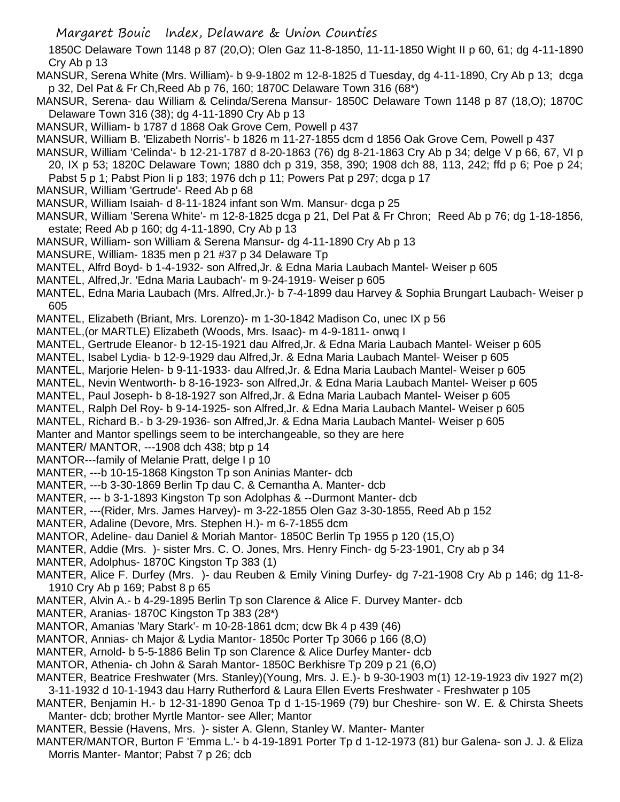1850C Delaware Town 1148 p 87 (20,O); Olen Gaz 11-8-1850, 11-11-1850 Wight II p 60, 61; dg 4-11-1890 Cry Ab p 13

MANSUR, Serena White (Mrs. William)- b 9-9-1802 m 12-8-1825 d Tuesday, dg 4-11-1890, Cry Ab p 13; dcga p 32, Del Pat & Fr Ch,Reed Ab p 76, 160; 1870C Delaware Town 316 (68\*)

- MANSUR, Serena- dau William & Celinda/Serena Mansur- 1850C Delaware Town 1148 p 87 (18,O); 1870C Delaware Town 316 (38); dg 4-11-1890 Cry Ab p 13
- MANSUR, William- b 1787 d 1868 Oak Grove Cem, Powell p 437
- MANSUR, William B. 'Elizabeth Norris'- b 1826 m 11-27-1855 dcm d 1856 Oak Grove Cem, Powell p 437
- MANSUR, William 'Celinda'- b 12-21-1787 d 8-20-1863 (76) dg 8-21-1863 Cry Ab p 34; delge V p 66, 67, VI p
- 20, IX p 53; 1820C Delaware Town; 1880 dch p 319, 358, 390; 1908 dch 88, 113, 242; ffd p 6; Poe p 24; Pabst 5 p 1; Pabst Pion Ii p 183; 1976 dch p 11; Powers Pat p 297; dcga p 17
- MANSUR, William 'Gertrude'- Reed Ab p 68
- MANSUR, William Isaiah- d 8-11-1824 infant son Wm. Mansur- dcga p 25
- MANSUR, William 'Serena White'- m 12-8-1825 dcga p 21, Del Pat & Fr Chron; Reed Ab p 76; dg 1-18-1856, estate; Reed Ab p 160; dg 4-11-1890, Cry Ab p 13
- MANSUR, William- son William & Serena Mansur- dg 4-11-1890 Cry Ab p 13
- MANSURE, William- 1835 men p 21 #37 p 34 Delaware Tp
- MANTEL, Alfrd Boyd- b 1-4-1932- son Alfred,Jr. & Edna Maria Laubach Mantel- Weiser p 605
- MANTEL, Alfred,Jr. 'Edna Maria Laubach'- m 9-24-1919- Weiser p 605
- MANTEL, Edna Maria Laubach (Mrs. Alfred,Jr.)- b 7-4-1899 dau Harvey & Sophia Brungart Laubach- Weiser p 605
- MANTEL, Elizabeth (Briant, Mrs. Lorenzo)- m 1-30-1842 Madison Co, unec IX p 56
- MANTEL,(or MARTLE) Elizabeth (Woods, Mrs. Isaac)- m 4-9-1811- onwq I
- MANTEL, Gertrude Eleanor- b 12-15-1921 dau Alfred,Jr. & Edna Maria Laubach Mantel- Weiser p 605
- MANTEL, Isabel Lydia- b 12-9-1929 dau Alfred,Jr. & Edna Maria Laubach Mantel- Weiser p 605
- MANTEL, Marjorie Helen- b 9-11-1933- dau Alfred,Jr. & Edna Maria Laubach Mantel- Weiser p 605
- MANTEL, Nevin Wentworth- b 8-16-1923- son Alfred,Jr. & Edna Maria Laubach Mantel- Weiser p 605
- MANTEL, Paul Joseph- b 8-18-1927 son Alfred,Jr. & Edna Maria Laubach Mantel- Weiser p 605
- MANTEL, Ralph Del Roy- b 9-14-1925- son Alfred,Jr. & Edna Maria Laubach Mantel- Weiser p 605
- MANTEL, Richard B.- b 3-29-1936- son Alfred,Jr. & Edna Maria Laubach Mantel- Weiser p 605
- Manter and Mantor spellings seem to be interchangeable, so they are here
- MANTER/ MANTOR, ---1908 dch 438; btp p 14
- MANTOR---family of Melanie Pratt, delge I p 10
- MANTER, ---b 10-15-1868 Kingston Tp son Aninias Manter- dcb
- MANTER, ---b 3-30-1869 Berlin Tp dau C. & Cemantha A. Manter- dcb
- MANTER, --- b 3-1-1893 Kingston Tp son Adolphas & --Durmont Manter- dcb
- MANTER, ---(Rider, Mrs. James Harvey)- m 3-22-1855 Olen Gaz 3-30-1855, Reed Ab p 152
- MANTER, Adaline (Devore, Mrs. Stephen H.)- m 6-7-1855 dcm
- MANTOR, Adeline- dau Daniel & Moriah Mantor- 1850C Berlin Tp 1955 p 120 (15,O)
- MANTER, Addie (Mrs. )- sister Mrs. C. O. Jones, Mrs. Henry Finch- dg 5-23-1901, Cry ab p 34
- MANTER, Adolphus- 1870C Kingston Tp 383 (1)
- MANTER, Alice F. Durfey (Mrs. )- dau Reuben & Emily Vining Durfey- dg 7-21-1908 Cry Ab p 146; dg 11-8- 1910 Cry Ab p 169; Pabst 8 p 65
- MANTER, Alvin A.- b 4-29-1895 Berlin Tp son Clarence & Alice F. Durvey Manter- dcb
- MANTER, Aranias- 1870C Kingston Tp 383 (28\*)
- MANTOR, Amanias 'Mary Stark'- m 10-28-1861 dcm; dcw Bk 4 p 439 (46)
- MANTOR, Annias- ch Major & Lydia Mantor- 1850c Porter Tp 3066 p 166 (8,O)
- MANTER, Arnold- b 5-5-1886 Belin Tp son Clarence & Alice Durfey Manter- dcb
- MANTOR, Athenia- ch John & Sarah Mantor- 1850C Berkhisre Tp 209 p 21 (6,O)
- MANTER, Beatrice Freshwater (Mrs. Stanley)(Young, Mrs. J. E.)- b 9-30-1903 m(1) 12-19-1923 div 1927 m(2) 3-11-1932 d 10-1-1943 dau Harry Rutherford & Laura Ellen Everts Freshwater - Freshwater p 105
- MANTER, Benjamin H.- b 12-31-1890 Genoa Tp d 1-15-1969 (79) bur Cheshire- son W. E. & Chirsta Sheets Manter- dcb; brother Myrtle Mantor- see Aller; Mantor
- MANTER, Bessie (Havens, Mrs. )- sister A. Glenn, Stanley W. Manter- Manter
- MANTER/MANTOR, Burton F 'Emma L.'- b 4-19-1891 Porter Tp d 1-12-1973 (81) bur Galena- son J. J. & Eliza Morris Manter- Mantor; Pabst 7 p 26; dcb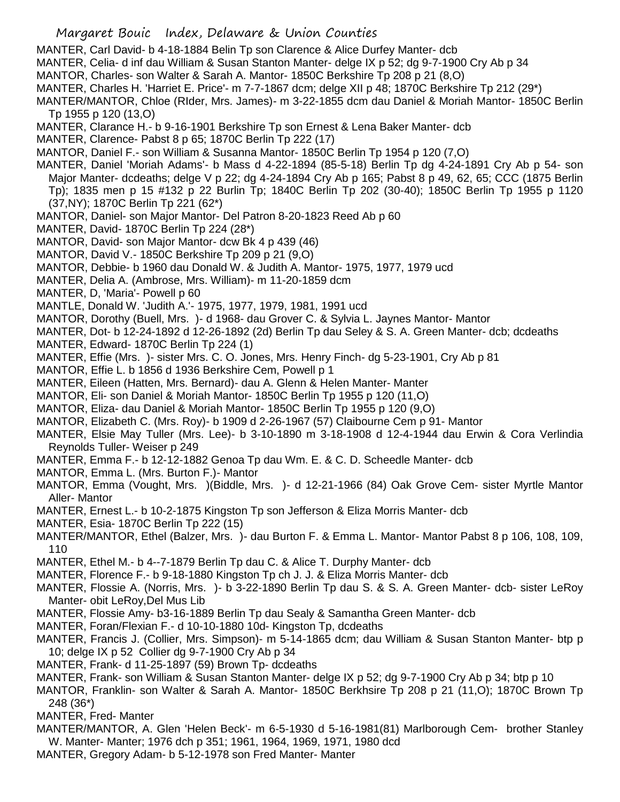MANTER, Carl David- b 4-18-1884 Belin Tp son Clarence & Alice Durfey Manter- dcb

MANTER, Celia- d inf dau William & Susan Stanton Manter- delge IX p 52; dg 9-7-1900 Cry Ab p 34

- MANTOR, Charles- son Walter & Sarah A. Mantor- 1850C Berkshire Tp 208 p 21 (8,O)
- MANTER, Charles H. 'Harriet E. Price'- m 7-7-1867 dcm; delge XII p 48; 1870C Berkshire Tp 212 (29\*)

MANTER/MANTOR, Chloe (RIder, Mrs. James)- m 3-22-1855 dcm dau Daniel & Moriah Mantor- 1850C Berlin Tp 1955 p 120 (13,O)

- MANTER, Clarance H.- b 9-16-1901 Berkshire Tp son Ernest & Lena Baker Manter- dcb
- MANTER, Clarence- Pabst 8 p 65; 1870C Berlin Tp 222 (17)
- MANTOR, Daniel F.- son William & Susanna Mantor- 1850C Berlin Tp 1954 p 120 (7,O)
- MANTER, Daniel 'Moriah Adams'- b Mass d 4-22-1894 (85-5-18) Berlin Tp dg 4-24-1891 Cry Ab p 54- son Major Manter- dcdeaths; delge V p 22; dg 4-24-1894 Cry Ab p 165; Pabst 8 p 49, 62, 65; CCC (1875 Berlin Tp); 1835 men p 15 #132 p 22 Burlin Tp; 1840C Berlin Tp 202 (30-40); 1850C Berlin Tp 1955 p 1120
	- (37,NY); 1870C Berlin Tp 221 (62\*)
- MANTOR, Daniel- son Major Mantor- Del Patron 8-20-1823 Reed Ab p 60
- MANTER, David- 1870C Berlin Tp 224 (28\*)
- MANTOR, David- son Major Mantor- dcw Bk 4 p 439 (46)
- MANTOR, David V.- 1850C Berkshire Tp 209 p 21 (9,O)
- MANTOR, Debbie- b 1960 dau Donald W. & Judith A. Mantor- 1975, 1977, 1979 ucd
- MANTER, Delia A. (Ambrose, Mrs. William)- m 11-20-1859 dcm
- MANTER, D, 'Maria'- Powell p 60
- MANTLE, Donald W. 'Judith A.'- 1975, 1977, 1979, 1981, 1991 ucd
- MANTOR, Dorothy (Buell, Mrs. )- d 1968- dau Grover C. & Sylvia L. Jaynes Mantor- Mantor
- MANTER, Dot- b 12-24-1892 d 12-26-1892 (2d) Berlin Tp dau Seley & S. A. Green Manter- dcb; dcdeaths
- MANTER, Edward- 1870C Berlin Tp 224 (1)
- MANTER, Effie (Mrs. )- sister Mrs. C. O. Jones, Mrs. Henry Finch- dg 5-23-1901, Cry Ab p 81
- MANTOR, Effie L. b 1856 d 1936 Berkshire Cem, Powell p 1
- MANTER, Eileen (Hatten, Mrs. Bernard)- dau A. Glenn & Helen Manter- Manter
- MANTOR, Eli- son Daniel & Moriah Mantor- 1850C Berlin Tp 1955 p 120 (11,O)
- MANTOR, Eliza- dau Daniel & Moriah Mantor- 1850C Berlin Tp 1955 p 120 (9,O)
- MANTOR, Elizabeth C. (Mrs. Roy)- b 1909 d 2-26-1967 (57) Claibourne Cem p 91- Mantor
- MANTER, Elsie May Tuller (Mrs. Lee)- b 3-10-1890 m 3-18-1908 d 12-4-1944 dau Erwin & Cora Verlindia Reynolds Tuller- Weiser p 249
- MANTER, Emma F.- b 12-12-1882 Genoa Tp dau Wm. E. & C. D. Scheedle Manter- dcb
- MANTOR, Emma L. (Mrs. Burton F.)- Mantor
- MANTOR, Emma (Vought, Mrs. )(Biddle, Mrs. )- d 12-21-1966 (84) Oak Grove Cem- sister Myrtle Mantor Aller- Mantor
- MANTER, Ernest L.- b 10-2-1875 Kingston Tp son Jefferson & Eliza Morris Manter- dcb
- MANTER, Esia- 1870C Berlin Tp 222 (15)
- MANTER/MANTOR, Ethel (Balzer, Mrs. )- dau Burton F. & Emma L. Mantor- Mantor Pabst 8 p 106, 108, 109, 110
- MANTER, Ethel M.- b 4--7-1879 Berlin Tp dau C. & Alice T. Durphy Manter- dcb
- MANTER, Florence F.- b 9-18-1880 Kingston Tp ch J. J. & Eliza Morris Manter- dcb
- MANTER, Flossie A. (Norris, Mrs. )- b 3-22-1890 Berlin Tp dau S. & S. A. Green Manter- dcb- sister LeRoy Manter- obit LeRoy,Del Mus Lib
- MANTER, Flossie Amy- b3-16-1889 Berlin Tp dau Sealy & Samantha Green Manter- dcb
- MANTER, Foran/Flexian F.- d 10-10-1880 10d- Kingston Tp, dcdeaths
- MANTER, Francis J. (Collier, Mrs. Simpson)- m 5-14-1865 dcm; dau William & Susan Stanton Manter- btp p 10; delge IX p 52 Collier dg 9-7-1900 Cry Ab p 34
- MANTER, Frank- d 11-25-1897 (59) Brown Tp- dcdeaths
- MANTER, Frank- son William & Susan Stanton Manter- delge IX p 52; dg 9-7-1900 Cry Ab p 34; btp p 10
- MANTOR, Franklin- son Walter & Sarah A. Mantor- 1850C Berkhsire Tp 208 p 21 (11,O); 1870C Brown Tp 248 (36\*)
- MANTER, Fred- Manter
- MANTER/MANTOR, A. Glen 'Helen Beck'- m 6-5-1930 d 5-16-1981(81) Marlborough Cem- brother Stanley W. Manter- Manter; 1976 dch p 351; 1961, 1964, 1969, 1971, 1980 dcd
- MANTER, Gregory Adam- b 5-12-1978 son Fred Manter- Manter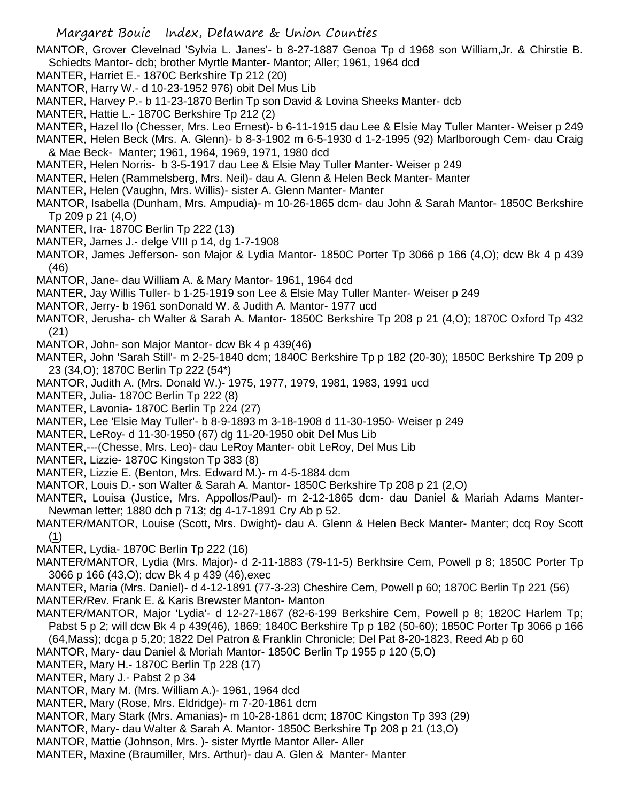MANTOR, Grover Clevelnad 'Sylvia L. Janes'- b 8-27-1887 Genoa Tp d 1968 son William,Jr. & Chirstie B. Schiedts Mantor- dcb; brother Myrtle Manter- Mantor; Aller; 1961, 1964 dcd

- MANTER, Harriet E.- 1870C Berkshire Tp 212 (20)
- MANTOR, Harry W.- d 10-23-1952 976) obit Del Mus Lib
- MANTER, Harvey P.- b 11-23-1870 Berlin Tp son David & Lovina Sheeks Manter- dcb
- MANTER, Hattie L.- 1870C Berkshire Tp 212 (2)
- MANTER, Hazel Ilo (Chesser, Mrs. Leo Ernest)- b 6-11-1915 dau Lee & Elsie May Tuller Manter- Weiser p 249
- MANTER, Helen Beck (Mrs. A. Glenn)- b 8-3-1902 m 6-5-1930 d 1-2-1995 (92) Marlborough Cem- dau Craig & Mae Beck- Manter; 1961, 1964, 1969, 1971, 1980 dcd
- MANTER, Helen Norris- b 3-5-1917 dau Lee & Elsie May Tuller Manter- Weiser p 249
- MANTER, Helen (Rammelsberg, Mrs. Neil)- dau A. Glenn & Helen Beck Manter- Manter
- MANTER, Helen (Vaughn, Mrs. Willis)- sister A. Glenn Manter- Manter
- MANTOR, Isabella (Dunham, Mrs. Ampudia)- m 10-26-1865 dcm- dau John & Sarah Mantor- 1850C Berkshire Tp 209 p 21 (4,O)
- MANTER, Ira- 1870C Berlin Tp 222 (13)
- MANTER, James J.- delge VIII p 14, dg 1-7-1908
- MANTOR, James Jefferson- son Major & Lydia Mantor- 1850C Porter Tp 3066 p 166 (4,O); dcw Bk 4 p 439 (46)
- MANTOR, Jane- dau William A. & Mary Mantor- 1961, 1964 dcd
- MANTER, Jay Willis Tuller- b 1-25-1919 son Lee & Elsie May Tuller Manter- Weiser p 249
- MANTOR, Jerry- b 1961 sonDonald W. & Judith A. Mantor- 1977 ucd
- MANTOR, Jerusha- ch Walter & Sarah A. Mantor- 1850C Berkshire Tp 208 p 21 (4,O); 1870C Oxford Tp 432 (21)
- MANTOR, John- son Major Mantor- dcw Bk 4 p 439(46)
- MANTER, John 'Sarah Still'- m 2-25-1840 dcm; 1840C Berkshire Tp p 182 (20-30); 1850C Berkshire Tp 209 p 23 (34,O); 1870C Berlin Tp 222 (54\*)
- MANTOR, Judith A. (Mrs. Donald W.)- 1975, 1977, 1979, 1981, 1983, 1991 ucd
- MANTER, Julia- 1870C Berlin Tp 222 (8)
- MANTER, Lavonia- 1870C Berlin Tp 224 (27)
- MANTER, Lee 'Elsie May Tuller'- b 8-9-1893 m 3-18-1908 d 11-30-1950- Weiser p 249
- MANTER, LeRoy- d 11-30-1950 (67) dg 11-20-1950 obit Del Mus Lib
- MANTER,---(Chesse, Mrs. Leo)- dau LeRoy Manter- obit LeRoy, Del Mus Lib
- MANTER, Lizzie- 1870C Kingston Tp 383 (8)
- MANTER, Lizzie E. (Benton, Mrs. Edward M.)- m 4-5-1884 dcm
- MANTOR, Louis D.- son Walter & Sarah A. Mantor- 1850C Berkshire Tp 208 p 21 (2,O)
- MANTER, Louisa (Justice, Mrs. Appollos/Paul)- m 2-12-1865 dcm- dau Daniel & Mariah Adams Manter-Newman letter; 1880 dch p 713; dg 4-17-1891 Cry Ab p 52.
- MANTER/MANTOR, Louise (Scott, Mrs. Dwight)- dau A. Glenn & Helen Beck Manter- Manter; dcq Roy Scott (1)
- MANTER, Lydia- 1870C Berlin Tp 222 (16)
- MANTER/MANTOR, Lydia (Mrs. Major)- d 2-11-1883 (79-11-5) Berkhsire Cem, Powell p 8; 1850C Porter Tp 3066 p 166 (43,O); dcw Bk 4 p 439 (46),exec
- MANTER, Maria (Mrs. Daniel)- d 4-12-1891 (77-3-23) Cheshire Cem, Powell p 60; 1870C Berlin Tp 221 (56) MANTER/Rev. Frank E. & Karis Brewster Manton- Manton
- MANTER/MANTOR, Major 'Lydia'- d 12-27-1867 (82-6-199 Berkshire Cem, Powell p 8; 1820C Harlem Tp; Pabst 5 p 2; will dcw Bk 4 p 439(46), 1869; 1840C Berkshire Tp p 182 (50-60); 1850C Porter Tp 3066 p 166 (64,Mass); dcga p 5,20; 1822 Del Patron & Franklin Chronicle; Del Pat 8-20-1823, Reed Ab p 60
- MANTOR, Mary- dau Daniel & Moriah Mantor- 1850C Berlin Tp 1955 p 120 (5,O)
- MANTER, Mary H.- 1870C Berlin Tp 228 (17)
- MANTER, Mary J.- Pabst 2 p 34
- MANTOR, Mary M. (Mrs. William A.)- 1961, 1964 dcd
- MANTER, Mary (Rose, Mrs. Eldridge)- m 7-20-1861 dcm
- MANTOR, Mary Stark (Mrs. Amanias)- m 10-28-1861 dcm; 1870C Kingston Tp 393 (29)
- MANTOR, Mary- dau Walter & Sarah A. Mantor- 1850C Berkshire Tp 208 p 21 (13,O)
- MANTOR, Mattie (Johnson, Mrs. )- sister Myrtle Mantor Aller- Aller
- MANTER, Maxine (Braumiller, Mrs. Arthur)- dau A. Glen & Manter- Manter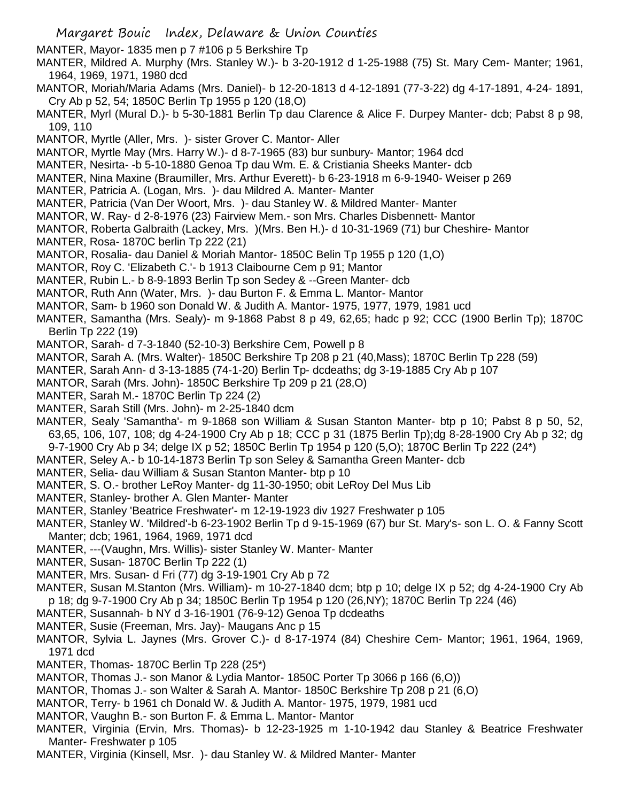MANTER, Mayor- 1835 men p 7 #106 p 5 Berkshire Tp

- MANTER, Mildred A. Murphy (Mrs. Stanley W.)- b 3-20-1912 d 1-25-1988 (75) St. Mary Cem- Manter; 1961, 1964, 1969, 1971, 1980 dcd
- MANTOR, Moriah/Maria Adams (Mrs. Daniel)- b 12-20-1813 d 4-12-1891 (77-3-22) dg 4-17-1891, 4-24- 1891, Cry Ab p 52, 54; 1850C Berlin Tp 1955 p 120 (18,O)
- MANTER, Myrl (Mural D.)- b 5-30-1881 Berlin Tp dau Clarence & Alice F. Durpey Manter- dcb; Pabst 8 p 98, 109, 110
- MANTOR, Myrtle (Aller, Mrs. )- sister Grover C. Mantor- Aller
- MANTOR, Myrtle May (Mrs. Harry W.)- d 8-7-1965 (83) bur sunbury- Mantor; 1964 dcd
- MANTER, Nesirta- -b 5-10-1880 Genoa Tp dau Wm. E. & Cristiania Sheeks Manter- dcb
- MANTER, Nina Maxine (Braumiller, Mrs. Arthur Everett)- b 6-23-1918 m 6-9-1940- Weiser p 269
- MANTER, Patricia A. (Logan, Mrs. )- dau Mildred A. Manter- Manter
- MANTER, Patricia (Van Der Woort, Mrs. )- dau Stanley W. & Mildred Manter- Manter
- MANTOR, W. Ray- d 2-8-1976 (23) Fairview Mem.- son Mrs. Charles Disbennett- Mantor
- MANTOR, Roberta Galbraith (Lackey, Mrs. )(Mrs. Ben H.)- d 10-31-1969 (71) bur Cheshire- Mantor
- MANTER, Rosa- 1870C berlin Tp 222 (21)
- MANTOR, Rosalia- dau Daniel & Moriah Mantor- 1850C Belin Tp 1955 p 120 (1,O)
- MANTOR, Roy C. 'Elizabeth C.'- b 1913 Claibourne Cem p 91; Mantor
- MANTER, Rubin L.- b 8-9-1893 Berlin Tp son Sedey & --Green Manter- dcb
- MANTOR, Ruth Ann (Water, Mrs. )- dau Burton F. & Emma L. Mantor- Mantor
- MANTOR, Sam- b 1960 son Donald W. & Judith A. Mantor- 1975, 1977, 1979, 1981 ucd
- MANTER, Samantha (Mrs. Sealy)- m 9-1868 Pabst 8 p 49, 62,65; hadc p 92; CCC (1900 Berlin Tp); 1870C Berlin Tp 222 (19)
- MANTOR, Sarah- d 7-3-1840 (52-10-3) Berkshire Cem, Powell p 8
- MANTOR, Sarah A. (Mrs. Walter)- 1850C Berkshire Tp 208 p 21 (40,Mass); 1870C Berlin Tp 228 (59)
- MANTER, Sarah Ann- d 3-13-1885 (74-1-20) Berlin Tp- dcdeaths; dg 3-19-1885 Cry Ab p 107
- MANTOR, Sarah (Mrs. John)- 1850C Berkshire Tp 209 p 21 (28,O)
- MANTER, Sarah M.- 1870C Berlin Tp 224 (2)
- MANTER, Sarah Still (Mrs. John)- m 2-25-1840 dcm
- MANTER, Sealy 'Samantha'- m 9-1868 son William & Susan Stanton Manter- btp p 10; Pabst 8 p 50, 52, 63,65, 106, 107, 108; dg 4-24-1900 Cry Ab p 18; CCC p 31 (1875 Berlin Tp);dg 8-28-1900 Cry Ab p 32; dg 9-7-1900 Cry Ab p 34; delge IX p 52; 1850C Berlin Tp 1954 p 120 (5,O); 1870C Berlin Tp 222 (24\*)
- MANTER, Seley A.- b 10-14-1873 Berlin Tp son Seley & Samantha Green Manter- dcb
- MANTER, Selia- dau William & Susan Stanton Manter- btp p 10
- MANTER, S. O.- brother LeRoy Manter- dg 11-30-1950; obit LeRoy Del Mus Lib
- MANTER, Stanley- brother A. Glen Manter- Manter
- MANTER, Stanley 'Beatrice Freshwater'- m 12-19-1923 div 1927 Freshwater p 105
- MANTER, Stanley W. 'Mildred'-b 6-23-1902 Berlin Tp d 9-15-1969 (67) bur St. Mary's- son L. O. & Fanny Scott Manter; dcb; 1961, 1964, 1969, 1971 dcd
- MANTER, ---(Vaughn, Mrs. Willis)- sister Stanley W. Manter- Manter
- MANTER, Susan- 1870C Berlin Tp 222 (1)
- MANTER, Mrs. Susan- d Fri (77) dg 3-19-1901 Cry Ab p 72
- MANTER, Susan M.Stanton (Mrs. William)- m 10-27-1840 dcm; btp p 10; delge IX p 52; dg 4-24-1900 Cry Ab p 18; dg 9-7-1900 Cry Ab p 34; 1850C Berlin Tp 1954 p 120 (26,NY); 1870C Berlin Tp 224 (46)
- MANTER, Susannah- b NY d 3-16-1901 (76-9-12) Genoa Tp dcdeaths
- MANTER, Susie (Freeman, Mrs. Jay)- Maugans Anc p 15
- MANTOR, Sylvia L. Jaynes (Mrs. Grover C.)- d 8-17-1974 (84) Cheshire Cem- Mantor; 1961, 1964, 1969, 1971 dcd
- MANTER, Thomas- 1870C Berlin Tp 228 (25\*)
- MANTOR, Thomas J.- son Manor & Lydia Mantor- 1850C Porter Tp 3066 p 166 (6,O))
- MANTOR, Thomas J.- son Walter & Sarah A. Mantor- 1850C Berkshire Tp 208 p 21 (6,O)
- MANTOR, Terry- b 1961 ch Donald W. & Judith A. Mantor- 1975, 1979, 1981 ucd
- MANTOR, Vaughn B.- son Burton F. & Emma L. Mantor- Mantor
- MANTER, Virginia (Ervin, Mrs. Thomas)- b 12-23-1925 m 1-10-1942 dau Stanley & Beatrice Freshwater Manter- Freshwater p 105
- MANTER, Virginia (Kinsell, Msr. )- dau Stanley W. & Mildred Manter- Manter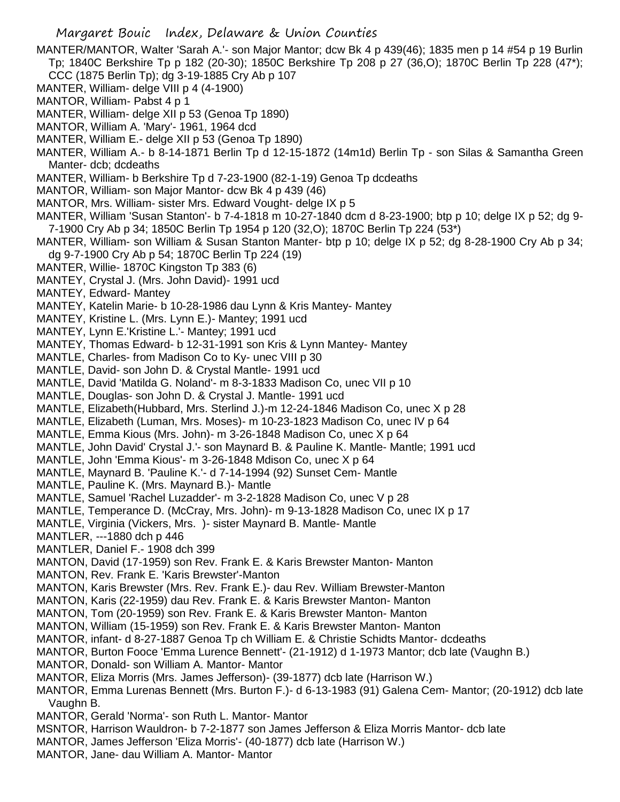- MANTER/MANTOR, Walter 'Sarah A.'- son Major Mantor; dcw Bk 4 p 439(46); 1835 men p 14 #54 p 19 Burlin Tp; 1840C Berkshire Tp p 182 (20-30); 1850C Berkshire Tp 208 p 27 (36,O); 1870C Berlin Tp 228 (47\*); CCC (1875 Berlin Tp); dg 3-19-1885 Cry Ab p 107
- MANTER, William- delge VIII p 4 (4-1900)
- MANTOR, William- Pabst 4 p 1
- MANTER, William- delge XII p 53 (Genoa Tp 1890)
- MANTOR, William A. 'Mary'- 1961, 1964 dcd
- MANTER, William E.- delge XII p 53 (Genoa Tp 1890)
- MANTER, William A.- b 8-14-1871 Berlin Tp d 12-15-1872 (14m1d) Berlin Tp son Silas & Samantha Green Manter- dcb; dcdeaths
- MANTER, William- b Berkshire Tp d 7-23-1900 (82-1-19) Genoa Tp dcdeaths
- MANTOR, William- son Major Mantor- dcw Bk 4 p 439 (46)
- MANTOR, Mrs. William- sister Mrs. Edward Vought- delge IX p 5
- MANTER, William 'Susan Stanton'- b 7-4-1818 m 10-27-1840 dcm d 8-23-1900; btp p 10; delge IX p 52; dg 9- 7-1900 Cry Ab p 34; 1850C Berlin Tp 1954 p 120 (32,O); 1870C Berlin Tp 224 (53\*)
- MANTER, William- son William & Susan Stanton Manter- btp p 10; delge IX p 52; dg 8-28-1900 Cry Ab p 34; dg 9-7-1900 Cry Ab p 54; 1870C Berlin Tp 224 (19)
- MANTER, Willie- 1870C Kingston Tp 383 (6)
- MANTEY, Crystal J. (Mrs. John David)- 1991 ucd
- MANTEY, Edward- Mantey
- MANTEY, Katelin Marie- b 10-28-1986 dau Lynn & Kris Mantey- Mantey
- MANTEY, Kristine L. (Mrs. Lynn E.)- Mantey; 1991 ucd
- MANTEY, Lynn E.'Kristine L.'- Mantey; 1991 ucd
- MANTEY, Thomas Edward- b 12-31-1991 son Kris & Lynn Mantey- Mantey
- MANTLE, Charles- from Madison Co to Ky- unec VIII p 30
- MANTLE, David- son John D. & Crystal Mantle- 1991 ucd
- MANTLE, David 'Matilda G. Noland'- m 8-3-1833 Madison Co, unec VII p 10
- MANTLE, Douglas- son John D. & Crystal J. Mantle- 1991 ucd
- MANTLE, Elizabeth(Hubbard, Mrs. Sterlind J.)-m 12-24-1846 Madison Co, unec X p 28
- MANTLE, Elizabeth (Luman, Mrs. Moses)- m 10-23-1823 Madison Co, unec IV p 64
- MANTLE, Emma Kious (Mrs. John)- m 3-26-1848 Madison Co, unec X p 64
- MANTLE, John David' Crystal J.'- son Maynard B. & Pauline K. Mantle- Mantle; 1991 ucd
- MANTLE, John 'Emma Kious'- m 3-26-1848 Mdison Co, unec X p 64
- MANTLE, Maynard B. 'Pauline K.'- d 7-14-1994 (92) Sunset Cem- Mantle
- MANTLE, Pauline K. (Mrs. Maynard B.)- Mantle
- MANTLE, Samuel 'Rachel Luzadder'- m 3-2-1828 Madison Co, unec V p 28
- MANTLE, Temperance D. (McCray, Mrs. John)- m 9-13-1828 Madison Co, unec IX p 17
- MANTLE, Virginia (Vickers, Mrs. )- sister Maynard B. Mantle- Mantle
- MANTLER, ---1880 dch p 446
- MANTLER, Daniel F.- 1908 dch 399
- MANTON, David (17-1959) son Rev. Frank E. & Karis Brewster Manton- Manton
- MANTON, Rev. Frank E. 'Karis Brewster'-Manton
- MANTON, Karis Brewster (Mrs. Rev. Frank E.)- dau Rev. William Brewster-Manton
- MANTON, Karis (22-1959) dau Rev. Frank E. & Karis Brewster Manton- Manton
- MANTON, Tom (20-1959) son Rev. Frank E. & Karis Brewster Manton- Manton
- MANTON, William (15-1959) son Rev. Frank E. & Karis Brewster Manton- Manton
- MANTOR, infant- d 8-27-1887 Genoa Tp ch William E. & Christie Schidts Mantor- dcdeaths
- MANTOR, Burton Fooce 'Emma Lurence Bennett'- (21-1912) d 1-1973 Mantor; dcb late (Vaughn B.)
- MANTOR, Donald- son William A. Mantor- Mantor
- MANTOR, Eliza Morris (Mrs. James Jefferson)- (39-1877) dcb late (Harrison W.)
- MANTOR, Emma Lurenas Bennett (Mrs. Burton F.)- d 6-13-1983 (91) Galena Cem- Mantor; (20-1912) dcb late Vaughn B.
- MANTOR, Gerald 'Norma'- son Ruth L. Mantor- Mantor
- MSNTOR, Harrison Wauldron- b 7-2-1877 son James Jefferson & Eliza Morris Mantor- dcb late
- MANTOR, James Jefferson 'Eliza Morris'- (40-1877) dcb late (Harrison W.)
- MANTOR, Jane- dau William A. Mantor- Mantor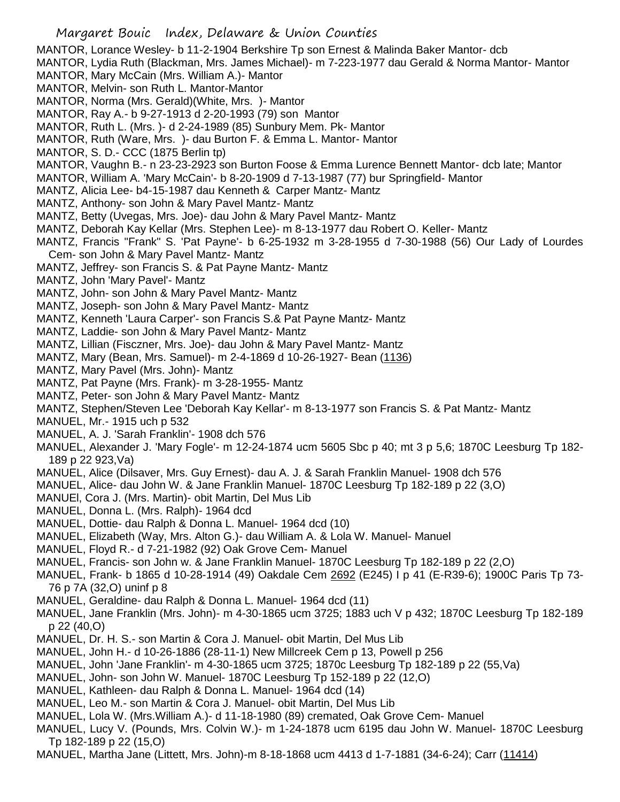- MANTOR, Lorance Wesley- b 11-2-1904 Berkshire Tp son Ernest & Malinda Baker Mantor- dcb
- MANTOR, Lydia Ruth (Blackman, Mrs. James Michael)- m 7-223-1977 dau Gerald & Norma Mantor- Mantor
- MANTOR, Mary McCain (Mrs. William A.)- Mantor
- MANTOR, Melvin- son Ruth L. Mantor-Mantor
- MANTOR, Norma (Mrs. Gerald)(White, Mrs. )- Mantor
- MANTOR, Ray A.- b 9-27-1913 d 2-20-1993 (79) son Mantor
- MANTOR, Ruth L. (Mrs. )- d 2-24-1989 (85) Sunbury Mem. Pk- Mantor
- MANTOR, Ruth (Ware, Mrs. )- dau Burton F. & Emma L. Mantor- Mantor
- MANTOR, S. D.- CCC (1875 Berlin tp)
- MANTOR, Vaughn B.- n 23-23-2923 son Burton Foose & Emma Lurence Bennett Mantor- dcb late; Mantor
- MANTOR, William A. 'Mary McCain'- b 8-20-1909 d 7-13-1987 (77) bur Springfield- Mantor
- MANTZ, Alicia Lee- b4-15-1987 dau Kenneth & Carper Mantz- Mantz
- MANTZ, Anthony- son John & Mary Pavel Mantz- Mantz
- MANTZ, Betty (Uvegas, Mrs. Joe)- dau John & Mary Pavel Mantz- Mantz
- MANTZ, Deborah Kay Kellar (Mrs. Stephen Lee)- m 8-13-1977 dau Robert O. Keller- Mantz
- MANTZ, Francis "Frank" S. 'Pat Payne'- b 6-25-1932 m 3-28-1955 d 7-30-1988 (56) Our Lady of Lourdes Cem- son John & Mary Pavel Mantz- Mantz
- MANTZ, Jeffrey- son Francis S. & Pat Payne Mantz- Mantz
- MANTZ, John 'Mary Pavel'- Mantz
- MANTZ, John- son John & Mary Pavel Mantz- Mantz
- MANTZ, Joseph- son John & Mary Pavel Mantz- Mantz
- MANTZ, Kenneth 'Laura Carper'- son Francis S.& Pat Payne Mantz- Mantz
- MANTZ, Laddie- son John & Mary Pavel Mantz- Mantz
- MANTZ, Lillian (Fisczner, Mrs. Joe)- dau John & Mary Pavel Mantz- Mantz
- MANTZ, Mary (Bean, Mrs. Samuel)- m 2-4-1869 d 10-26-1927- Bean (1136)
- MANTZ, Mary Pavel (Mrs. John)- Mantz
- MANTZ, Pat Payne (Mrs. Frank)- m 3-28-1955- Mantz
- MANTZ, Peter- son John & Mary Pavel Mantz- Mantz
- MANTZ, Stephen/Steven Lee 'Deborah Kay Kellar'- m 8-13-1977 son Francis S. & Pat Mantz- Mantz
- MANUEL, Mr.- 1915 uch p 532
- MANUEL, A. J. 'Sarah Franklin'- 1908 dch 576
- MANUEL, Alexander J. 'Mary Fogle'- m 12-24-1874 ucm 5605 Sbc p 40; mt 3 p 5,6; 1870C Leesburg Tp 182- 189 p 22 923,Va)
- MANUEL, Alice (Dilsaver, Mrs. Guy Ernest)- dau A. J. & Sarah Franklin Manuel- 1908 dch 576
- MANUEL, Alice- dau John W. & Jane Franklin Manuel- 1870C Leesburg Tp 182-189 p 22 (3,O)
- MANUEl, Cora J. (Mrs. Martin)- obit Martin, Del Mus Lib
- MANUEL, Donna L. (Mrs. Ralph)- 1964 dcd
- MANUEL, Dottie- dau Ralph & Donna L. Manuel- 1964 dcd (10)
- MANUEL, Elizabeth (Way, Mrs. Alton G.)- dau William A. & Lola W. Manuel- Manuel
- MANUEL, Floyd R.- d 7-21-1982 (92) Oak Grove Cem- Manuel
- MANUEL, Francis- son John w. & Jane Franklin Manuel- 1870C Leesburg Tp 182-189 p 22 (2,O)
- MANUEL, Frank- b 1865 d 10-28-1914 (49) Oakdale Cem 2692 (E245) I p 41 (E-R39-6); 1900C Paris Tp 73- 76 p 7A (32,O) uninf p 8
- MANUEL, Geraldine- dau Ralph & Donna L. Manuel- 1964 dcd (11)
- MANUEL, Jane Franklin (Mrs. John)- m 4-30-1865 ucm 3725; 1883 uch V p 432; 1870C Leesburg Tp 182-189 p 22 (40,O)
- MANUEL, Dr. H. S.- son Martin & Cora J. Manuel- obit Martin, Del Mus Lib
- MANUEL, John H.- d 10-26-1886 (28-11-1) New Millcreek Cem p 13, Powell p 256
- MANUEL, John 'Jane Franklin'- m 4-30-1865 ucm 3725; 1870c Leesburg Tp 182-189 p 22 (55,Va)
- MANUEL, John- son John W. Manuel- 1870C Leesburg Tp 152-189 p 22 (12,O)
- MANUEL, Kathleen- dau Ralph & Donna L. Manuel- 1964 dcd (14)
- MANUEL, Leo M.- son Martin & Cora J. Manuel- obit Martin, Del Mus Lib
- MANUEL, Lola W. (Mrs.William A.)- d 11-18-1980 (89) cremated, Oak Grove Cem- Manuel
- MANUEL, Lucy V. (Pounds, Mrs. Colvin W.)- m 1-24-1878 ucm 6195 dau John W. Manuel- 1870C Leesburg Tp 182-189 p 22 (15,O)
- MANUEL, Martha Jane (Littett, Mrs. John)-m 8-18-1868 ucm 4413 d 1-7-1881 (34-6-24); Carr (11414)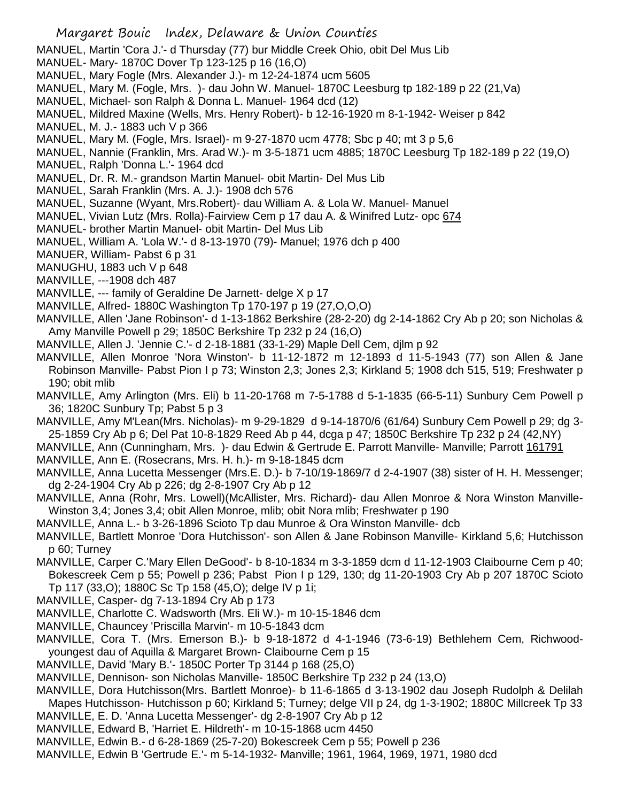Margaret Bouic Index, Delaware & Union Counties MANUEL, Martin 'Cora J.'- d Thursday (77) bur Middle Creek Ohio, obit Del Mus Lib MANUEL- Mary- 1870C Dover Tp 123-125 p 16 (16,O) MANUEL, Mary Fogle (Mrs. Alexander J.)- m 12-24-1874 ucm 5605 MANUEL, Mary M. (Fogle, Mrs. )- dau John W. Manuel- 1870C Leesburg tp 182-189 p 22 (21,Va) MANUEL, Michael- son Ralph & Donna L. Manuel- 1964 dcd (12) MANUEL, Mildred Maxine (Wells, Mrs. Henry Robert)- b 12-16-1920 m 8-1-1942- Weiser p 842 MANUEL, M. J.- 1883 uch V p 366 MANUEL, Mary M. (Fogle, Mrs. Israel)- m 9-27-1870 ucm 4778; Sbc p 40; mt 3 p 5,6 MANUEL, Nannie (Franklin, Mrs. Arad W.)- m 3-5-1871 ucm 4885; 1870C Leesburg Tp 182-189 p 22 (19,O) MANUEL, Ralph 'Donna L.'- 1964 dcd MANUEL, Dr. R. M.- grandson Martin Manuel- obit Martin- Del Mus Lib MANUEL, Sarah Franklin (Mrs. A. J.)- 1908 dch 576 MANUEL, Suzanne (Wyant, Mrs.Robert)- dau William A. & Lola W. Manuel- Manuel MANUEL, Vivian Lutz (Mrs. Rolla)-Fairview Cem p 17 dau A. & Winifred Lutz- opc 674 MANUEL- brother Martin Manuel- obit Martin- Del Mus Lib MANUEL, William A. 'Lola W.'- d 8-13-1970 (79)- Manuel; 1976 dch p 400 MANUER, William- Pabst 6 p 31 MANUGHU, 1883 uch V p 648 MANVILLE, ---1908 dch 487 MANVILLE, --- family of Geraldine De Jarnett- delge X p 17 MANVILLE, Alfred- 1880C Washington Tp 170-197 p 19 (27,O,O,O) MANVILLE, Allen 'Jane Robinson'- d 1-13-1862 Berkshire (28-2-20) dg 2-14-1862 Cry Ab p 20; son Nicholas & Amy Manville Powell p 29; 1850C Berkshire Tp 232 p 24 (16,O) MANVILLE, Allen J. 'Jennie C.'- d 2-18-1881 (33-1-29) Maple Dell Cem, djlm p 92 MANVILLE, Allen Monroe 'Nora Winston'- b 11-12-1872 m 12-1893 d 11-5-1943 (77) son Allen & Jane Robinson Manville- Pabst Pion I p 73; Winston 2,3; Jones 2,3; Kirkland 5; 1908 dch 515, 519; Freshwater p 190; obit mlib MANVILLE, Amy Arlington (Mrs. Eli) b 11-20-1768 m 7-5-1788 d 5-1-1835 (66-5-11) Sunbury Cem Powell p 36; 1820C Sunbury Tp; Pabst 5 p 3 MANVILLE, Amy M'Lean(Mrs. Nicholas)- m 9-29-1829 d 9-14-1870/6 (61/64) Sunbury Cem Powell p 29; dg 3- 25-1859 Cry Ab p 6; Del Pat 10-8-1829 Reed Ab p 44, dcga p 47; 1850C Berkshire Tp 232 p 24 (42,NY) MANVILLE, Ann (Cunningham, Mrs. )- dau Edwin & Gertrude E. Parrott Manville- Manville; Parrott 161791 MANVILLE, Ann E. (Rosecrans, Mrs. H. h.)- m 9-18-1845 dcm MANVILLE, Anna Lucetta Messenger (Mrs.E. D.)- b 7-10/19-1869/7 d 2-4-1907 (38) sister of H. H. Messenger; dg 2-24-1904 Cry Ab p 226; dg 2-8-1907 Cry Ab p 12 MANVILLE, Anna (Rohr, Mrs. Lowell)(McAllister, Mrs. Richard)- dau Allen Monroe & Nora Winston Manville-Winston 3,4; Jones 3,4; obit Allen Monroe, mlib; obit Nora mlib; Freshwater p 190 MANVILLE, Anna L.- b 3-26-1896 Scioto Tp dau Munroe & Ora Winston Manville- dcb MANVILLE, Bartlett Monroe 'Dora Hutchisson'- son Allen & Jane Robinson Manville- Kirkland 5,6; Hutchisson p 60; Turney MANVILLE, Carper C.'Mary Ellen DeGood'- b 8-10-1834 m 3-3-1859 dcm d 11-12-1903 Claibourne Cem p 40; Bokescreek Cem p 55; Powell p 236; Pabst Pion I p 129, 130; dg 11-20-1903 Cry Ab p 207 1870C Scioto Tp 117 (33,O); 1880C Sc Tp 158 (45,O); delge IV p 1i; MANVILLE, Casper- dg 7-13-1894 Cry Ab p 173 MANVILLE, Charlotte C. Wadsworth (Mrs. Eli W.)- m 10-15-1846 dcm MANVILLE, Chauncey 'Priscilla Marvin'- m 10-5-1843 dcm MANVILLE, Cora T. (Mrs. Emerson B.)- b 9-18-1872 d 4-1-1946 (73-6-19) Bethlehem Cem, Richwoodyoungest dau of Aquilla & Margaret Brown- Claibourne Cem p 15 MANVILLE, David 'Mary B.'- 1850C Porter Tp 3144 p 168 (25,O) MANVILLE, Dennison- son Nicholas Manville- 1850C Berkshire Tp 232 p 24 (13,O) MANVILLE, Dora Hutchisson(Mrs. Bartlett Monroe)- b 11-6-1865 d 3-13-1902 dau Joseph Rudolph & Delilah Mapes Hutchisson- Hutchisson p 60; Kirkland 5; Turney; delge VII p 24, dg 1-3-1902; 1880C Millcreek Tp 33 MANVILLE, E. D. 'Anna Lucetta Messenger'- dg 2-8-1907 Cry Ab p 12

- MANVILLE, Edward B, 'Harriet E. Hildreth'- m 10-15-1868 ucm 4450
- MANVILLE, Edwin B.- d 6-28-1869 (25-7-20) Bokescreek Cem p 55; Powell p 236
- MANVILLE, Edwin B 'Gertrude E.'- m 5-14-1932- Manville; 1961, 1964, 1969, 1971, 1980 dcd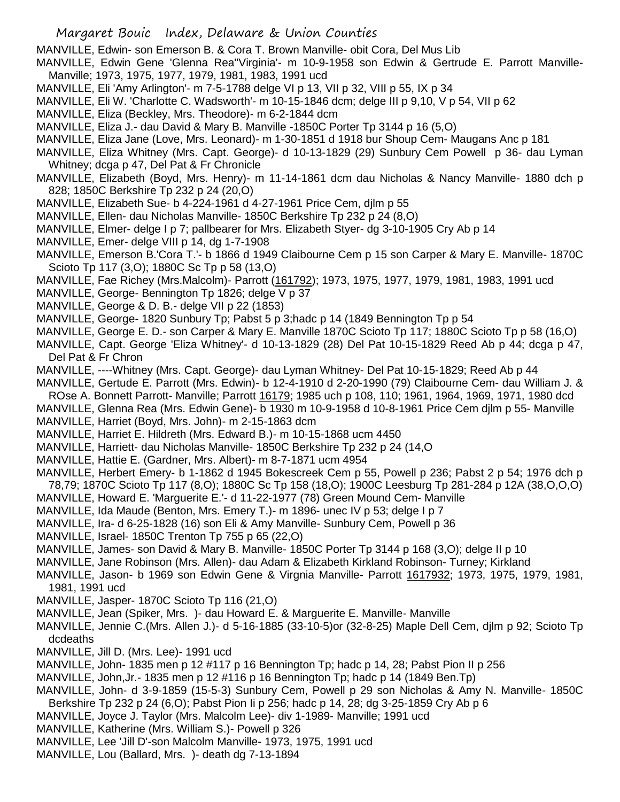MANVILLE, Edwin- son Emerson B. & Cora T. Brown Manville- obit Cora, Del Mus Lib

- MANVILLE, Edwin Gene 'Glenna Rea''Virginia'- m 10-9-1958 son Edwin & Gertrude E. Parrott Manville-Manville; 1973, 1975, 1977, 1979, 1981, 1983, 1991 ucd
- MANVILLE, Eli 'Amy Arlington'- m 7-5-1788 delge VI p 13, VII p 32, VIII p 55, IX p 34
- MANVILLE, Eli W. 'Charlotte C. Wadsworth'- m 10-15-1846 dcm; delge III p 9,10, V p 54, VII p 62
- MANVILLE, Eliza (Beckley, Mrs. Theodore)- m 6-2-1844 dcm
- MANVILLE, Eliza J.- dau David & Mary B. Manville -1850C Porter Tp 3144 p 16 (5,O)
- MANVILLE, Eliza Jane (Love, Mrs. Leonard)- m 1-30-1851 d 1918 bur Shoup Cem- Maugans Anc p 181
- MANVILLE, Eliza Whitney (Mrs. Capt. George)- d 10-13-1829 (29) Sunbury Cem Powell p 36- dau Lyman Whitney; dcga p 47, Del Pat & Fr Chronicle
- MANVILLE, Elizabeth (Boyd, Mrs. Henry)- m 11-14-1861 dcm dau Nicholas & Nancy Manville- 1880 dch p 828; 1850C Berkshire Tp 232 p 24 (20,O)
- MANVILLE, Elizabeth Sue- b 4-224-1961 d 4-27-1961 Price Cem, djlm p 55
- MANVILLE, Ellen- dau Nicholas Manville- 1850C Berkshire Tp 232 p 24 (8,O)
- MANVILLE, Elmer- delge I p 7; pallbearer for Mrs. Elizabeth Styer- dg 3-10-1905 Cry Ab p 14
- MANVILLE, Emer- delge VIII p 14, dg 1-7-1908
- MANVILLE, Emerson B.'Cora T.'- b 1866 d 1949 Claibourne Cem p 15 son Carper & Mary E. Manville- 1870C Scioto Tp 117 (3,O); 1880C Sc Tp p 58 (13,O)
- MANVILLE, Fae Richey (Mrs.Malcolm)- Parrott (161792); 1973, 1975, 1977, 1979, 1981, 1983, 1991 ucd
- MANVILLE, George- Bennington Tp 1826; delge V p 37
- MANVILLE, George & D. B.- delge VII p 22 (1853)
- MANVILLE, George- 1820 Sunbury Tp; Pabst 5 p 3;hadc p 14 (1849 Bennington Tp p 54
- MANVILLE, George E. D.- son Carper & Mary E. Manville 1870C Scioto Tp 117; 1880C Scioto Tp p 58 (16,O)
- MANVILLE, Capt. George 'Eliza Whitney'- d 10-13-1829 (28) Del Pat 10-15-1829 Reed Ab p 44; dcga p 47, Del Pat & Fr Chron
- MANVILLE, ----Whitney (Mrs. Capt. George)- dau Lyman Whitney- Del Pat 10-15-1829; Reed Ab p 44
- MANVILLE, Gertude E. Parrott (Mrs. Edwin)- b 12-4-1910 d 2-20-1990 (79) Claibourne Cem- dau William J. &
- ROse A. Bonnett Parrott- Manville; Parrott 16179; 1985 uch p 108, 110; 1961, 1964, 1969, 1971, 1980 dcd
- MANVILLE, Glenna Rea (Mrs. Edwin Gene)- b 1930 m 10-9-1958 d 10-8-1961 Price Cem djlm p 55- Manville
- MANVILLE, Harriet (Boyd, Mrs. John)- m 2-15-1863 dcm
- MANVILLE, Harriet E. Hildreth (Mrs. Edward B.)- m 10-15-1868 ucm 4450
- MANVILLE, Harriett- dau Nicholas Manville- 1850C Berkshire Tp 232 p 24 (14,O
- MANVILLE, Hattie E. (Gardner, Mrs. Albert)- m 8-7-1871 ucm 4954
- MANVILLE, Herbert Emery- b 1-1862 d 1945 Bokescreek Cem p 55, Powell p 236; Pabst 2 p 54; 1976 dch p 78,79; 1870C Scioto Tp 117 (8,O); 1880C Sc Tp 158 (18,O); 1900C Leesburg Tp 281-284 p 12A (38,O,O,O)
- MANVILLE, Howard E. 'Marguerite E.'- d 11-22-1977 (78) Green Mound Cem- Manville
- MANVILLE, Ida Maude (Benton, Mrs. Emery T.)- m 1896- unec IV p 53; delge I p 7
- MANVILLE, Ira- d 6-25-1828 (16) son Eli & Amy Manville- Sunbury Cem, Powell p 36
- MANVILLE, Israel- 1850C Trenton Tp 755 p 65 (22,O)
- MANVILLE, James- son David & Mary B. Manville- 1850C Porter Tp 3144 p 168 (3,O); delge II p 10
- MANVILLE, Jane Robinson (Mrs. Allen)- dau Adam & Elizabeth Kirkland Robinson- Turney; Kirkland
- MANVILLE, Jason- b 1969 son Edwin Gene & Virgnia Manville- Parrott 1617932; 1973, 1975, 1979, 1981, 1981, 1991 ucd
- MANVILLE, Jasper- 1870C Scioto Tp 116 (21,O)
- MANVILLE, Jean (Spiker, Mrs. )- dau Howard E. & Marguerite E. Manville- Manville
- MANVILLE, Jennie C.(Mrs. Allen J.)- d 5-16-1885 (33-10-5)or (32-8-25) Maple Dell Cem, djlm p 92; Scioto Tp dcdeaths
- MANVILLE, Jill D. (Mrs. Lee)- 1991 ucd
- MANVILLE, John- 1835 men p 12 #117 p 16 Bennington Tp; hadc p 14, 28; Pabst Pion II p 256
- MANVILLE, John,Jr.- 1835 men p 12 #116 p 16 Bennington Tp; hadc p 14 (1849 Ben.Tp)
- MANVILLE, John- d 3-9-1859 (15-5-3) Sunbury Cem, Powell p 29 son Nicholas & Amy N. Manville- 1850C Berkshire Tp 232 p 24 (6,O); Pabst Pion Ii p 256; hadc p 14, 28; dg 3-25-1859 Cry Ab p 6
- MANVILLE, Joyce J. Taylor (Mrs. Malcolm Lee)- div 1-1989- Manville; 1991 ucd
- MANVILLE, Katherine (Mrs. William S.)- Powell p 326
- MANVILLE, Lee 'Jill D'-son Malcolm Manville- 1973, 1975, 1991 ucd
- MANVILLE, Lou (Ballard, Mrs. )- death dg 7-13-1894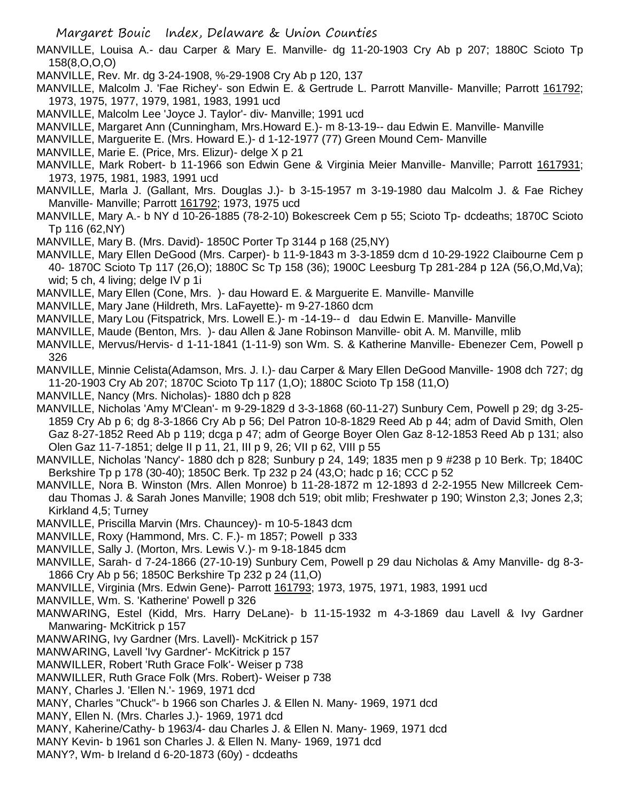- MANVILLE, Louisa A.- dau Carper & Mary E. Manville- dg 11-20-1903 Cry Ab p 207; 1880C Scioto Tp 158(8,O,O,O)
- MANVILLE, Rev. Mr. dg 3-24-1908, %-29-1908 Cry Ab p 120, 137
- MANVILLE, Malcolm J. 'Fae Richey'- son Edwin E. & Gertrude L. Parrott Manville- Manville; Parrott 161792; 1973, 1975, 1977, 1979, 1981, 1983, 1991 ucd
- MANVILLE, Malcolm Lee 'Joyce J. Taylor'- div- Manville; 1991 ucd
- MANVILLE, Margaret Ann (Cunningham, Mrs.Howard E.)- m 8-13-19-- dau Edwin E. Manville- Manville
- MANVILLE, Marguerite E. (Mrs. Howard E.)- d 1-12-1977 (77) Green Mound Cem- Manville
- MANVILLE, Marie E. (Price, Mrs. Elizur)- delge X p 21
- MANVILLE, Mark Robert- b 11-1966 son Edwin Gene & Virginia Meier Manville- Manville; Parrott 1617931; 1973, 1975, 1981, 1983, 1991 ucd
- MANVILLE, Marla J. (Gallant, Mrs. Douglas J.)- b 3-15-1957 m 3-19-1980 dau Malcolm J. & Fae Richey Manville- Manville; Parrott 161792; 1973, 1975 ucd
- MANVILLE, Mary A.- b NY d 10-26-1885 (78-2-10) Bokescreek Cem p 55; Scioto Tp- dcdeaths; 1870C Scioto Tp 116 (62,NY)
- MANVILLE, Mary B. (Mrs. David)- 1850C Porter Tp 3144 p 168 (25,NY)
- MANVILLE, Mary Ellen DeGood (Mrs. Carper)- b 11-9-1843 m 3-3-1859 dcm d 10-29-1922 Claibourne Cem p 40- 1870C Scioto Tp 117 (26,O); 1880C Sc Tp 158 (36); 1900C Leesburg Tp 281-284 p 12A (56,O,Md,Va); wid; 5 ch, 4 living; delge IV p 1i
- MANVILLE, Mary Ellen (Cone, Mrs. )- dau Howard E. & Marguerite E. Manville- Manville
- MANVILLE, Mary Jane (Hildreth, Mrs. LaFayette)- m 9-27-1860 dcm
- MANVILLE, Mary Lou (Fitspatrick, Mrs. Lowell E.)- m -14-19-- d dau Edwin E. Manville- Manville
- MANVILLE, Maude (Benton, Mrs. )- dau Allen & Jane Robinson Manville- obit A. M. Manville, mlib
- MANVILLE, Mervus/Hervis- d 1-11-1841 (1-11-9) son Wm. S. & Katherine Manville- Ebenezer Cem, Powell p 326
- MANVILLE, Minnie Celista(Adamson, Mrs. J. I.)- dau Carper & Mary Ellen DeGood Manville- 1908 dch 727; dg 11-20-1903 Cry Ab 207; 1870C Scioto Tp 117 (1,O); 1880C Scioto Tp 158 (11,O)
- MANVILLE, Nancy (Mrs. Nicholas)- 1880 dch p 828
- MANVILLE, Nicholas 'Amy M'Clean'- m 9-29-1829 d 3-3-1868 (60-11-27) Sunbury Cem, Powell p 29; dg 3-25- 1859 Cry Ab p 6; dg 8-3-1866 Cry Ab p 56; Del Patron 10-8-1829 Reed Ab p 44; adm of David Smith, Olen Gaz 8-27-1852 Reed Ab p 119; dcga p 47; adm of George Boyer Olen Gaz 8-12-1853 Reed Ab p 131; also Olen Gaz 11-7-1851; delge II p 11, 21, III p 9, 26; VII p 62, VIII p 55
- MANVILLE, Nicholas 'Nancy'- 1880 dch p 828; Sunbury p 24, 149; 1835 men p 9 #238 p 10 Berk. Tp; 1840C Berkshire Tp p 178 (30-40); 1850C Berk. Tp 232 p 24 (43,O; hadc p 16; CCC p 52
- MANVILLE, Nora B. Winston (Mrs. Allen Monroe) b 11-28-1872 m 12-1893 d 2-2-1955 New Millcreek Cemdau Thomas J. & Sarah Jones Manville; 1908 dch 519; obit mlib; Freshwater p 190; Winston 2,3; Jones 2,3; Kirkland 4,5; Turney
- MANVILLE, Priscilla Marvin (Mrs. Chauncey)- m 10-5-1843 dcm
- MANVILLE, Roxy (Hammond, Mrs. C. F.)- m 1857; Powell p 333
- MANVILLE, Sally J. (Morton, Mrs. Lewis V.)- m 9-18-1845 dcm
- MANVILLE, Sarah- d 7-24-1866 (27-10-19) Sunbury Cem, Powell p 29 dau Nicholas & Amy Manville- dg 8-3- 1866 Cry Ab p 56; 1850C Berkshire Tp 232 p 24 (11,O)
- MANVILLE, Virginia (Mrs. Edwin Gene)- Parrott 161793; 1973, 1975, 1971, 1983, 1991 ucd
- MANVILLE, Wm. S. 'Katherine' Powell p 326
- MANWARING, Estel (Kidd, Mrs. Harry DeLane)- b 11-15-1932 m 4-3-1869 dau Lavell & Ivy Gardner Manwaring- McKitrick p 157
- MANWARING, Ivy Gardner (Mrs. Lavell)- McKitrick p 157
- MANWARING, Lavell 'Ivy Gardner'- McKitrick p 157
- MANWILLER, Robert 'Ruth Grace Folk'- Weiser p 738
- MANWILLER, Ruth Grace Folk (Mrs. Robert)- Weiser p 738
- MANY, Charles J. 'Ellen N.'- 1969, 1971 dcd
- MANY, Charles "Chuck"- b 1966 son Charles J. & Ellen N. Many- 1969, 1971 dcd
- MANY, Ellen N. (Mrs. Charles J.)- 1969, 1971 dcd
- MANY, Kaherine/Cathy- b 1963/4- dau Charles J. & Ellen N. Many- 1969, 1971 dcd
- MANY Kevin- b 1961 son Charles J. & Ellen N. Many- 1969, 1971 dcd
- MANY?, Wm- b Ireland d 6-20-1873 (60y) dcdeaths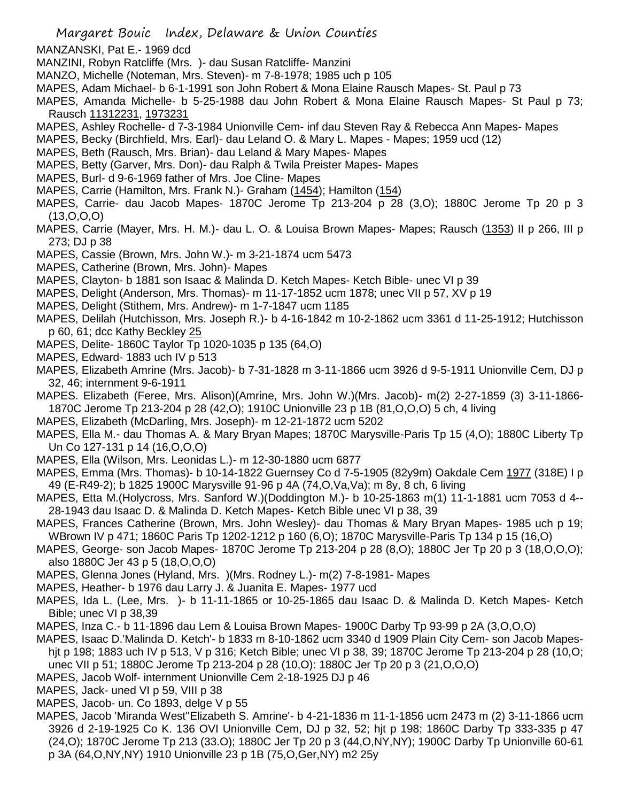- MANZANSKI, Pat E.- 1969 dcd
- MANZINI, Robyn Ratcliffe (Mrs. )- dau Susan Ratcliffe- Manzini
- MANZO, Michelle (Noteman, Mrs. Steven)- m 7-8-1978; 1985 uch p 105
- MAPES, Adam Michael- b 6-1-1991 son John Robert & Mona Elaine Rausch Mapes- St. Paul p 73
- MAPES, Amanda Michelle- b 5-25-1988 dau John Robert & Mona Elaine Rausch Mapes- St Paul p 73; Rausch 11312231, 1973231
- MAPES, Ashley Rochelle- d 7-3-1984 Unionville Cem- inf dau Steven Ray & Rebecca Ann Mapes- Mapes
- MAPES, Becky (Birchfield, Mrs. Earl)- dau Leland O. & Mary L. Mapes Mapes; 1959 ucd (12)
- MAPES, Beth (Rausch, Mrs. Brian)- dau Leland & Mary Mapes- Mapes
- MAPES, Betty (Garver, Mrs. Don)- dau Ralph & Twila Preister Mapes- Mapes
- MAPES, Burl- d 9-6-1969 father of Mrs. Joe Cline- Mapes
- MAPES, Carrie (Hamilton, Mrs. Frank N.)- Graham (1454); Hamilton (154)
- MAPES, Carrie- dau Jacob Mapes- 1870C Jerome Tp 213-204 p 28 (3,O); 1880C Jerome Tp 20 p 3 (13,O,O,O)
- MAPES, Carrie (Mayer, Mrs. H. M.)- dau L. O. & Louisa Brown Mapes- Mapes; Rausch (1353) II p 266, III p 273; DJ p 38
- MAPES, Cassie (Brown, Mrs. John W.)- m 3-21-1874 ucm 5473
- MAPES, Catherine (Brown, Mrs. John)- Mapes
- MAPES, Clayton- b 1881 son Isaac & Malinda D. Ketch Mapes- Ketch Bible- unec VI p 39
- MAPES, Delight (Anderson, Mrs. Thomas)- m 11-17-1852 ucm 1878; unec VII p 57, XV p 19
- MAPES, Delight (Stithem, Mrs. Andrew)- m 1-7-1847 ucm 1185
- MAPES, Delilah (Hutchisson, Mrs. Joseph R.)- b 4-16-1842 m 10-2-1862 ucm 3361 d 11-25-1912; Hutchisson p 60, 61; dcc Kathy Beckley 25
- MAPES, Delite- 1860C Taylor Tp 1020-1035 p 135 (64,O)
- MAPES, Edward- 1883 uch IV p 513
- MAPES, Elizabeth Amrine (Mrs. Jacob)- b 7-31-1828 m 3-11-1866 ucm 3926 d 9-5-1911 Unionville Cem, DJ p 32, 46; internment 9-6-1911
- MAPES. Elizabeth (Feree, Mrs. Alison)(Amrine, Mrs. John W.)(Mrs. Jacob)- m(2) 2-27-1859 (3) 3-11-1866- 1870C Jerome Tp 213-204 p 28 (42,O); 1910C Unionville 23 p 1B (81,O,O,O) 5 ch, 4 living
- MAPES, Elizabeth (McDarling, Mrs. Joseph)- m 12-21-1872 ucm 5202
- MAPES, Ella M.- dau Thomas A. & Mary Bryan Mapes; 1870C Marysville-Paris Tp 15 (4,O); 1880C Liberty Tp Un Co 127-131 p 14 (16,O,O,O)
- MAPES, Ella (Wilson, Mrs. Leonidas L.)- m 12-30-1880 ucm 6877
- MAPES, Emma (Mrs. Thomas)- b 10-14-1822 Guernsey Co d 7-5-1905 (82y9m) Oakdale Cem 1977 (318E) I p 49 (E-R49-2); b 1825 1900C Marysville 91-96 p 4A (74,O,Va,Va); m 8y, 8 ch, 6 living
- MAPES, Etta M.(Holycross, Mrs. Sanford W.)(Doddington M.)- b 10-25-1863 m(1) 11-1-1881 ucm 7053 d 4-- 28-1943 dau Isaac D. & Malinda D. Ketch Mapes- Ketch Bible unec VI p 38, 39
- MAPES, Frances Catherine (Brown, Mrs. John Wesley)- dau Thomas & Mary Bryan Mapes- 1985 uch p 19; WBrown IV p 471; 1860C Paris Tp 1202-1212 p 160 (6,O); 1870C Marysville-Paris Tp 134 p 15 (16,O)
- MAPES, George- son Jacob Mapes- 1870C Jerome Tp 213-204 p 28 (8,O); 1880C Jer Tp 20 p 3 (18,O,O,O); also 1880C Jer 43 p 5 (18,O,O,O)
- MAPES, Glenna Jones (Hyland, Mrs. )(Mrs. Rodney L.)- m(2) 7-8-1981- Mapes
- MAPES, Heather- b 1976 dau Larry J. & Juanita E. Mapes- 1977 ucd
- MAPES, Ida L. (Lee, Mrs. )- b 11-11-1865 or 10-25-1865 dau Isaac D. & Malinda D. Ketch Mapes- Ketch Bible; unec VI p 38,39
- MAPES, Inza C.- b 11-1896 dau Lem & Louisa Brown Mapes- 1900C Darby Tp 93-99 p 2A (3,O,O,O)
- MAPES, Isaac D.'Malinda D. Ketch'- b 1833 m 8-10-1862 ucm 3340 d 1909 Plain City Cem- son Jacob Mapeshjt p 198; 1883 uch IV p 513, V p 316; Ketch Bible; unec VI p 38, 39; 1870C Jerome Tp 213-204 p 28 (10,O; unec VII p 51; 1880C Jerome Tp 213-204 p 28 (10,O): 1880C Jer Tp 20 p 3 (21,O,O,O)
- MAPES, Jacob Wolf- internment Unionville Cem 2-18-1925 DJ p 46
- MAPES, Jack- uned VI p 59, VIII p 38
- MAPES, Jacob- un. Co 1893, delge V p 55
- MAPES, Jacob 'Miranda West''Elizabeth S. Amrine'- b 4-21-1836 m 11-1-1856 ucm 2473 m (2) 3-11-1866 ucm 3926 d 2-19-1925 Co K. 136 OVI Unionville Cem, DJ p 32, 52; hjt p 198; 1860C Darby Tp 333-335 p 47 (24,O); 1870C Jerome Tp 213 (33.O); 1880C Jer Tp 20 p 3 (44,O,NY,NY); 1900C Darby Tp Unionville 60-61 p 3A (64,O,NY,NY) 1910 Unionville 23 p 1B (75,O,Ger,NY) m2 25y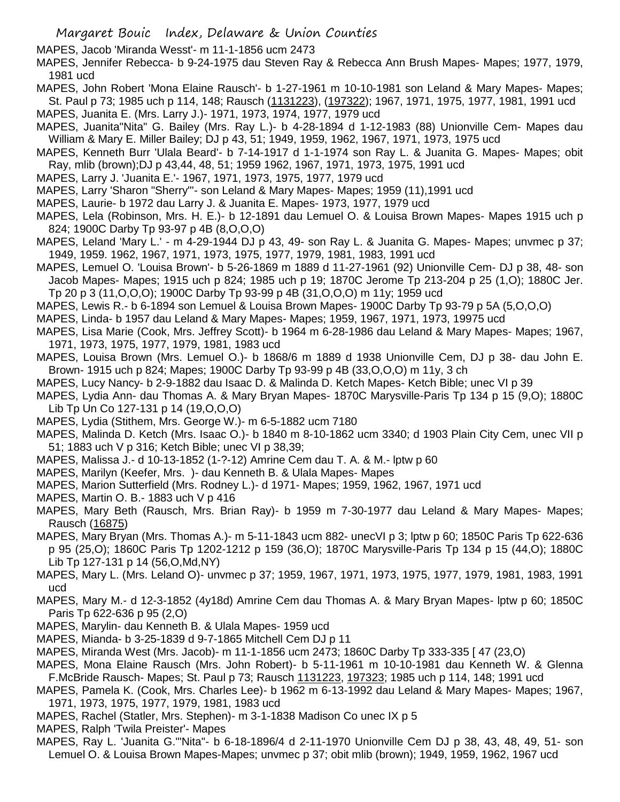MAPES, Jacob 'Miranda Wesst'- m 11-1-1856 ucm 2473

MAPES, Jennifer Rebecca- b 9-24-1975 dau Steven Ray & Rebecca Ann Brush Mapes- Mapes; 1977, 1979, 1981 ucd

MAPES, John Robert 'Mona Elaine Rausch'- b 1-27-1961 m 10-10-1981 son Leland & Mary Mapes- Mapes; St. Paul p 73; 1985 uch p 114, 148; Rausch (1131223), (197322); 1967, 1971, 1975, 1977, 1981, 1991 ucd

MAPES, Juanita E. (Mrs. Larry J.)- 1971, 1973, 1974, 1977, 1979 ucd

MAPES, Juanita"Nita" G. Bailey (Mrs. Ray L.)- b 4-28-1894 d 1-12-1983 (88) Unionville Cem- Mapes dau William & Mary E. Miller Bailey; DJ p 43, 51; 1949, 1959, 1962, 1967, 1971, 1973, 1975 ucd

- MAPES, Kenneth Burr 'Ulala Beard'- b 7-14-1917 d 1-1-1974 son Ray L. & Juanita G. Mapes- Mapes; obit Ray, mlib (brown);DJ p 43,44, 48, 51; 1959 1962, 1967, 1971, 1973, 1975, 1991 ucd
- MAPES, Larry J. 'Juanita E.'- 1967, 1971, 1973, 1975, 1977, 1979 ucd
- MAPES, Larry 'Sharon "Sherry"'- son Leland & Mary Mapes- Mapes; 1959 (11),1991 ucd
- MAPES, Laurie- b 1972 dau Larry J. & Juanita E. Mapes- 1973, 1977, 1979 ucd
- MAPES, Lela (Robinson, Mrs. H. E.)- b 12-1891 dau Lemuel O. & Louisa Brown Mapes- Mapes 1915 uch p 824; 1900C Darby Tp 93-97 p 4B (8,O,O,O)
- MAPES, Leland 'Mary L.' m 4-29-1944 DJ p 43, 49- son Ray L. & Juanita G. Mapes- Mapes; unvmec p 37; 1949, 1959. 1962, 1967, 1971, 1973, 1975, 1977, 1979, 1981, 1983, 1991 ucd
- MAPES, Lemuel O. 'Louisa Brown'- b 5-26-1869 m 1889 d 11-27-1961 (92) Unionville Cem- DJ p 38, 48- son Jacob Mapes- Mapes; 1915 uch p 824; 1985 uch p 19; 1870C Jerome Tp 213-204 p 25 (1,O); 1880C Jer. Tp 20 p 3 (11,O,O,O); 1900C Darby Tp 93-99 p 4B (31,O,O,O) m 11y; 1959 ucd
- MAPES, Lewis R.- b 6-1894 son Lemuel & Louisa Brown Mapes- 1900C Darby Tp 93-79 p 5A (5,O,O,O)
- MAPES, Linda- b 1957 dau Leland & Mary Mapes- Mapes; 1959, 1967, 1971, 1973, 19975 ucd
- MAPES, Lisa Marie (Cook, Mrs. Jeffrey Scott)- b 1964 m 6-28-1986 dau Leland & Mary Mapes- Mapes; 1967, 1971, 1973, 1975, 1977, 1979, 1981, 1983 ucd
- MAPES, Louisa Brown (Mrs. Lemuel O.)- b 1868/6 m 1889 d 1938 Unionville Cem, DJ p 38- dau John E. Brown- 1915 uch p 824; Mapes; 1900C Darby Tp 93-99 p 4B (33,O,O,O) m 11y, 3 ch
- MAPES, Lucy Nancy- b 2-9-1882 dau Isaac D. & Malinda D. Ketch Mapes- Ketch Bible; unec VI p 39
- MAPES, Lydia Ann- dau Thomas A. & Mary Bryan Mapes- 1870C Marysville-Paris Tp 134 p 15 (9,O); 1880C Lib Tp Un Co 127-131 p 14 (19,O,O,O)
- MAPES, Lydia (Stithem, Mrs. George W.)- m 6-5-1882 ucm 7180
- MAPES, Malinda D. Ketch (Mrs. Isaac O.)- b 1840 m 8-10-1862 ucm 3340; d 1903 Plain City Cem, unec VII p 51; 1883 uch V p 316; Ketch Bible; unec VI p 38,39;
- MAPES, Malissa J.- d 10-13-1852 (1-?-12) Amrine Cem dau T. A. & M.- lptw p 60
- MAPES, Marilyn (Keefer, Mrs. )- dau Kenneth B. & Ulala Mapes- Mapes
- MAPES, Marion Sutterfield (Mrs. Rodney L.)- d 1971- Mapes; 1959, 1962, 1967, 1971 ucd
- MAPES, Martin O. B.- 1883 uch V p 416
- MAPES, Mary Beth (Rausch, Mrs. Brian Ray)- b 1959 m 7-30-1977 dau Leland & Mary Mapes- Mapes; Rausch (16875)
- MAPES, Mary Bryan (Mrs. Thomas A.)- m 5-11-1843 ucm 882- unecVI p 3; lptw p 60; 1850C Paris Tp 622-636 p 95 (25,O); 1860C Paris Tp 1202-1212 p 159 (36,O); 1870C Marysville-Paris Tp 134 p 15 (44,O); 1880C Lib Tp 127-131 p 14 (56,O,Md,NY)
- MAPES, Mary L. (Mrs. Leland O)- unvmec p 37; 1959, 1967, 1971, 1973, 1975, 1977, 1979, 1981, 1983, 1991 ucd
- MAPES, Mary M.- d 12-3-1852 (4y18d) Amrine Cem dau Thomas A. & Mary Bryan Mapes- lptw p 60; 1850C Paris Tp 622-636 p 95 (2,O)
- MAPES, Marylin- dau Kenneth B. & Ulala Mapes- 1959 ucd
- MAPES, Mianda- b 3-25-1839 d 9-7-1865 Mitchell Cem DJ p 11
- MAPES, Miranda West (Mrs. Jacob)- m 11-1-1856 ucm 2473; 1860C Darby Tp 333-335 [ 47 (23,O)
- MAPES, Mona Elaine Rausch (Mrs. John Robert)- b 5-11-1961 m 10-10-1981 dau Kenneth W. & Glenna F.McBride Rausch- Mapes; St. Paul p 73; Rausch 1131223, 197323; 1985 uch p 114, 148; 1991 ucd
- MAPES, Pamela K. (Cook, Mrs. Charles Lee)- b 1962 m 6-13-1992 dau Leland & Mary Mapes- Mapes; 1967, 1971, 1973, 1975, 1977, 1979, 1981, 1983 ucd
- MAPES, Rachel (Statler, Mrs. Stephen)- m 3-1-1838 Madison Co unec IX p 5
- MAPES, Ralph 'Twila Preister'- Mapes
- MAPES, Ray L. 'Juanita G.'"Nita"- b 6-18-1896/4 d 2-11-1970 Unionville Cem DJ p 38, 43, 48, 49, 51- son Lemuel O. & Louisa Brown Mapes-Mapes; unvmec p 37; obit mlib (brown); 1949, 1959, 1962, 1967 ucd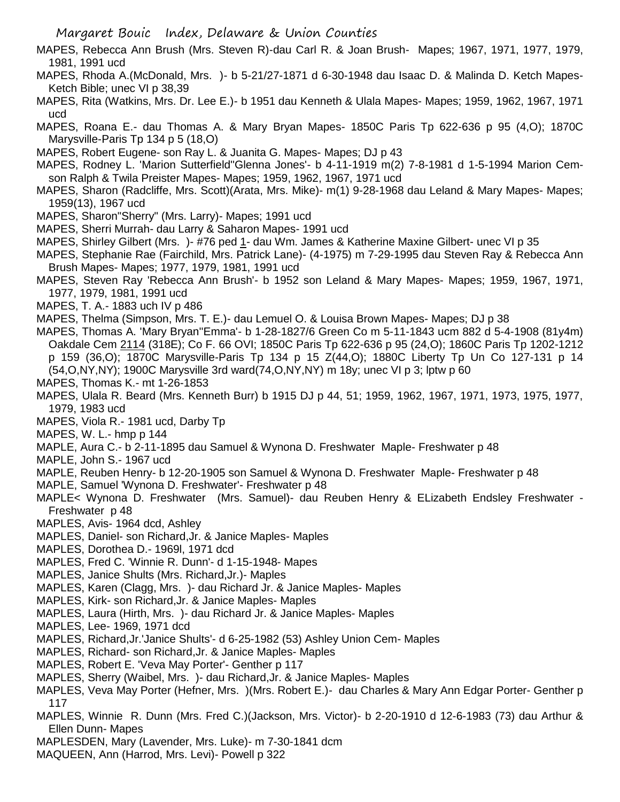- MAPES, Rebecca Ann Brush (Mrs. Steven R)-dau Carl R. & Joan Brush- Mapes; 1967, 1971, 1977, 1979, 1981, 1991 ucd
- MAPES, Rhoda A.(McDonald, Mrs. )- b 5-21/27-1871 d 6-30-1948 dau Isaac D. & Malinda D. Ketch Mapes-Ketch Bible; unec VI p 38,39
- MAPES, Rita (Watkins, Mrs. Dr. Lee E.)- b 1951 dau Kenneth & Ulala Mapes- Mapes; 1959, 1962, 1967, 1971 ucd
- MAPES, Roana E.- dau Thomas A. & Mary Bryan Mapes- 1850C Paris Tp 622-636 p 95 (4,O); 1870C Marysville-Paris Tp 134 p 5 (18,O)
- MAPES, Robert Eugene- son Ray L. & Juanita G. Mapes- Mapes; DJ p 43
- MAPES, Rodney L. 'Marion Sutterfield''Glenna Jones'- b 4-11-1919 m(2) 7-8-1981 d 1-5-1994 Marion Cemson Ralph & Twila Preister Mapes- Mapes; 1959, 1962, 1967, 1971 ucd
- MAPES, Sharon (Radcliffe, Mrs. Scott)(Arata, Mrs. Mike)- m(1) 9-28-1968 dau Leland & Mary Mapes- Mapes; 1959(13), 1967 ucd
- MAPES, Sharon"Sherry" (Mrs. Larry)- Mapes; 1991 ucd
- MAPES, Sherri Murrah- dau Larry & Saharon Mapes- 1991 ucd
- MAPES, Shirley Gilbert (Mrs. )- #76 ped 1- dau Wm. James & Katherine Maxine Gilbert- unec VI p 35
- MAPES, Stephanie Rae (Fairchild, Mrs. Patrick Lane)- (4-1975) m 7-29-1995 dau Steven Ray & Rebecca Ann Brush Mapes- Mapes; 1977, 1979, 1981, 1991 ucd
- MAPES, Steven Ray 'Rebecca Ann Brush'- b 1952 son Leland & Mary Mapes- Mapes; 1959, 1967, 1971, 1977, 1979, 1981, 1991 ucd
- MAPES, T. A.- 1883 uch IV p 486
- MAPES, Thelma (Simpson, Mrs. T. E.)- dau Lemuel O. & Louisa Brown Mapes- Mapes; DJ p 38
- MAPES, Thomas A. 'Mary Bryan''Emma'- b 1-28-1827/6 Green Co m 5-11-1843 ucm 882 d 5-4-1908 (81y4m) Oakdale Cem 2114 (318E); Co F. 66 OVI; 1850C Paris Tp 622-636 p 95 (24,O); 1860C Paris Tp 1202-1212 p 159 (36,O); 1870C Marysville-Paris Tp 134 p 15 Z(44,O); 1880C Liberty Tp Un Co 127-131 p 14 (54,O,NY,NY); 1900C Marysville 3rd ward(74,O,NY,NY) m 18y; unec VI p 3; lptw p 60
- MAPES, Thomas K.- mt 1-26-1853
- MAPES, Ulala R. Beard (Mrs. Kenneth Burr) b 1915 DJ p 44, 51; 1959, 1962, 1967, 1971, 1973, 1975, 1977, 1979, 1983 ucd
- MAPES, Viola R.- 1981 ucd, Darby Tp
- MAPES, W. L.- hmp p 144
- MAPLE, Aura C.- b 2-11-1895 dau Samuel & Wynona D. Freshwater Maple- Freshwater p 48
- MAPLE, John S.- 1967 ucd
- MAPLE, Reuben Henry- b 12-20-1905 son Samuel & Wynona D. Freshwater Maple- Freshwater p 48
- MAPLE, Samuel 'Wynona D. Freshwater'- Freshwater p 48
- MAPLE< Wynona D. Freshwater (Mrs. Samuel)- dau Reuben Henry & ELizabeth Endsley Freshwater Freshwater p 48
- MAPLES, Avis- 1964 dcd, Ashley
- MAPLES, Daniel- son Richard,Jr. & Janice Maples- Maples
- MAPLES, Dorothea D.- 1969l, 1971 dcd
- MAPLES, Fred C. 'Winnie R. Dunn'- d 1-15-1948- Mapes
- MAPLES, Janice Shults (Mrs. Richard,Jr.)- Maples
- MAPLES, Karen (Clagg, Mrs. )- dau Richard Jr. & Janice Maples- Maples
- MAPLES, Kirk- son Richard,Jr. & Janice Maples- Maples
- MAPLES, Laura (Hirth, Mrs. )- dau Richard Jr. & Janice Maples- Maples
- MAPLES, Lee- 1969, 1971 dcd
- MAPLES, Richard,Jr.'Janice Shults'- d 6-25-1982 (53) Ashley Union Cem- Maples
- MAPLES, Richard- son Richard,Jr. & Janice Maples- Maples
- MAPLES, Robert E. 'Veva May Porter'- Genther p 117
- MAPLES, Sherry (Waibel, Mrs. )- dau Richard,Jr. & Janice Maples- Maples
- MAPLES, Veva May Porter (Hefner, Mrs. )(Mrs. Robert E.)- dau Charles & Mary Ann Edgar Porter- Genther p 117
- MAPLES, Winnie R. Dunn (Mrs. Fred C.)(Jackson, Mrs. Victor)- b 2-20-1910 d 12-6-1983 (73) dau Arthur & Ellen Dunn- Mapes
- MAPLESDEN, Mary (Lavender, Mrs. Luke)- m 7-30-1841 dcm
- MAQUEEN, Ann (Harrod, Mrs. Levi)- Powell p 322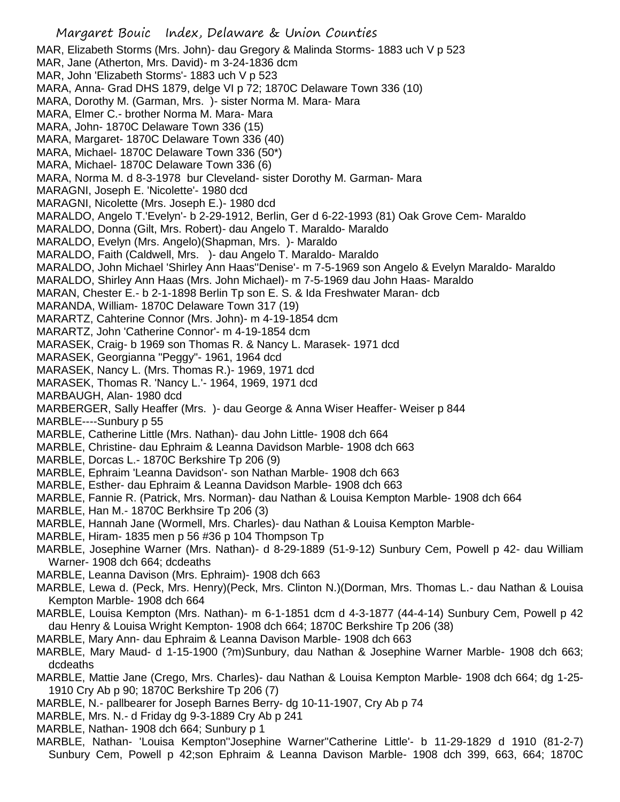Margaret Bouic Index, Delaware & Union Counties MAR, Elizabeth Storms (Mrs. John)- dau Gregory & Malinda Storms- 1883 uch V p 523 MAR, Jane (Atherton, Mrs. David)- m 3-24-1836 dcm MAR, John 'Elizabeth Storms'- 1883 uch V p 523 MARA, Anna- Grad DHS 1879, delge VI p 72; 1870C Delaware Town 336 (10) MARA, Dorothy M. (Garman, Mrs. )- sister Norma M. Mara- Mara MARA, Elmer C.- brother Norma M. Mara- Mara MARA, John- 1870C Delaware Town 336 (15) MARA, Margaret- 1870C Delaware Town 336 (40) MARA, Michael- 1870C Delaware Town 336 (50\*) MARA, Michael- 1870C Delaware Town 336 (6) MARA, Norma M. d 8-3-1978 bur Cleveland- sister Dorothy M. Garman- Mara MARAGNI, Joseph E. 'Nicolette'- 1980 dcd MARAGNI, Nicolette (Mrs. Joseph E.)- 1980 dcd MARALDO, Angelo T.'Evelyn'- b 2-29-1912, Berlin, Ger d 6-22-1993 (81) Oak Grove Cem- Maraldo MARALDO, Donna (Gilt, Mrs. Robert)- dau Angelo T. Maraldo- Maraldo MARALDO, Evelyn (Mrs. Angelo)(Shapman, Mrs. )- Maraldo MARALDO, Faith (Caldwell, Mrs. )- dau Angelo T. Maraldo- Maraldo MARALDO, John Michael 'Shirley Ann Haas''Denise'- m 7-5-1969 son Angelo & Evelyn Maraldo- Maraldo MARALDO, Shirley Ann Haas (Mrs. John Michael)- m 7-5-1969 dau John Haas- Maraldo MARAN, Chester E.- b 2-1-1898 Berlin Tp son E. S. & Ida Freshwater Maran- dcb MARANDA, William- 1870C Delaware Town 317 (19) MARARTZ, Cahterine Connor (Mrs. John)- m 4-19-1854 dcm MARARTZ, John 'Catherine Connor'- m 4-19-1854 dcm MARASEK, Craig- b 1969 son Thomas R. & Nancy L. Marasek- 1971 dcd MARASEK, Georgianna "Peggy"- 1961, 1964 dcd MARASEK, Nancy L. (Mrs. Thomas R.)- 1969, 1971 dcd MARASEK, Thomas R. 'Nancy L.'- 1964, 1969, 1971 dcd MARBAUGH, Alan- 1980 dcd MARBERGER, Sally Heaffer (Mrs. )- dau George & Anna Wiser Heaffer- Weiser p 844 MARBLE----Sunbury p 55 MARBLE, Catherine Little (Mrs. Nathan)- dau John Little- 1908 dch 664 MARBLE, Christine- dau Ephraim & Leanna Davidson Marble- 1908 dch 663 MARBLE, Dorcas L.- 1870C Berkshire Tp 206 (9) MARBLE, Ephraim 'Leanna Davidson'- son Nathan Marble- 1908 dch 663 MARBLE, Esther- dau Ephraim & Leanna Davidson Marble- 1908 dch 663 MARBLE, Fannie R. (Patrick, Mrs. Norman)- dau Nathan & Louisa Kempton Marble- 1908 dch 664 MARBLE, Han M.- 1870C Berkhsire Tp 206 (3) MARBLE, Hannah Jane (Wormell, Mrs. Charles)- dau Nathan & Louisa Kempton Marble-MARBLE, Hiram- 1835 men p 56 #36 p 104 Thompson Tp MARBLE, Josephine Warner (Mrs. Nathan)- d 8-29-1889 (51-9-12) Sunbury Cem, Powell p 42- dau William Warner- 1908 dch 664; dcdeaths MARBLE, Leanna Davison (Mrs. Ephraim)- 1908 dch 663 MARBLE, Lewa d. (Peck, Mrs. Henry)(Peck, Mrs. Clinton N.)(Dorman, Mrs. Thomas L.- dau Nathan & Louisa Kempton Marble- 1908 dch 664 MARBLE, Louisa Kempton (Mrs. Nathan)- m 6-1-1851 dcm d 4-3-1877 (44-4-14) Sunbury Cem, Powell p 42 dau Henry & Louisa Wright Kempton- 1908 dch 664; 1870C Berkshire Tp 206 (38) MARBLE, Mary Ann- dau Ephraim & Leanna Davison Marble- 1908 dch 663 MARBLE, Mary Maud- d 1-15-1900 (?m)Sunbury, dau Nathan & Josephine Warner Marble- 1908 dch 663; dcdeaths MARBLE, Mattie Jane (Crego, Mrs. Charles)- dau Nathan & Louisa Kempton Marble- 1908 dch 664; dg 1-25- 1910 Cry Ab p 90; 1870C Berkshire Tp 206 (7)

- MARBLE, N.- pallbearer for Joseph Barnes Berry- dg 10-11-1907, Cry Ab p 74
- MARBLE, Mrs. N.- d Friday dg 9-3-1889 Cry Ab p 241
- MARBLE, Nathan- 1908 dch 664; Sunbury p 1
- MARBLE, Nathan- 'Louisa Kempton''Josephine Warner''Catherine Little'- b 11-29-1829 d 1910 (81-2-7) Sunbury Cem, Powell p 42;son Ephraim & Leanna Davison Marble- 1908 dch 399, 663, 664; 1870C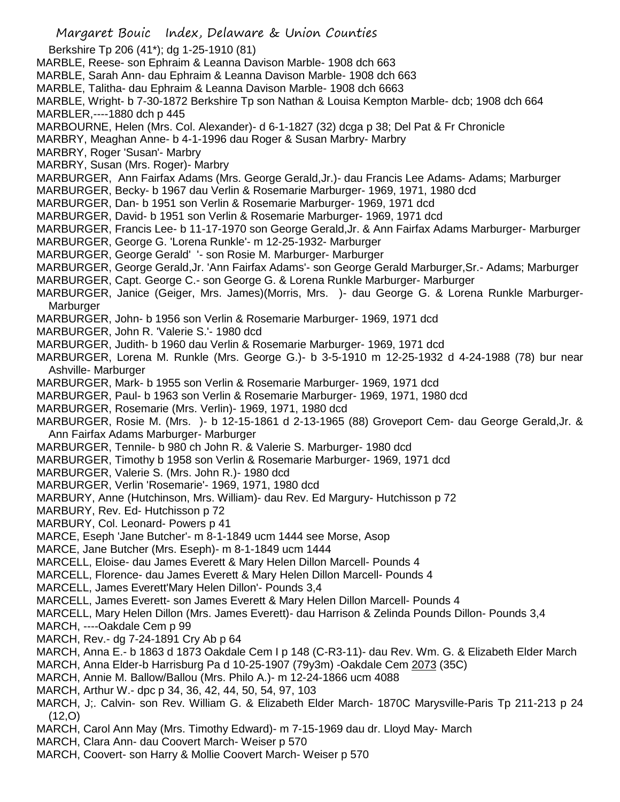Margaret Bouic Index, Delaware & Union Counties Berkshire Tp 206 (41\*); dg 1-25-1910 (81) MARBLE, Reese- son Ephraim & Leanna Davison Marble- 1908 dch 663 MARBLE, Sarah Ann- dau Ephraim & Leanna Davison Marble- 1908 dch 663 MARBLE, Talitha- dau Ephraim & Leanna Davison Marble- 1908 dch 6663 MARBLE, Wright- b 7-30-1872 Berkshire Tp son Nathan & Louisa Kempton Marble- dcb; 1908 dch 664 MARBLER,----1880 dch p 445 MARBOURNE, Helen (Mrs. Col. Alexander)- d 6-1-1827 (32) dcga p 38; Del Pat & Fr Chronicle MARBRY, Meaghan Anne- b 4-1-1996 dau Roger & Susan Marbry- Marbry MARBRY, Roger 'Susan'- Marbry MARBRY, Susan (Mrs. Roger)- Marbry MARBURGER, Ann Fairfax Adams (Mrs. George Gerald,Jr.)- dau Francis Lee Adams- Adams; Marburger MARBURGER, Becky- b 1967 dau Verlin & Rosemarie Marburger- 1969, 1971, 1980 dcd MARBURGER, Dan- b 1951 son Verlin & Rosemarie Marburger- 1969, 1971 dcd MARBURGER, David- b 1951 son Verlin & Rosemarie Marburger- 1969, 1971 dcd MARBURGER, Francis Lee- b 11-17-1970 son George Gerald,Jr. & Ann Fairfax Adams Marburger- Marburger MARBURGER, George G. 'Lorena Runkle'- m 12-25-1932- Marburger MARBURGER, George Gerald' '- son Rosie M. Marburger- Marburger MARBURGER, George Gerald,Jr. 'Ann Fairfax Adams'- son George Gerald Marburger,Sr.- Adams; Marburger MARBURGER, Capt. George C.- son George G. & Lorena Runkle Marburger- Marburger MARBURGER, Janice (Geiger, Mrs. James)(Morris, Mrs. )- dau George G. & Lorena Runkle Marburger-Marburger MARBURGER, John- b 1956 son Verlin & Rosemarie Marburger- 1969, 1971 dcd MARBURGER, John R. 'Valerie S.'- 1980 dcd MARBURGER, Judith- b 1960 dau Verlin & Rosemarie Marburger- 1969, 1971 dcd MARBURGER, Lorena M. Runkle (Mrs. George G.)- b 3-5-1910 m 12-25-1932 d 4-24-1988 (78) bur near Ashville- Marburger MARBURGER, Mark- b 1955 son Verlin & Rosemarie Marburger- 1969, 1971 dcd MARBURGER, Paul- b 1963 son Verlin & Rosemarie Marburger- 1969, 1971, 1980 dcd MARBURGER, Rosemarie (Mrs. Verlin)- 1969, 1971, 1980 dcd MARBURGER, Rosie M. (Mrs. )- b 12-15-1861 d 2-13-1965 (88) Groveport Cem- dau George Gerald,Jr. & Ann Fairfax Adams Marburger- Marburger MARBURGER, Tennile- b 980 ch John R. & Valerie S. Marburger- 1980 dcd MARBURGER, Timothy b 1958 son Verlin & Rosemarie Marburger- 1969, 1971 dcd MARBURGER, Valerie S. (Mrs. John R.)- 1980 dcd MARBURGER, Verlin 'Rosemarie'- 1969, 1971, 1980 dcd MARBURY, Anne (Hutchinson, Mrs. William)- dau Rev. Ed Margury- Hutchisson p 72 MARBURY, Rev. Ed- Hutchisson p 72 MARBURY, Col. Leonard- Powers p 41 MARCE, Eseph 'Jane Butcher'- m 8-1-1849 ucm 1444 see Morse, Asop MARCE, Jane Butcher (Mrs. Eseph)- m 8-1-1849 ucm 1444 MARCELL, Eloise- dau James Everett & Mary Helen Dillon Marcell- Pounds 4 MARCELL, Florence- dau James Everett & Mary Helen Dillon Marcell- Pounds 4 MARCELL, James Everett'Mary Helen Dillon'- Pounds 3,4 MARCELL, James Everett- son James Everett & Mary Helen Dillon Marcell- Pounds 4 MARCELL, Mary Helen Dillon (Mrs. James Everett)- dau Harrison & Zelinda Pounds Dillon- Pounds 3,4 MARCH, ----Oakdale Cem p 99 MARCH, Rev.- dg 7-24-1891 Cry Ab p 64 MARCH, Anna E.- b 1863 d 1873 Oakdale Cem I p 148 (C-R3-11)- dau Rev. Wm. G. & Elizabeth Elder March MARCH, Anna Elder-b Harrisburg Pa d 10-25-1907 (79y3m) -Oakdale Cem 2073 (35C) MARCH, Annie M. Ballow/Ballou (Mrs. Philo A.)- m 12-24-1866 ucm 4088 MARCH, Arthur W.- dpc p 34, 36, 42, 44, 50, 54, 97, 103 MARCH, J;. Calvin- son Rev. William G. & Elizabeth Elder March- 1870C Marysville-Paris Tp 211-213 p 24 (12,O) MARCH, Carol Ann May (Mrs. Timothy Edward)- m 7-15-1969 dau dr. Lloyd May- March MARCH, Clara Ann- dau Coovert March- Weiser p 570

MARCH, Coovert- son Harry & Mollie Coovert March- Weiser p 570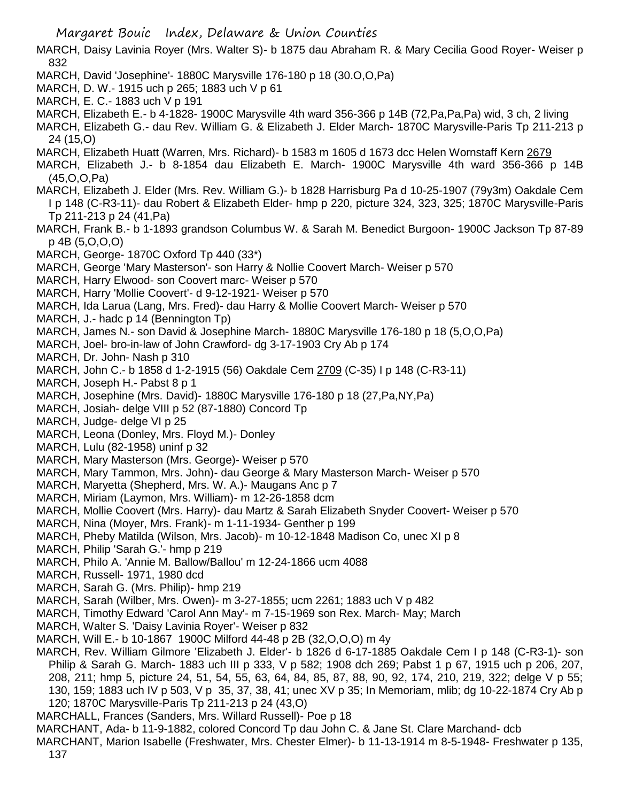- Margaret Bouic Index, Delaware & Union Counties MARCH, Daisy Lavinia Royer (Mrs. Walter S)- b 1875 dau Abraham R. & Mary Cecilia Good Royer- Weiser p 832 MARCH, David 'Josephine'- 1880C Marysville 176-180 p 18 (30.O,O,Pa) MARCH, D. W.- 1915 uch p 265; 1883 uch V p 61 MARCH, E. C.- 1883 uch V p 191 MARCH, Elizabeth E.- b 4-1828- 1900C Marysville 4th ward 356-366 p 14B (72,Pa,Pa,Pa) wid, 3 ch, 2 living MARCH, Elizabeth G.- dau Rev. William G. & Elizabeth J. Elder March- 1870C Marysville-Paris Tp 211-213 p 24 (15,O) MARCH, Elizabeth Huatt (Warren, Mrs. Richard)- b 1583 m 1605 d 1673 dcc Helen Wornstaff Kern 2679 MARCH, Elizabeth J.- b 8-1854 dau Elizabeth E. March- 1900C Marysville 4th ward 356-366 p 14B (45,O,O,Pa) MARCH, Elizabeth J. Elder (Mrs. Rev. William G.)- b 1828 Harrisburg Pa d 10-25-1907 (79y3m) Oakdale Cem I p 148 (C-R3-11)- dau Robert & Elizabeth Elder- hmp p 220, picture 324, 323, 325; 1870C Marysville-Paris Tp 211-213 p 24 (41,Pa) MARCH, Frank B.- b 1-1893 grandson Columbus W. & Sarah M. Benedict Burgoon- 1900C Jackson Tp 87-89 p 4B (5,O,O,O) MARCH, George- 1870C Oxford Tp 440 (33\*) MARCH, George 'Mary Masterson'- son Harry & Nollie Coovert March- Weiser p 570 MARCH, Harry Elwood- son Coovert marc- Weiser p 570 MARCH, Harry 'Mollie Coovert'- d 9-12-1921- Weiser p 570 MARCH, Ida Larua (Lang, Mrs. Fred)- dau Harry & Mollie Coovert March- Weiser p 570 MARCH, J.- hadc p 14 (Bennington Tp) MARCH, James N.- son David & Josephine March- 1880C Marysville 176-180 p 18 (5,O,O,Pa) MARCH, Joel- bro-in-law of John Crawford- dg 3-17-1903 Cry Ab p 174 MARCH, Dr. John- Nash p 310 MARCH, John C.- b 1858 d 1-2-1915 (56) Oakdale Cem 2709 (C-35) I p 148 (C-R3-11) MARCH, Joseph H.- Pabst 8 p 1 MARCH, Josephine (Mrs. David)- 1880C Marysville 176-180 p 18 (27,Pa,NY,Pa) MARCH, Josiah- delge VIII p 52 (87-1880) Concord Tp MARCH, Judge- delge VI p 25 MARCH, Leona (Donley, Mrs. Floyd M.)- Donley MARCH, Lulu (82-1958) uninf p 32 MARCH, Mary Masterson (Mrs. George)- Weiser p 570 MARCH, Mary Tammon, Mrs. John)- dau George & Mary Masterson March- Weiser p 570 MARCH, Maryetta (Shepherd, Mrs. W. A.)- Maugans Anc p 7 MARCH, Miriam (Laymon, Mrs. William)- m 12-26-1858 dcm MARCH, Mollie Coovert (Mrs. Harry)- dau Martz & Sarah Elizabeth Snyder Coovert- Weiser p 570 MARCH, Nina (Moyer, Mrs. Frank)- m 1-11-1934- Genther p 199 MARCH, Pheby Matilda (Wilson, Mrs. Jacob)- m 10-12-1848 Madison Co, unec XI p 8 MARCH, Philip 'Sarah G.'- hmp p 219 MARCH, Philo A. 'Annie M. Ballow/Ballou' m 12-24-1866 ucm 4088 MARCH, Russell- 1971, 1980 dcd MARCH, Sarah G. (Mrs. Philip)- hmp 219 MARCH, Sarah (Wilber, Mrs. Owen)- m 3-27-1855; ucm 2261; 1883 uch V p 482 MARCH, Timothy Edward 'Carol Ann May'- m 7-15-1969 son Rex. March- May; March MARCH, Walter S. 'Daisy Lavinia Royer'- Weiser p 832 MARCH, Will E.- b 10-1867 1900C Milford 44-48 p 2B (32,O,O,O) m 4y MARCH, Rev. William Gilmore 'Elizabeth J. Elder'- b 1826 d 6-17-1885 Oakdale Cem I p 148 (C-R3-1)- son Philip & Sarah G. March- 1883 uch III p 333, V p 582; 1908 dch 269; Pabst 1 p 67, 1915 uch p 206, 207, 208, 211; hmp 5, picture 24, 51, 54, 55, 63, 64, 84, 85, 87, 88, 90, 92, 174, 210, 219, 322; delge V p 55; 130, 159; 1883 uch IV p 503, V p 35, 37, 38, 41; unec XV p 35; In Memoriam, mlib; dg 10-22-1874 Cry Ab p 120; 1870C Marysville-Paris Tp 211-213 p 24 (43,O) MARCHALL, Frances (Sanders, Mrs. Willard Russell)- Poe p 18
- MARCHANT, Ada- b 11-9-1882, colored Concord Tp dau John C. & Jane St. Clare Marchand- dcb
- MARCHANT, Marion Isabelle (Freshwater, Mrs. Chester Elmer)- b 11-13-1914 m 8-5-1948- Freshwater p 135,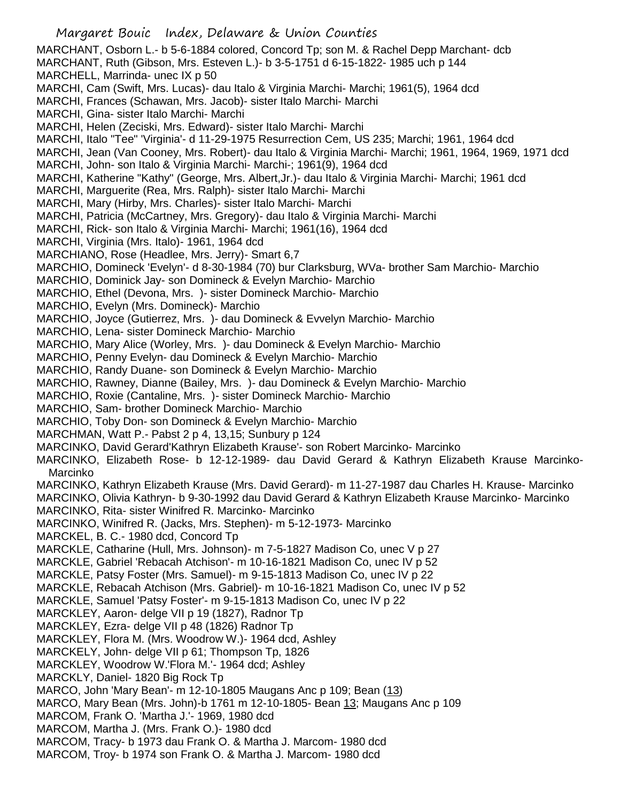Margaret Bouic Index, Delaware & Union Counties MARCHANT, Osborn L.- b 5-6-1884 colored, Concord Tp; son M. & Rachel Depp Marchant- dcb MARCHANT, Ruth (Gibson, Mrs. Esteven L.)- b 3-5-1751 d 6-15-1822- 1985 uch p 144 MARCHELL, Marrinda- unec IX p 50 MARCHI, Cam (Swift, Mrs. Lucas)- dau Italo & Virginia Marchi- Marchi; 1961(5), 1964 dcd MARCHI, Frances (Schawan, Mrs. Jacob)- sister Italo Marchi- Marchi MARCHI, Gina- sister Italo Marchi- Marchi MARCHI, Helen (Zeciski, Mrs. Edward)- sister Italo Marchi- Marchi MARCHI, Italo "Tee" 'Virginia'- d 11-29-1975 Resurrection Cem, US 235; Marchi; 1961, 1964 dcd MARCHI, Jean (Van Cooney, Mrs. Robert)- dau Italo & Virginia Marchi- Marchi; 1961, 1964, 1969, 1971 dcd MARCHI, John- son Italo & Virginia Marchi- Marchi-; 1961(9), 1964 dcd MARCHI, Katherine "Kathy" (George, Mrs. Albert,Jr.)- dau Italo & Virginia Marchi- Marchi; 1961 dcd MARCHI, Marguerite (Rea, Mrs. Ralph)- sister Italo Marchi- Marchi MARCHI, Mary (Hirby, Mrs. Charles)- sister Italo Marchi- Marchi MARCHI, Patricia (McCartney, Mrs. Gregory)- dau Italo & Virginia Marchi- Marchi MARCHI, Rick- son Italo & Virginia Marchi- Marchi; 1961(16), 1964 dcd MARCHI, Virginia (Mrs. Italo)- 1961, 1964 dcd MARCHIANO, Rose (Headlee, Mrs. Jerry)- Smart 6,7 MARCHIO, Domineck 'Evelyn'- d 8-30-1984 (70) bur Clarksburg, WVa- brother Sam Marchio- Marchio MARCHIO, Dominick Jay- son Domineck & Evelyn Marchio- Marchio MARCHIO, Ethel (Devona, Mrs. )- sister Domineck Marchio- Marchio MARCHIO, Evelyn (Mrs. Domineck)- Marchio MARCHIO, Joyce (Gutierrez, Mrs. )- dau Domineck & Evvelyn Marchio- Marchio MARCHIO, Lena- sister Domineck Marchio- Marchio MARCHIO, Mary Alice (Worley, Mrs. )- dau Domineck & Evelyn Marchio- Marchio MARCHIO, Penny Evelyn- dau Domineck & Evelyn Marchio- Marchio MARCHIO, Randy Duane- son Domineck & Evelyn Marchio- Marchio MARCHIO, Rawney, Dianne (Bailey, Mrs. )- dau Domineck & Evelyn Marchio- Marchio MARCHIO, Roxie (Cantaline, Mrs. )- sister Domineck Marchio- Marchio MARCHIO, Sam- brother Domineck Marchio- Marchio MARCHIO, Toby Don- son Domineck & Evelyn Marchio- Marchio MARCHMAN, Watt P.- Pabst 2 p 4, 13,15; Sunbury p 124 MARCINKO, David Gerard'Kathryn Elizabeth Krause'- son Robert Marcinko- Marcinko MARCINKO, Elizabeth Rose- b 12-12-1989- dau David Gerard & Kathryn Elizabeth Krause Marcinko-Marcinko MARCINKO, Kathryn Elizabeth Krause (Mrs. David Gerard)- m 11-27-1987 dau Charles H. Krause- Marcinko MARCINKO, Olivia Kathryn- b 9-30-1992 dau David Gerard & Kathryn Elizabeth Krause Marcinko- Marcinko MARCINKO, Rita- sister Winifred R. Marcinko- Marcinko MARCINKO, Winifred R. (Jacks, Mrs. Stephen)- m 5-12-1973- Marcinko MARCKEL, B. C.- 1980 dcd, Concord Tp MARCKLE, Catharine (Hull, Mrs. Johnson)- m 7-5-1827 Madison Co, unec V p 27 MARCKLE, Gabriel 'Rebacah Atchison'- m 10-16-1821 Madison Co, unec IV p 52 MARCKLE, Patsy Foster (Mrs. Samuel)- m 9-15-1813 Madison Co, unec IV p 22 MARCKLE, Rebacah Atchison (Mrs. Gabriel)- m 10-16-1821 Madison Co, unec IV p 52 MARCKLE, Samuel 'Patsy Foster'- m 9-15-1813 Madison Co, unec IV p 22 MARCKLEY, Aaron- delge VII p 19 (1827), Radnor Tp MARCKLEY, Ezra- delge VII p 48 (1826) Radnor Tp MARCKLEY, Flora M. (Mrs. Woodrow W.)- 1964 dcd, Ashley MARCKELY, John- delge VII p 61; Thompson Tp, 1826 MARCKLEY, Woodrow W.'Flora M.'- 1964 dcd; Ashley MARCKLY, Daniel- 1820 Big Rock Tp MARCO, John 'Mary Bean'- m 12-10-1805 Maugans Anc p 109; Bean (13) MARCO, Mary Bean (Mrs. John)-b 1761 m 12-10-1805- Bean 13; Maugans Anc p 109 MARCOM, Frank O. 'Martha J.'- 1969, 1980 dcd MARCOM, Martha J. (Mrs. Frank O.)- 1980 dcd MARCOM, Tracy- b 1973 dau Frank O. & Martha J. Marcom- 1980 dcd MARCOM, Troy- b 1974 son Frank O. & Martha J. Marcom- 1980 dcd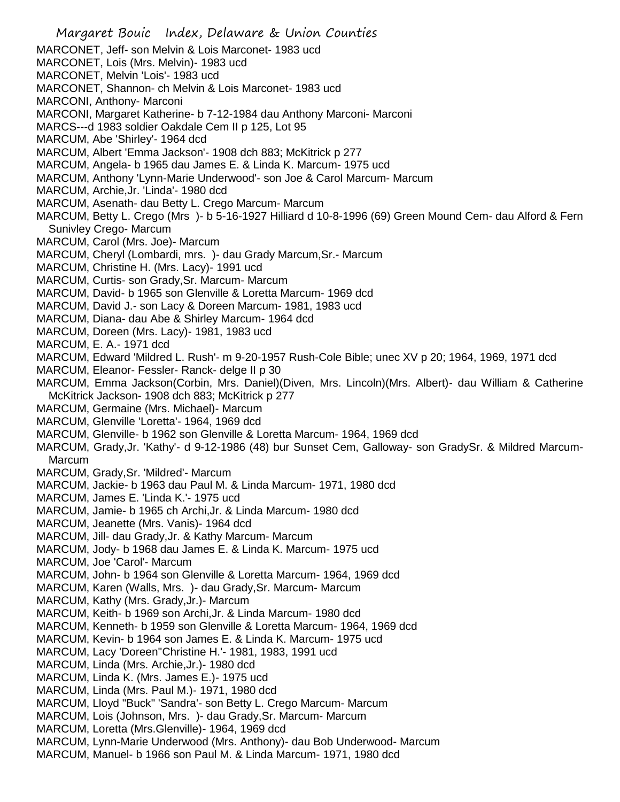Margaret Bouic Index, Delaware & Union Counties MARCONET, Jeff- son Melvin & Lois Marconet- 1983 ucd MARCONET, Lois (Mrs. Melvin)- 1983 ucd MARCONET, Melvin 'Lois'- 1983 ucd MARCONET, Shannon- ch Melvin & Lois Marconet- 1983 ucd MARCONI, Anthony- Marconi MARCONI, Margaret Katherine- b 7-12-1984 dau Anthony Marconi- Marconi MARCS---d 1983 soldier Oakdale Cem II p 125, Lot 95 MARCUM, Abe 'Shirley'- 1964 dcd MARCUM, Albert 'Emma Jackson'- 1908 dch 883; McKitrick p 277 MARCUM, Angela- b 1965 dau James E. & Linda K. Marcum- 1975 ucd MARCUM, Anthony 'Lynn-Marie Underwood'- son Joe & Carol Marcum- Marcum MARCUM, Archie,Jr. 'Linda'- 1980 dcd MARCUM, Asenath- dau Betty L. Crego Marcum- Marcum MARCUM, Betty L. Crego (Mrs )- b 5-16-1927 Hilliard d 10-8-1996 (69) Green Mound Cem- dau Alford & Fern Sunivley Crego- Marcum MARCUM, Carol (Mrs. Joe)- Marcum MARCUM, Cheryl (Lombardi, mrs. )- dau Grady Marcum,Sr.- Marcum MARCUM, Christine H. (Mrs. Lacy)- 1991 ucd MARCUM, Curtis- son Grady,Sr. Marcum- Marcum MARCUM, David- b 1965 son Glenville & Loretta Marcum- 1969 dcd MARCUM, David J.- son Lacy & Doreen Marcum- 1981, 1983 ucd MARCUM, Diana- dau Abe & Shirley Marcum- 1964 dcd MARCUM, Doreen (Mrs. Lacy)- 1981, 1983 ucd MARCUM, E. A.- 1971 dcd MARCUM, Edward 'Mildred L. Rush'- m 9-20-1957 Rush-Cole Bible; unec XV p 20; 1964, 1969, 1971 dcd MARCUM, Eleanor- Fessler- Ranck- delge II p 30 MARCUM, Emma Jackson(Corbin, Mrs. Daniel)(Diven, Mrs. Lincoln)(Mrs. Albert)- dau William & Catherine McKitrick Jackson- 1908 dch 883; McKitrick p 277 MARCUM, Germaine (Mrs. Michael)- Marcum MARCUM, Glenville 'Loretta'- 1964, 1969 dcd MARCUM, Glenville- b 1962 son Glenville & Loretta Marcum- 1964, 1969 dcd MARCUM, Grady,Jr. 'Kathy'- d 9-12-1986 (48) bur Sunset Cem, Galloway- son GradySr. & Mildred Marcum-**Marcum** MARCUM, Grady,Sr. 'Mildred'- Marcum MARCUM, Jackie- b 1963 dau Paul M. & Linda Marcum- 1971, 1980 dcd MARCUM, James E. 'Linda K.'- 1975 ucd MARCUM, Jamie- b 1965 ch Archi,Jr. & Linda Marcum- 1980 dcd MARCUM, Jeanette (Mrs. Vanis)- 1964 dcd MARCUM, Jill- dau Grady,Jr. & Kathy Marcum- Marcum MARCUM, Jody- b 1968 dau James E. & Linda K. Marcum- 1975 ucd MARCUM, Joe 'Carol'- Marcum MARCUM, John- b 1964 son Glenville & Loretta Marcum- 1964, 1969 dcd MARCUM, Karen (Walls, Mrs. )- dau Grady,Sr. Marcum- Marcum MARCUM, Kathy (Mrs. Grady,Jr.)- Marcum MARCUM, Keith- b 1969 son Archi,Jr. & Linda Marcum- 1980 dcd MARCUM, Kenneth- b 1959 son Glenville & Loretta Marcum- 1964, 1969 dcd MARCUM, Kevin- b 1964 son James E. & Linda K. Marcum- 1975 ucd MARCUM, Lacy 'Doreen''Christine H.'- 1981, 1983, 1991 ucd MARCUM, Linda (Mrs. Archie,Jr.)- 1980 dcd MARCUM, Linda K. (Mrs. James E.)- 1975 ucd MARCUM, Linda (Mrs. Paul M.)- 1971, 1980 dcd MARCUM, Lloyd "Buck" 'Sandra'- son Betty L. Crego Marcum- Marcum MARCUM, Lois (Johnson, Mrs. )- dau Grady,Sr. Marcum- Marcum MARCUM, Loretta (Mrs.Glenville)- 1964, 1969 dcd MARCUM, Lynn-Marie Underwood (Mrs. Anthony)- dau Bob Underwood- Marcum MARCUM, Manuel- b 1966 son Paul M. & Linda Marcum- 1971, 1980 dcd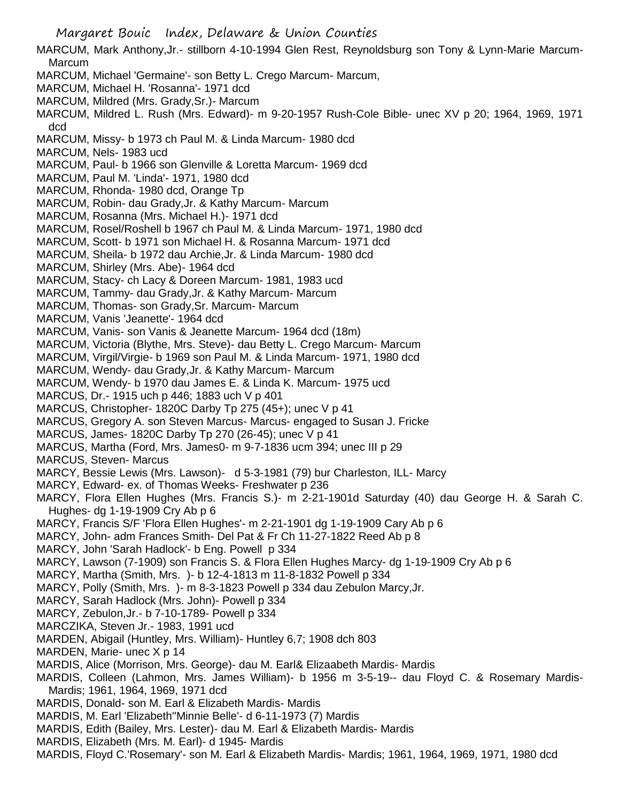Margaret Bouic Index, Delaware & Union Counties

- MARCUM, Mark Anthony,Jr.- stillborn 4-10-1994 Glen Rest, Reynoldsburg son Tony & Lynn-Marie Marcum-Marcum
- MARCUM, Michael 'Germaine'- son Betty L. Crego Marcum- Marcum,
- MARCUM, Michael H. 'Rosanna'- 1971 dcd
- MARCUM, Mildred (Mrs. Grady,Sr.)- Marcum
- MARCUM, Mildred L. Rush (Mrs. Edward)- m 9-20-1957 Rush-Cole Bible- unec XV p 20; 1964, 1969, 1971 dcd
- MARCUM, Missy- b 1973 ch Paul M. & Linda Marcum- 1980 dcd
- MARCUM, Nels- 1983 ucd
- MARCUM, Paul- b 1966 son Glenville & Loretta Marcum- 1969 dcd
- MARCUM, Paul M. 'Linda'- 1971, 1980 dcd
- MARCUM, Rhonda- 1980 dcd, Orange Tp
- MARCUM, Robin- dau Grady,Jr. & Kathy Marcum- Marcum
- MARCUM, Rosanna (Mrs. Michael H.)- 1971 dcd
- MARCUM, Rosel/Roshell b 1967 ch Paul M. & Linda Marcum- 1971, 1980 dcd
- MARCUM, Scott- b 1971 son Michael H. & Rosanna Marcum- 1971 dcd
- MARCUM, Sheila- b 1972 dau Archie,Jr. & Linda Marcum- 1980 dcd
- MARCUM, Shirley (Mrs. Abe)- 1964 dcd
- MARCUM, Stacy- ch Lacy & Doreen Marcum- 1981, 1983 ucd
- MARCUM, Tammy- dau Grady,Jr. & Kathy Marcum- Marcum
- MARCUM, Thomas- son Grady,Sr. Marcum- Marcum
- MARCUM, Vanis 'Jeanette'- 1964 dcd
- MARCUM, Vanis- son Vanis & Jeanette Marcum- 1964 dcd (18m)
- MARCUM, Victoria (Blythe, Mrs. Steve)- dau Betty L. Crego Marcum- Marcum
- MARCUM, Virgil/Virgie- b 1969 son Paul M. & Linda Marcum- 1971, 1980 dcd
- MARCUM, Wendy- dau Grady,Jr. & Kathy Marcum- Marcum
- MARCUM, Wendy- b 1970 dau James E. & Linda K. Marcum- 1975 ucd
- MARCUS, Dr.- 1915 uch p 446; 1883 uch V p 401
- MARCUS, Christopher- 1820C Darby Tp 275 (45+); unec V p 41
- MARCUS, Gregory A. son Steven Marcus- Marcus- engaged to Susan J. Fricke
- MARCUS, James- 1820C Darby Tp 270 (26-45); unec V p 41
- MARCUS, Martha (Ford, Mrs. James0- m 9-7-1836 ucm 394; unec III p 29
- MARCUS, Steven- Marcus
- MARCY, Bessie Lewis (Mrs. Lawson)- d 5-3-1981 (79) bur Charleston, ILL- Marcy
- MARCY, Edward- ex. of Thomas Weeks- Freshwater p 236
- MARCY, Flora Ellen Hughes (Mrs. Francis S.)- m 2-21-1901d Saturday (40) dau George H. & Sarah C. Hughes- dg 1-19-1909 Cry Ab p 6
- MARCY, Francis S/F 'Flora Ellen Hughes'- m 2-21-1901 dg 1-19-1909 Cary Ab p 6
- MARCY, John- adm Frances Smith- Del Pat & Fr Ch 11-27-1822 Reed Ab p 8
- MARCY, John 'Sarah Hadlock'- b Eng. Powell p 334
- MARCY, Lawson (7-1909) son Francis S. & Flora Ellen Hughes Marcy- dg 1-19-1909 Cry Ab p 6
- MARCY, Martha (Smith, Mrs. )- b 12-4-1813 m 11-8-1832 Powell p 334
- MARCY, Polly (Smith, Mrs. )- m 8-3-1823 Powell p 334 dau Zebulon Marcy,Jr.
- MARCY, Sarah Hadlock (Mrs. John)- Powell p 334
- MARCY, Zebulon,Jr.- b 7-10-1789- Powell p 334
- MARCZIKA, Steven Jr.- 1983, 1991 ucd
- MARDEN, Abigail (Huntley, Mrs. William)- Huntley 6,7; 1908 dch 803
- MARDEN, Marie- unec X p 14
- MARDIS, Alice (Morrison, Mrs. George)- dau M. Earl& Elizaabeth Mardis- Mardis
- MARDIS, Colleen (Lahmon, Mrs. James William)- b 1956 m 3-5-19-- dau Floyd C. & Rosemary Mardis-Mardis; 1961, 1964, 1969, 1971 dcd
- MARDIS, Donald- son M. Earl & Elizabeth Mardis- Mardis
- MARDIS, M. Earl 'Elizabeth''Minnie Belle'- d 6-11-1973 (7) Mardis
- MARDIS, Edith (Bailey, Mrs. Lester)- dau M. Earl & Elizabeth Mardis- Mardis
- MARDIS, Elizabeth (Mrs. M. Earl)- d 1945- Mardis
- MARDIS, Floyd C.'Rosemary'- son M. Earl & Elizabeth Mardis- Mardis; 1961, 1964, 1969, 1971, 1980 dcd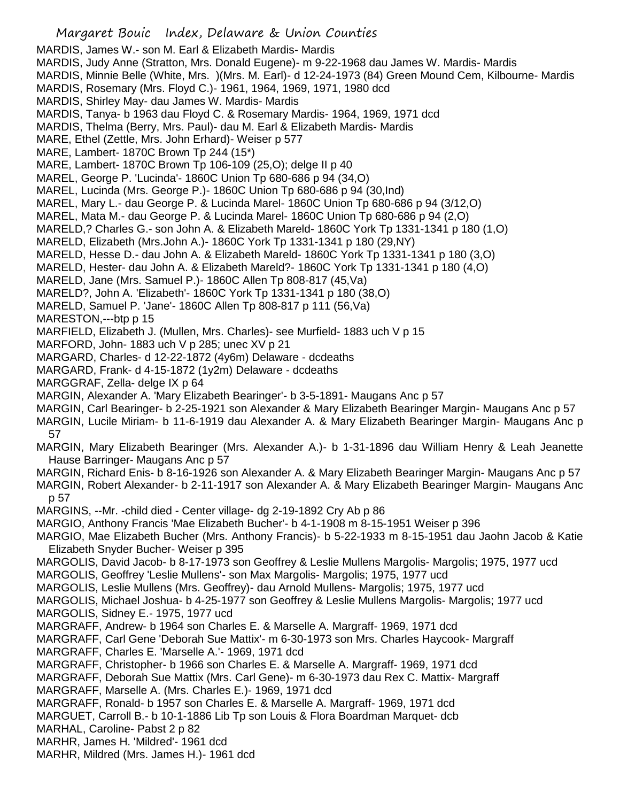Margaret Bouic Index, Delaware & Union Counties MARDIS, James W.- son M. Earl & Elizabeth Mardis- Mardis MARDIS, Judy Anne (Stratton, Mrs. Donald Eugene)- m 9-22-1968 dau James W. Mardis- Mardis MARDIS, Minnie Belle (White, Mrs. )(Mrs. M. Earl)- d 12-24-1973 (84) Green Mound Cem, Kilbourne- Mardis MARDIS, Rosemary (Mrs. Floyd C.)- 1961, 1964, 1969, 1971, 1980 dcd MARDIS, Shirley May- dau James W. Mardis- Mardis MARDIS, Tanya- b 1963 dau Floyd C. & Rosemary Mardis- 1964, 1969, 1971 dcd MARDIS, Thelma (Berry, Mrs. Paul)- dau M. Earl & Elizabeth Mardis- Mardis MARE, Ethel (Zettle, Mrs. John Erhard)- Weiser p 577 MARE, Lambert- 1870C Brown Tp 244 (15\*) MARE, Lambert- 1870C Brown Tp 106-109 (25,O); delge II p 40 MAREL, George P. 'Lucinda'- 1860C Union Tp 680-686 p 94 (34,O) MAREL, Lucinda (Mrs. George P.)- 1860C Union Tp 680-686 p 94 (30,Ind) MAREL, Mary L.- dau George P. & Lucinda Marel- 1860C Union Tp 680-686 p 94 (3/12,O) MAREL, Mata M.- dau George P. & Lucinda Marel- 1860C Union Tp 680-686 p 94 (2,O) MARELD,? Charles G.- son John A. & Elizabeth Mareld- 1860C York Tp 1331-1341 p 180 (1,O) MARELD, Elizabeth (Mrs.John A.)- 1860C York Tp 1331-1341 p 180 (29,NY) MARELD, Hesse D.- dau John A. & Elizabeth Mareld- 1860C York Tp 1331-1341 p 180 (3,O) MARELD, Hester- dau John A. & Elizabeth Mareld?- 1860C York Tp 1331-1341 p 180 (4,O) MARELD, Jane (Mrs. Samuel P.)- 1860C Allen Tp 808-817 (45,Va) MARELD?, John A. 'Elizabeth'- 1860C York Tp 1331-1341 p 180 (38,O) MARELD, Samuel P. 'Jane'- 1860C Allen Tp 808-817 p 111 (56,Va) MARESTON,---btp p 15 MARFIELD, Elizabeth J. (Mullen, Mrs. Charles)- see Murfield- 1883 uch V p 15 MARFORD, John- 1883 uch V p 285; unec XV p 21 MARGARD, Charles- d 12-22-1872 (4y6m) Delaware - dcdeaths MARGARD, Frank- d 4-15-1872 (1y2m) Delaware - dcdeaths MARGGRAF, Zella- delge IX p 64 MARGIN, Alexander A. 'Mary Elizabeth Bearinger'- b 3-5-1891- Maugans Anc p 57 MARGIN, Carl Bearinger- b 2-25-1921 son Alexander & Mary Elizabeth Bearinger Margin- Maugans Anc p 57 MARGIN, Lucile Miriam- b 11-6-1919 dau Alexander A. & Mary Elizabeth Bearinger Margin- Maugans Anc p 57 MARGIN, Mary Elizabeth Bearinger (Mrs. Alexander A.)- b 1-31-1896 dau William Henry & Leah Jeanette Hause Barringer- Maugans Anc p 57 MARGIN, Richard Enis- b 8-16-1926 son Alexander A. & Mary Elizabeth Bearinger Margin- Maugans Anc p 57 MARGIN, Robert Alexander- b 2-11-1917 son Alexander A. & Mary Elizabeth Bearinger Margin- Maugans Anc p 57 MARGINS, --Mr. -child died - Center village- dg 2-19-1892 Cry Ab p 86 MARGIO, Anthony Francis 'Mae Elizabeth Bucher'- b 4-1-1908 m 8-15-1951 Weiser p 396 MARGIO, Mae Elizabeth Bucher (Mrs. Anthony Francis)- b 5-22-1933 m 8-15-1951 dau Jaohn Jacob & Katie Elizabeth Snyder Bucher- Weiser p 395 MARGOLIS, David Jacob- b 8-17-1973 son Geoffrey & Leslie Mullens Margolis- Margolis; 1975, 1977 ucd MARGOLIS, Geoffrey 'Leslie Mullens'- son Max Margolis- Margolis; 1975, 1977 ucd MARGOLIS, Leslie Mullens (Mrs. Geoffrey)- dau Arnold Mullens- Margolis; 1975, 1977 ucd MARGOLIS, Michael Joshua- b 4-25-1977 son Geoffrey & Leslie Mullens Margolis- Margolis; 1977 ucd MARGOLIS, Sidney E.- 1975, 1977 ucd MARGRAFF, Andrew- b 1964 son Charles E. & Marselle A. Margraff- 1969, 1971 dcd MARGRAFF, Carl Gene 'Deborah Sue Mattix'- m 6-30-1973 son Mrs. Charles Haycook- Margraff MARGRAFF, Charles E. 'Marselle A.'- 1969, 1971 dcd MARGRAFF, Christopher- b 1966 son Charles E. & Marselle A. Margraff- 1969, 1971 dcd MARGRAFF, Deborah Sue Mattix (Mrs. Carl Gene)- m 6-30-1973 dau Rex C. Mattix- Margraff MARGRAFF, Marselle A. (Mrs. Charles E.)- 1969, 1971 dcd MARGRAFF, Ronald- b 1957 son Charles E. & Marselle A. Margraff- 1969, 1971 dcd MARGUET, Carroll B.- b 10-1-1886 Lib Tp son Louis & Flora Boardman Marquet- dcb MARHAL, Caroline- Pabst 2 p 82 MARHR, James H. 'Mildred'- 1961 dcd

MARHR, Mildred (Mrs. James H.)- 1961 dcd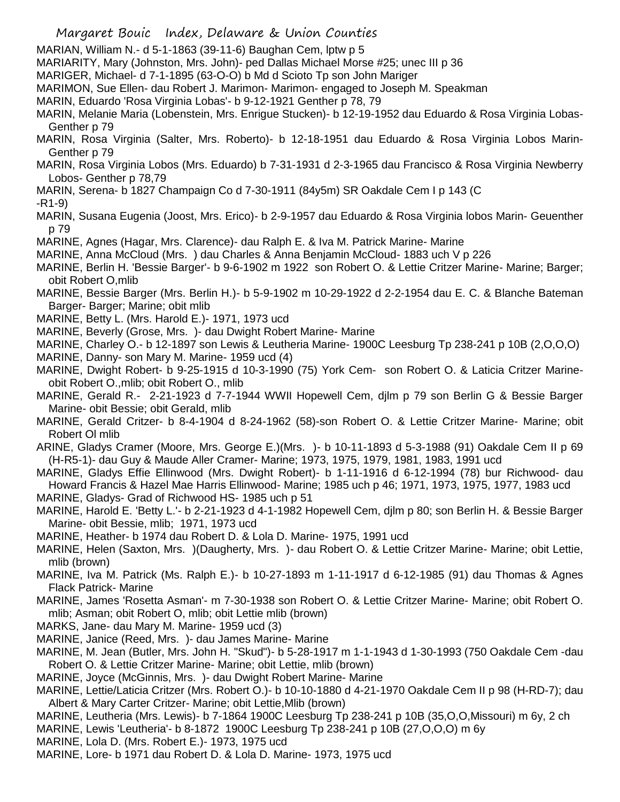- MARIAN, William N.- d 5-1-1863 (39-11-6) Baughan Cem, lptw p 5
- MARIARITY, Mary (Johnston, Mrs. John)- ped Dallas Michael Morse #25; unec III p 36
- MARIGER, Michael- d 7-1-1895 (63-O-O) b Md d Scioto Tp son John Mariger
- MARIMON, Sue Ellen- dau Robert J. Marimon- Marimon- engaged to Joseph M. Speakman
- MARIN, Eduardo 'Rosa Virginia Lobas'- b 9-12-1921 Genther p 78, 79
- MARIN, Melanie Maria (Lobenstein, Mrs. Enrigue Stucken)- b 12-19-1952 dau Eduardo & Rosa Virginia Lobas-Genther p 79
- MARIN, Rosa Virginia (Salter, Mrs. Roberto)- b 12-18-1951 dau Eduardo & Rosa Virginia Lobos Marin-Genther p 79
- MARIN, Rosa Virginia Lobos (Mrs. Eduardo) b 7-31-1931 d 2-3-1965 dau Francisco & Rosa Virginia Newberry Lobos- Genther p 78,79
- MARIN, Serena- b 1827 Champaign Co d 7-30-1911 (84y5m) SR Oakdale Cem I p 143 (C

-R1-9)

- MARIN, Susana Eugenia (Joost, Mrs. Erico)- b 2-9-1957 dau Eduardo & Rosa Virginia lobos Marin- Geuenther p 79
- MARINE, Agnes (Hagar, Mrs. Clarence)- dau Ralph E. & Iva M. Patrick Marine- Marine
- MARINE, Anna McCloud (Mrs. ) dau Charles & Anna Benjamin McCloud- 1883 uch V p 226
- MARINE, Berlin H. 'Bessie Barger'- b 9-6-1902 m 1922 son Robert O. & Lettie Critzer Marine- Marine; Barger; obit Robert O,mlib
- MARINE, Bessie Barger (Mrs. Berlin H.)- b 5-9-1902 m 10-29-1922 d 2-2-1954 dau E. C. & Blanche Bateman Barger- Barger; Marine; obit mlib
- MARINE, Betty L. (Mrs. Harold E.)- 1971, 1973 ucd
- MARINE, Beverly (Grose, Mrs. )- dau Dwight Robert Marine- Marine
- MARINE, Charley O.- b 12-1897 son Lewis & Leutheria Marine- 1900C Leesburg Tp 238-241 p 10B (2,O,O,O)
- MARINE, Danny- son Mary M. Marine- 1959 ucd (4)
- MARINE, Dwight Robert- b 9-25-1915 d 10-3-1990 (75) York Cem- son Robert O. & Laticia Critzer Marineobit Robert O.,mlib; obit Robert O., mlib
- MARINE, Gerald R.- 2-21-1923 d 7-7-1944 WWII Hopewell Cem, djlm p 79 son Berlin G & Bessie Barger Marine- obit Bessie; obit Gerald, mlib
- MARINE, Gerald Critzer- b 8-4-1904 d 8-24-1962 (58)-son Robert O. & Lettie Critzer Marine- Marine; obit Robert Ol mlib
- ARINE, Gladys Cramer (Moore, Mrs. George E.)(Mrs. )- b 10-11-1893 d 5-3-1988 (91) Oakdale Cem II p 69 (H-R5-1)- dau Guy & Maude Aller Cramer- Marine; 1973, 1975, 1979, 1981, 1983, 1991 ucd
- MARINE, Gladys Effie Ellinwood (Mrs. Dwight Robert)- b 1-11-1916 d 6-12-1994 (78) bur Richwood- dau Howard Francis & Hazel Mae Harris Ellinwood- Marine; 1985 uch p 46; 1971, 1973, 1975, 1977, 1983 ucd MARINE, Gladys- Grad of Richwood HS- 1985 uch p 51
- MARINE, Harold E. 'Betty L.'- b 2-21-1923 d 4-1-1982 Hopewell Cem, djlm p 80; son Berlin H. & Bessie Barger Marine- obit Bessie, mlib; 1971, 1973 ucd
- MARINE, Heather- b 1974 dau Robert D. & Lola D. Marine- 1975, 1991 ucd
- MARINE, Helen (Saxton, Mrs. )(Daugherty, Mrs. )- dau Robert O. & Lettie Critzer Marine- Marine; obit Lettie, mlib (brown)
- MARINE, Iva M. Patrick (Ms. Ralph E.)- b 10-27-1893 m 1-11-1917 d 6-12-1985 (91) dau Thomas & Agnes Flack Patrick- Marine
- MARINE, James 'Rosetta Asman'- m 7-30-1938 son Robert O. & Lettie Critzer Marine- Marine; obit Robert O. mlib; Asman; obit Robert O, mlib; obit Lettie mlib (brown)
- MARKS, Jane- dau Mary M. Marine- 1959 ucd (3)
- MARINE, Janice (Reed, Mrs. )- dau James Marine- Marine
- MARINE, M. Jean (Butler, Mrs. John H. "Skud")- b 5-28-1917 m 1-1-1943 d 1-30-1993 (750 Oakdale Cem -dau Robert O. & Lettie Critzer Marine- Marine; obit Lettie, mlib (brown)
- MARINE, Joyce (McGinnis, Mrs. )- dau Dwight Robert Marine- Marine
- MARINE, Lettie/Laticia Critzer (Mrs. Robert O.)- b 10-10-1880 d 4-21-1970 Oakdale Cem II p 98 (H-RD-7); dau Albert & Mary Carter Critzer- Marine; obit Lettie,Mlib (brown)
- MARINE, Leutheria (Mrs. Lewis)- b 7-1864 1900C Leesburg Tp 238-241 p 10B (35,O,O,Missouri) m 6y, 2 ch
- MARINE, Lewis 'Leutheria'- b 8-1872 1900C Leesburg Tp 238-241 p 10B (27,O,O,O) m 6y
- MARINE, Lola D. (Mrs. Robert E.)- 1973, 1975 ucd
- MARINE, Lore- b 1971 dau Robert D. & Lola D. Marine- 1973, 1975 ucd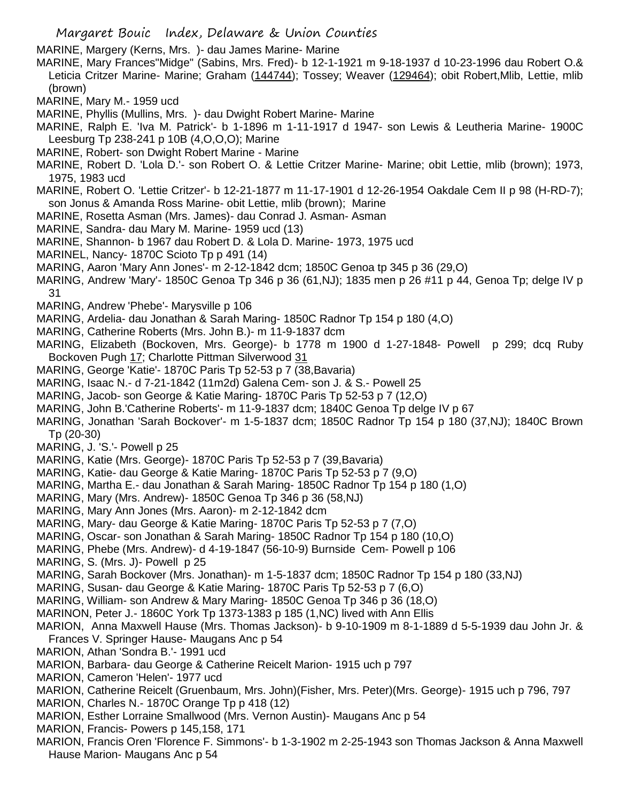MARINE, Margery (Kerns, Mrs. )- dau James Marine- Marine

MARINE, Mary Frances"Midge" (Sabins, Mrs. Fred)- b 12-1-1921 m 9-18-1937 d 10-23-1996 dau Robert O.& Leticia Critzer Marine- Marine; Graham (144744); Tossey; Weaver (129464); obit Robert, Mlib, Lettie, mlib (brown)

MARINE, Mary M.- 1959 ucd

- MARINE, Phyllis (Mullins, Mrs. )- dau Dwight Robert Marine- Marine
- MARINE, Ralph E. 'Iva M. Patrick'- b 1-1896 m 1-11-1917 d 1947- son Lewis & Leutheria Marine- 1900C Leesburg Tp 238-241 p 10B (4,O,O,O); Marine
- MARINE, Robert- son Dwight Robert Marine Marine
- MARINE, Robert D. 'Lola D.'- son Robert O. & Lettie Critzer Marine- Marine; obit Lettie, mlib (brown); 1973, 1975, 1983 ucd
- MARINE, Robert O. 'Lettie Critzer'- b 12-21-1877 m 11-17-1901 d 12-26-1954 Oakdale Cem II p 98 (H-RD-7); son Jonus & Amanda Ross Marine- obit Lettie, mlib (brown); Marine
- MARINE, Rosetta Asman (Mrs. James)- dau Conrad J. Asman- Asman
- MARINE, Sandra- dau Mary M. Marine- 1959 ucd (13)
- MARINE, Shannon- b 1967 dau Robert D. & Lola D. Marine- 1973, 1975 ucd
- MARINEL, Nancy- 1870C Scioto Tp p 491 (14)
- MARING, Aaron 'Mary Ann Jones'- m 2-12-1842 dcm; 1850C Genoa tp 345 p 36 (29,O)
- MARING, Andrew 'Mary'- 1850C Genoa Tp 346 p 36 (61,NJ); 1835 men p 26 #11 p 44, Genoa Tp; delge IV p 31
- MARING, Andrew 'Phebe'- Marysville p 106
- MARING, Ardelia- dau Jonathan & Sarah Maring- 1850C Radnor Tp 154 p 180 (4,O)
- MARING, Catherine Roberts (Mrs. John B.)- m 11-9-1837 dcm
- MARING, Elizabeth (Bockoven, Mrs. George)- b 1778 m 1900 d 1-27-1848- Powell p 299; dcq Ruby Bockoven Pugh 17; Charlotte Pittman Silverwood 31
- MARING, George 'Katie'- 1870C Paris Tp 52-53 p 7 (38,Bavaria)
- MARING, Isaac N.- d 7-21-1842 (11m2d) Galena Cem- son J. & S.- Powell 25
- MARING, Jacob- son George & Katie Maring- 1870C Paris Tp 52-53 p 7 (12,O)
- MARING, John B.'Catherine Roberts'- m 11-9-1837 dcm; 1840C Genoa Tp delge IV p 67
- MARING, Jonathan 'Sarah Bockover'- m 1-5-1837 dcm; 1850C Radnor Tp 154 p 180 (37,NJ); 1840C Brown Tp (20-30)
- MARING, J. 'S.'- Powell p 25
- MARING, Katie (Mrs. George)- 1870C Paris Tp 52-53 p 7 (39,Bavaria)
- MARING, Katie- dau George & Katie Maring- 1870C Paris Tp 52-53 p 7 (9,O)
- MARING, Martha E.- dau Jonathan & Sarah Maring- 1850C Radnor Tp 154 p 180 (1,O)
- MARING, Mary (Mrs. Andrew)- 1850C Genoa Tp 346 p 36 (58,NJ)
- MARING, Mary Ann Jones (Mrs. Aaron)- m 2-12-1842 dcm
- MARING, Mary- dau George & Katie Maring- 1870C Paris Tp 52-53 p 7 (7,O)
- MARING, Oscar- son Jonathan & Sarah Maring- 1850C Radnor Tp 154 p 180 (10,O)
- MARING, Phebe (Mrs. Andrew)- d 4-19-1847 (56-10-9) Burnside Cem- Powell p 106
- MARING, S. (Mrs. J)- Powell p 25
- MARING, Sarah Bockover (Mrs. Jonathan)- m 1-5-1837 dcm; 1850C Radnor Tp 154 p 180 (33,NJ)
- MARING, Susan- dau George & Katie Maring- 1870C Paris Tp 52-53 p 7 (6,O)
- MARING, William- son Andrew & Mary Maring- 1850C Genoa Tp 346 p 36 (18,O)
- MARINON, Peter J.- 1860C York Tp 1373-1383 p 185 (1,NC) lived with Ann Ellis
- MARION, Anna Maxwell Hause (Mrs. Thomas Jackson)- b 9-10-1909 m 8-1-1889 d 5-5-1939 dau John Jr. & Frances V. Springer Hause- Maugans Anc p 54
- MARION, Athan 'Sondra B.'- 1991 ucd
- MARION, Barbara- dau George & Catherine Reicelt Marion- 1915 uch p 797
- MARION, Cameron 'Helen'- 1977 ucd
- MARION, Catherine Reicelt (Gruenbaum, Mrs. John)(Fisher, Mrs. Peter)(Mrs. George)- 1915 uch p 796, 797
- MARION, Charles N.- 1870C Orange Tp p 418 (12)
- MARION, Esther Lorraine Smallwood (Mrs. Vernon Austin)- Maugans Anc p 54
- MARION, Francis- Powers p 145,158, 171
- MARION, Francis Oren 'Florence F. Simmons'- b 1-3-1902 m 2-25-1943 son Thomas Jackson & Anna Maxwell Hause Marion- Maugans Anc p 54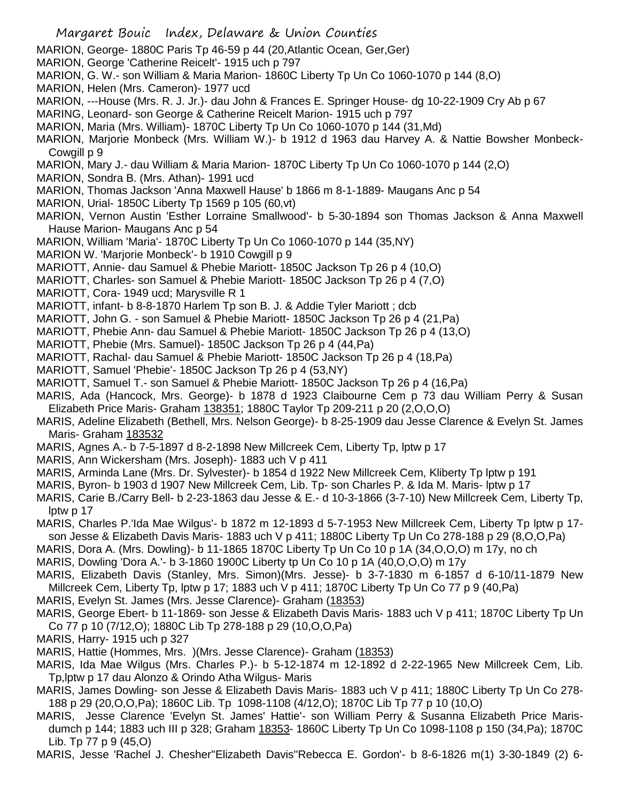- Margaret Bouic Index, Delaware & Union Counties MARION, George- 1880C Paris Tp 46-59 p 44 (20,Atlantic Ocean, Ger,Ger) MARION, George 'Catherine Reicelt'- 1915 uch p 797 MARION, G. W.- son William & Maria Marion- 1860C Liberty Tp Un Co 1060-1070 p 144 (8,O) MARION, Helen (Mrs. Cameron)- 1977 ucd MARION, ---House (Mrs. R. J. Jr.)- dau John & Frances E. Springer House- dg 10-22-1909 Cry Ab p 67 MARING, Leonard- son George & Catherine Reicelt Marion- 1915 uch p 797 MARION, Maria (Mrs. William)- 1870C Liberty Tp Un Co 1060-1070 p 144 (31,Md) MARION, Marjorie Monbeck (Mrs. William W.)- b 1912 d 1963 dau Harvey A. & Nattie Bowsher Monbeck-Cowgill p 9 MARION, Mary J.- dau William & Maria Marion- 1870C Liberty Tp Un Co 1060-1070 p 144 (2,O) MARION, Sondra B. (Mrs. Athan)- 1991 ucd MARION, Thomas Jackson 'Anna Maxwell Hause' b 1866 m 8-1-1889- Maugans Anc p 54 MARION, Urial- 1850C Liberty Tp 1569 p 105 (60,vt) MARION, Vernon Austin 'Esther Lorraine Smallwood'- b 5-30-1894 son Thomas Jackson & Anna Maxwell Hause Marion- Maugans Anc p 54 MARION, William 'Maria'- 1870C Liberty Tp Un Co 1060-1070 p 144 (35,NY) MARION W. 'Marjorie Monbeck'- b 1910 Cowgill p 9 MARIOTT, Annie- dau Samuel & Phebie Mariott- 1850C Jackson Tp 26 p 4 (10,O) MARIOTT, Charles- son Samuel & Phebie Mariott- 1850C Jackson Tp 26 p 4 (7,O) MARIOTT, Cora- 1949 ucd; Marysville R 1 MARIOTT, infant- b 8-8-1870 Harlem Tp son B. J. & Addie Tyler Mariott ; dcb MARIOTT, John G. - son Samuel & Phebie Mariott- 1850C Jackson Tp 26 p 4 (21,Pa) MARIOTT, Phebie Ann- dau Samuel & Phebie Mariott- 1850C Jackson Tp 26 p 4 (13,O) MARIOTT, Phebie (Mrs. Samuel)- 1850C Jackson Tp 26 p 4 (44,Pa) MARIOTT, Rachal- dau Samuel & Phebie Mariott- 1850C Jackson Tp 26 p 4 (18,Pa) MARIOTT, Samuel 'Phebie'- 1850C Jackson Tp 26 p 4 (53,NY) MARIOTT, Samuel T.- son Samuel & Phebie Mariott- 1850C Jackson Tp 26 p 4 (16,Pa) MARIS, Ada (Hancock, Mrs. George)- b 1878 d 1923 Claibourne Cem p 73 dau William Perry & Susan Elizabeth Price Maris- Graham 138351; 1880C Taylor Tp 209-211 p 20 (2,O,O,O) MARIS, Adeline Elizabeth (Bethell, Mrs. Nelson George)- b 8-25-1909 dau Jesse Clarence & Evelyn St. James Maris- Graham 183532 MARIS, Agnes A.- b 7-5-1897 d 8-2-1898 New Millcreek Cem, Liberty Tp, lptw p 17 MARIS, Ann Wickersham (Mrs. Joseph)- 1883 uch V p 411 MARIS, Arminda Lane (Mrs. Dr. Sylvester)- b 1854 d 1922 New Millcreek Cem, Kliberty Tp lptw p 191
- MARIS, Byron- b 1903 d 1907 New Millcreek Cem, Lib. Tp- son Charles P. & Ida M. Maris- lptw p 17
- MARIS, Carie B./Carry Bell- b 2-23-1863 dau Jesse & E.- d 10-3-1866 (3-7-10) New Millcreek Cem, Liberty Tp, lptw p 17
- MARIS, Charles P.'Ida Mae Wilgus'- b 1872 m 12-1893 d 5-7-1953 New Millcreek Cem, Liberty Tp lptw p 17 son Jesse & Elizabeth Davis Maris- 1883 uch V p 411; 1880C Liberty Tp Un Co 278-188 p 29 (8,O,O,Pa)
- MARIS, Dora A. (Mrs. Dowling)- b 11-1865 1870C Liberty Tp Un Co 10 p 1A (34,O,O,O) m 17y, no ch
- MARIS, Dowling 'Dora A.'- b 3-1860 1900C Liberty tp Un Co 10 p 1A (40,O,O,O) m 17y
- MARIS, Elizabeth Davis (Stanley, Mrs. Simon)(Mrs. Jesse)- b 3-7-1830 m 6-1857 d 6-10/11-1879 New Millcreek Cem, Liberty Tp, lptw p 17; 1883 uch V p 411; 1870C Liberty Tp Un Co 77 p 9 (40,Pa)
- MARIS, Evelyn St. James (Mrs. Jesse Clarence)- Graham (18353)
- MARIS, George Ebert- b 11-1869- son Jesse & Elizabeth Davis Maris- 1883 uch V p 411; 1870C Liberty Tp Un Co 77 p 10 (7/12,O); 1880C Lib Tp 278-188 p 29 (10,O,O,Pa)
- MARIS, Harry- 1915 uch p 327
- MARIS, Hattie (Hommes, Mrs. )(Mrs. Jesse Clarence)- Graham (18353)
- MARIS, Ida Mae Wilgus (Mrs. Charles P.)- b 5-12-1874 m 12-1892 d 2-22-1965 New Millcreek Cem, Lib. Tp,lptw p 17 dau Alonzo & Orindo Atha Wilgus- Maris
- MARIS, James Dowling- son Jesse & Elizabeth Davis Maris- 1883 uch V p 411; 1880C Liberty Tp Un Co 278- 188 p 29 (20,O,O,Pa); 1860C Lib. Tp 1098-1108 (4/12,O); 1870C Lib Tp 77 p 10 (10,O)
- MARIS, Jesse Clarence 'Evelyn St. James' Hattie'- son William Perry & Susanna Elizabeth Price Marisdumch p 144; 1883 uch III p 328; Graham 18353- 1860C Liberty Tp Un Co 1098-1108 p 150 (34,Pa); 1870C Lib. Tp 77 p 9 (45,O)
- MARIS, Jesse 'Rachel J. Chesher''Elizabeth Davis''Rebecca E. Gordon'- b 8-6-1826 m(1) 3-30-1849 (2) 6-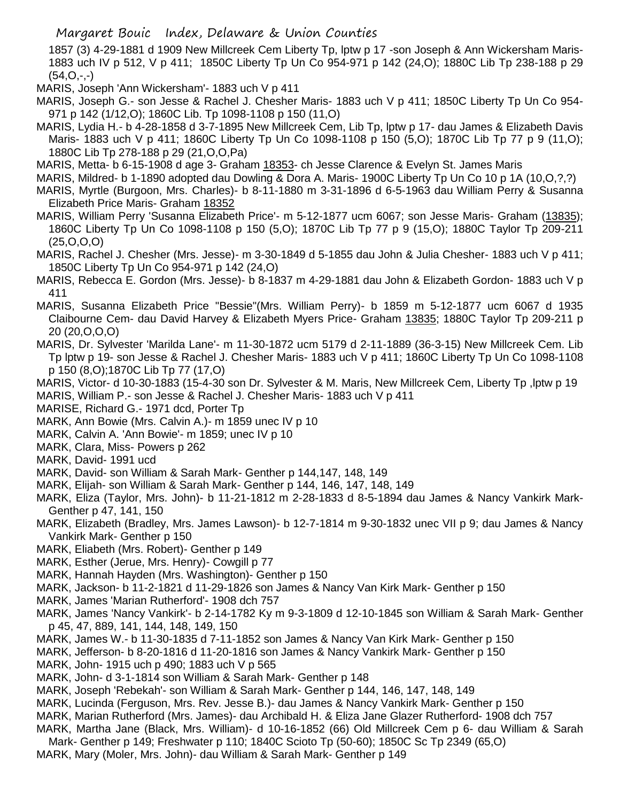1857 (3) 4-29-1881 d 1909 New Millcreek Cem Liberty Tp, lptw p 17 -son Joseph & Ann Wickersham Maris-1883 uch IV p 512, V p 411; 1850C Liberty Tp Un Co 954-971 p 142 (24,O); 1880C Lib Tp 238-188 p 29  $(54, 0, -,-)$ 

MARIS, Joseph 'Ann Wickersham'- 1883 uch V p 411

- MARIS, Joseph G.- son Jesse & Rachel J. Chesher Maris- 1883 uch V p 411; 1850C Liberty Tp Un Co 954- 971 p 142 (1/12,O); 1860C Lib. Tp 1098-1108 p 150 (11,O)
- MARIS, Lydia H.- b 4-28-1858 d 3-7-1895 New Millcreek Cem, Lib Tp, lptw p 17- dau James & Elizabeth Davis Maris- 1883 uch V p 411; 1860C Liberty Tp Un Co 1098-1108 p 150 (5,O); 1870C Lib Tp 77 p 9 (11,O); 1880C Lib Tp 278-188 p 29 (21,O,O,Pa)
- MARIS, Metta- b 6-15-1908 d age 3- Graham 18353- ch Jesse Clarence & Evelyn St. James Maris
- MARIS, Mildred- b 1-1890 adopted dau Dowling & Dora A. Maris- 1900C Liberty Tp Un Co 10 p 1A (10,O,?,?)
- MARIS, Myrtle (Burgoon, Mrs. Charles)- b 8-11-1880 m 3-31-1896 d 6-5-1963 dau William Perry & Susanna Elizabeth Price Maris- Graham 18352
- MARIS, William Perry 'Susanna Elizabeth Price'- m 5-12-1877 ucm 6067; son Jesse Maris- Graham (13835); 1860C Liberty Tp Un Co 1098-1108 p 150 (5,O); 1870C Lib Tp 77 p 9 (15,O); 1880C Taylor Tp 209-211 (25,O,O,O)
- MARIS, Rachel J. Chesher (Mrs. Jesse)- m 3-30-1849 d 5-1855 dau John & Julia Chesher- 1883 uch V p 411; 1850C Liberty Tp Un Co 954-971 p 142 (24,O)
- MARIS, Rebecca E. Gordon (Mrs. Jesse)- b 8-1837 m 4-29-1881 dau John & Elizabeth Gordon- 1883 uch V p 411
- MARIS, Susanna Elizabeth Price "Bessie"(Mrs. William Perry)- b 1859 m 5-12-1877 ucm 6067 d 1935 Claibourne Cem- dau David Harvey & Elizabeth Myers Price- Graham 13835; 1880C Taylor Tp 209-211 p 20 (20,O,O,O)
- MARIS, Dr. Sylvester 'Marilda Lane'- m 11-30-1872 ucm 5179 d 2-11-1889 (36-3-15) New Millcreek Cem. Lib Tp lptw p 19- son Jesse & Rachel J. Chesher Maris- 1883 uch V p 411; 1860C Liberty Tp Un Co 1098-1108 p 150 (8,O);1870C Lib Tp 77 (17,O)
- MARIS, Victor- d 10-30-1883 (15-4-30 son Dr. Sylvester & M. Maris, New Millcreek Cem, Liberty Tp ,lptw p 19 MARIS, William P.- son Jesse & Rachel J. Chesher Maris- 1883 uch V p 411
- MARISE, Richard G.- 1971 dcd, Porter Tp
- MARK, Ann Bowie (Mrs. Calvin A.)- m 1859 unec IV p 10
- MARK, Calvin A. 'Ann Bowie'- m 1859; unec IV p 10
- MARK, Clara, Miss- Powers p 262
- MARK, David- 1991 ucd
- MARK, David- son William & Sarah Mark- Genther p 144,147, 148, 149
- MARK, Elijah- son William & Sarah Mark- Genther p 144, 146, 147, 148, 149
- MARK, Eliza (Taylor, Mrs. John)- b 11-21-1812 m 2-28-1833 d 8-5-1894 dau James & Nancy Vankirk Mark-Genther p 47, 141, 150
- MARK, Elizabeth (Bradley, Mrs. James Lawson)- b 12-7-1814 m 9-30-1832 unec VII p 9; dau James & Nancy Vankirk Mark- Genther p 150
- MARK, Eliabeth (Mrs. Robert)- Genther p 149
- MARK, Esther (Jerue, Mrs. Henry) Cowgill p 77
- MARK, Hannah Hayden (Mrs. Washington)- Genther p 150
- MARK, Jackson- b 11-2-1821 d 11-29-1826 son James & Nancy Van Kirk Mark- Genther p 150
- MARK, James 'Marian Rutherford'- 1908 dch 757
- MARK, James 'Nancy Vankirk'- b 2-14-1782 Ky m 9-3-1809 d 12-10-1845 son William & Sarah Mark- Genther p 45, 47, 889, 141, 144, 148, 149, 150
- MARK, James W.- b 11-30-1835 d 7-11-1852 son James & Nancy Van Kirk Mark- Genther p 150
- MARK, Jefferson- b 8-20-1816 d 11-20-1816 son James & Nancy Vankirk Mark- Genther p 150
- MARK, John- 1915 uch p 490; 1883 uch V p 565
- MARK, John- d 3-1-1814 son William & Sarah Mark- Genther p 148
- MARK, Joseph 'Rebekah'- son William & Sarah Mark- Genther p 144, 146, 147, 148, 149
- MARK, Lucinda (Ferguson, Mrs. Rev. Jesse B.)- dau James & Nancy Vankirk Mark- Genther p 150
- MARK, Marian Rutherford (Mrs. James)- dau Archibald H. & Eliza Jane Glazer Rutherford- 1908 dch 757
- MARK, Martha Jane (Black, Mrs. William)- d 10-16-1852 (66) Old Millcreek Cem p 6- dau William & Sarah
- Mark- Genther p 149; Freshwater p 110; 1840C Scioto Tp (50-60); 1850C Sc Tp 2349 (65,O) MARK, Mary (Moler, Mrs. John)- dau William & Sarah Mark- Genther p 149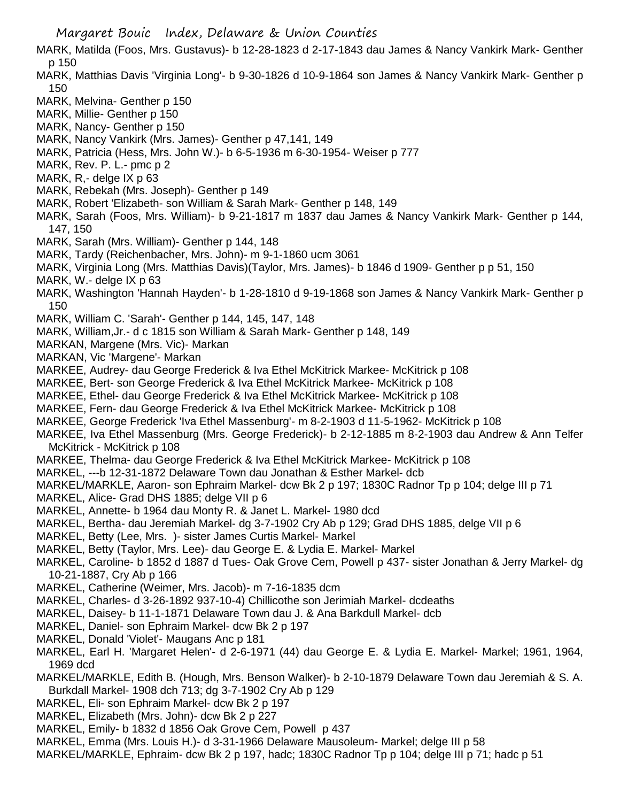- MARK, Matilda (Foos, Mrs. Gustavus)- b 12-28-1823 d 2-17-1843 dau James & Nancy Vankirk Mark- Genther p 150
- MARK, Matthias Davis 'Virginia Long'- b 9-30-1826 d 10-9-1864 son James & Nancy Vankirk Mark- Genther p 150
- MARK, Melvina- Genther p 150
- MARK, Millie- Genther p 150
- MARK, Nancy- Genther p 150
- MARK, Nancy Vankirk (Mrs. James)- Genther p 47,141, 149
- MARK, Patricia (Hess, Mrs. John W.)- b 6-5-1936 m 6-30-1954- Weiser p 777
- MARK, Rev. P. L.- pmc p 2
- MARK, R,- delge IX p 63
- MARK, Rebekah (Mrs. Joseph)- Genther p 149
- MARK, Robert 'Elizabeth- son William & Sarah Mark- Genther p 148, 149
- MARK, Sarah (Foos, Mrs. William)- b 9-21-1817 m 1837 dau James & Nancy Vankirk Mark- Genther p 144, 147, 150
- MARK, Sarah (Mrs. William)- Genther p 144, 148
- MARK, Tardy (Reichenbacher, Mrs. John)- m 9-1-1860 ucm 3061
- MARK, Virginia Long (Mrs. Matthias Davis)(Taylor, Mrs. James)- b 1846 d 1909- Genther p p 51, 150
- MARK, W.- delge IX p 63
- MARK, Washington 'Hannah Hayden'- b 1-28-1810 d 9-19-1868 son James & Nancy Vankirk Mark- Genther p 150
- MARK, William C. 'Sarah'- Genther p 144, 145, 147, 148
- MARK, William,Jr.- d c 1815 son William & Sarah Mark- Genther p 148, 149
- MARKAN, Margene (Mrs. Vic)- Markan
- MARKAN, Vic 'Margene'- Markan
- MARKEE, Audrey- dau George Frederick & Iva Ethel McKitrick Markee- McKitrick p 108
- MARKEE, Bert- son George Frederick & Iva Ethel McKitrick Markee- McKitrick p 108
- MARKEE, Ethel- dau George Frederick & Iva Ethel McKitrick Markee- McKitrick p 108
- MARKEE, Fern- dau George Frederick & Iva Ethel McKitrick Markee- McKitrick p 108
- MARKEE, George Frederick 'Iva Ethel Massenburg'- m 8-2-1903 d 11-5-1962- McKitrick p 108
- MARKEE, Iva Ethel Massenburg (Mrs. George Frederick)- b 2-12-1885 m 8-2-1903 dau Andrew & Ann Telfer McKitrick - McKitrick p 108
- MARKEE, Thelma- dau George Frederick & Iva Ethel McKitrick Markee- McKitrick p 108
- MARKEL, ---b 12-31-1872 Delaware Town dau Jonathan & Esther Markel- dcb
- MARKEL/MARKLE, Aaron- son Ephraim Markel- dcw Bk 2 p 197; 1830C Radnor Tp p 104; delge III p 71
- MARKEL, Alice- Grad DHS 1885; delge VII p 6
- MARKEL, Annette- b 1964 dau Monty R. & Janet L. Markel- 1980 dcd
- MARKEL, Bertha- dau Jeremiah Markel- dg 3-7-1902 Cry Ab p 129; Grad DHS 1885, delge VII p 6
- MARKEL, Betty (Lee, Mrs. )- sister James Curtis Markel- Markel
- MARKEL, Betty (Taylor, Mrs. Lee)- dau George E. & Lydia E. Markel- Markel
- MARKEL, Caroline- b 1852 d 1887 d Tues- Oak Grove Cem, Powell p 437- sister Jonathan & Jerry Markel- dg 10-21-1887, Cry Ab p 166
- MARKEL, Catherine (Weimer, Mrs. Jacob)- m 7-16-1835 dcm
- MARKEL, Charles- d 3-26-1892 937-10-4) Chillicothe son Jerimiah Markel- dcdeaths
- MARKEL, Daisey- b 11-1-1871 Delaware Town dau J. & Ana Barkdull Markel- dcb
- MARKEL, Daniel- son Ephraim Markel- dcw Bk 2 p 197
- MARKEL, Donald 'Violet'- Maugans Anc p 181
- MARKEL, Earl H. 'Margaret Helen'- d 2-6-1971 (44) dau George E. & Lydia E. Markel- Markel; 1961, 1964, 1969 dcd
- MARKEL/MARKLE, Edith B. (Hough, Mrs. Benson Walker)- b 2-10-1879 Delaware Town dau Jeremiah & S. A. Burkdall Markel- 1908 dch 713; dg 3-7-1902 Cry Ab p 129
- MARKEL, Eli- son Ephraim Markel- dcw Bk 2 p 197
- MARKEL, Elizabeth (Mrs. John)- dcw Bk 2 p 227
- MARKEL, Emily- b 1832 d 1856 Oak Grove Cem, Powell p 437
- MARKEL, Emma (Mrs. Louis H.)- d 3-31-1966 Delaware Mausoleum- Markel; delge III p 58
- MARKEL/MARKLE, Ephraim- dcw Bk 2 p 197, hadc; 1830C Radnor Tp p 104; delge III p 71; hadc p 51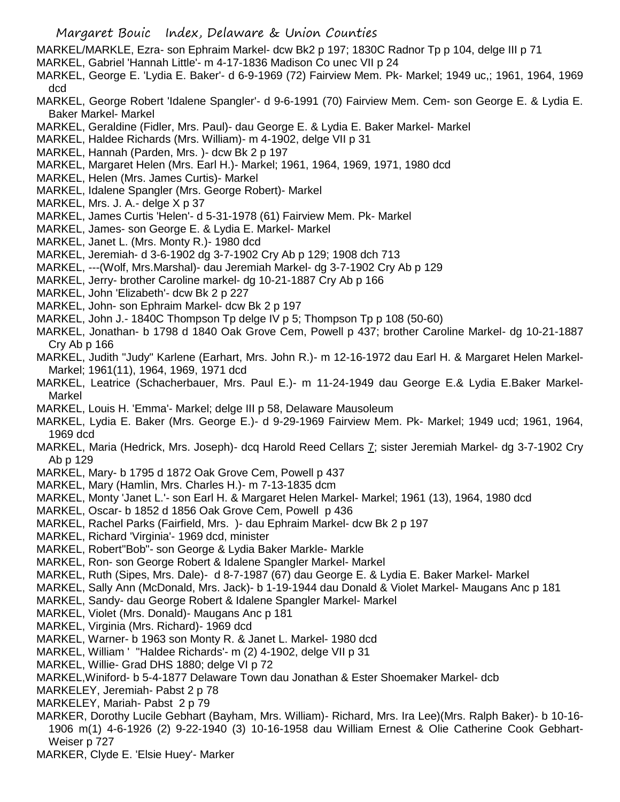- Margaret Bouic Index, Delaware & Union Counties
- MARKEL/MARKLE, Ezra- son Ephraim Markel- dcw Bk2 p 197; 1830C Radnor Tp p 104, delge III p 71
- MARKEL, Gabriel 'Hannah Little'- m 4-17-1836 Madison Co unec VII p 24
- MARKEL, George E. 'Lydia E. Baker'- d 6-9-1969 (72) Fairview Mem. Pk- Markel; 1949 uc,; 1961, 1964, 1969 dcd
- MARKEL, George Robert 'Idalene Spangler'- d 9-6-1991 (70) Fairview Mem. Cem- son George E. & Lydia E. Baker Markel- Markel
- MARKEL, Geraldine (Fidler, Mrs. Paul)- dau George E. & Lydia E. Baker Markel- Markel
- MARKEL, Haldee Richards (Mrs. William)- m 4-1902, delge VII p 31
- MARKEL, Hannah (Parden, Mrs. )- dcw Bk 2 p 197
- MARKEL, Margaret Helen (Mrs. Earl H.)- Markel; 1961, 1964, 1969, 1971, 1980 dcd
- MARKEL, Helen (Mrs. James Curtis)- Markel
- MARKEL, Idalene Spangler (Mrs. George Robert)- Markel
- MARKEL, Mrs. J. A.- delge X p 37
- MARKEL, James Curtis 'Helen'- d 5-31-1978 (61) Fairview Mem. Pk- Markel
- MARKEL, James- son George E. & Lydia E. Markel- Markel
- MARKEL, Janet L. (Mrs. Monty R.)- 1980 dcd
- MARKEL, Jeremiah- d 3-6-1902 dg 3-7-1902 Cry Ab p 129; 1908 dch 713
- MARKEL, ---(Wolf, Mrs.Marshal)- dau Jeremiah Markel- dg 3-7-1902 Cry Ab p 129
- MARKEL, Jerry- brother Caroline markel- dg 10-21-1887 Cry Ab p 166
- MARKEL, John 'Elizabeth'- dcw Bk 2 p 227
- MARKEL, John- son Ephraim Markel- dcw Bk 2 p 197
- MARKEL, John J.- 1840C Thompson Tp delge IV p 5; Thompson Tp p 108 (50-60)
- MARKEL, Jonathan- b 1798 d 1840 Oak Grove Cem, Powell p 437; brother Caroline Markel- dg 10-21-1887 Cry Ab p 166
- MARKEL, Judith "Judy" Karlene (Earhart, Mrs. John R.)- m 12-16-1972 dau Earl H. & Margaret Helen Markel-Markel; 1961(11), 1964, 1969, 1971 dcd
- MARKEL, Leatrice (Schacherbauer, Mrs. Paul E.)- m 11-24-1949 dau George E.& Lydia E.Baker Markel-Markel
- MARKEL, Louis H. 'Emma'- Markel; delge III p 58, Delaware Mausoleum
- MARKEL, Lydia E. Baker (Mrs. George E.)- d 9-29-1969 Fairview Mem. Pk- Markel; 1949 ucd; 1961, 1964, 1969 dcd
- MARKEL, Maria (Hedrick, Mrs. Joseph)- dcq Harold Reed Cellars 7; sister Jeremiah Markel- dg 3-7-1902 Cry Ab p 129
- MARKEL, Mary- b 1795 d 1872 Oak Grove Cem, Powell p 437
- MARKEL, Mary (Hamlin, Mrs. Charles H.)- m 7-13-1835 dcm
- MARKEL, Monty 'Janet L.'- son Earl H. & Margaret Helen Markel- Markel; 1961 (13), 1964, 1980 dcd
- MARKEL, Oscar- b 1852 d 1856 Oak Grove Cem, Powell p 436
- MARKEL, Rachel Parks (Fairfield, Mrs. )- dau Ephraim Markel- dcw Bk 2 p 197
- MARKEL, Richard 'Virginia'- 1969 dcd, minister
- MARKEL, Robert"Bob"- son George & Lydia Baker Markle- Markle
- MARKEL, Ron- son George Robert & Idalene Spangler Markel- Markel
- MARKEL, Ruth (Sipes, Mrs. Dale)- d 8-7-1987 (67) dau George E. & Lydia E. Baker Markel- Markel
- MARKEL, Sally Ann (McDonald, Mrs. Jack)- b 1-19-1944 dau Donald & Violet Markel- Maugans Anc p 181
- MARKEL, Sandy- dau George Robert & Idalene Spangler Markel- Markel
- MARKEL, Violet (Mrs. Donald)- Maugans Anc p 181
- MARKEL, Virginia (Mrs. Richard)- 1969 dcd
- MARKEL, Warner- b 1963 son Monty R. & Janet L. Markel- 1980 dcd
- MARKEL, William ' ''Haldee Richards'- m (2) 4-1902, delge VII p 31
- MARKEL, Willie- Grad DHS 1880; delge VI p 72
- MARKEL,Winiford- b 5-4-1877 Delaware Town dau Jonathan & Ester Shoemaker Markel- dcb
- MARKELEY, Jeremiah- Pabst 2 p 78
- MARKELEY, Mariah- Pabst 2 p 79
- MARKER, Dorothy Lucile Gebhart (Bayham, Mrs. William)- Richard, Mrs. Ira Lee)(Mrs. Ralph Baker)- b 10-16- 1906 m(1) 4-6-1926 (2) 9-22-1940 (3) 10-16-1958 dau William Ernest & Olie Catherine Cook Gebhart-Weiser p 727
- MARKER, Clyde E. 'Elsie Huey'- Marker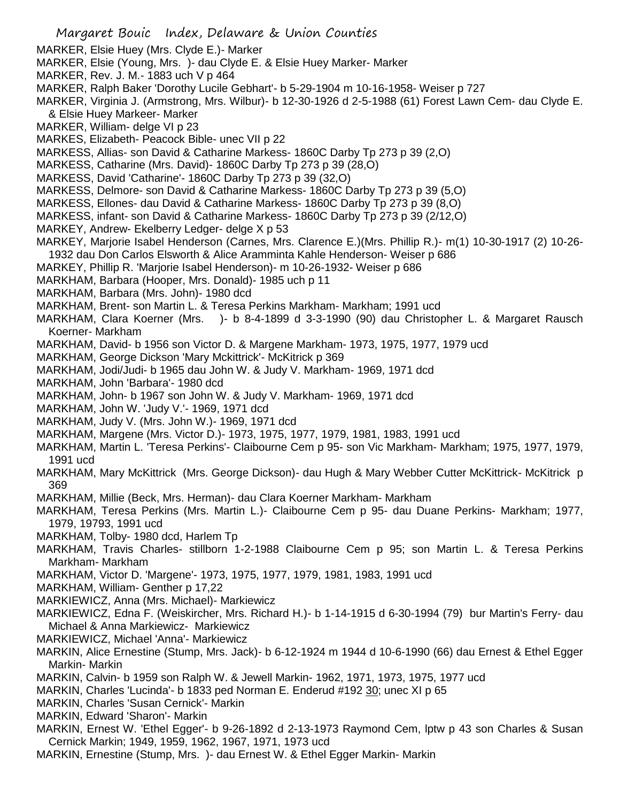- Margaret Bouic Index, Delaware & Union Counties MARKER, Elsie Huey (Mrs. Clyde E.)- Marker MARKER, Elsie (Young, Mrs. )- dau Clyde E. & Elsie Huey Marker- Marker MARKER, Rev. J. M.- 1883 uch V p 464 MARKER, Ralph Baker 'Dorothy Lucile Gebhart'- b 5-29-1904 m 10-16-1958- Weiser p 727 MARKER, Virginia J. (Armstrong, Mrs. Wilbur)- b 12-30-1926 d 2-5-1988 (61) Forest Lawn Cem- dau Clyde E. & Elsie Huey Markeer- Marker MARKER, William- delge VI p 23 MARKES, Elizabeth- Peacock Bible- unec VII p 22 MARKESS, Allias- son David & Catharine Markess- 1860C Darby Tp 273 p 39 (2,O) MARKESS, Catharine (Mrs. David)- 1860C Darby Tp 273 p 39 (28,O) MARKESS, David 'Catharine'- 1860C Darby Tp 273 p 39 (32,O) MARKESS, Delmore- son David & Catharine Markess- 1860C Darby Tp 273 p 39 (5,O) MARKESS, Ellones- dau David & Catharine Markess- 1860C Darby Tp 273 p 39 (8,O) MARKESS, infant- son David & Catharine Markess- 1860C Darby Tp 273 p 39 (2/12,O) MARKEY, Andrew- Ekelberry Ledger- delge X p 53 MARKEY, Marjorie Isabel Henderson (Carnes, Mrs. Clarence E.)(Mrs. Phillip R.)- m(1) 10-30-1917 (2) 10-26- 1932 dau Don Carlos Elsworth & Alice Aramminta Kahle Henderson- Weiser p 686 MARKEY, Phillip R. 'Marjorie Isabel Henderson)- m 10-26-1932- Weiser p 686 MARKHAM, Barbara (Hooper, Mrs. Donald)- 1985 uch p 11 MARKHAM, Barbara (Mrs. John)- 1980 dcd MARKHAM, Brent- son Martin L. & Teresa Perkins Markham- Markham; 1991 ucd MARKHAM, Clara Koerner (Mrs. )- b 8-4-1899 d 3-3-1990 (90) dau Christopher L. & Margaret Rausch Koerner- Markham MARKHAM, David- b 1956 son Victor D. & Margene Markham- 1973, 1975, 1977, 1979 ucd MARKHAM, George Dickson 'Mary Mckittrick'- McKitrick p 369 MARKHAM, Jodi/Judi- b 1965 dau John W. & Judy V. Markham- 1969, 1971 dcd MARKHAM, John 'Barbara'- 1980 dcd MARKHAM, John- b 1967 son John W. & Judy V. Markham- 1969, 1971 dcd MARKHAM, John W. 'Judy V.'- 1969, 1971 dcd MARKHAM, Judy V. (Mrs. John W.)- 1969, 1971 dcd MARKHAM, Margene (Mrs. Victor D.)- 1973, 1975, 1977, 1979, 1981, 1983, 1991 ucd MARKHAM, Martin L. 'Teresa Perkins'- Claibourne Cem p 95- son Vic Markham- Markham; 1975, 1977, 1979, 1991 ucd MARKHAM, Mary McKittrick (Mrs. George Dickson)- dau Hugh & Mary Webber Cutter McKittrick- McKitrick p 369 MARKHAM, Millie (Beck, Mrs. Herman)- dau Clara Koerner Markham- Markham MARKHAM, Teresa Perkins (Mrs. Martin L.)- Claibourne Cem p 95- dau Duane Perkins- Markham; 1977, 1979, 19793, 1991 ucd MARKHAM, Tolby- 1980 dcd, Harlem Tp MARKHAM, Travis Charles- stillborn 1-2-1988 Claibourne Cem p 95; son Martin L. & Teresa Perkins Markham- Markham MARKHAM, Victor D. 'Margene'- 1973, 1975, 1977, 1979, 1981, 1983, 1991 ucd MARKHAM, William- Genther p 17,22 MARKIEWICZ, Anna (Mrs. Michael)- Markiewicz MARKIEWICZ, Edna F. (Weiskircher, Mrs. Richard H.)- b 1-14-1915 d 6-30-1994 (79) bur Martin's Ferry- dau Michael & Anna Markiewicz- Markiewicz MARKIEWICZ, Michael 'Anna'- Markiewicz MARKIN, Alice Ernestine (Stump, Mrs. Jack)- b 6-12-1924 m 1944 d 10-6-1990 (66) dau Ernest & Ethel Egger Markin- Markin MARKIN, Calvin- b 1959 son Ralph W. & Jewell Markin- 1962, 1971, 1973, 1975, 1977 ucd MARKIN, Charles 'Lucinda'- b 1833 ped Norman E. Enderud #192 30; unec XI p 65 MARKIN, Charles 'Susan Cernick'- Markin MARKIN, Edward 'Sharon'- Markin MARKIN, Ernest W. 'Ethel Egger'- b 9-26-1892 d 2-13-1973 Raymond Cem, lptw p 43 son Charles & Susan Cernick Markin; 1949, 1959, 1962, 1967, 1971, 1973 ucd
- MARKIN, Ernestine (Stump, Mrs. )- dau Ernest W. & Ethel Egger Markin- Markin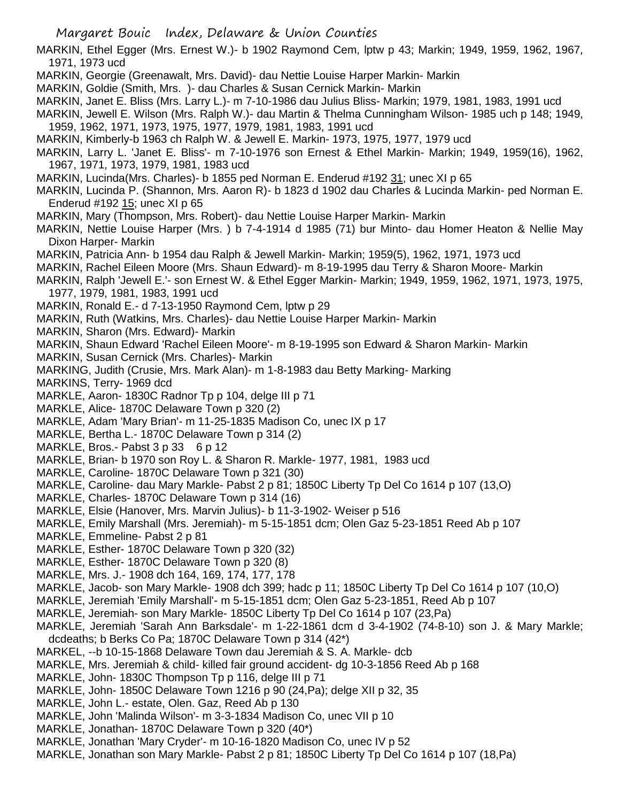MARKIN, Ethel Egger (Mrs. Ernest W.)- b 1902 Raymond Cem, lptw p 43; Markin; 1949, 1959, 1962, 1967, 1971, 1973 ucd

- MARKIN, Georgie (Greenawalt, Mrs. David)- dau Nettie Louise Harper Markin- Markin
- MARKIN, Goldie (Smith, Mrs. )- dau Charles & Susan Cernick Markin- Markin
- MARKIN, Janet E. Bliss (Mrs. Larry L.)- m 7-10-1986 dau Julius Bliss- Markin; 1979, 1981, 1983, 1991 ucd
- MARKIN, Jewell E. Wilson (Mrs. Ralph W.)- dau Martin & Thelma Cunningham Wilson- 1985 uch p 148; 1949, 1959, 1962, 1971, 1973, 1975, 1977, 1979, 1981, 1983, 1991 ucd
- MARKIN, Kimberly-b 1963 ch Ralph W. & Jewell E. Markin- 1973, 1975, 1977, 1979 ucd
- MARKIN, Larry L. 'Janet E. Bliss'- m 7-10-1976 son Ernest & Ethel Markin- Markin; 1949, 1959(16), 1962, 1967, 1971, 1973, 1979, 1981, 1983 ucd
- MARKIN, Lucinda(Mrs. Charles)- b 1855 ped Norman E. Enderud #192 31; unec XI p 65
- MARKIN, Lucinda P. (Shannon, Mrs. Aaron R)- b 1823 d 1902 dau Charles & Lucinda Markin- ped Norman E. Enderud #192 15; unec XI p 65
- MARKIN, Mary (Thompson, Mrs. Robert)- dau Nettie Louise Harper Markin- Markin
- MARKIN, Nettie Louise Harper (Mrs. ) b 7-4-1914 d 1985 (71) bur Minto- dau Homer Heaton & Nellie May Dixon Harper- Markin
- MARKIN, Patricia Ann- b 1954 dau Ralph & Jewell Markin- Markin; 1959(5), 1962, 1971, 1973 ucd
- MARKIN, Rachel Eileen Moore (Mrs. Shaun Edward)- m 8-19-1995 dau Terry & Sharon Moore- Markin
- MARKIN, Ralph 'Jewell E.'- son Ernest W. & Ethel Egger Markin- Markin; 1949, 1959, 1962, 1971, 1973, 1975, 1977, 1979, 1981, 1983, 1991 ucd
- MARKIN, Ronald E.- d 7-13-1950 Raymond Cem, lptw p 29
- MARKIN, Ruth (Watkins, Mrs. Charles)- dau Nettie Louise Harper Markin- Markin
- MARKIN, Sharon (Mrs. Edward)- Markin
- MARKIN, Shaun Edward 'Rachel Eileen Moore'- m 8-19-1995 son Edward & Sharon Markin- Markin
- MARKIN, Susan Cernick (Mrs. Charles)- Markin
- MARKING, Judith (Crusie, Mrs. Mark Alan)- m 1-8-1983 dau Betty Marking- Marking
- MARKINS, Terry- 1969 dcd
- MARKLE, Aaron- 1830C Radnor Tp p 104, delge III p 71
- MARKLE, Alice- 1870C Delaware Town p 320 (2)
- MARKLE, Adam 'Mary Brian'- m 11-25-1835 Madison Co, unec IX p 17
- MARKLE, Bertha L.- 1870C Delaware Town p 314 (2)
- MARKLE, Bros.- Pabst 3 p 33 6 p 12
- MARKLE, Brian- b 1970 son Roy L. & Sharon R. Markle- 1977, 1981, 1983 ucd
- MARKLE, Caroline- 1870C Delaware Town p 321 (30)
- MARKLE, Caroline- dau Mary Markle- Pabst 2 p 81; 1850C Liberty Tp Del Co 1614 p 107 (13,O)
- MARKLE, Charles- 1870C Delaware Town p 314 (16)
- MARKLE, Elsie (Hanover, Mrs. Marvin Julius)- b 11-3-1902- Weiser p 516
- MARKLE, Emily Marshall (Mrs. Jeremiah)- m 5-15-1851 dcm; Olen Gaz 5-23-1851 Reed Ab p 107
- MARKLE, Emmeline- Pabst 2 p 81
- MARKLE, Esther- 1870C Delaware Town p 320 (32)
- MARKLE, Esther- 1870C Delaware Town p 320 (8)
- MARKLE, Mrs. J.- 1908 dch 164, 169, 174, 177, 178
- MARKLE, Jacob- son Mary Markle- 1908 dch 399; hadc p 11; 1850C Liberty Tp Del Co 1614 p 107 (10,O)
- MARKLE, Jeremiah 'Emily Marshall'- m 5-15-1851 dcm; Olen Gaz 5-23-1851, Reed Ab p 107
- MARKLE, Jeremiah- son Mary Markle- 1850C Liberty Tp Del Co 1614 p 107 (23,Pa)
- MARKLE, Jeremiah 'Sarah Ann Barksdale'- m 1-22-1861 dcm d 3-4-1902 (74-8-10) son J. & Mary Markle; dcdeaths; b Berks Co Pa; 1870C Delaware Town p 314 (42\*)
- MARKEL, --b 10-15-1868 Delaware Town dau Jeremiah & S. A. Markle- dcb
- MARKLE, Mrs. Jeremiah & child- killed fair ground accident- dg 10-3-1856 Reed Ab p 168
- MARKLE, John- 1830C Thompson Tp p 116, delge III p 71
- MARKLE, John- 1850C Delaware Town 1216 p 90 (24,Pa); delge XII p 32, 35
- MARKLE, John L.- estate, Olen. Gaz, Reed Ab p 130
- MARKLE, John 'Malinda Wilson'- m 3-3-1834 Madison Co, unec VII p 10
- MARKLE, Jonathan- 1870C Delaware Town p 320 (40\*)
- MARKLE, Jonathan 'Mary Cryder'- m 10-16-1820 Madison Co, unec IV p 52
- MARKLE, Jonathan son Mary Markle- Pabst 2 p 81; 1850C Liberty Tp Del Co 1614 p 107 (18,Pa)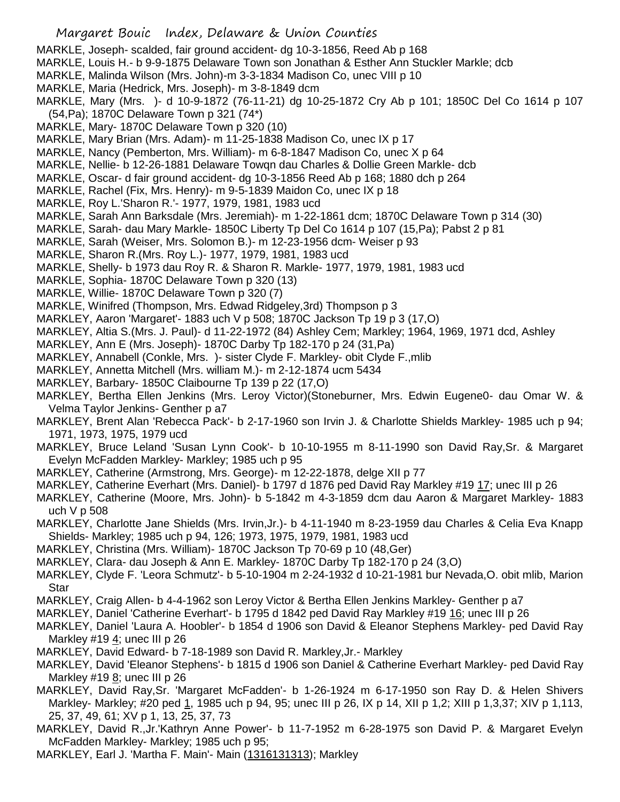- MARKLE, Joseph- scalded, fair ground accident- dg 10-3-1856, Reed Ab p 168
- MARKLE, Louis H.- b 9-9-1875 Delaware Town son Jonathan & Esther Ann Stuckler Markle; dcb
- MARKLE, Malinda Wilson (Mrs. John)-m 3-3-1834 Madison Co, unec VIII p 10
- MARKLE, Maria (Hedrick, Mrs. Joseph)- m 3-8-1849 dcm
- MARKLE, Mary (Mrs. )- d 10-9-1872 (76-11-21) dg 10-25-1872 Cry Ab p 101; 1850C Del Co 1614 p 107 (54,Pa); 1870C Delaware Town p 321 (74\*)
- MARKLE, Mary- 1870C Delaware Town p 320 (10)
- MARKLE, Mary Brian (Mrs. Adam)- m 11-25-1838 Madison Co, unec IX p 17
- MARKLE, Nancy (Pemberton, Mrs. William)- m 6-8-1847 Madison Co, unec X p 64
- MARKLE, Nellie- b 12-26-1881 Delaware Towqn dau Charles & Dollie Green Markle- dcb
- MARKLE, Oscar- d fair ground accident- dg 10-3-1856 Reed Ab p 168; 1880 dch p 264
- MARKLE, Rachel (Fix, Mrs. Henry)- m 9-5-1839 Maidon Co, unec IX p 18
- MARKLE, Roy L.'Sharon R.'- 1977, 1979, 1981, 1983 ucd
- MARKLE, Sarah Ann Barksdale (Mrs. Jeremiah)- m 1-22-1861 dcm; 1870C Delaware Town p 314 (30)
- MARKLE, Sarah- dau Mary Markle- 1850C Liberty Tp Del Co 1614 p 107 (15,Pa); Pabst 2 p 81
- MARKLE, Sarah (Weiser, Mrs. Solomon B.)- m 12-23-1956 dcm- Weiser p 93
- MARKLE, Sharon R.(Mrs. Roy L.)- 1977, 1979, 1981, 1983 ucd
- MARKLE, Shelly- b 1973 dau Roy R. & Sharon R. Markle- 1977, 1979, 1981, 1983 ucd
- MARKLE, Sophia- 1870C Delaware Town p 320 (13)
- MARKLE, Willie- 1870C Delaware Town p 320 (7)
- MARKLE, Winifred (Thompson, Mrs. Edwad Ridgeley,3rd) Thompson p 3
- MARKLEY, Aaron 'Margaret'- 1883 uch V p 508; 1870C Jackson Tp 19 p 3 (17,O)
- MARKLEY, Altia S.(Mrs. J. Paul)- d 11-22-1972 (84) Ashley Cem; Markley; 1964, 1969, 1971 dcd, Ashley
- MARKLEY, Ann E (Mrs. Joseph)- 1870C Darby Tp 182-170 p 24 (31,Pa)
- MARKLEY, Annabell (Conkle, Mrs. )- sister Clyde F. Markley- obit Clyde F.,mlib
- MARKLEY, Annetta Mitchell (Mrs. william M.)- m 2-12-1874 ucm 5434
- MARKLEY, Barbary- 1850C Claibourne Tp 139 p 22 (17,O)
- MARKLEY, Bertha Ellen Jenkins (Mrs. Leroy Victor)(Stoneburner, Mrs. Edwin Eugene0- dau Omar W. & Velma Taylor Jenkins- Genther p a7
- MARKLEY, Brent Alan 'Rebecca Pack'- b 2-17-1960 son Irvin J. & Charlotte Shields Markley- 1985 uch p 94; 1971, 1973, 1975, 1979 ucd
- MARKLEY, Bruce Leland 'Susan Lynn Cook'- b 10-10-1955 m 8-11-1990 son David Ray,Sr. & Margaret Evelyn McFadden Markley- Markley; 1985 uch p 95
- MARKLEY, Catherine (Armstrong, Mrs. George)- m 12-22-1878, delge XII p 77
- MARKLEY, Catherine Everhart (Mrs. Daniel)- b 1797 d 1876 ped David Ray Markley #19 17; unec III p 26
- MARKLEY, Catherine (Moore, Mrs. John)- b 5-1842 m 4-3-1859 dcm dau Aaron & Margaret Markley- 1883 uch V p 508
- MARKLEY, Charlotte Jane Shields (Mrs. Irvin,Jr.)- b 4-11-1940 m 8-23-1959 dau Charles & Celia Eva Knapp Shields- Markley; 1985 uch p 94, 126; 1973, 1975, 1979, 1981, 1983 ucd
- MARKLEY, Christina (Mrs. William)- 1870C Jackson Tp 70-69 p 10 (48,Ger)
- MARKLEY, Clara- dau Joseph & Ann E. Markley- 1870C Darby Tp 182-170 p 24 (3,O)
- MARKLEY, Clyde F. 'Leora Schmutz'- b 5-10-1904 m 2-24-1932 d 10-21-1981 bur Nevada,O. obit mlib, Marion Star
- MARKLEY, Craig Allen- b 4-4-1962 son Leroy Victor & Bertha Ellen Jenkins Markley- Genther p a7
- MARKLEY, Daniel 'Catherine Everhart'- b 1795 d 1842 ped David Ray Markley #19 16; unec III p 26
- MARKLEY, Daniel 'Laura A. Hoobler'- b 1854 d 1906 son David & Eleanor Stephens Markley- ped David Ray Markley #19 $4$ ; unec III p 26
- MARKLEY, David Edward- b 7-18-1989 son David R. Markley,Jr.- Markley
- MARKLEY, David 'Eleanor Stephens'- b 1815 d 1906 son Daniel & Catherine Everhart Markley- ped David Ray Markley #19 8; unec III p 26
- MARKLEY, David Ray,Sr. 'Margaret McFadden'- b 1-26-1924 m 6-17-1950 son Ray D. & Helen Shivers Markley- Markley; #20 ped 1, 1985 uch p 94, 95; unec III p 26, IX p 14, XII p 1,2; XIII p 1,3,37; XIV p 1,113, 25, 37, 49, 61; XV p 1, 13, 25, 37, 73
- MARKLEY, David R.,Jr.'Kathryn Anne Power'- b 11-7-1952 m 6-28-1975 son David P. & Margaret Evelyn McFadden Markley- Markley; 1985 uch p 95;
- MARKLEY, Earl J. 'Martha F. Main'- Main (1316131313); Markley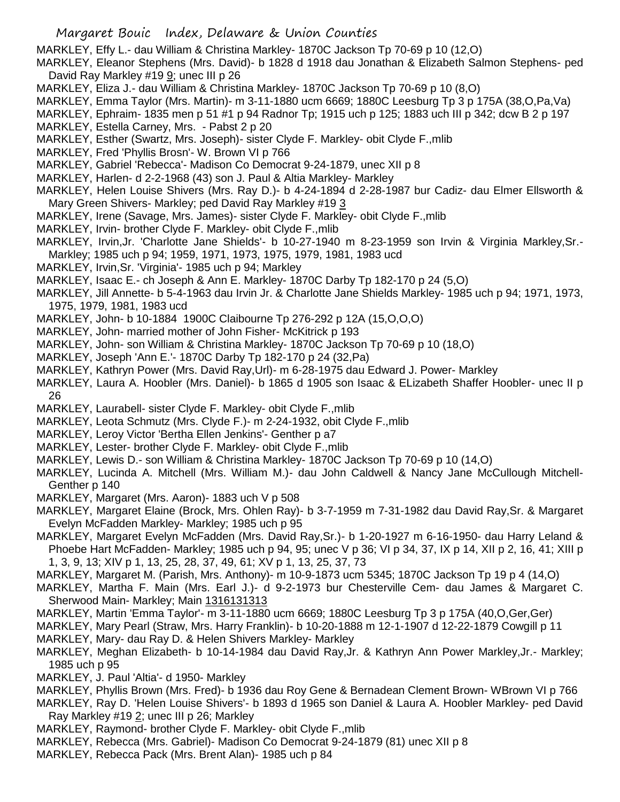MARKLEY, Effy L.- dau William & Christina Markley- 1870C Jackson Tp 70-69 p 10 (12,O)

MARKLEY, Eleanor Stephens (Mrs. David)- b 1828 d 1918 dau Jonathan & Elizabeth Salmon Stephens- ped David Ray Markley #19 $9$ ; unec III p 26

- MARKLEY, Eliza J.- dau William & Christina Markley- 1870C Jackson Tp 70-69 p 10 (8,O)
- MARKLEY, Emma Taylor (Mrs. Martin)- m 3-11-1880 ucm 6669; 1880C Leesburg Tp 3 p 175A (38,O,Pa,Va)
- MARKLEY, Ephraim- 1835 men p 51 #1 p 94 Radnor Tp; 1915 uch p 125; 1883 uch III p 342; dcw B 2 p 197
- MARKLEY, Estella Carney, Mrs. Pabst 2 p 20
- MARKLEY, Esther (Swartz, Mrs. Joseph)- sister Clyde F. Markley- obit Clyde F.,mlib
- MARKLEY, Fred 'Phyllis Brosn'- W. Brown VI p 766

MARKLEY, Gabriel 'Rebecca'- Madison Co Democrat 9-24-1879, unec XII p 8

MARKLEY, Harlen- d 2-2-1968 (43) son J. Paul & Altia Markley- Markley

MARKLEY, Helen Louise Shivers (Mrs. Ray D.)- b 4-24-1894 d 2-28-1987 bur Cadiz- dau Elmer Ellsworth & Mary Green Shivers- Markley; ped David Ray Markley #19 3

- MARKLEY, Irene (Savage, Mrs. James)- sister Clyde F. Markley- obit Clyde F.,mlib
- MARKLEY, Irvin- brother Clyde F. Markley- obit Clyde F.,mlib
- MARKLEY, Irvin,Jr. 'Charlotte Jane Shields'- b 10-27-1940 m 8-23-1959 son Irvin & Virginia Markley,Sr.- Markley; 1985 uch p 94; 1959, 1971, 1973, 1975, 1979, 1981, 1983 ucd
- MARKLEY, Irvin,Sr. 'Virginia'- 1985 uch p 94; Markley
- MARKLEY, Isaac E.- ch Joseph & Ann E. Markley- 1870C Darby Tp 182-170 p 24 (5,O)
- MARKLEY, Jill Annette- b 5-4-1963 dau Irvin Jr. & Charlotte Jane Shields Markley- 1985 uch p 94; 1971, 1973, 1975, 1979, 1981, 1983 ucd
- MARKLEY, John- b 10-1884 1900C Claibourne Tp 276-292 p 12A (15,O,O,O)
- MARKLEY, John- married mother of John Fisher- McKitrick p 193
- MARKLEY, John- son William & Christina Markley- 1870C Jackson Tp 70-69 p 10 (18,O)
- MARKLEY, Joseph 'Ann E.'- 1870C Darby Tp 182-170 p 24 (32,Pa)
- MARKLEY, Kathryn Power (Mrs. David Ray,Url)- m 6-28-1975 dau Edward J. Power- Markley
- MARKLEY, Laura A. Hoobler (Mrs. Daniel)- b 1865 d 1905 son Isaac & ELizabeth Shaffer Hoobler- unec II p 26
- MARKLEY, Laurabell- sister Clyde F. Markley- obit Clyde F.,mlib
- MARKLEY, Leota Schmutz (Mrs. Clyde F.)- m 2-24-1932, obit Clyde F.,mlib
- MARKLEY, Leroy Victor 'Bertha Ellen Jenkins'- Genther p a7
- MARKLEY, Lester- brother Clyde F. Markley- obit Clyde F.,mlib
- MARKLEY, Lewis D.- son William & Christina Markley- 1870C Jackson Tp 70-69 p 10 (14,O)
- MARKLEY, Lucinda A. Mitchell (Mrs. William M.)- dau John Caldwell & Nancy Jane McCullough Mitchell-Genther p 140
- MARKLEY, Margaret (Mrs. Aaron)- 1883 uch V p 508
- MARKLEY, Margaret Elaine (Brock, Mrs. Ohlen Ray)- b 3-7-1959 m 7-31-1982 dau David Ray,Sr. & Margaret Evelyn McFadden Markley- Markley; 1985 uch p 95
- MARKLEY, Margaret Evelyn McFadden (Mrs. David Ray,Sr.)- b 1-20-1927 m 6-16-1950- dau Harry Leland & Phoebe Hart McFadden- Markley; 1985 uch p 94, 95; unec V p 36; VI p 34, 37, IX p 14, XII p 2, 16, 41; XIII p 1, 3, 9, 13; XIV p 1, 13, 25, 28, 37, 49, 61; XV p 1, 13, 25, 37, 73
- MARKLEY, Margaret M. (Parish, Mrs. Anthony)- m 10-9-1873 ucm 5345; 1870C Jackson Tp 19 p 4 (14,O)
- MARKLEY, Martha F. Main (Mrs. Earl J.)- d 9-2-1973 bur Chesterville Cem- dau James & Margaret C. Sherwood Main- Markley; Main 1316131313
- MARKLEY, Martin 'Emma Taylor'- m 3-11-1880 ucm 6669; 1880C Leesburg Tp 3 p 175A (40,O,Ger,Ger)
- MARKLEY, Mary Pearl (Straw, Mrs. Harry Franklin)- b 10-20-1888 m 12-1-1907 d 12-22-1879 Cowgill p 11
- MARKLEY, Mary- dau Ray D. & Helen Shivers Markley- Markley
- MARKLEY, Meghan Elizabeth- b 10-14-1984 dau David Ray, Jr. & Kathryn Ann Power Markley, Jr.- Markley; 1985 uch p 95
- MARKLEY, J. Paul 'Altia'- d 1950- Markley
- MARKLEY, Phyllis Brown (Mrs. Fred)- b 1936 dau Roy Gene & Bernadean Clement Brown- WBrown VI p 766
- MARKLEY, Ray D. 'Helen Louise Shivers'- b 1893 d 1965 son Daniel & Laura A. Hoobler Markley- ped David Ray Markley #19 2; unec III p 26; Markley
- MARKLEY, Raymond- brother Clyde F. Markley- obit Clyde F.,mlib
- MARKLEY, Rebecca (Mrs. Gabriel)- Madison Co Democrat 9-24-1879 (81) unec XII p 8
- MARKLEY, Rebecca Pack (Mrs. Brent Alan)- 1985 uch p 84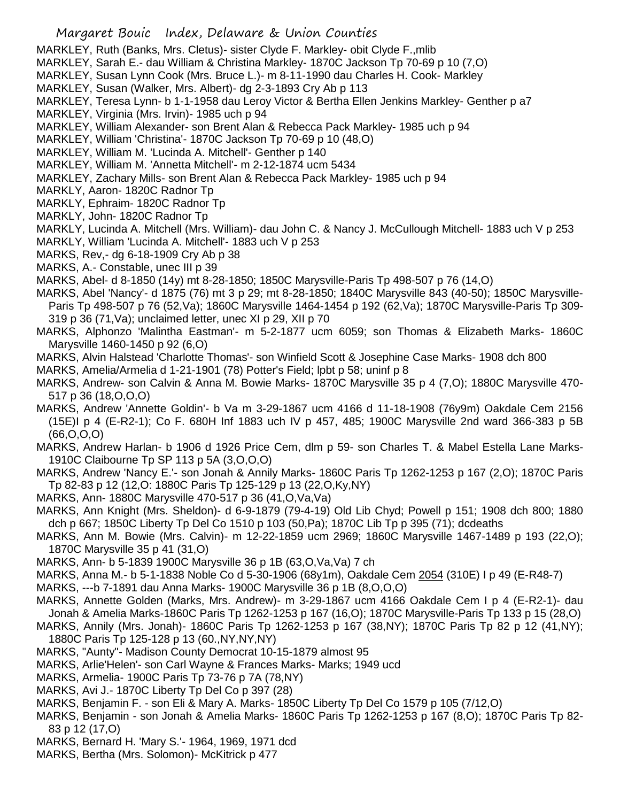- MARKLEY, Ruth (Banks, Mrs. Cletus)- sister Clyde F. Markley- obit Clyde F.,mlib
- MARKLEY, Sarah E.- dau William & Christina Markley- 1870C Jackson Tp 70-69 p 10 (7,O)
- MARKLEY, Susan Lynn Cook (Mrs. Bruce L.)- m 8-11-1990 dau Charles H. Cook- Markley
- MARKLEY, Susan (Walker, Mrs. Albert)- dg 2-3-1893 Cry Ab p 113
- MARKLEY, Teresa Lynn- b 1-1-1958 dau Leroy Victor & Bertha Ellen Jenkins Markley- Genther p a7
- MARKLEY, Virginia (Mrs. Irvin)- 1985 uch p 94
- MARKLEY, William Alexander- son Brent Alan & Rebecca Pack Markley- 1985 uch p 94
- MARKLEY, William 'Christina'- 1870C Jackson Tp 70-69 p 10 (48,O)
- MARKLEY, William M. 'Lucinda A. Mitchell'- Genther p 140
- MARKLEY, William M. 'Annetta Mitchell'- m 2-12-1874 ucm 5434
- MARKLEY, Zachary Mills- son Brent Alan & Rebecca Pack Markley- 1985 uch p 94
- MARKLY, Aaron- 1820C Radnor Tp
- MARKLY, Ephraim- 1820C Radnor Tp
- MARKLY, John- 1820C Radnor Tp
- MARKLY, Lucinda A. Mitchell (Mrs. William)- dau John C. & Nancy J. McCullough Mitchell- 1883 uch V p 253 MARKLY, William 'Lucinda A. Mitchell'- 1883 uch V p 253
- MARKS, Rev,- dg 6-18-1909 Cry Ab p 38
- MARKS, A.- Constable, unec III p 39
- MARKS, Abel- d 8-1850 (14y) mt 8-28-1850; 1850C Marysville-Paris Tp 498-507 p 76 (14,O)
- MARKS, Abel 'Nancy'- d 1875 (76) mt 3 p 29; mt 8-28-1850; 1840C Marysville 843 (40-50); 1850C Marysville-Paris Tp 498-507 p 76 (52,Va); 1860C Marysville 1464-1454 p 192 (62,Va); 1870C Marysville-Paris Tp 309- 319 p 36 (71,Va); unclaimed letter, unec XI p 29, XII p 70
- MARKS, Alphonzo 'Malintha Eastman'- m 5-2-1877 ucm 6059; son Thomas & Elizabeth Marks- 1860C Marysville 1460-1450 p 92 (6,O)
- MARKS, Alvin Halstead 'Charlotte Thomas'- son Winfield Scott & Josephine Case Marks- 1908 dch 800
- MARKS, Amelia/Armelia d 1-21-1901 (78) Potter's Field; lpbt p 58; uninf p 8
- MARKS, Andrew- son Calvin & Anna M. Bowie Marks- 1870C Marysville 35 p 4 (7,O); 1880C Marysville 470- 517 p 36 (18,O,O,O)
- MARKS, Andrew 'Annette Goldin'- b Va m 3-29-1867 ucm 4166 d 11-18-1908 (76y9m) Oakdale Cem 2156 (15E)I p 4 (E-R2-1); Co F. 680H Inf 1883 uch IV p 457, 485; 1900C Marysville 2nd ward 366-383 p 5B (66,O,O,O)
- MARKS, Andrew Harlan- b 1906 d 1926 Price Cem, dlm p 59- son Charles T. & Mabel Estella Lane Marks-1910C Claibourne Tp SP 113 p 5A (3,O,O,O)
- MARKS, Andrew 'Nancy E.'- son Jonah & Annily Marks- 1860C Paris Tp 1262-1253 p 167 (2,O); 1870C Paris Tp 82-83 p 12 (12,O: 1880C Paris Tp 125-129 p 13 (22,O,Ky,NY)
- MARKS, Ann- 1880C Marysville 470-517 p 36 (41,O,Va,Va)
- MARKS, Ann Knight (Mrs. Sheldon)- d 6-9-1879 (79-4-19) Old Lib Chyd; Powell p 151; 1908 dch 800; 1880 dch p 667; 1850C Liberty Tp Del Co 1510 p 103 (50,Pa); 1870C Lib Tp p 395 (71); dcdeaths
- MARKS, Ann M. Bowie (Mrs. Calvin)- m 12-22-1859 ucm 2969; 1860C Marysville 1467-1489 p 193 (22,O); 1870C Marysville 35 p 41 (31,O)
- MARKS, Ann- b 5-1839 1900C Marysville 36 p 1B (63,O,Va,Va) 7 ch
- MARKS, Anna M.- b 5-1-1838 Noble Co d 5-30-1906 (68y1m), Oakdale Cem 2054 (310E) I p 49 (E-R48-7)
- MARKS, ---b 7-1891 dau Anna Marks- 1900C Marysville 36 p 1B (8,O,O,O)
- MARKS, Annette Golden (Marks, Mrs. Andrew)- m 3-29-1867 ucm 4166 Oakdale Cem I p 4 (E-R2-1)- dau Jonah & Amelia Marks-1860C Paris Tp 1262-1253 p 167 (16,O); 1870C Marysville-Paris Tp 133 p 15 (28,O)
- MARKS, Annily (Mrs. Jonah)- 1860C Paris Tp 1262-1253 p 167 (38,NY); 1870C Paris Tp 82 p 12 (41,NY); 1880C Paris Tp 125-128 p 13 (60.,NY,NY,NY)
- MARKS, "Aunty"- Madison County Democrat 10-15-1879 almost 95
- MARKS, Arlie'Helen'- son Carl Wayne & Frances Marks- Marks; 1949 ucd
- MARKS, Armelia- 1900C Paris Tp 73-76 p 7A (78,NY)
- MARKS, Avi J.- 1870C Liberty Tp Del Co p 397 (28)
- MARKS, Benjamin F. son Eli & Mary A. Marks- 1850C Liberty Tp Del Co 1579 p 105 (7/12,O)
- MARKS, Benjamin son Jonah & Amelia Marks- 1860C Paris Tp 1262-1253 p 167 (8,O); 1870C Paris Tp 82- 83 p 12 (17,O)
- MARKS, Bernard H. 'Mary S.'- 1964, 1969, 1971 dcd
- MARKS, Bertha (Mrs. Solomon)- McKitrick p 477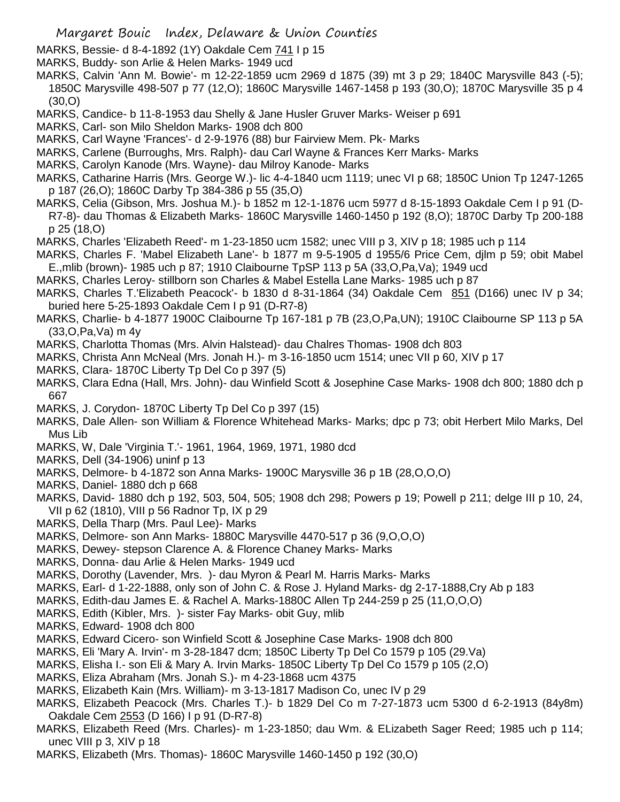- MARKS, Bessie- d 8-4-1892 (1Y) Oakdale Cem 741 I p 15
- MARKS, Buddy- son Arlie & Helen Marks- 1949 ucd
- MARKS, Calvin 'Ann M. Bowie'- m 12-22-1859 ucm 2969 d 1875 (39) mt 3 p 29; 1840C Marysville 843 (-5); 1850C Marysville 498-507 p 77 (12,O); 1860C Marysville 1467-1458 p 193 (30,O); 1870C Marysville 35 p 4 (30,O)
- MARKS, Candice- b 11-8-1953 dau Shelly & Jane Husler Gruver Marks- Weiser p 691
- MARKS, Carl- son Milo Sheldon Marks- 1908 dch 800
- MARKS, Carl Wayne 'Frances'- d 2-9-1976 (88) bur Fairview Mem. Pk- Marks
- MARKS, Carlene (Burroughs, Mrs. Ralph)- dau Carl Wayne & Frances Kerr Marks- Marks
- MARKS, Carolyn Kanode (Mrs. Wayne)- dau Milroy Kanode- Marks
- MARKS, Catharine Harris (Mrs. George W.)- lic 4-4-1840 ucm 1119; unec VI p 68; 1850C Union Tp 1247-1265 p 187 (26,O); 1860C Darby Tp 384-386 p 55 (35,O)
- MARKS, Celia (Gibson, Mrs. Joshua M.)- b 1852 m 12-1-1876 ucm 5977 d 8-15-1893 Oakdale Cem I p 91 (D-R7-8)- dau Thomas & Elizabeth Marks- 1860C Marysville 1460-1450 p 192 (8,O); 1870C Darby Tp 200-188 p 25 (18,O)
- MARKS, Charles 'Elizabeth Reed'- m 1-23-1850 ucm 1582; unec VIII p 3, XIV p 18; 1985 uch p 114
- MARKS, Charles F. 'Mabel Elizabeth Lane'- b 1877 m 9-5-1905 d 1955/6 Price Cem, djlm p 59; obit Mabel E.,mlib (brown)- 1985 uch p 87; 1910 Claibourne TpSP 113 p 5A (33,O,Pa,Va); 1949 ucd
- MARKS, Charles Leroy- stillborn son Charles & Mabel Estella Lane Marks- 1985 uch p 87
- MARKS, Charles T.'Elizabeth Peacock'- b 1830 d 8-31-1864 (34) Oakdale Cem 851 (D166) unec IV p 34; buried here 5-25-1893 Oakdale Cem I p 91 (D-R7-8)
- MARKS, Charlie- b 4-1877 1900C Claibourne Tp 167-181 p 7B (23,O,Pa,UN); 1910C Claibourne SP 113 p 5A (33,O,Pa,Va) m 4y
- MARKS, Charlotta Thomas (Mrs. Alvin Halstead)- dau Chalres Thomas- 1908 dch 803
- MARKS, Christa Ann McNeal (Mrs. Jonah H.)- m 3-16-1850 ucm 1514; unec VII p 60, XIV p 17
- MARKS, Clara- 1870C Liberty Tp Del Co p 397 (5)
- MARKS, Clara Edna (Hall, Mrs. John)- dau Winfield Scott & Josephine Case Marks- 1908 dch 800; 1880 dch p 667
- MARKS, J. Corydon- 1870C Liberty Tp Del Co p 397 (15)
- MARKS, Dale Allen- son William & Florence Whitehead Marks- Marks; dpc p 73; obit Herbert Milo Marks, Del Mus Lib
- MARKS, W, Dale 'Virginia T.'- 1961, 1964, 1969, 1971, 1980 dcd
- MARKS, Dell (34-1906) uninf p 13
- MARKS, Delmore- b 4-1872 son Anna Marks- 1900C Marysville 36 p 1B (28,O,O,O)
- MARKS, Daniel- 1880 dch p 668
- MARKS, David- 1880 dch p 192, 503, 504, 505; 1908 dch 298; Powers p 19; Powell p 211; delge III p 10, 24, VII p 62 (1810), VIII p 56 Radnor Tp, IX p 29
- MARKS, Della Tharp (Mrs. Paul Lee)- Marks
- MARKS, Delmore- son Ann Marks- 1880C Marysville 4470-517 p 36 (9,O,O,O)
- MARKS, Dewey- stepson Clarence A. & Florence Chaney Marks- Marks
- MARKS, Donna- dau Arlie & Helen Marks- 1949 ucd
- MARKS, Dorothy (Lavender, Mrs. )- dau Myron & Pearl M. Harris Marks- Marks
- MARKS, Earl- d 1-22-1888, only son of John C. & Rose J. Hyland Marks- dg 2-17-1888,Cry Ab p 183
- MARKS, Edith-dau James E. & Rachel A. Marks-1880C Allen Tp 244-259 p 25 (11,O,O,O)
- MARKS, Edith (Kibler, Mrs. )- sister Fay Marks- obit Guy, mlib
- MARKS, Edward- 1908 dch 800
- MARKS, Edward Cicero- son Winfield Scott & Josephine Case Marks- 1908 dch 800
- MARKS, Eli 'Mary A. Irvin'- m 3-28-1847 dcm; 1850C Liberty Tp Del Co 1579 p 105 (29.Va)
- MARKS, Elisha I.- son Eli & Mary A. Irvin Marks- 1850C Liberty Tp Del Co 1579 p 105 (2,O)
- MARKS, Eliza Abraham (Mrs. Jonah S.)- m 4-23-1868 ucm 4375
- MARKS, Elizabeth Kain (Mrs. William)- m 3-13-1817 Madison Co, unec IV p 29
- MARKS, Elizabeth Peacock (Mrs. Charles T.)- b 1829 Del Co m 7-27-1873 ucm 5300 d 6-2-1913 (84y8m) Oakdale Cem 2553 (D 166) I p 91 (D-R7-8)
- MARKS, Elizabeth Reed (Mrs. Charles)- m 1-23-1850; dau Wm. & ELizabeth Sager Reed; 1985 uch p 114; unec VIII p 3, XIV p 18
- MARKS, Elizabeth (Mrs. Thomas)- 1860C Marysville 1460-1450 p 192 (30,O)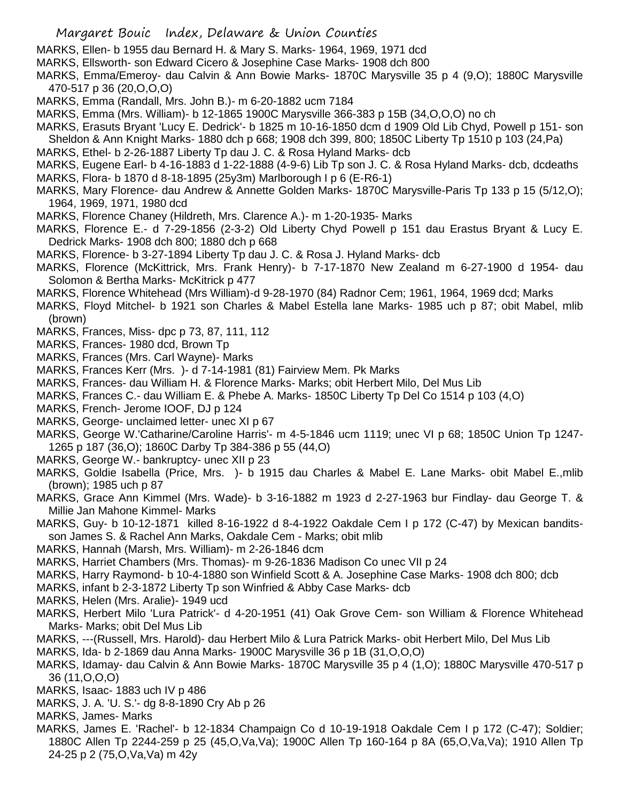- MARKS, Ellen- b 1955 dau Bernard H. & Mary S. Marks- 1964, 1969, 1971 dcd
- MARKS, Ellsworth- son Edward Cicero & Josephine Case Marks- 1908 dch 800
- MARKS, Emma/Emeroy- dau Calvin & Ann Bowie Marks- 1870C Marysville 35 p 4 (9,O); 1880C Marysville 470-517 p 36 (20,O,O,O)
- MARKS, Emma (Randall, Mrs. John B.)- m 6-20-1882 ucm 7184
- MARKS, Emma (Mrs. William)- b 12-1865 1900C Marysville 366-383 p 15B (34,O,O,O) no ch
- MARKS, Erasuts Bryant 'Lucy E. Dedrick'- b 1825 m 10-16-1850 dcm d 1909 Old Lib Chyd, Powell p 151- son Sheldon & Ann Knight Marks- 1880 dch p 668; 1908 dch 399, 800; 1850C Liberty Tp 1510 p 103 (24,Pa)
- MARKS, Ethel- b 2-26-1887 Liberty Tp dau J. C. & Rosa Hyland Marks- dcb
- MARKS, Eugene Earl- b 4-16-1883 d 1-22-1888 (4-9-6) Lib Tp son J. C. & Rosa Hyland Marks- dcb, dcdeaths
- MARKS, Flora- b 1870 d 8-18-1895 (25y3m) Marlborough I p 6 (E-R6-1)
- MARKS, Mary Florence- dau Andrew & Annette Golden Marks- 1870C Marysville-Paris Tp 133 p 15 (5/12,O); 1964, 1969, 1971, 1980 dcd
- MARKS, Florence Chaney (Hildreth, Mrs. Clarence A.)- m 1-20-1935- Marks
- MARKS, Florence E.- d 7-29-1856 (2-3-2) Old Liberty Chyd Powell p 151 dau Erastus Bryant & Lucy E. Dedrick Marks- 1908 dch 800; 1880 dch p 668
- MARKS, Florence- b 3-27-1894 Liberty Tp dau J. C. & Rosa J. Hyland Marks- dcb
- MARKS, Florence (McKittrick, Mrs. Frank Henry)- b 7-17-1870 New Zealand m 6-27-1900 d 1954- dau Solomon & Bertha Marks- McKitrick p 477
- MARKS, Florence Whitehead (Mrs William)-d 9-28-1970 (84) Radnor Cem; 1961, 1964, 1969 dcd; Marks
- MARKS, Floyd Mitchel- b 1921 son Charles & Mabel Estella lane Marks- 1985 uch p 87; obit Mabel, mlib (brown)
- MARKS, Frances, Miss- dpc p 73, 87, 111, 112
- MARKS, Frances- 1980 dcd, Brown Tp
- MARKS, Frances (Mrs. Carl Wayne)- Marks
- MARKS, Frances Kerr (Mrs. )- d 7-14-1981 (81) Fairview Mem. Pk Marks
- MARKS, Frances- dau William H. & Florence Marks- Marks; obit Herbert Milo, Del Mus Lib
- MARKS, Frances C.- dau William E. & Phebe A. Marks- 1850C Liberty Tp Del Co 1514 p 103 (4,O)
- MARKS, French- Jerome IOOF, DJ p 124
- MARKS, George- unclaimed letter- unec XI p 67
- MARKS, George W.'Catharine/Caroline Harris'- m 4-5-1846 ucm 1119; unec VI p 68; 1850C Union Tp 1247- 1265 p 187 (36,O); 1860C Darby Tp 384-386 p 55 (44,O)
- MARKS, George W.- bankruptcy- unec XII p 23
- MARKS, Goldie Isabella (Price, Mrs. )- b 1915 dau Charles & Mabel E. Lane Marks- obit Mabel E.,mlib (brown); 1985 uch p 87
- MARKS, Grace Ann Kimmel (Mrs. Wade)- b 3-16-1882 m 1923 d 2-27-1963 bur Findlay- dau George T. & Millie Jan Mahone Kimmel- Marks
- MARKS, Guy- b 10-12-1871 killed 8-16-1922 d 8-4-1922 Oakdale Cem I p 172 (C-47) by Mexican banditsson James S. & Rachel Ann Marks, Oakdale Cem - Marks; obit mlib
- MARKS, Hannah (Marsh, Mrs. William)- m 2-26-1846 dcm
- MARKS, Harriet Chambers (Mrs. Thomas)- m 9-26-1836 Madison Co unec VII p 24
- MARKS, Harry Raymond- b 10-4-1880 son Winfield Scott & A. Josephine Case Marks- 1908 dch 800; dcb
- MARKS, infant b 2-3-1872 Liberty Tp son Winfried & Abby Case Marks- dcb
- MARKS, Helen (Mrs. Aralie)- 1949 ucd
- MARKS, Herbert Milo 'Lura Patrick'- d 4-20-1951 (41) Oak Grove Cem- son William & Florence Whitehead Marks- Marks; obit Del Mus Lib
- MARKS, ---(Russell, Mrs. Harold)- dau Herbert Milo & Lura Patrick Marks- obit Herbert Milo, Del Mus Lib
- MARKS, Ida- b 2-1869 dau Anna Marks- 1900C Marysville 36 p 1B (31,O,O,O)
- MARKS, Idamay- dau Calvin & Ann Bowie Marks- 1870C Marysville 35 p 4 (1,O); 1880C Marysville 470-517 p 36 (11,O,O,O)
- MARKS, Isaac- 1883 uch IV p 486
- MARKS, J. A. 'U. S.'- dg 8-8-1890 Cry Ab p 26
- MARKS, James- Marks
- MARKS, James E. 'Rachel'- b 12-1834 Champaign Co d 10-19-1918 Oakdale Cem I p 172 (C-47); Soldier; 1880C Allen Tp 2244-259 p 25 (45,O,Va,Va); 1900C Allen Tp 160-164 p 8A (65,O,Va,Va); 1910 Allen Tp 24-25 p 2 (75,O,Va,Va) m 42y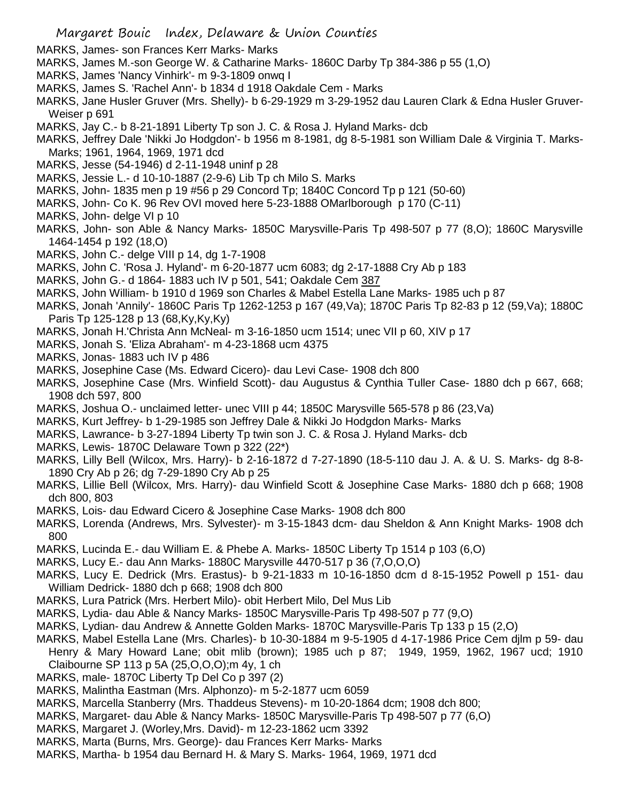- MARKS, James- son Frances Kerr Marks- Marks
- MARKS, James M.-son George W. & Catharine Marks- 1860C Darby Tp 384-386 p 55 (1,O)
- MARKS, James 'Nancy Vinhirk'- m 9-3-1809 onwq I
- MARKS, James S. 'Rachel Ann'- b 1834 d 1918 Oakdale Cem Marks
- MARKS, Jane Husler Gruver (Mrs. Shelly)- b 6-29-1929 m 3-29-1952 dau Lauren Clark & Edna Husler Gruver-Weiser p 691
- MARKS, Jay C.- b 8-21-1891 Liberty Tp son J. C. & Rosa J. Hyland Marks- dcb
- MARKS, Jeffrey Dale 'Nikki Jo Hodgdon'- b 1956 m 8-1981, dg 8-5-1981 son William Dale & Virginia T. Marks-Marks; 1961, 1964, 1969, 1971 dcd
- MARKS, Jesse (54-1946) d 2-11-1948 uninf p 28
- MARKS, Jessie L.- d 10-10-1887 (2-9-6) Lib Tp ch Milo S. Marks
- MARKS, John- 1835 men p 19 #56 p 29 Concord Tp; 1840C Concord Tp p 121 (50-60)
- MARKS, John- Co K. 96 Rev OVI moved here 5-23-1888 OMarlborough p 170 (C-11)

MARKS, John- delge VI p 10

- MARKS, John- son Able & Nancy Marks- 1850C Marysville-Paris Tp 498-507 p 77 (8,O); 1860C Marysville 1464-1454 p 192 (18,O)
- MARKS, John C.- delge VIII p 14, dg 1-7-1908
- MARKS, John C. 'Rosa J. Hyland'- m 6-20-1877 ucm 6083; dg 2-17-1888 Cry Ab p 183
- MARKS, John G.- d 1864- 1883 uch IV p 501, 541; Oakdale Cem 387
- MARKS, John William- b 1910 d 1969 son Charles & Mabel Estella Lane Marks- 1985 uch p 87
- MARKS, Jonah 'Annily'- 1860C Paris Tp 1262-1253 p 167 (49,Va); 1870C Paris Tp 82-83 p 12 (59,Va); 1880C Paris Tp 125-128 p 13 (68,Ky,Ky,Ky)
- MARKS, Jonah H.'Christa Ann McNeal- m 3-16-1850 ucm 1514; unec VII p 60, XIV p 17
- MARKS, Jonah S. 'Eliza Abraham'- m 4-23-1868 ucm 4375
- MARKS, Jonas- 1883 uch IV p 486
- MARKS, Josephine Case (Ms. Edward Cicero)- dau Levi Case- 1908 dch 800
- MARKS, Josephine Case (Mrs. Winfield Scott)- dau Augustus & Cynthia Tuller Case- 1880 dch p 667, 668; 1908 dch 597, 800
- MARKS, Joshua O.- unclaimed letter- unec VIII p 44; 1850C Marysville 565-578 p 86 (23,Va)
- MARKS, Kurt Jeffrey- b 1-29-1985 son Jeffrey Dale & Nikki Jo Hodgdon Marks- Marks
- MARKS, Lawrance- b 3-27-1894 Liberty Tp twin son J. C. & Rosa J. Hyland Marks- dcb
- MARKS, Lewis- 1870C Delaware Town p 322 (22\*)
- MARKS, Lilly Bell (Wilcox, Mrs. Harry)- b 2-16-1872 d 7-27-1890 (18-5-110 dau J. A. & U. S. Marks- dg 8-8- 1890 Cry Ab p 26; dg 7-29-1890 Cry Ab p 25
- MARKS, Lillie Bell (Wilcox, Mrs. Harry)- dau Winfield Scott & Josephine Case Marks- 1880 dch p 668; 1908 dch 800, 803
- MARKS, Lois- dau Edward Cicero & Josephine Case Marks- 1908 dch 800
- MARKS, Lorenda (Andrews, Mrs. Sylvester)- m 3-15-1843 dcm- dau Sheldon & Ann Knight Marks- 1908 dch 800
- MARKS, Lucinda E.- dau William E. & Phebe A. Marks- 1850C Liberty Tp 1514 p 103 (6,O)
- MARKS, Lucy E.- dau Ann Marks- 1880C Marysville 4470-517 p 36 (7,O,O,O)
- MARKS, Lucy E. Dedrick (Mrs. Erastus)- b 9-21-1833 m 10-16-1850 dcm d 8-15-1952 Powell p 151- dau William Dedrick- 1880 dch p 668; 1908 dch 800
- MARKS, Lura Patrick (Mrs. Herbert Milo)- obit Herbert Milo, Del Mus Lib
- MARKS, Lydia- dau Able & Nancy Marks- 1850C Marysville-Paris Tp 498-507 p 77 (9,O)
- MARKS, Lydian- dau Andrew & Annette Golden Marks- 1870C Marysville-Paris Tp 133 p 15 (2,O)
- MARKS, Mabel Estella Lane (Mrs. Charles)- b 10-30-1884 m 9-5-1905 d 4-17-1986 Price Cem djlm p 59- dau Henry & Mary Howard Lane; obit mlib (brown); 1985 uch p 87; 1949, 1959, 1962, 1967 ucd; 1910 Claibourne SP 113 p 5A (25,O,O,O);m 4y, 1 ch
- MARKS, male- 1870C Liberty Tp Del Co p 397 (2)
- MARKS, Malintha Eastman (Mrs. Alphonzo)- m 5-2-1877 ucm 6059
- MARKS, Marcella Stanberry (Mrs. Thaddeus Stevens)- m 10-20-1864 dcm; 1908 dch 800;
- MARKS, Margaret- dau Able & Nancy Marks- 1850C Marysville-Paris Tp 498-507 p 77 (6,O)
- MARKS, Margaret J. (Worley,Mrs. David)- m 12-23-1862 ucm 3392
- MARKS, Marta (Burns, Mrs. George)- dau Frances Kerr Marks- Marks
- MARKS, Martha- b 1954 dau Bernard H. & Mary S. Marks- 1964, 1969, 1971 dcd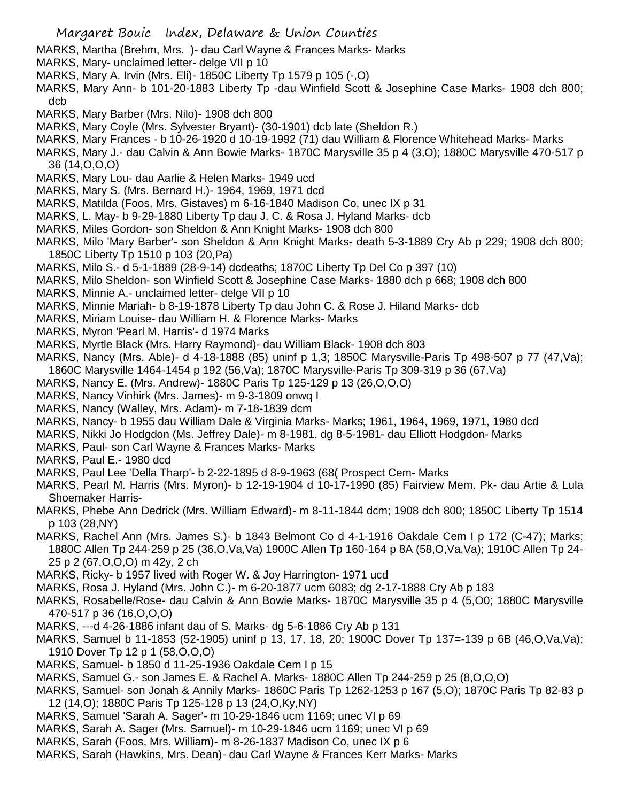- MARKS, Martha (Brehm, Mrs. )- dau Carl Wayne & Frances Marks- Marks
- MARKS, Mary- unclaimed letter- delge VII p 10
- MARKS, Mary A. Irvin (Mrs. Eli)- 1850C Liberty Tp 1579 p 105 (-,O)
- MARKS, Mary Ann- b 101-20-1883 Liberty Tp -dau Winfield Scott & Josephine Case Marks- 1908 dch 800; dcb
- MARKS, Mary Barber (Mrs. Nilo)- 1908 dch 800
- MARKS, Mary Coyle (Mrs. Sylvester Bryant)- (30-1901) dcb late (Sheldon R.)
- MARKS, Mary Frances b 10-26-1920 d 10-19-1992 (71) dau William & Florence Whitehead Marks- Marks
- MARKS, Mary J.- dau Calvin & Ann Bowie Marks- 1870C Marysville 35 p 4 (3,O); 1880C Marysville 470-517 p 36 (14,O,O,O)
- MARKS, Mary Lou- dau Aarlie & Helen Marks- 1949 ucd
- MARKS, Mary S. (Mrs. Bernard H.)- 1964, 1969, 1971 dcd
- MARKS, Matilda (Foos, Mrs. Gistaves) m 6-16-1840 Madison Co, unec IX p 31
- MARKS, L. May- b 9-29-1880 Liberty Tp dau J. C. & Rosa J. Hyland Marks- dcb
- MARKS, Miles Gordon- son Sheldon & Ann Knight Marks- 1908 dch 800
- MARKS, Milo 'Mary Barber'- son Sheldon & Ann Knight Marks- death 5-3-1889 Cry Ab p 229; 1908 dch 800; 1850C Liberty Tp 1510 p 103 (20,Pa)
- MARKS, Milo S.- d 5-1-1889 (28-9-14) dcdeaths; 1870C Liberty Tp Del Co p 397 (10)
- MARKS, Milo Sheldon- son Winfield Scott & Josephine Case Marks- 1880 dch p 668; 1908 dch 800
- MARKS, Minnie A.- unclaimed letter- delge VII p 10
- MARKS, Minnie Mariah- b 8-19-1878 Liberty Tp dau John C. & Rose J. Hiland Marks- dcb
- MARKS, Miriam Louise- dau William H. & Florence Marks- Marks
- MARKS, Myron 'Pearl M. Harris'- d 1974 Marks
- MARKS, Myrtle Black (Mrs. Harry Raymond)- dau William Black- 1908 dch 803
- MARKS, Nancy (Mrs. Able)- d 4-18-1888 (85) uninf p 1,3; 1850C Marysville-Paris Tp 498-507 p 77 (47,Va); 1860C Marysville 1464-1454 p 192 (56,Va); 1870C Marysville-Paris Tp 309-319 p 36 (67,Va)
- MARKS, Nancy E. (Mrs. Andrew)- 1880C Paris Tp 125-129 p 13 (26,O,O,O)
- MARKS, Nancy Vinhirk (Mrs. James)- m 9-3-1809 onwq I
- MARKS, Nancy (Walley, Mrs. Adam)- m 7-18-1839 dcm
- MARKS, Nancy- b 1955 dau William Dale & Virginia Marks- Marks; 1961, 1964, 1969, 1971, 1980 dcd
- MARKS, Nikki Jo Hodgdon (Ms. Jeffrey Dale)- m 8-1981, dg 8-5-1981- dau Elliott Hodgdon- Marks
- MARKS, Paul- son Carl Wayne & Frances Marks- Marks
- MARKS, Paul E.- 1980 dcd
- MARKS, Paul Lee 'Della Tharp'- b 2-22-1895 d 8-9-1963 (68( Prospect Cem- Marks
- MARKS, Pearl M. Harris (Mrs. Myron)- b 12-19-1904 d 10-17-1990 (85) Fairview Mem. Pk- dau Artie & Lula Shoemaker Harris-
- MARKS, Phebe Ann Dedrick (Mrs. William Edward)- m 8-11-1844 dcm; 1908 dch 800; 1850C Liberty Tp 1514 p 103 (28,NY)
- MARKS, Rachel Ann (Mrs. James S.)- b 1843 Belmont Co d 4-1-1916 Oakdale Cem I p 172 (C-47); Marks; 1880C Allen Tp 244-259 p 25 (36,O,Va,Va) 1900C Allen Tp 160-164 p 8A (58,O,Va,Va); 1910C Allen Tp 24- 25 p 2 (67,O,O,O) m 42y, 2 ch
- MARKS, Ricky- b 1957 lived with Roger W. & Joy Harrington- 1971 ucd
- MARKS, Rosa J. Hyland (Mrs. John C.)- m 6-20-1877 ucm 6083; dg 2-17-1888 Cry Ab p 183
- MARKS, Rosabelle/Rose- dau Calvin & Ann Bowie Marks- 1870C Marysville 35 p 4 (5,O0; 1880C Marysville 470-517 p 36 (16,O,O,O)
- MARKS, ---d 4-26-1886 infant dau of S. Marks- dg 5-6-1886 Cry Ab p 131
- MARKS, Samuel b 11-1853 (52-1905) uninf p 13, 17, 18, 20; 1900C Dover Tp 137=-139 p 6B (46,O,Va,Va); 1910 Dover Tp 12 p 1 (58,O,O,O)
- MARKS, Samuel- b 1850 d 11-25-1936 Oakdale Cem I p 15
- MARKS, Samuel G.- son James E. & Rachel A. Marks- 1880C Allen Tp 244-259 p 25 (8,O,O,O)
- MARKS, Samuel- son Jonah & Annily Marks- 1860C Paris Tp 1262-1253 p 167 (5,O); 1870C Paris Tp 82-83 p 12 (14,O); 1880C Paris Tp 125-128 p 13 (24,O,Ky,NY)
- MARKS, Samuel 'Sarah A. Sager'- m 10-29-1846 ucm 1169; unec VI p 69
- MARKS, Sarah A. Sager (Mrs. Samuel)- m 10-29-1846 ucm 1169; unec VI p 69
- MARKS, Sarah (Foos, Mrs. William)- m 8-26-1837 Madison Co, unec IX p 6
- MARKS, Sarah (Hawkins, Mrs. Dean)- dau Carl Wayne & Frances Kerr Marks- Marks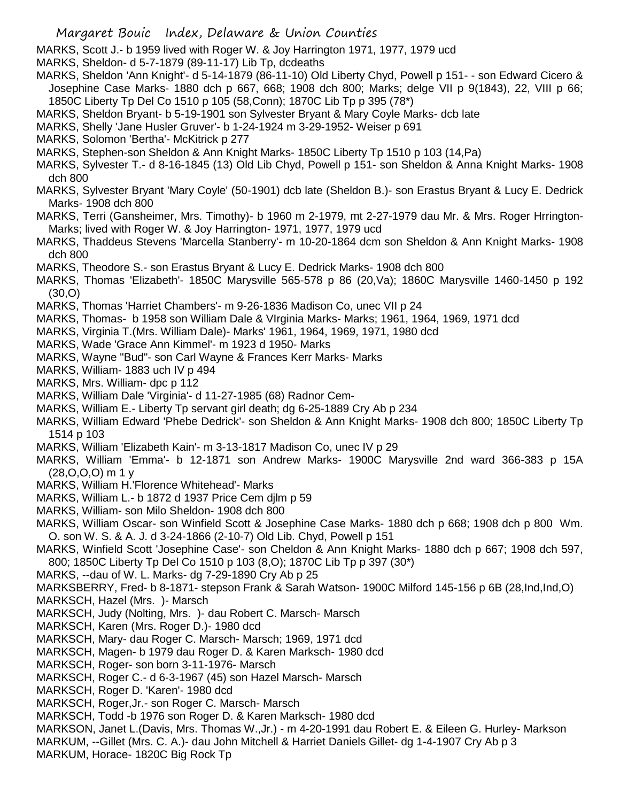MARKS, Scott J.- b 1959 lived with Roger W. & Joy Harrington 1971, 1977, 1979 ucd

MARKS, Sheldon- d 5-7-1879 (89-11-17) Lib Tp, dcdeaths

- MARKS, Sheldon 'Ann Knight'- d 5-14-1879 (86-11-10) Old Liberty Chyd, Powell p 151- son Edward Cicero & Josephine Case Marks- 1880 dch p 667, 668; 1908 dch 800; Marks; delge VII p 9(1843), 22, VIII p 66; 1850C Liberty Tp Del Co 1510 p 105 (58,Conn); 1870C Lib Tp p 395 (78\*)
- MARKS, Sheldon Bryant- b 5-19-1901 son Sylvester Bryant & Mary Coyle Marks- dcb late
- MARKS, Shelly 'Jane Husler Gruver'- b 1-24-1924 m 3-29-1952- Weiser p 691
- MARKS, Solomon 'Bertha'- McKitrick p 277
- MARKS, Stephen-son Sheldon & Ann Knight Marks- 1850C Liberty Tp 1510 p 103 (14,Pa)
- MARKS, Sylvester T.- d 8-16-1845 (13) Old Lib Chyd, Powell p 151- son Sheldon & Anna Knight Marks- 1908 dch 800
- MARKS, Sylvester Bryant 'Mary Coyle' (50-1901) dcb late (Sheldon B.)- son Erastus Bryant & Lucy E. Dedrick Marks- 1908 dch 800
- MARKS, Terri (Gansheimer, Mrs. Timothy)- b 1960 m 2-1979, mt 2-27-1979 dau Mr. & Mrs. Roger Hrrington-Marks; lived with Roger W. & Joy Harrington- 1971, 1977, 1979 ucd
- MARKS, Thaddeus Stevens 'Marcella Stanberry'- m 10-20-1864 dcm son Sheldon & Ann Knight Marks- 1908 dch 800
- MARKS, Theodore S.- son Erastus Bryant & Lucy E. Dedrick Marks- 1908 dch 800
- MARKS, Thomas 'Elizabeth'- 1850C Marysville 565-578 p 86 (20,Va); 1860C Marysville 1460-1450 p 192 (30,O)
- MARKS, Thomas 'Harriet Chambers'- m 9-26-1836 Madison Co, unec VII p 24
- MARKS, Thomas- b 1958 son William Dale & VIrginia Marks- Marks; 1961, 1964, 1969, 1971 dcd
- MARKS, Virginia T.(Mrs. William Dale)- Marks' 1961, 1964, 1969, 1971, 1980 dcd
- MARKS, Wade 'Grace Ann Kimmel'- m 1923 d 1950- Marks
- MARKS, Wayne "Bud"- son Carl Wayne & Frances Kerr Marks- Marks
- MARKS, William- 1883 uch IV p 494
- MARKS, Mrs. William- dpc p 112
- MARKS, William Dale 'Virginia'- d 11-27-1985 (68) Radnor Cem-
- MARKS, William E.- Liberty Tp servant girl death; dg 6-25-1889 Cry Ab p 234
- MARKS, William Edward 'Phebe Dedrick'- son Sheldon & Ann Knight Marks- 1908 dch 800; 1850C Liberty Tp 1514 p 103
- MARKS, William 'Elizabeth Kain'- m 3-13-1817 Madison Co, unec IV p 29
- MARKS, William 'Emma'- b 12-1871 son Andrew Marks- 1900C Marysville 2nd ward 366-383 p 15A (28,O,O,O) m 1 y
- MARKS, William H.'Florence Whitehead'- Marks
- MARKS, William L.- b 1872 d 1937 Price Cem djlm p 59
- MARKS, William- son Milo Sheldon- 1908 dch 800
- MARKS, William Oscar- son Winfield Scott & Josephine Case Marks- 1880 dch p 668; 1908 dch p 800 Wm. O. son W. S. & A. J. d 3-24-1866 (2-10-7) Old Lib. Chyd, Powell p 151
- MARKS, Winfield Scott 'Josephine Case'- son Cheldon & Ann Knight Marks- 1880 dch p 667; 1908 dch 597, 800; 1850C Liberty Tp Del Co 1510 p 103 (8,O); 1870C Lib Tp p 397 (30\*)
- MARKS, --dau of W. L. Marks- dg 7-29-1890 Cry Ab p 25

MARKSBERRY, Fred- b 8-1871- stepson Frank & Sarah Watson- 1900C Milford 145-156 p 6B (28,Ind,Ind,O)

- MARKSCH, Hazel (Mrs. )- Marsch
- MARKSCH, Judy (Nolting, Mrs. )- dau Robert C. Marsch- Marsch
- MARKSCH, Karen (Mrs. Roger D.)- 1980 dcd
- MARKSCH, Mary- dau Roger C. Marsch- Marsch; 1969, 1971 dcd
- MARKSCH, Magen- b 1979 dau Roger D. & Karen Marksch- 1980 dcd
- MARKSCH, Roger- son born 3-11-1976- Marsch
- MARKSCH, Roger C.- d 6-3-1967 (45) son Hazel Marsch- Marsch
- MARKSCH, Roger D. 'Karen'- 1980 dcd
- MARKSCH, Roger,Jr.- son Roger C. Marsch- Marsch
- MARKSCH, Todd -b 1976 son Roger D. & Karen Marksch- 1980 dcd
- MARKSON, Janet L.(Davis, Mrs. Thomas W.,Jr.) m 4-20-1991 dau Robert E. & Eileen G. Hurley- Markson
- MARKUM, --Gillet (Mrs. C. A.)- dau John Mitchell & Harriet Daniels Gillet- dg 1-4-1907 Cry Ab p 3
- MARKUM, Horace- 1820C Big Rock Tp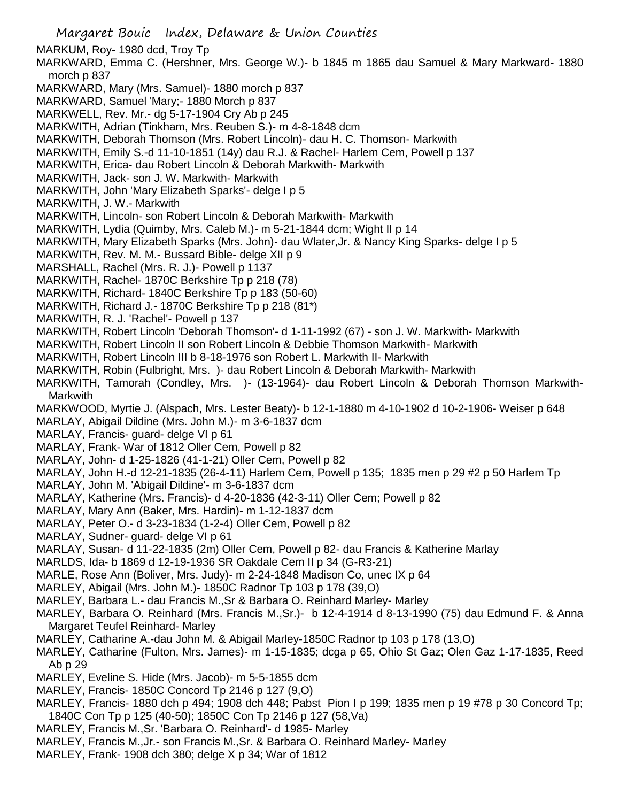- Margaret Bouic Index, Delaware & Union Counties MARKUM, Roy- 1980 dcd, Troy Tp MARKWARD, Emma C. (Hershner, Mrs. George W.)- b 1845 m 1865 dau Samuel & Mary Markward- 1880 morch p 837 MARKWARD, Mary (Mrs. Samuel)- 1880 morch p 837 MARKWARD, Samuel 'Mary;- 1880 Morch p 837 MARKWELL, Rev. Mr.- dg 5-17-1904 Cry Ab p 245 MARKWITH, Adrian (Tinkham, Mrs. Reuben S.)- m 4-8-1848 dcm MARKWITH, Deborah Thomson (Mrs. Robert Lincoln)- dau H. C. Thomson- Markwith MARKWITH, Emily S.-d 11-10-1851 (14y) dau R.J. & Rachel- Harlem Cem, Powell p 137 MARKWITH, Erica- dau Robert Lincoln & Deborah Markwith- Markwith MARKWITH, Jack- son J. W. Markwith- Markwith MARKWITH, John 'Mary Elizabeth Sparks'- delge I p 5 MARKWITH, J. W.- Markwith MARKWITH, Lincoln- son Robert Lincoln & Deborah Markwith- Markwith MARKWITH, Lydia (Quimby, Mrs. Caleb M.)- m 5-21-1844 dcm; Wight II p 14 MARKWITH, Mary Elizabeth Sparks (Mrs. John)- dau Wlater,Jr. & Nancy King Sparks- delge I p 5 MARKWITH, Rev. M. M.- Bussard Bible- delge XII p 9 MARSHALL, Rachel (Mrs. R. J.)- Powell p 1137 MARKWITH, Rachel- 1870C Berkshire Tp p 218 (78) MARKWITH, Richard- 1840C Berkshire Tp p 183 (50-60) MARKWITH, Richard J.- 1870C Berkshire Tp p 218 (81\*) MARKWITH, R. J. 'Rachel'- Powell p 137 MARKWITH, Robert Lincoln 'Deborah Thomson'- d 1-11-1992 (67) - son J. W. Markwith- Markwith MARKWITH, Robert Lincoln II son Robert Lincoln & Debbie Thomson Markwith- Markwith MARKWITH, Robert Lincoln III b 8-18-1976 son Robert L. Markwith II- Markwith MARKWITH, Robin (Fulbright, Mrs. )- dau Robert Lincoln & Deborah Markwith- Markwith MARKWITH, Tamorah (Condley, Mrs. )- (13-1964)- dau Robert Lincoln & Deborah Thomson Markwith-**Markwith** MARKWOOD, Myrtie J. (Alspach, Mrs. Lester Beaty)- b 12-1-1880 m 4-10-1902 d 10-2-1906- Weiser p 648 MARLAY, Abigail Dildine (Mrs. John M.)- m 3-6-1837 dcm MARLAY, Francis- guard- delge VI p 61 MARLAY, Frank- War of 1812 Oller Cem, Powell p 82 MARLAY, John- d 1-25-1826 (41-1-21) Oller Cem, Powell p 82 MARLAY, John H.-d 12-21-1835 (26-4-11) Harlem Cem, Powell p 135; 1835 men p 29 #2 p 50 Harlem Tp MARLAY, John M. 'Abigail Dildine'- m 3-6-1837 dcm MARLAY, Katherine (Mrs. Francis)- d 4-20-1836 (42-3-11) Oller Cem; Powell p 82 MARLAY, Mary Ann (Baker, Mrs. Hardin)- m 1-12-1837 dcm MARLAY, Peter O.- d 3-23-1834 (1-2-4) Oller Cem, Powell p 82 MARLAY, Sudner- guard- delge VI p 61 MARLAY, Susan- d 11-22-1835 (2m) Oller Cem, Powell p 82- dau Francis & Katherine Marlay MARLDS, Ida- b 1869 d 12-19-1936 SR Oakdale Cem II p 34 (G-R3-21) MARLE, Rose Ann (Boliver, Mrs. Judy)- m 2-24-1848 Madison Co, unec IX p 64 MARLEY, Abigail (Mrs. John M.)- 1850C Radnor Tp 103 p 178 (39,O) MARLEY, Barbara L.- dau Francis M.,Sr & Barbara O. Reinhard Marley- Marley MARLEY, Barbara O. Reinhard (Mrs. Francis M.,Sr.)- b 12-4-1914 d 8-13-1990 (75) dau Edmund F. & Anna Margaret Teufel Reinhard- Marley MARLEY, Catharine A.-dau John M. & Abigail Marley-1850C Radnor tp 103 p 178 (13,O) MARLEY, Catharine (Fulton, Mrs. James)- m 1-15-1835; dcga p 65, Ohio St Gaz; Olen Gaz 1-17-1835, Reed Ab p 29
- MARLEY, Eveline S. Hide (Mrs. Jacob)- m 5-5-1855 dcm
- MARLEY, Francis- 1850C Concord Tp 2146 p 127 (9,O)
- MARLEY, Francis- 1880 dch p 494; 1908 dch 448; Pabst Pion I p 199; 1835 men p 19 #78 p 30 Concord Tp; 1840C Con Tp p 125 (40-50); 1850C Con Tp 2146 p 127 (58,Va)
- MARLEY, Francis M.,Sr. 'Barbara O. Reinhard'- d 1985- Marley
- MARLEY, Francis M.,Jr.- son Francis M.,Sr. & Barbara O. Reinhard Marley- Marley
- MARLEY, Frank- 1908 dch 380; delge X p 34; War of 1812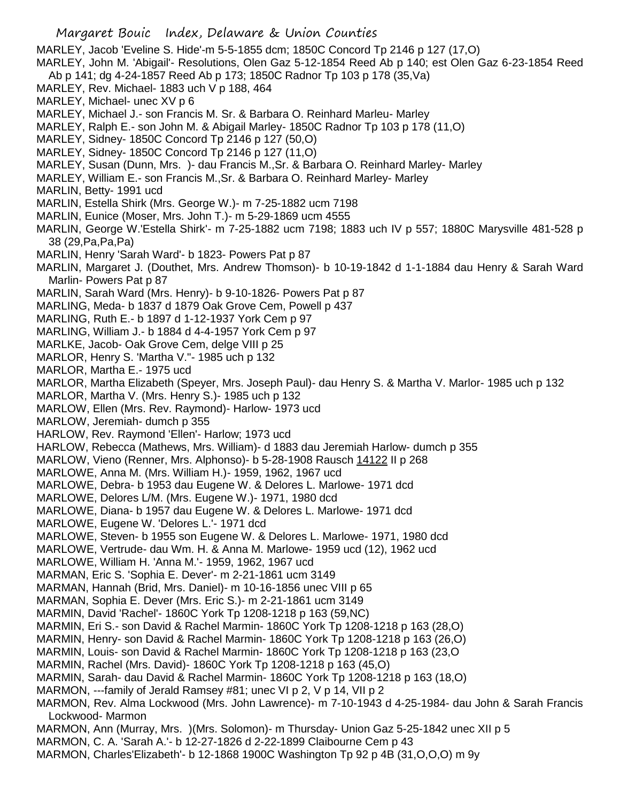MARLEY, Jacob 'Eveline S. Hide'-m 5-5-1855 dcm; 1850C Concord Tp 2146 p 127 (17,O)

MARLEY, John M. 'Abigail'- Resolutions, Olen Gaz 5-12-1854 Reed Ab p 140; est Olen Gaz 6-23-1854 Reed

- Ab p 141; dg 4-24-1857 Reed Ab p 173; 1850C Radnor Tp 103 p 178 (35,Va)
- MARLEY, Rev. Michael- 1883 uch V p 188, 464
- MARLEY, Michael- unec XV p 6
- MARLEY, Michael J.- son Francis M. Sr. & Barbara O. Reinhard Marleu- Marley
- MARLEY, Ralph E.- son John M. & Abigail Marley- 1850C Radnor Tp 103 p 178 (11,O)
- MARLEY, Sidney- 1850C Concord Tp 2146 p 127 (50,O)
- MARLEY, Sidney- 1850C Concord Tp 2146 p 127 (11,O)
- MARLEY, Susan (Dunn, Mrs. )- dau Francis M.,Sr. & Barbara O. Reinhard Marley- Marley
- MARLEY, William E.- son Francis M.,Sr. & Barbara O. Reinhard Marley- Marley
- MARLIN, Betty- 1991 ucd
- MARLIN, Estella Shirk (Mrs. George W.)- m 7-25-1882 ucm 7198
- MARLIN, Eunice (Moser, Mrs. John T.)- m 5-29-1869 ucm 4555
- MARLIN, George W.'Estella Shirk'- m 7-25-1882 ucm 7198; 1883 uch IV p 557; 1880C Marysville 481-528 p 38 (29,Pa,Pa,Pa)
- MARLIN, Henry 'Sarah Ward'- b 1823- Powers Pat p 87
- MARLIN, Margaret J. (Douthet, Mrs. Andrew Thomson)- b 10-19-1842 d 1-1-1884 dau Henry & Sarah Ward Marlin- Powers Pat p 87
- MARLIN, Sarah Ward (Mrs. Henry)- b 9-10-1826- Powers Pat p 87
- MARLING, Meda- b 1837 d 1879 Oak Grove Cem, Powell p 437
- MARLING, Ruth E.- b 1897 d 1-12-1937 York Cem p 97
- MARLING, William J.- b 1884 d 4-4-1957 York Cem p 97
- MARLKE, Jacob- Oak Grove Cem, delge VIII p 25
- MARLOR, Henry S. 'Martha V."- 1985 uch p 132
- MARLOR, Martha E.- 1975 ucd
- MARLOR, Martha Elizabeth (Speyer, Mrs. Joseph Paul)- dau Henry S. & Martha V. Marlor- 1985 uch p 132
- MARLOR, Martha V. (Mrs. Henry S.)- 1985 uch p 132
- MARLOW, Ellen (Mrs. Rev. Raymond)- Harlow- 1973 ucd
- MARLOW, Jeremiah- dumch p 355
- HARLOW, Rev. Raymond 'Ellen'- Harlow; 1973 ucd
- HARLOW, Rebecca (Mathews, Mrs. William)- d 1883 dau Jeremiah Harlow- dumch p 355
- MARLOW, Vieno (Renner, Mrs. Alphonso)- b 5-28-1908 Rausch 14122 II p 268
- MARLOWE, Anna M. (Mrs. William H.)- 1959, 1962, 1967 ucd
- MARLOWE, Debra- b 1953 dau Eugene W. & Delores L. Marlowe- 1971 dcd
- MARLOWE, Delores L/M. (Mrs. Eugene W.)- 1971, 1980 dcd
- MARLOWE, Diana- b 1957 dau Eugene W. & Delores L. Marlowe- 1971 dcd
- MARLOWE, Eugene W. 'Delores L.'- 1971 dcd
- MARLOWE, Steven- b 1955 son Eugene W. & Delores L. Marlowe- 1971, 1980 dcd
- MARLOWE, Vertrude- dau Wm. H. & Anna M. Marlowe- 1959 ucd (12), 1962 ucd
- MARLOWE, William H. 'Anna M.'- 1959, 1962, 1967 ucd
- MARMAN, Eric S. 'Sophia E. Dever'- m 2-21-1861 ucm 3149
- MARMAN, Hannah (Brid, Mrs. Daniel)- m 10-16-1856 unec VIII p 65
- MARMAN, Sophia E. Dever (Mrs. Eric S.)- m 2-21-1861 ucm 3149
- MARMIN, David 'Rachel'- 1860C York Tp 1208-1218 p 163 (59,NC)
- MARMIN, Eri S.- son David & Rachel Marmin- 1860C York Tp 1208-1218 p 163 (28,O)
- MARMIN, Henry- son David & Rachel Marmin- 1860C York Tp 1208-1218 p 163 (26,O)
- MARMIN, Louis- son David & Rachel Marmin- 1860C York Tp 1208-1218 p 163 (23,O
- MARMIN, Rachel (Mrs. David)- 1860C York Tp 1208-1218 p 163 (45,O)
- MARMIN, Sarah- dau David & Rachel Marmin- 1860C York Tp 1208-1218 p 163 (18,O)
- MARMON, ---family of Jerald Ramsey #81; unec VI p 2, V p 14, VII p 2
- MARMON, Rev. Alma Lockwood (Mrs. John Lawrence)- m 7-10-1943 d 4-25-1984- dau John & Sarah Francis Lockwood- Marmon
- MARMON, Ann (Murray, Mrs. )(Mrs. Solomon)- m Thursday- Union Gaz 5-25-1842 unec XII p 5
- MARMON, C. A. 'Sarah A.'- b 12-27-1826 d 2-22-1899 Claibourne Cem p 43
- MARMON, Charles'Elizabeth'- b 12-1868 1900C Washington Tp 92 p 4B (31,O,O,O) m 9y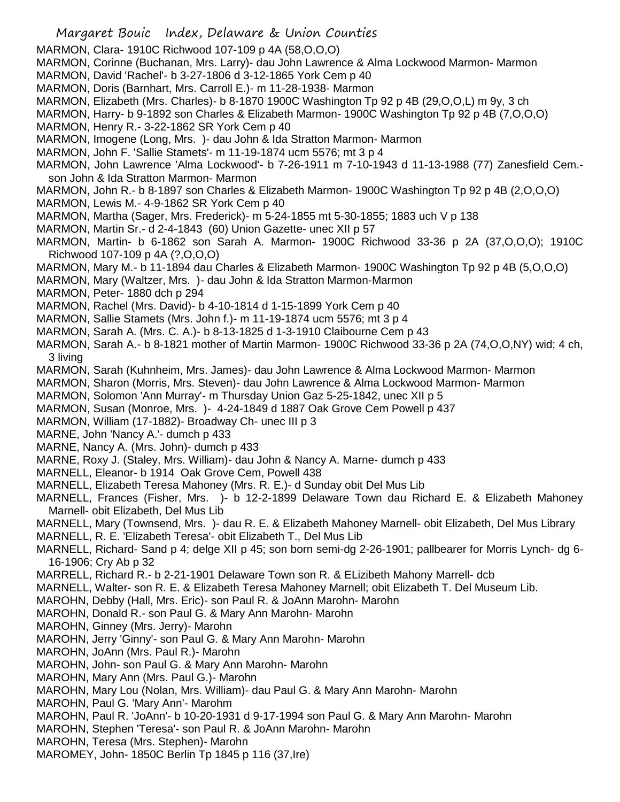- Margaret Bouic Index, Delaware & Union Counties
- MARMON, Clara- 1910C Richwood 107-109 p 4A (58,O,O,O)
- MARMON, Corinne (Buchanan, Mrs. Larry)- dau John Lawrence & Alma Lockwood Marmon- Marmon
- MARMON, David 'Rachel'- b 3-27-1806 d 3-12-1865 York Cem p 40
- MARMON, Doris (Barnhart, Mrs. Carroll E.)- m 11-28-1938- Marmon
- MARMON, Elizabeth (Mrs. Charles)- b 8-1870 1900C Washington Tp 92 p 4B (29,O,O,L) m 9y, 3 ch
- MARMON, Harry- b 9-1892 son Charles & Elizabeth Marmon- 1900C Washington Tp 92 p 4B (7,O,O,O)
- MARMON, Henry R.- 3-22-1862 SR York Cem p 40
- MARMON, Imogene (Long, Mrs. )- dau John & Ida Stratton Marmon- Marmon
- MARMON, John F. 'Sallie Stamets'- m 11-19-1874 ucm 5576; mt 3 p 4
- MARMON, John Lawrence 'Alma Lockwood'- b 7-26-1911 m 7-10-1943 d 11-13-1988 (77) Zanesfield Cem. son John & Ida Stratton Marmon- Marmon
- MARMON, John R.- b 8-1897 son Charles & Elizabeth Marmon- 1900C Washington Tp 92 p 4B (2,O,O,O)
- MARMON, Lewis M.- 4-9-1862 SR York Cem p 40
- MARMON, Martha (Sager, Mrs. Frederick)- m 5-24-1855 mt 5-30-1855; 1883 uch V p 138
- MARMON, Martin Sr.- d 2-4-1843 (60) Union Gazette- unec XII p 57
- MARMON, Martin- b 6-1862 son Sarah A. Marmon- 1900C Richwood 33-36 p 2A (37,O,O,O); 1910C Richwood 107-109 p 4A (?,O,O,O)
- MARMON, Mary M.- b 11-1894 dau Charles & Elizabeth Marmon- 1900C Washington Tp 92 p 4B (5,O,O,O)
- MARMON, Mary (Waltzer, Mrs. )- dau John & Ida Stratton Marmon-Marmon
- MARMON, Peter- 1880 dch p 294
- MARMON, Rachel (Mrs. David)- b 4-10-1814 d 1-15-1899 York Cem p 40
- MARMON, Sallie Stamets (Mrs. John f.)- m 11-19-1874 ucm 5576; mt 3 p 4
- MARMON, Sarah A. (Mrs. C. A.)- b 8-13-1825 d 1-3-1910 Claibourne Cem p 43
- MARMON, Sarah A.- b 8-1821 mother of Martin Marmon- 1900C Richwood 33-36 p 2A (74,O,O,NY) wid; 4 ch, 3 living
- MARMON, Sarah (Kuhnheim, Mrs. James)- dau John Lawrence & Alma Lockwood Marmon- Marmon
- MARMON, Sharon (Morris, Mrs. Steven)- dau John Lawrence & Alma Lockwood Marmon- Marmon
- MARMON, Solomon 'Ann Murray'- m Thursday Union Gaz 5-25-1842, unec XII p 5
- MARMON, Susan (Monroe, Mrs. )- 4-24-1849 d 1887 Oak Grove Cem Powell p 437
- MARMON, William (17-1882)- Broadway Ch- unec III p 3
- MARNE, John 'Nancy A.'- dumch p 433
- MARNE, Nancy A. (Mrs. John)- dumch p 433
- MARNE, Roxy J. (Staley, Mrs. William)- dau John & Nancy A. Marne- dumch p 433
- MARNELL, Eleanor- b 1914 Oak Grove Cem, Powell 438
- MARNELL, Elizabeth Teresa Mahoney (Mrs. R. E.)- d Sunday obit Del Mus Lib
- MARNELL, Frances (Fisher, Mrs. )- b 12-2-1899 Delaware Town dau Richard E. & Elizabeth Mahoney Marnell- obit Elizabeth, Del Mus Lib
- MARNELL, Mary (Townsend, Mrs. )- dau R. E. & Elizabeth Mahoney Marnell- obit Elizabeth, Del Mus Library
- MARNELL, R. E. 'Elizabeth Teresa'- obit Elizabeth T., Del Mus Lib
- MARNELL, Richard- Sand p 4; delge XII p 45; son born semi-dg 2-26-1901; pallbearer for Morris Lynch- dg 6- 16-1906; Cry Ab p 32
- MARRELL, Richard R.- b 2-21-1901 Delaware Town son R. & ELizibeth Mahony Marrell- dcb
- MARNELL, Walter- son R. E. & Elizabeth Teresa Mahoney Marnell; obit Elizabeth T. Del Museum Lib.
- MAROHN, Debby (Hall, Mrs. Eric)- son Paul R. & JoAnn Marohn- Marohn
- MAROHN, Donald R.- son Paul G. & Mary Ann Marohn- Marohn
- MAROHN, Ginney (Mrs. Jerry)- Marohn
- MAROHN, Jerry 'Ginny'- son Paul G. & Mary Ann Marohn- Marohn
- MAROHN, JoAnn (Mrs. Paul R.)- Marohn
- MAROHN, John- son Paul G. & Mary Ann Marohn- Marohn
- MAROHN, Mary Ann (Mrs. Paul G.)- Marohn
- MAROHN, Mary Lou (Nolan, Mrs. William)- dau Paul G. & Mary Ann Marohn- Marohn
- MAROHN, Paul G. 'Mary Ann'- Marohm
- MAROHN, Paul R. 'JoAnn'- b 10-20-1931 d 9-17-1994 son Paul G. & Mary Ann Marohn- Marohn
- MAROHN, Stephen 'Teresa'- son Paul R. & JoAnn Marohn- Marohn
- MAROHN, Teresa (Mrs. Stephen)- Marohn
- MAROMEY, John- 1850C Berlin Tp 1845 p 116 (37,Ire)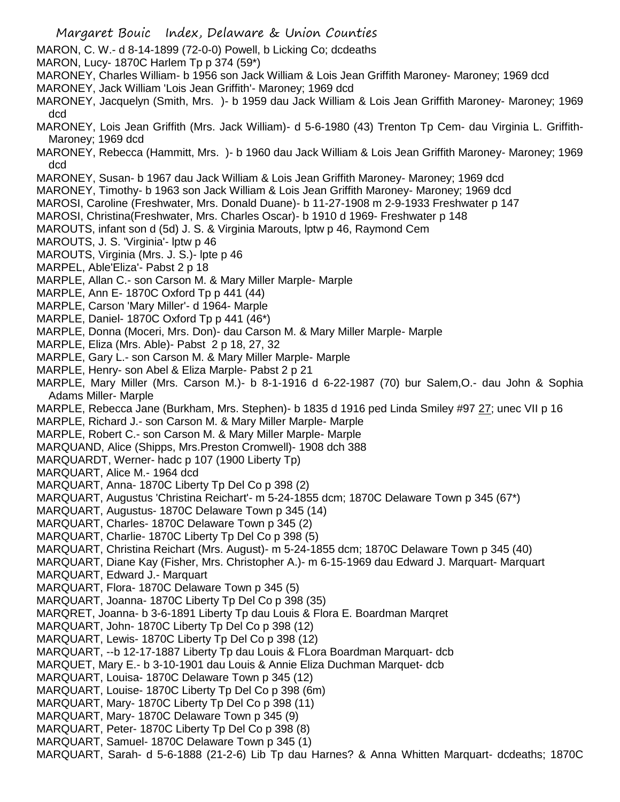Margaret Bouic Index, Delaware & Union Counties MARON, C. W.- d 8-14-1899 (72-0-0) Powell, b Licking Co; dcdeaths MARON, Lucy- 1870C Harlem Tp p 374 (59\*) MARONEY, Charles William- b 1956 son Jack William & Lois Jean Griffith Maroney- Maroney; 1969 dcd MARONEY, Jack William 'Lois Jean Griffith'- Maroney; 1969 dcd MARONEY, Jacquelyn (Smith, Mrs. )- b 1959 dau Jack William & Lois Jean Griffith Maroney- Maroney; 1969 dcd MARONEY, Lois Jean Griffith (Mrs. Jack William)- d 5-6-1980 (43) Trenton Tp Cem- dau Virginia L. Griffith-Maroney; 1969 dcd MARONEY, Rebecca (Hammitt, Mrs. )- b 1960 dau Jack William & Lois Jean Griffith Maroney- Maroney; 1969 dcd MARONEY, Susan- b 1967 dau Jack William & Lois Jean Griffith Maroney- Maroney; 1969 dcd MARONEY, Timothy- b 1963 son Jack William & Lois Jean Griffith Maroney- Maroney; 1969 dcd MAROSI, Caroline (Freshwater, Mrs. Donald Duane)- b 11-27-1908 m 2-9-1933 Freshwater p 147 MAROSI, Christina(Freshwater, Mrs. Charles Oscar)- b 1910 d 1969- Freshwater p 148 MAROUTS, infant son d (5d) J. S. & Virginia Marouts, lptw p 46, Raymond Cem MAROUTS, J. S. 'Virginia'- lptw p 46 MAROUTS, Virginia (Mrs. J. S.)- lpte p 46 MARPEL, Able'Eliza'- Pabst 2 p 18 MARPLE, Allan C.- son Carson M. & Mary Miller Marple- Marple MARPLE, Ann E- 1870C Oxford Tp p 441 (44) MARPLE, Carson 'Mary Miller'- d 1964- Marple MARPLE, Daniel- 1870C Oxford Tp p 441 (46<sup>\*</sup>) MARPLE, Donna (Moceri, Mrs. Don)- dau Carson M. & Mary Miller Marple- Marple MARPLE, Eliza (Mrs. Able)- Pabst 2 p 18, 27, 32 MARPLE, Gary L.- son Carson M. & Mary Miller Marple- Marple MARPLE, Henry- son Abel & Eliza Marple- Pabst 2 p 21 MARPLE, Mary Miller (Mrs. Carson M.)- b 8-1-1916 d 6-22-1987 (70) bur Salem,O.- dau John & Sophia Adams Miller- Marple MARPLE, Rebecca Jane (Burkham, Mrs. Stephen)- b 1835 d 1916 ped Linda Smiley #97 27; unec VII p 16 MARPLE, Richard J.- son Carson M. & Mary Miller Marple- Marple MARPLE, Robert C.- son Carson M. & Mary Miller Marple- Marple MARQUAND, Alice (Shipps, Mrs.Preston Cromwell)- 1908 dch 388 MARQUARDT, Werner- hadc p 107 (1900 Liberty Tp) MARQUART, Alice M.- 1964 dcd MARQUART, Anna- 1870C Liberty Tp Del Co p 398 (2) MARQUART, Augustus 'Christina Reichart'- m 5-24-1855 dcm; 1870C Delaware Town p 345 (67\*) MARQUART, Augustus- 1870C Delaware Town p 345 (14) MARQUART, Charles- 1870C Delaware Town p 345 (2) MARQUART, Charlie- 1870C Liberty Tp Del Co p 398 (5) MARQUART, Christina Reichart (Mrs. August)- m 5-24-1855 dcm; 1870C Delaware Town p 345 (40) MARQUART, Diane Kay (Fisher, Mrs. Christopher A.)- m 6-15-1969 dau Edward J. Marquart- Marquart MARQUART, Edward J.- Marquart MARQUART, Flora- 1870C Delaware Town p 345 (5) MARQUART, Joanna- 1870C Liberty Tp Del Co p 398 (35) MARQRET, Joanna- b 3-6-1891 Liberty Tp dau Louis & Flora E. Boardman Marqret MARQUART, John- 1870C Liberty Tp Del Co p 398 (12) MARQUART, Lewis- 1870C Liberty Tp Del Co p 398 (12) MARQUART, --b 12-17-1887 Liberty Tp dau Louis & FLora Boardman Marquart- dcb MARQUET, Mary E.- b 3-10-1901 dau Louis & Annie Eliza Duchman Marquet- dcb MARQUART, Louisa- 1870C Delaware Town p 345 (12) MARQUART, Louise- 1870C Liberty Tp Del Co p 398 (6m) MARQUART, Mary- 1870C Liberty Tp Del Co p 398 (11) MARQUART, Mary- 1870C Delaware Town p 345 (9) MARQUART, Peter- 1870C Liberty Tp Del Co p 398 (8) MARQUART, Samuel- 1870C Delaware Town p 345 (1) MARQUART, Sarah- d 5-6-1888 (21-2-6) Lib Tp dau Harnes? & Anna Whitten Marquart- dcdeaths; 1870C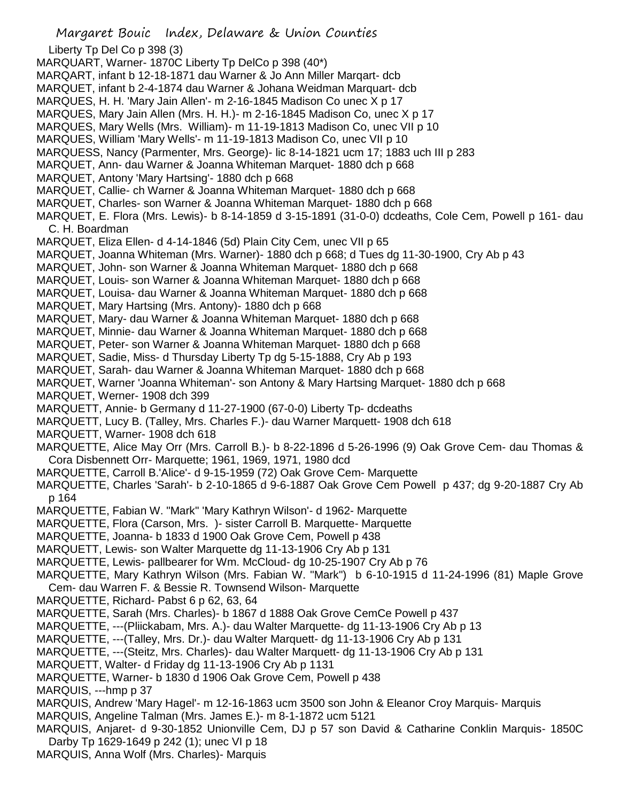Margaret Bouic Index, Delaware & Union Counties Liberty Tp Del Co p 398 (3) MARQUART, Warner- 1870C Liberty Tp DelCo p 398 (40\*) MARQART, infant b 12-18-1871 dau Warner & Jo Ann Miller Marqart- dcb MARQUET, infant b 2-4-1874 dau Warner & Johana Weidman Marquart- dcb MARQUES, H. H. 'Mary Jain Allen'- m 2-16-1845 Madison Co unec X p 17 MARQUES, Mary Jain Allen (Mrs. H. H.)- m 2-16-1845 Madison Co, unec X p 17 MARQUES, Mary Wells (Mrs. William)- m 11-19-1813 Madison Co, unec VII p 10 MARQUES, William 'Mary Wells'- m 11-19-1813 Madison Co, unec VII p 10 MARQUESS, Nancy (Parmenter, Mrs. George)- lic 8-14-1821 ucm 17; 1883 uch III p 283 MARQUET, Ann- dau Warner & Joanna Whiteman Marquet- 1880 dch p 668 MARQUET, Antony 'Mary Hartsing'- 1880 dch p 668 MARQUET, Callie- ch Warner & Joanna Whiteman Marquet- 1880 dch p 668 MARQUET, Charles- son Warner & Joanna Whiteman Marquet- 1880 dch p 668 MARQUET, E. Flora (Mrs. Lewis)- b 8-14-1859 d 3-15-1891 (31-0-0) dcdeaths, Cole Cem, Powell p 161- dau C. H. Boardman MARQUET, Eliza Ellen- d 4-14-1846 (5d) Plain City Cem, unec VII p 65 MARQUET, Joanna Whiteman (Mrs. Warner)- 1880 dch p 668; d Tues dg 11-30-1900, Cry Ab p 43 MARQUET, John- son Warner & Joanna Whiteman Marquet- 1880 dch p 668 MARQUET, Louis- son Warner & Joanna Whiteman Marquet- 1880 dch p 668 MARQUET, Louisa- dau Warner & Joanna Whiteman Marquet- 1880 dch p 668 MARQUET, Mary Hartsing (Mrs. Antony)- 1880 dch p 668 MARQUET, Mary- dau Warner & Joanna Whiteman Marquet- 1880 dch p 668 MARQUET, Minnie- dau Warner & Joanna Whiteman Marquet- 1880 dch p 668 MARQUET, Peter- son Warner & Joanna Whiteman Marquet- 1880 dch p 668 MARQUET, Sadie, Miss- d Thursday Liberty Tp dg 5-15-1888, Cry Ab p 193 MARQUET, Sarah- dau Warner & Joanna Whiteman Marquet- 1880 dch p 668 MARQUET, Warner 'Joanna Whiteman'- son Antony & Mary Hartsing Marquet- 1880 dch p 668 MARQUET, Werner- 1908 dch 399 MARQUETT, Annie- b Germany d 11-27-1900 (67-0-0) Liberty Tp- dcdeaths MARQUETT, Lucy B. (Talley, Mrs. Charles F.)- dau Warner Marquett- 1908 dch 618 MARQUETT, Warner- 1908 dch 618 MARQUETTE, Alice May Orr (Mrs. Carroll B.)- b 8-22-1896 d 5-26-1996 (9) Oak Grove Cem- dau Thomas & Cora Disbennett Orr- Marquette; 1961, 1969, 1971, 1980 dcd MARQUETTE, Carroll B.'Alice'- d 9-15-1959 (72) Oak Grove Cem- Marquette MARQUETTE, Charles 'Sarah'- b 2-10-1865 d 9-6-1887 Oak Grove Cem Powell p 437; dg 9-20-1887 Cry Ab p 164 MARQUETTE, Fabian W. "Mark" 'Mary Kathryn Wilson'- d 1962- Marquette MARQUETTE, Flora (Carson, Mrs. )- sister Carroll B. Marquette- Marquette MARQUETTE, Joanna- b 1833 d 1900 Oak Grove Cem, Powell p 438 MARQUETT, Lewis- son Walter Marquette dg 11-13-1906 Cry Ab p 131 MARQUETTE, Lewis- pallbearer for Wm. McCloud- dg 10-25-1907 Cry Ab p 76 MARQUETTE, Mary Kathryn Wilson (Mrs. Fabian W. "Mark") b 6-10-1915 d 11-24-1996 (81) Maple Grove Cem- dau Warren F. & Bessie R. Townsend Wilson- Marquette MARQUETTE, Richard- Pabst 6 p 62, 63, 64 MARQUETTE, Sarah (Mrs. Charles)- b 1867 d 1888 Oak Grove CemCe Powell p 437 MARQUETTE, ---(Pliickabam, Mrs. A.)- dau Walter Marquette- dg 11-13-1906 Cry Ab p 13 MARQUETTE, ---(Talley, Mrs. Dr.)- dau Walter Marquett- dg 11-13-1906 Cry Ab p 131 MARQUETTE, ---(Steitz, Mrs. Charles)- dau Walter Marquett- dg 11-13-1906 Cry Ab p 131 MARQUETT, Walter- d Friday dg 11-13-1906 Cry Ab p 1131 MARQUETTE, Warner- b 1830 d 1906 Oak Grove Cem, Powell p 438 MARQUIS, ---hmp p 37 MARQUIS, Andrew 'Mary Hagel'- m 12-16-1863 ucm 3500 son John & Eleanor Croy Marquis- Marquis MARQUIS, Angeline Talman (Mrs. James E.)- m 8-1-1872 ucm 5121 MARQUIS, Anjaret- d 9-30-1852 Unionville Cem, DJ p 57 son David & Catharine Conklin Marquis- 1850C Darby Tp 1629-1649 p 242 (1); unec VI p 18 MARQUIS, Anna Wolf (Mrs. Charles)- Marquis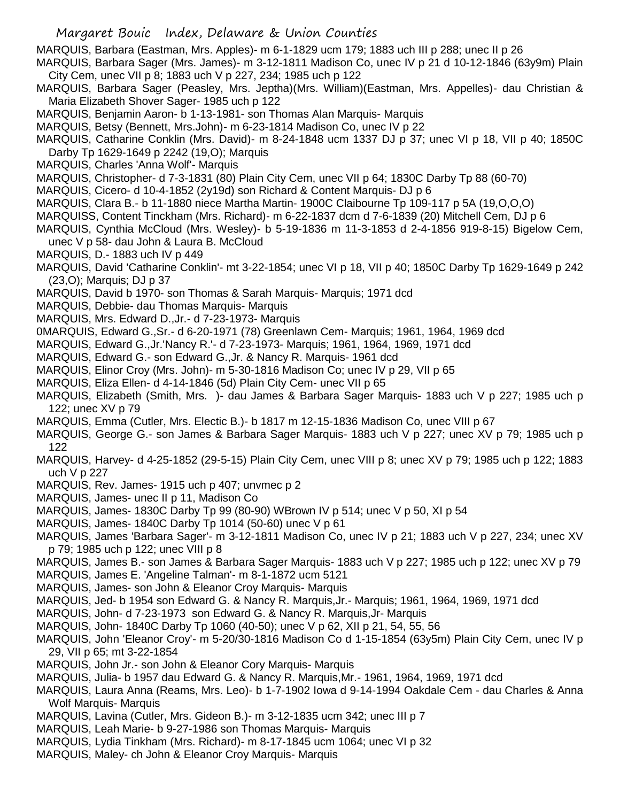Margaret Bouic Index, Delaware & Union Counties

MARQUIS, Barbara (Eastman, Mrs. Apples)- m 6-1-1829 ucm 179; 1883 uch III p 288; unec II p 26

- MARQUIS, Barbara Sager (Mrs. James)- m 3-12-1811 Madison Co, unec IV p 21 d 10-12-1846 (63y9m) Plain City Cem, unec VII p 8; 1883 uch V p 227, 234; 1985 uch p 122
- MARQUIS, Barbara Sager (Peasley, Mrs. Jeptha)(Mrs. William)(Eastman, Mrs. Appelles)- dau Christian & Maria Elizabeth Shover Sager- 1985 uch p 122
- MARQUIS, Benjamin Aaron- b 1-13-1981- son Thomas Alan Marquis- Marquis
- MARQUIS, Betsy (Bennett, Mrs.John)- m 6-23-1814 Madison Co, unec IV p 22
- MARQUIS, Catharine Conklin (Mrs. David)- m 8-24-1848 ucm 1337 DJ p 37; unec VI p 18, VII p 40; 1850C Darby Tp 1629-1649 p 2242 (19,O); Marquis
- MARQUIS, Charles 'Anna Wolf'- Marquis
- MARQUIS, Christopher- d 7-3-1831 (80) Plain City Cem, unec VII p 64; 1830C Darby Tp 88 (60-70)
- MARQUIS, Cicero- d 10-4-1852 (2y19d) son Richard & Content Marquis- DJ p 6
- MARQUIS, Clara B.- b 11-1880 niece Martha Martin- 1900C Claibourne Tp 109-117 p 5A (19,O,O,O)
- MARQUISS, Content Tinckham (Mrs. Richard)- m 6-22-1837 dcm d 7-6-1839 (20) Mitchell Cem, DJ p 6
- MARQUIS, Cynthia McCloud (Mrs. Wesley)- b 5-19-1836 m 11-3-1853 d 2-4-1856 919-8-15) Bigelow Cem,
- unec V p 58- dau John & Laura B. McCloud MARQUIS, D.- 1883 uch IV p 449
- MARQUIS, David 'Catharine Conklin'- mt 3-22-1854; unec VI p 18, VII p 40; 1850C Darby Tp 1629-1649 p 242 (23,O); Marquis; DJ p 37
- MARQUIS, David b 1970- son Thomas & Sarah Marquis- Marquis; 1971 dcd
- MARQUIS, Debbie- dau Thomas Marquis- Marquis
- MARQUIS, Mrs. Edward D.,Jr.- d 7-23-1973- Marquis
- 0MARQUIS, Edward G.,Sr.- d 6-20-1971 (78) Greenlawn Cem- Marquis; 1961, 1964, 1969 dcd
- MARQUIS, Edward G.,Jr.'Nancy R.'- d 7-23-1973- Marquis; 1961, 1964, 1969, 1971 dcd
- MARQUIS, Edward G.- son Edward G.,Jr. & Nancy R. Marquis- 1961 dcd
- MARQUIS, Elinor Croy (Mrs. John)- m 5-30-1816 Madison Co; unec IV p 29, VII p 65
- MARQUIS, Eliza Ellen- d 4-14-1846 (5d) Plain City Cem- unec VII p 65
- MARQUIS, Elizabeth (Smith, Mrs. )- dau James & Barbara Sager Marquis- 1883 uch V p 227; 1985 uch p 122; unec XV p 79
- MARQUIS, Emma (Cutler, Mrs. Electic B.)- b 1817 m 12-15-1836 Madison Co, unec VIII p 67
- MARQUIS, George G.- son James & Barbara Sager Marquis- 1883 uch V p 227; unec XV p 79; 1985 uch p 122
- MARQUIS, Harvey- d 4-25-1852 (29-5-15) Plain City Cem, unec VIII p 8; unec XV p 79; 1985 uch p 122; 1883 uch V p 227
- MARQUIS, Rev. James- 1915 uch p 407; unvmec p 2
- MARQUIS, James- unec II p 11, Madison Co
- MARQUIS, James- 1830C Darby Tp 99 (80-90) WBrown IV p 514; unec V p 50, XI p 54
- MARQUIS, James- 1840C Darby Tp 1014 (50-60) unec V p 61
- MARQUIS, James 'Barbara Sager'- m 3-12-1811 Madison Co, unec IV p 21; 1883 uch V p 227, 234; unec XV p 79; 1985 uch p 122; unec VIII p 8
- MARQUIS, James B.- son James & Barbara Sager Marquis- 1883 uch V p 227; 1985 uch p 122; unec XV p 79
- MARQUIS, James E. 'Angeline Talman'- m 8-1-1872 ucm 5121
- MARQUIS, James- son John & Eleanor Croy Marquis- Marquis
- MARQUIS, Jed- b 1954 son Edward G. & Nancy R. Marquis,Jr.- Marquis; 1961, 1964, 1969, 1971 dcd
- MARQUIS, John- d 7-23-1973 son Edward G. & Nancy R. Marquis,Jr- Marquis
- MARQUIS, John- 1840C Darby Tp 1060 (40-50); unec V p 62, XII p 21, 54, 55, 56
- MARQUIS, John 'Eleanor Croy'- m 5-20/30-1816 Madison Co d 1-15-1854 (63y5m) Plain City Cem, unec IV p 29, VII p 65; mt 3-22-1854
- MARQUIS, John Jr.- son John & Eleanor Cory Marquis- Marquis
- MARQUIS, Julia- b 1957 dau Edward G. & Nancy R. Marquis,Mr.- 1961, 1964, 1969, 1971 dcd
- MARQUIS, Laura Anna (Reams, Mrs. Leo)- b 1-7-1902 Iowa d 9-14-1994 Oakdale Cem dau Charles & Anna Wolf Marquis- Marquis
- MARQUIS, Lavina (Cutler, Mrs. Gideon B.)- m 3-12-1835 ucm 342; unec III p 7
- MARQUIS, Leah Marie- b 9-27-1986 son Thomas Marquis- Marquis
- MARQUIS, Lydia Tinkham (Mrs. Richard)- m 8-17-1845 ucm 1064; unec VI p 32
- MARQUIS, Maley- ch John & Eleanor Croy Marquis- Marquis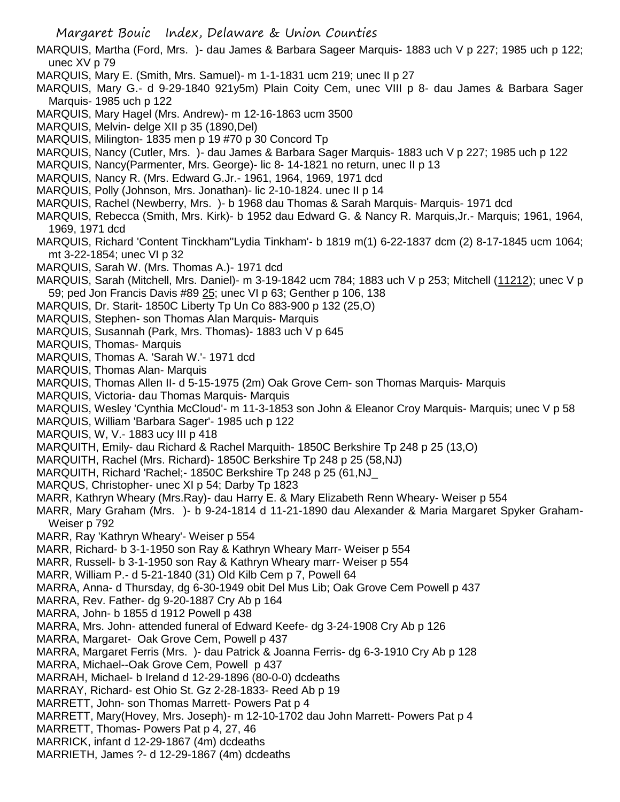Margaret Bouic Index, Delaware & Union Counties

- MARQUIS, Martha (Ford, Mrs. )- dau James & Barbara Sageer Marquis- 1883 uch V p 227; 1985 uch p 122; unec XV p 79
- MARQUIS, Mary E. (Smith, Mrs. Samuel)- m 1-1-1831 ucm 219; unec II p 27
- MARQUIS, Mary G.- d 9-29-1840 921y5m) Plain Coity Cem, unec VIII p 8- dau James & Barbara Sager Marquis- 1985 uch p 122
- MARQUIS, Mary Hagel (Mrs. Andrew)- m 12-16-1863 ucm 3500
- MARQUIS, Melvin- delge XII p 35 (1890,Del)
- MARQUIS, Milington- 1835 men p 19 #70 p 30 Concord Tp
- MARQUIS, Nancy (Cutler, Mrs. )- dau James & Barbara Sager Marquis- 1883 uch V p 227; 1985 uch p 122
- MARQUIS, Nancy(Parmenter, Mrs. George)- lic 8- 14-1821 no return, unec II p 13
- MARQUIS, Nancy R. (Mrs. Edward G.Jr.- 1961, 1964, 1969, 1971 dcd
- MARQUIS, Polly (Johnson, Mrs. Jonathan)- lic 2-10-1824. unec II p 14
- MARQUIS, Rachel (Newberry, Mrs. )- b 1968 dau Thomas & Sarah Marquis- Marquis- 1971 dcd
- MARQUIS, Rebecca (Smith, Mrs. Kirk)- b 1952 dau Edward G. & Nancy R. Marquis,Jr.- Marquis; 1961, 1964, 1969, 1971 dcd
- MARQUIS, Richard 'Content Tinckham''Lydia Tinkham'- b 1819 m(1) 6-22-1837 dcm (2) 8-17-1845 ucm 1064; mt 3-22-1854; unec VI p 32
- MARQUIS, Sarah W. (Mrs. Thomas A.)- 1971 dcd
- MARQUIS, Sarah (Mitchell, Mrs. Daniel)- m 3-19-1842 ucm 784; 1883 uch V p 253; Mitchell (11212); unec V p 59; ped Jon Francis Davis #89 25; unec VI p 63; Genther p 106, 138
- MARQUIS, Dr. Starit- 1850C Liberty Tp Un Co 883-900 p 132 (25,O)
- MARQUIS, Stephen- son Thomas Alan Marquis- Marquis
- MARQUIS, Susannah (Park, Mrs. Thomas)- 1883 uch V p 645
- MARQUIS, Thomas- Marquis
- MARQUIS, Thomas A. 'Sarah W.'- 1971 dcd
- MARQUIS, Thomas Alan- Marquis
- MARQUIS, Thomas Allen II- d 5-15-1975 (2m) Oak Grove Cem- son Thomas Marquis- Marquis
- MARQUIS, Victoria- dau Thomas Marquis- Marquis
- MARQUIS, Wesley 'Cynthia McCloud'- m 11-3-1853 son John & Eleanor Croy Marquis- Marquis; unec V p 58
- MARQUIS, William 'Barbara Sager'- 1985 uch p 122
- MARQUIS, W, V.- 1883 ucy III p 418
- MARQUITH, Emily- dau Richard & Rachel Marquith- 1850C Berkshire Tp 248 p 25 (13,O)
- MARQUITH, Rachel (Mrs. Richard)- 1850C Berkshire Tp 248 p 25 (58,NJ)
- MARQUITH, Richard 'Rachel;- 1850C Berkshire Tp 248 p 25 (61,NJ\_
- MARQUS, Christopher- unec XI p 54; Darby Tp 1823
- MARR, Kathryn Wheary (Mrs.Ray)- dau Harry E. & Mary Elizabeth Renn Wheary- Weiser p 554
- MARR, Mary Graham (Mrs. )- b 9-24-1814 d 11-21-1890 dau Alexander & Maria Margaret Spyker Graham-Weiser p 792
- MARR, Ray 'Kathryn Wheary'- Weiser p 554
- MARR, Richard- b 3-1-1950 son Ray & Kathryn Wheary Marr- Weiser p 554
- MARR, Russell- b 3-1-1950 son Ray & Kathryn Wheary marr- Weiser p 554
- MARR, William P.- d 5-21-1840 (31) Old Kilb Cem p 7, Powell 64
- MARRA, Anna- d Thursday, dg 6-30-1949 obit Del Mus Lib; Oak Grove Cem Powell p 437
- MARRA, Rev. Father- dg 9-20-1887 Cry Ab p 164
- MARRA, John- b 1855 d 1912 Powell p 438
- MARRA, Mrs. John- attended funeral of Edward Keefe- dg 3-24-1908 Cry Ab p 126
- MARRA, Margaret- Oak Grove Cem, Powell p 437
- MARRA, Margaret Ferris (Mrs. )- dau Patrick & Joanna Ferris- dg 6-3-1910 Cry Ab p 128
- MARRA, Michael--Oak Grove Cem, Powell p 437
- MARRAH, Michael- b Ireland d 12-29-1896 (80-0-0) dcdeaths
- MARRAY, Richard- est Ohio St. Gz 2-28-1833- Reed Ab p 19
- MARRETT, John- son Thomas Marrett- Powers Pat p 4
- MARRETT, Mary(Hovey, Mrs. Joseph)- m 12-10-1702 dau John Marrett- Powers Pat p 4
- MARRETT, Thomas- Powers Pat p 4, 27, 46
- MARRICK, infant d 12-29-1867 (4m) dcdeaths
- MARRIETH, James ?- d 12-29-1867 (4m) dcdeaths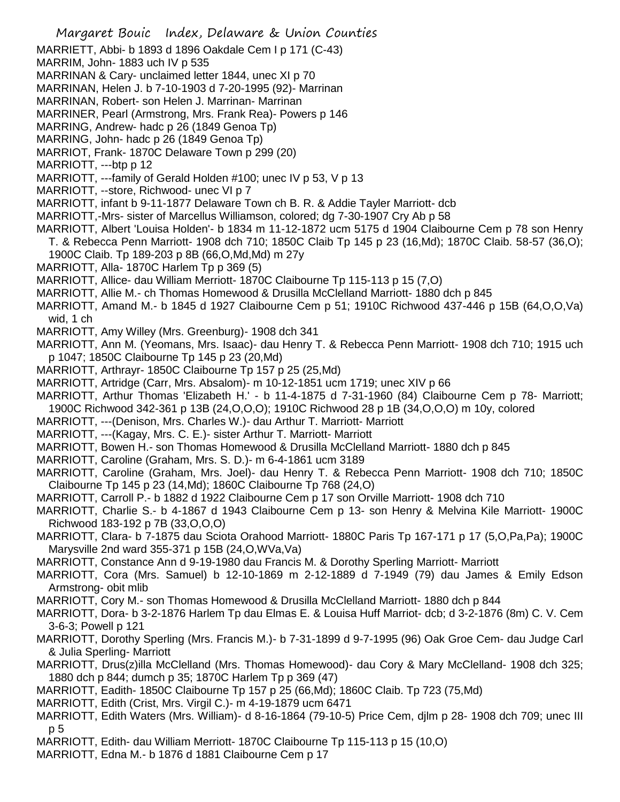Margaret Bouic Index, Delaware & Union Counties MARRIETT, Abbi- b 1893 d 1896 Oakdale Cem I p 171 (C-43) MARRIM, John- 1883 uch IV p 535 MARRINAN & Cary- unclaimed letter 1844, unec XI p 70 MARRINAN, Helen J. b 7-10-1903 d 7-20-1995 (92)- Marrinan MARRINAN, Robert- son Helen J. Marrinan- Marrinan MARRINER, Pearl (Armstrong, Mrs. Frank Rea)- Powers p 146 MARRING, Andrew- hadc p 26 (1849 Genoa Tp) MARRING, John- hadc p 26 (1849 Genoa Tp) MARRIOT, Frank- 1870C Delaware Town p 299 (20) MARRIOTT, ---btp p 12 MARRIOTT, ---family of Gerald Holden #100; unec IV p 53, V p 13 MARRIOTT, --store, Richwood- unec VI p 7 MARRIOTT, infant b 9-11-1877 Delaware Town ch B. R. & Addie Tayler Marriott- dcb MARRIOTT,-Mrs- sister of Marcellus Williamson, colored; dg 7-30-1907 Cry Ab p 58 MARRIOTT, Albert 'Louisa Holden'- b 1834 m 11-12-1872 ucm 5175 d 1904 Claibourne Cem p 78 son Henry T. & Rebecca Penn Marriott- 1908 dch 710; 1850C Claib Tp 145 p 23 (16,Md); 1870C Claib. 58-57 (36,O); 1900C Claib. Tp 189-203 p 8B (66,O,Md,Md) m 27y MARRIOTT, Alla- 1870C Harlem Tp p 369 (5) MARRIOTT, Allice- dau William Merriott- 1870C Claibourne Tp 115-113 p 15 (7,O) MARRIOTT, Allie M.- ch Thomas Homewood & Drusilla McClelland Marriott- 1880 dch p 845 MARRIOTT, Amand M.- b 1845 d 1927 Claibourne Cem p 51; 1910C Richwood 437-446 p 15B (64,O,O,Va) wid, 1 ch MARRIOTT, Amy Willey (Mrs. Greenburg)- 1908 dch 341 MARRIOTT, Ann M. (Yeomans, Mrs. Isaac)- dau Henry T. & Rebecca Penn Marriott- 1908 dch 710; 1915 uch p 1047; 1850C Claibourne Tp 145 p 23 (20,Md) MARRIOTT, Arthrayr- 1850C Claibourne Tp 157 p 25 (25,Md) MARRIOTT, Artridge (Carr, Mrs. Absalom)- m 10-12-1851 ucm 1719; unec XIV p 66 MARRIOTT, Arthur Thomas 'Elizabeth H.' - b 11-4-1875 d 7-31-1960 (84) Claibourne Cem p 78- Marriott; 1900C Richwood 342-361 p 13B (24,O,O,O); 1910C Richwood 28 p 1B (34,O,O,O) m 10y, colored MARRIOTT, ---(Denison, Mrs. Charles W.)- dau Arthur T. Marriott- Marriott MARRIOTT, ---(Kagay, Mrs. C. E.)- sister Arthur T. Marriott- Marriott MARRIOTT, Bowen H.- son Thomas Homewood & Drusilla McClelland Marriott- 1880 dch p 845 MARRIOTT, Caroline (Graham, Mrs. S. D.)- m 6-4-1861 ucm 3189 MARRIOTT, Caroline (Graham, Mrs. Joel)- dau Henry T. & Rebecca Penn Marriott- 1908 dch 710; 1850C Claibourne Tp 145 p 23 (14,Md); 1860C Claibourne Tp 768 (24,O) MARRIOTT, Carroll P.- b 1882 d 1922 Claibourne Cem p 17 son Orville Marriott- 1908 dch 710 MARRIOTT, Charlie S.- b 4-1867 d 1943 Claibourne Cem p 13- son Henry & Melvina Kile Marriott- 1900C Richwood 183-192 p 7B (33,O,O,O) MARRIOTT, Clara- b 7-1875 dau Sciota Orahood Marriott- 1880C Paris Tp 167-171 p 17 (5,O,Pa,Pa); 1900C Marysville 2nd ward 355-371 p 15B (24,O,WVa,Va) MARRIOTT, Constance Ann d 9-19-1980 dau Francis M. & Dorothy Sperling Marriott- Marriott MARRIOTT, Cora (Mrs. Samuel) b 12-10-1869 m 2-12-1889 d 7-1949 (79) dau James & Emily Edson Armstrong- obit mlib MARRIOTT, Cory M.- son Thomas Homewood & Drusilla McClelland Marriott- 1880 dch p 844 MARRIOTT, Dora- b 3-2-1876 Harlem Tp dau Elmas E. & Louisa Huff Marriot- dcb; d 3-2-1876 (8m) C. V. Cem 3-6-3; Powell p 121 MARRIOTT, Dorothy Sperling (Mrs. Francis M.)- b 7-31-1899 d 9-7-1995 (96) Oak Groe Cem- dau Judge Carl & Julia Sperling- Marriott MARRIOTT, Drus(z)illa McClelland (Mrs. Thomas Homewood)- dau Cory & Mary McClelland- 1908 dch 325; 1880 dch p 844; dumch p 35; 1870C Harlem Tp p 369 (47) MARRIOTT, Eadith- 1850C Claibourne Tp 157 p 25 (66,Md); 1860C Claib. Tp 723 (75,Md) MARRIOTT, Edith (Crist, Mrs. Virgil C.)- m 4-19-1879 ucm 6471

- MARRIOTT, Edith Waters (Mrs. William)- d 8-16-1864 (79-10-5) Price Cem, djlm p 28- 1908 dch 709; unec III p 5
- MARRIOTT, Edith- dau William Merriott- 1870C Claibourne Tp 115-113 p 15 (10,O)
- MARRIOTT, Edna M.- b 1876 d 1881 Claibourne Cem p 17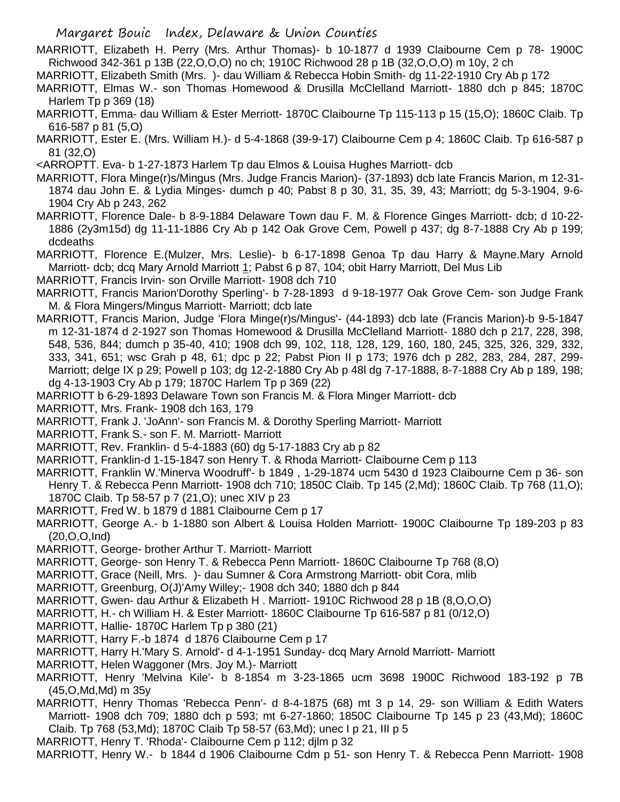Margaret Bouic Index, Delaware & Union Counties

MARRIOTT, Elizabeth H. Perry (Mrs. Arthur Thomas)- b 10-1877 d 1939 Claibourne Cem p 78- 1900C Richwood 342-361 p 13B (22,O,O,O) no ch; 1910C Richwood 28 p 1B (32,O,O,O) m 10y, 2 ch

- MARRIOTT, Elizabeth Smith (Mrs. )- dau William & Rebecca Hobin Smith- dg 11-22-1910 Cry Ab p 172
- MARRIOTT, Elmas W.- son Thomas Homewood & Drusilla McClelland Marriott- 1880 dch p 845; 1870C Harlem Tp p 369 (18)
- MARRIOTT, Emma- dau William & Ester Merriott- 1870C Claibourne Tp 115-113 p 15 (15,O); 1860C Claib. Tp 616-587 p 81 (5,O)
- MARRIOTT, Ester E. (Mrs. William H.)- d 5-4-1868 (39-9-17) Claibourne Cem p 4; 1860C Claib. Tp 616-587 p 81 (32,O)
- <ARROPTT. Eva- b 1-27-1873 Harlem Tp dau Elmos & Louisa Hughes Marriott- dcb
- MARRIOTT, Flora Minge(r)s/Mingus (Mrs. Judge Francis Marion)- (37-1893) dcb late Francis Marion, m 12-31- 1874 dau John E. & Lydia Minges- dumch p 40; Pabst 8 p 30, 31, 35, 39, 43; Marriott; dg 5-3-1904, 9-6- 1904 Cry Ab p 243, 262
- MARRIOTT, Florence Dale- b 8-9-1884 Delaware Town dau F. M. & Florence Ginges Marriott- dcb; d 10-22- 1886 (2y3m15d) dg 11-11-1886 Cry Ab p 142 Oak Grove Cem, Powell p 437; dg 8-7-1888 Cry Ab p 199; dcdeaths
- MARRIOTT, Florence E.(Mulzer, Mrs. Leslie)- b 6-17-1898 Genoa Tp dau Harry & Mayne.Mary Arnold Marriott- dcb; dcq Mary Arnold Marriott 1; Pabst 6 p 87, 104; obit Harry Marriott, Del Mus Lib
- MARRIOTT, Francis Irvin- son Orville Marriott- 1908 dch 710
- MARRIOTT, Francis Marion'Dorothy Sperling'- b 7-28-1893 d 9-18-1977 Oak Grove Cem- son Judge Frank M. & Flora Mingers/Mingus Marriott- Marriott; dcb late
- MARRIOTT, Francis Marion, Judge 'Flora Minge(r)s/Mingus'- (44-1893) dcb late (Francis Marion)-b 9-5-1847 m 12-31-1874 d 2-1927 son Thomas Homewood & Drusilla McClelland Marriott- 1880 dch p 217, 228, 398, 548, 536, 844; dumch p 35-40, 410; 1908 dch 99, 102, 118, 128, 129, 160, 180, 245, 325, 326, 329, 332, 333, 341, 651; wsc Grah p 48, 61; dpc p 22; Pabst Pion II p 173; 1976 dch p 282, 283, 284, 287, 299- Marriott; delge IX p 29; Powell p 103; dg 12-2-1880 Cry Ab p 48l dg 7-17-1888, 8-7-1888 Cry Ab p 189, 198; dg 4-13-1903 Cry Ab p 179; 1870C Harlem Tp p 369 (22)
- MARRIOTT b 6-29-1893 Delaware Town son Francis M. & Flora Minger Marriott- dcb
- MARRIOTT, Mrs. Frank- 1908 dch 163, 179
- MARRIOTT, Frank J. 'JoAnn'- son Francis M. & Dorothy Sperling Marriott- Marriott
- MARRIOTT, Frank S.- son F. M. Marriott- Marriott
- MARRIOTT, Rev. Franklin- d 5-4-1883 (60) dg 5-17-1883 Cry ab p 82
- MARRIOTT, Franklin-d 1-15-1847 son Henry T. & Rhoda Marriott- Claibourne Cem p 113
- MARRIOTT, Franklin W.'Minerva Woodruff'- b 1849 , 1-29-1874 ucm 5430 d 1923 Claibourne Cem p 36- son Henry T. & Rebecca Penn Marriott- 1908 dch 710; 1850C Claib. Tp 145 (2,Md); 1860C Claib. Tp 768 (11,O); 1870C Claib. Tp 58-57 p 7 (21,O); unec XIV p 23
- MARRIOTT, Fred W. b 1879 d 1881 Claibourne Cem p 17
- MARRIOTT, George A.- b 1-1880 son Albert & Louisa Holden Marriott- 1900C Claibourne Tp 189-203 p 83 (20,O,O,Ind)
- MARRIOTT, George- brother Arthur T. Marriott- Marriott
- MARRIOTT, George- son Henry T. & Rebecca Penn Marriott- 1860C Claibourne Tp 768 (8,O)
- MARRIOTT, Grace (Neill, Mrs. )- dau Sumner & Cora Armstrong Marriott- obit Cora, mlib
- MARRIOTT, Greenburg, O(J)'Amy Willey;- 1908 dch 340; 1880 dch p 844
- MARRIOTT, Gwen- dau Arthur & Elizabeth H . Marriott- 1910C Richwood 28 p 1B (8,O,O,O)
- MARRIOTT, H.- ch William H. & Ester Marriott- 1860C Claibourne Tp 616-587 p 81 (0/12,O)
- MARRIOTT, Hallie- 1870C Harlem Tp p 380 (21)
- MARRIOTT, Harry F.-b 1874 d 1876 Claibourne Cem p 17
- MARRIOTT, Harry H.'Mary S. Arnold'- d 4-1-1951 Sunday- dcq Mary Arnold Marriott- Marriott
- MARRIOTT, Helen Waggoner (Mrs. Joy M.)- Marriott
- MARRIOTT, Henry 'Melvina Kile'- b 8-1854 m 3-23-1865 ucm 3698 1900C Richwood 183-192 p 7B (45,O,Md,Md) m 35y
- MARRIOTT, Henry Thomas 'Rebecca Penn'- d 8-4-1875 (68) mt 3 p 14, 29- son William & Edith Waters Marriott- 1908 dch 709; 1880 dch p 593; mt 6-27-1860; 1850C Claibourne Tp 145 p 23 (43,Md); 1860C Claib. Tp 768 (53,Md); 1870C Claib Tp 58-57 (63,Md); unec I p 21, III p 5
- MARRIOTT, Henry T. 'Rhoda'- Claibourne Cem p 112; djlm p 32
- MARRIOTT, Henry W.- b 1844 d 1906 Claibourne Cdm p 51- son Henry T. & Rebecca Penn Marriott- 1908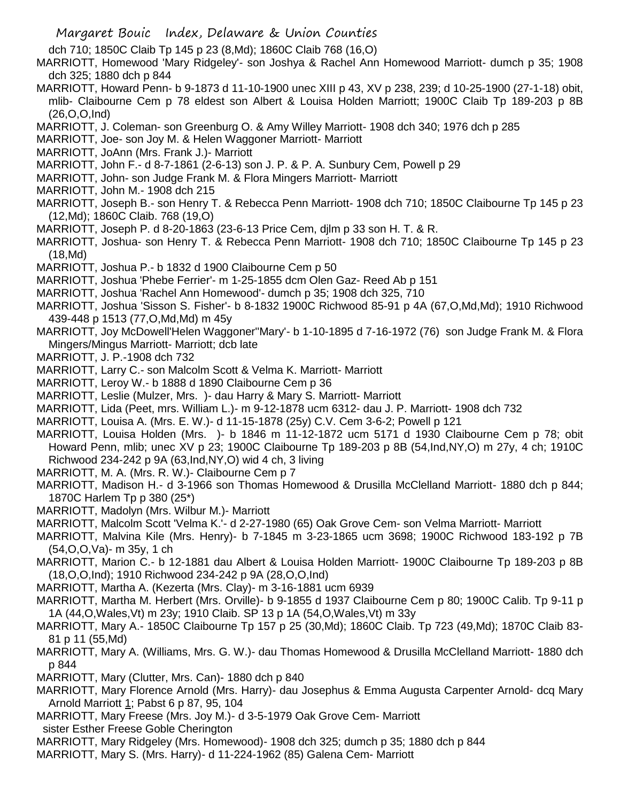dch 710; 1850C Claib Tp 145 p 23 (8,Md); 1860C Claib 768 (16,O)

MARRIOTT, Homewood 'Mary Ridgeley'- son Joshya & Rachel Ann Homewood Marriott- dumch p 35; 1908 dch 325; 1880 dch p 844

- MARRIOTT, Howard Penn- b 9-1873 d 11-10-1900 unec XIII p 43, XV p 238, 239; d 10-25-1900 (27-1-18) obit, mlib- Claibourne Cem p 78 eldest son Albert & Louisa Holden Marriott; 1900C Claib Tp 189-203 p 8B (26,O,O,Ind)
- MARRIOTT, J. Coleman- son Greenburg O. & Amy Willey Marriott- 1908 dch 340; 1976 dch p 285
- MARRIOTT, Joe- son Joy M. & Helen Waggoner Marriott- Marriott
- MARRIOTT, JoAnn (Mrs. Frank J.)- Marriott
- MARRIOTT, John F.- d 8-7-1861 (2-6-13) son J. P. & P. A. Sunbury Cem, Powell p 29
- MARRIOTT, John- son Judge Frank M. & Flora Mingers Marriott- Marriott
- MARRIOTT, John M.- 1908 dch 215
- MARRIOTT, Joseph B.- son Henry T. & Rebecca Penn Marriott- 1908 dch 710; 1850C Claibourne Tp 145 p 23 (12,Md); 1860C Claib. 768 (19,O)
- MARRIOTT, Joseph P. d 8-20-1863 (23-6-13 Price Cem, djlm p 33 son H. T. & R.
- MARRIOTT, Joshua- son Henry T. & Rebecca Penn Marriott- 1908 dch 710; 1850C Claibourne Tp 145 p 23 (18,Md)
- MARRIOTT, Joshua P.- b 1832 d 1900 Claibourne Cem p 50
- MARRIOTT, Joshua 'Phebe Ferrier'- m 1-25-1855 dcm Olen Gaz- Reed Ab p 151
- MARRIOTT, Joshua 'Rachel Ann Homewood'- dumch p 35; 1908 dch 325, 710
- MARRIOTT, Joshua 'Sisson S. Fisher'- b 8-1832 1900C Richwood 85-91 p 4A (67,O,Md,Md); 1910 Richwood 439-448 p 1513 (77,O,Md,Md) m 45y
- MARRIOTT, Joy McDowell'Helen Waggoner''Mary'- b 1-10-1895 d 7-16-1972 (76) son Judge Frank M. & Flora Mingers/Mingus Marriott- Marriott; dcb late
- MARRIOTT, J. P.-1908 dch 732
- MARRIOTT, Larry C.- son Malcolm Scott & Velma K. Marriott- Marriott
- MARRIOTT, Leroy W.- b 1888 d 1890 Claibourne Cem p 36
- MARRIOTT, Leslie (Mulzer, Mrs. )- dau Harry & Mary S. Marriott- Marriott
- MARRIOTT, Lida (Peet, mrs. William L.)- m 9-12-1878 ucm 6312- dau J. P. Marriott- 1908 dch 732
- MARRIOTT, Louisa A. (Mrs. E. W.)- d 11-15-1878 (25y) C.V. Cem 3-6-2; Powell p 121
- MARRIOTT, Louisa Holden (Mrs. )- b 1846 m 11-12-1872 ucm 5171 d 1930 Claibourne Cem p 78; obit Howard Penn, mlib; unec XV p 23; 1900C Claibourne Tp 189-203 p 8B (54,Ind,NY,O) m 27y, 4 ch; 1910C Richwood 234-242 p 9A (63,Ind,NY,O) wid 4 ch, 3 living
- MARRIOTT, M. A. (Mrs. R. W.)- Claibourne Cem p 7
- MARRIOTT, Madison H.- d 3-1966 son Thomas Homewood & Drusilla McClelland Marriott- 1880 dch p 844; 1870C Harlem Tp p 380 (25\*)
- MARRIOTT, Madolyn (Mrs. Wilbur M.)- Marriott
- MARRIOTT, Malcolm Scott 'Velma K.'- d 2-27-1980 (65) Oak Grove Cem- son Velma Marriott- Marriott
- MARRIOTT, Malvina Kile (Mrs. Henry)- b 7-1845 m 3-23-1865 ucm 3698; 1900C Richwood 183-192 p 7B (54,O,O,Va)- m 35y, 1 ch
- MARRIOTT, Marion C.- b 12-1881 dau Albert & Louisa Holden Marriott- 1900C Claibourne Tp 189-203 p 8B (18,O,O,Ind); 1910 Richwood 234-242 p 9A (28,O,O,Ind)
- MARRIOTT, Martha A. (Kezerta (Mrs. Clay)- m 3-16-1881 ucm 6939
- MARRIOTT, Martha M. Herbert (Mrs. Orville)- b 9-1855 d 1937 Claibourne Cem p 80; 1900C Calib. Tp 9-11 p 1A (44,O,Wales,Vt) m 23y; 1910 Claib. SP 13 p 1A (54,O,Wales,Vt) m 33y
- MARRIOTT, Mary A.- 1850C Claibourne Tp 157 p 25 (30,Md); 1860C Claib. Tp 723 (49,Md); 1870C Claib 83- 81 p 11 (55,Md)
- MARRIOTT, Mary A. (Williams, Mrs. G. W.)- dau Thomas Homewood & Drusilla McClelland Marriott- 1880 dch p 844
- MARRIOTT, Mary (Clutter, Mrs. Can)- 1880 dch p 840
- MARRIOTT, Mary Florence Arnold (Mrs. Harry)- dau Josephus & Emma Augusta Carpenter Arnold- dcq Mary Arnold Marriott 1; Pabst 6 p 87, 95, 104
- MARRIOTT, Mary Freese (Mrs. Joy M.)- d 3-5-1979 Oak Grove Cem- Marriott
- sister Esther Freese Goble Cherington
- MARRIOTT, Mary Ridgeley (Mrs. Homewood)- 1908 dch 325; dumch p 35; 1880 dch p 844
- MARRIOTT, Mary S. (Mrs. Harry)- d 11-224-1962 (85) Galena Cem- Marriott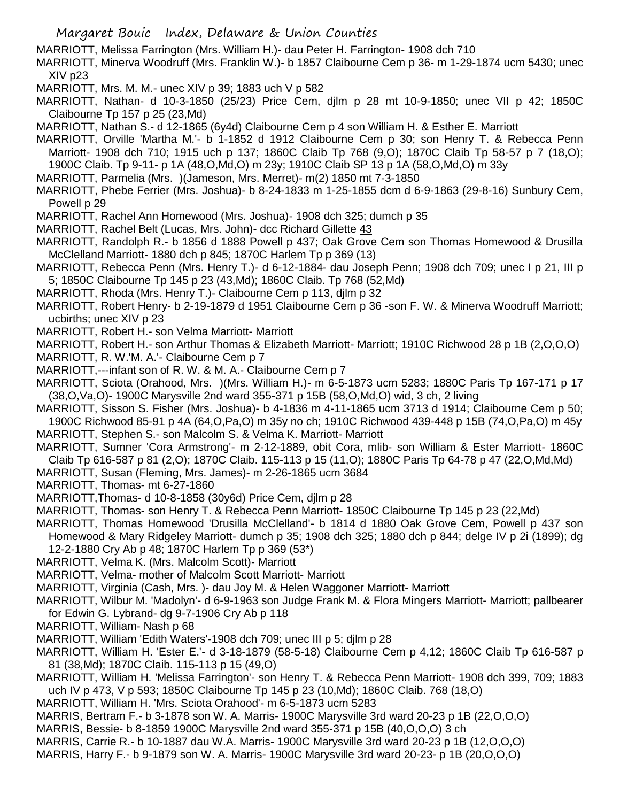MARRIOTT, Melissa Farrington (Mrs. William H.)- dau Peter H. Farrington- 1908 dch 710

MARRIOTT, Minerva Woodruff (Mrs. Franklin W.)- b 1857 Claibourne Cem p 36- m 1-29-1874 ucm 5430; unec XIV p23

MARRIOTT, Mrs. M. M.- unec XIV p 39; 1883 uch V p 582

MARRIOTT, Nathan- d 10-3-1850 (25/23) Price Cem, djlm p 28 mt 10-9-1850; unec VII p 42; 1850C Claibourne Tp 157 p 25 (23,Md)

MARRIOTT, Nathan S.- d 12-1865 (6y4d) Claibourne Cem p 4 son William H. & Esther E. Marriott

MARRIOTT, Orville 'Martha M.'- b 1-1852 d 1912 Claibourne Cem p 30; son Henry T. & Rebecca Penn Marriott- 1908 dch 710; 1915 uch p 137; 1860C Claib Tp 768 (9,O); 1870C Claib Tp 58-57 p 7 (18,O); 1900C Claib. Tp 9-11- p 1A (48,O,Md,O) m 23y; 1910C Claib SP 13 p 1A (58,O,Md,O) m 33y

MARRIOTT, Parmelia (Mrs. )(Jameson, Mrs. Merret)- m(2) 1850 mt 7-3-1850

MARRIOTT, Phebe Ferrier (Mrs. Joshua)- b 8-24-1833 m 1-25-1855 dcm d 6-9-1863 (29-8-16) Sunbury Cem, Powell p 29

MARRIOTT, Rachel Ann Homewood (Mrs. Joshua)- 1908 dch 325; dumch p 35

MARRIOTT, Rachel Belt (Lucas, Mrs. John)- dcc Richard Gillette 43

MARRIOTT, Randolph R.- b 1856 d 1888 Powell p 437; Oak Grove Cem son Thomas Homewood & Drusilla McClelland Marriott- 1880 dch p 845; 1870C Harlem Tp p 369 (13)

MARRIOTT, Rebecca Penn (Mrs. Henry T.)- d 6-12-1884- dau Joseph Penn; 1908 dch 709; unec I p 21, III p 5; 1850C Claibourne Tp 145 p 23 (43,Md); 1860C Claib. Tp 768 (52,Md)

MARRIOTT, Rhoda (Mrs. Henry T.)- Claibourne Cem p 113, djlm p 32

MARRIOTT, Robert Henry- b 2-19-1879 d 1951 Claibourne Cem p 36 -son F. W. & Minerva Woodruff Marriott; ucbirths; unec XIV p 23

- MARRIOTT, Robert H.- son Velma Marriott- Marriott
- MARRIOTT, Robert H.- son Arthur Thomas & Elizabeth Marriott- Marriott; 1910C Richwood 28 p 1B (2,O,O,O)
- MARRIOTT, R. W.'M. A.'- Claibourne Cem p 7
- MARRIOTT,---infant son of R. W. & M. A.- Claibourne Cem p 7

MARRIOTT, Sciota (Orahood, Mrs. )(Mrs. William H.)- m 6-5-1873 ucm 5283; 1880C Paris Tp 167-171 p 17 (38,O,Va,O)- 1900C Marysville 2nd ward 355-371 p 15B (58,O,Md,O) wid, 3 ch, 2 living

MARRIOTT, Sisson S. Fisher (Mrs. Joshua)- b 4-1836 m 4-11-1865 ucm 3713 d 1914; Claibourne Cem p 50; 1900C Richwood 85-91 p 4A (64,O,Pa,O) m 35y no ch; 1910C Richwood 439-448 p 15B (74,O,Pa,O) m 45y MARRIOTT, Stephen S.- son Malcolm S. & Velma K. Marriott- Marriott

MARRIOTT, Sumner 'Cora Armstrong'- m 2-12-1889, obit Cora, mlib- son William & Ester Marriott- 1860C Claib Tp 616-587 p 81 (2,O); 1870C Claib. 115-113 p 15 (11,O); 1880C Paris Tp 64-78 p 47 (22,O,Md,Md)

MARRIOTT, Susan (Fleming, Mrs. James)- m 2-26-1865 ucm 3684

MARRIOTT, Thomas- mt 6-27-1860

MARRIOTT,Thomas- d 10-8-1858 (30y6d) Price Cem, djlm p 28

MARRIOTT, Thomas- son Henry T. & Rebecca Penn Marriott- 1850C Claibourne Tp 145 p 23 (22,Md)

MARRIOTT, Thomas Homewood 'Drusilla McClelland'- b 1814 d 1880 Oak Grove Cem, Powell p 437 son

Homewood & Mary Ridgeley Marriott- dumch p 35; 1908 dch 325; 1880 dch p 844; delge IV p 2i (1899); dg 12-2-1880 Cry Ab p 48; 1870C Harlem Tp p 369 (53\*)

- MARRIOTT, Velma K. (Mrs. Malcolm Scott)- Marriott
- MARRIOTT, Velma- mother of Malcolm Scott Marriott- Marriott

MARRIOTT, Virginia (Cash, Mrs. )- dau Joy M. & Helen Waggoner Marriott- Marriott

- MARRIOTT, Wilbur M. 'Madolyn'- d 6-9-1963 son Judge Frank M. & Flora Mingers Marriott- Marriott; pallbearer for Edwin G. Lybrand- dg 9-7-1906 Cry Ab p 118
- MARRIOTT, William- Nash p 68
- MARRIOTT, William 'Edith Waters'-1908 dch 709; unec III p 5; djlm p 28

MARRIOTT, William H. 'Ester E.'- d 3-18-1879 (58-5-18) Claibourne Cem p 4,12; 1860C Claib Tp 616-587 p 81 (38,Md); 1870C Claib. 115-113 p 15 (49,O)

MARRIOTT, William H. 'Melissa Farrington'- son Henry T. & Rebecca Penn Marriott- 1908 dch 399, 709; 1883 uch IV p 473, V p 593; 1850C Claibourne Tp 145 p 23 (10,Md); 1860C Claib. 768 (18,O)

MARRIOTT, William H. 'Mrs. Sciota Orahood'- m 6-5-1873 ucm 5283

- MARRIS, Bertram F.- b 3-1878 son W. A. Marris- 1900C Marysville 3rd ward 20-23 p 1B (22,O,O,O)
- MARRIS, Bessie- b 8-1859 1900C Marysville 2nd ward 355-371 p 15B (40,O,O,O) 3 ch
- MARRIS, Carrie R.- b 10-1887 dau W.A. Marris- 1900C Marysville 3rd ward 20-23 p 1B (12,O,O,O)
- MARRIS, Harry F.- b 9-1879 son W. A. Marris- 1900C Marysville 3rd ward 20-23- p 1B (20,O,O,O)